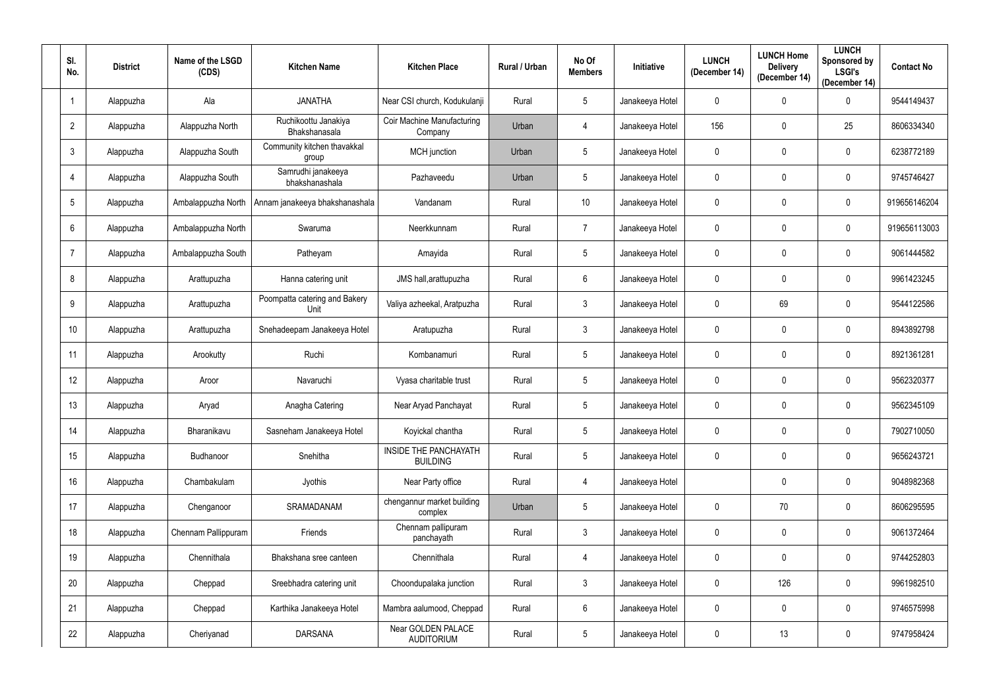| SI.<br>No.     | <b>District</b> | Name of the LSGD<br>(CDS) | <b>Kitchen Name</b>                   | <b>Kitchen Place</b>                     | Rural / Urban | No Of<br><b>Members</b> | Initiative      | <b>LUNCH</b><br>(December 14) | <b>LUNCH Home</b><br><b>Delivery</b><br>(December 14) | <b>LUNCH</b><br>Sponsored by<br><b>LSGI's</b><br>(December 14) | <b>Contact No</b> |
|----------------|-----------------|---------------------------|---------------------------------------|------------------------------------------|---------------|-------------------------|-----------------|-------------------------------|-------------------------------------------------------|----------------------------------------------------------------|-------------------|
| -1             | Alappuzha       | Ala                       | <b>JANATHA</b>                        | Near CSI church, Kodukulanji             | Rural         | $5\phantom{.0}$         | Janakeeya Hotel | $\mathbf 0$                   | $\mathbf 0$                                           | $\mathbf 0$                                                    | 9544149437        |
| $\overline{2}$ | Alappuzha       | Alappuzha North           | Ruchikoottu Janakiya<br>Bhakshanasala | Coir Machine Manufacturing<br>Company    | Urban         | 4                       | Janakeeya Hotel | 156                           | $\mathbf 0$                                           | 25                                                             | 8606334340        |
| $\mathbf{3}$   | Alappuzha       | Alappuzha South           | Community kitchen thavakkal<br>group  | MCH junction                             | Urban         | $5\phantom{.0}$         | Janakeeya Hotel | $\mathbf 0$                   | $\mathbf 0$                                           | $\mathbf 0$                                                    | 6238772189        |
|                | Alappuzha       | Alappuzha South           | Samrudhi janakeeya<br>bhakshanashala  | Pazhaveedu                               | Urban         | $5\phantom{.0}$         | Janakeeya Hotel | $\mathbf 0$                   | $\mathbf 0$                                           | $\mathbf 0$                                                    | 9745746427        |
| 5              | Alappuzha       | Ambalappuzha North        | Annam janakeeya bhakshanashala        | Vandanam                                 | Rural         | 10                      | Janakeeya Hotel | $\mathbf 0$                   | $\mathbf 0$                                           | $\mathbf 0$                                                    | 919656146204      |
| 6              | Alappuzha       | Ambalappuzha North        | Swaruma                               | Neerkkunnam                              | Rural         | $\overline{7}$          | Janakeeya Hotel | $\mathbf 0$                   | $\mathbf 0$                                           | $\mathbf 0$                                                    | 919656113003      |
|                | Alappuzha       | Ambalappuzha South        | Patheyam                              | Amayida                                  | Rural         | $5\phantom{.0}$         | Janakeeya Hotel | $\mathbf 0$                   | $\mathbf 0$                                           | $\mathbf 0$                                                    | 9061444582        |
| 8              | Alappuzha       | Arattupuzha               | Hanna catering unit                   | JMS hall, arattupuzha                    | Rural         | $6\phantom{.}$          | Janakeeya Hotel | $\mathbf 0$                   | $\mathbf 0$                                           | $\mathbf 0$                                                    | 9961423245        |
| 9              | Alappuzha       | Arattupuzha               | Poompatta catering and Bakery<br>Unit | Valiya azheekal, Aratpuzha               | Rural         | $\mathbf{3}$            | Janakeeya Hotel | $\mathbf 0$                   | 69                                                    | $\mathbf 0$                                                    | 9544122586        |
| 10             | Alappuzha       | Arattupuzha               | Snehadeepam Janakeeya Hotel           | Aratupuzha                               | Rural         | $\mathfrak{Z}$          | Janakeeya Hotel | $\mathbf 0$                   | $\mathbf 0$                                           | $\mathbf 0$                                                    | 8943892798        |
| 11             | Alappuzha       | Arookutty                 | Ruchi                                 | Kombanamuri                              | Rural         | $5\phantom{.0}$         | Janakeeya Hotel | $\mathbf 0$                   | 0                                                     | $\mathbf 0$                                                    | 8921361281        |
| 12             | Alappuzha       | Aroor                     | Navaruchi                             | Vyasa charitable trust                   | Rural         | $5\phantom{.0}$         | Janakeeya Hotel | $\overline{0}$                | $\mathbf 0$                                           | $\mathbf 0$                                                    | 9562320377        |
| 13             | Alappuzha       | Aryad                     | Anagha Catering                       | Near Aryad Panchayat                     | Rural         | 5                       | Janakeeya Hotel | $\mathbf 0$                   | $\mathbf 0$                                           | $\mathbf 0$                                                    | 9562345109        |
| 14             | Alappuzha       | Bharanikavu               | Sasneham Janakeeya Hotel              | Koyickal chantha                         | Rural         | $5\phantom{.0}$         | Janakeeya Hotel | $\mathbf 0$                   | $\mathbf 0$                                           | $\mathbf 0$                                                    | 7902710050        |
| 15             | Alappuzha       | Budhanoor                 | Snehitha                              | INSIDE THE PANCHAYATH<br><b>BUILDING</b> | Rural         | $5\phantom{.0}$         | Janakeeya Hotel | $\overline{0}$                | $\pmb{0}$                                             | $\pmb{0}$                                                      | 9656243721        |
| 16             | Alappuzha       | Chambakulam               | Jyothis                               | Near Party office                        | Rural         | 4                       | Janakeeya Hotel |                               | $\mathbf 0$                                           | $\pmb{0}$                                                      | 9048982368        |
| 17             | Alappuzha       | Chenganoor                | SRAMADANAM                            | chengannur market building<br>complex    | Urban         | $5\phantom{.0}$         | Janakeeya Hotel | $\overline{0}$                | 70                                                    | $\pmb{0}$                                                      | 8606295595        |
| 18             | Alappuzha       | Chennam Pallippuram       | Friends                               | Chennam pallipuram<br>panchayath         | Rural         | 3 <sup>1</sup>          | Janakeeya Hotel | $\mathbf 0$                   | $\mathbf 0$                                           | $\pmb{0}$                                                      | 9061372464        |
| 19             | Alappuzha       | Chennithala               | Bhakshana sree canteen                | Chennithala                              | Rural         | 4                       | Janakeeya Hotel | $\mathbf 0$                   | $\boldsymbol{0}$                                      | $\pmb{0}$                                                      | 9744252803        |
| 20             | Alappuzha       | Cheppad                   | Sreebhadra catering unit              | Choondupalaka junction                   | Rural         | 3 <sup>1</sup>          | Janakeeya Hotel | $\mathbf 0$                   | 126                                                   | $\pmb{0}$                                                      | 9961982510        |
| 21             | Alappuzha       | Cheppad                   | Karthika Janakeeya Hotel              | Mambra aalumood, Cheppad                 | Rural         | $6\overline{6}$         | Janakeeya Hotel | $\mathbf 0$                   | $\mathbf 0$                                           | $\mathbf 0$                                                    | 9746575998        |
| 22             | Alappuzha       | Cheriyanad                | <b>DARSANA</b>                        | Near GOLDEN PALACE<br><b>AUDITORIUM</b>  | Rural         | $5\phantom{.0}$         | Janakeeya Hotel | $\overline{0}$                | 13                                                    | $\pmb{0}$                                                      | 9747958424        |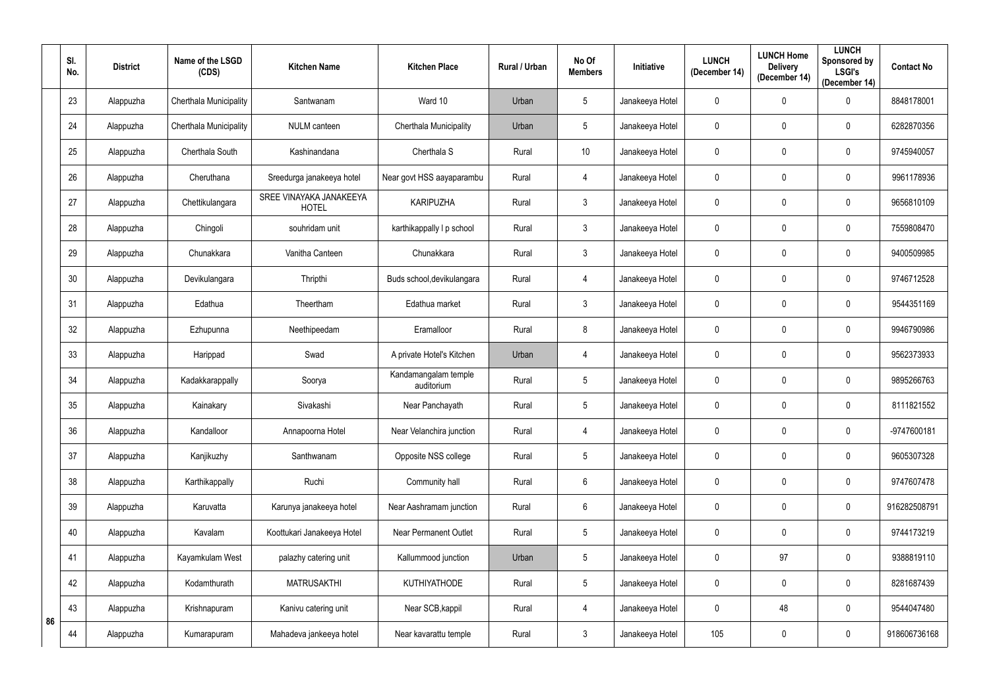|    | SI.<br>No. | <b>District</b> | Name of the LSGD<br>(CDS) | <b>Kitchen Name</b>                     | <b>Kitchen Place</b>               | Rural / Urban | No Of<br><b>Members</b> | Initiative      | <b>LUNCH</b><br>(December 14) | <b>LUNCH Home</b><br><b>Delivery</b><br>(December 14) | <b>LUNCH</b><br>Sponsored by<br><b>LSGI's</b><br>(December 14) | <b>Contact No</b> |
|----|------------|-----------------|---------------------------|-----------------------------------------|------------------------------------|---------------|-------------------------|-----------------|-------------------------------|-------------------------------------------------------|----------------------------------------------------------------|-------------------|
|    | 23         | Alappuzha       | Cherthala Municipality    | Santwanam                               | Ward 10                            | Urban         | $5\phantom{.0}$         | Janakeeya Hotel | $\pmb{0}$                     | $\mathbf 0$                                           | $\mathbf 0$                                                    | 8848178001        |
|    | 24         | Alappuzha       | Cherthala Municipality    | <b>NULM</b> canteen                     | Cherthala Municipality             | Urban         | $5\phantom{.0}$         | Janakeeya Hotel | $\mathbf 0$                   | 0                                                     | $\mathbf 0$                                                    | 6282870356        |
|    | 25         | Alappuzha       | Cherthala South           | Kashinandana                            | Cherthala S                        | Rural         | 10 <sup>°</sup>         | Janakeeya Hotel | $\mathbf 0$                   | 0                                                     | $\mathbf 0$                                                    | 9745940057        |
|    | 26         | Alappuzha       | Cheruthana                | Sreedurga janakeeya hotel               | Near govt HSS aayaparambu          | Rural         | 4                       | Janakeeya Hotel | 0                             | 0                                                     | $\mathbf 0$                                                    | 9961178936        |
|    | 27         | Alappuzha       | Chettikulangara           | SREE VINAYAKA JANAKEEYA<br><b>HOTEL</b> | <b>KARIPUZHA</b>                   | Rural         | $\mathfrak{Z}$          | Janakeeya Hotel | $\mathbf 0$                   | 0                                                     | $\mathbf 0$                                                    | 9656810109        |
|    | 28         | Alappuzha       | Chingoli                  | souhridam unit                          | karthikappally I p school          | Rural         | $\mathfrak{Z}$          | Janakeeya Hotel | $\mathbf 0$                   | $\mathbf 0$                                           | $\mathbf 0$                                                    | 7559808470        |
|    | 29         | Alappuzha       | Chunakkara                | Vanitha Canteen                         | Chunakkara                         | Rural         | 3                       | Janakeeya Hotel | $\mathbf 0$                   | 0                                                     | $\mathbf 0$                                                    | 9400509985        |
|    | 30         | Alappuzha       | Devikulangara             | Thripthi                                | Buds school, devikulangara         | Rural         | 4                       | Janakeeya Hotel | $\mathbf 0$                   | 0                                                     | $\mathbf 0$                                                    | 9746712528        |
|    | 31         | Alappuzha       | Edathua                   | Theertham                               | Edathua market                     | Rural         | $\mathfrak{Z}$          | Janakeeya Hotel | 0                             | 0                                                     | $\mathbf 0$                                                    | 9544351169        |
|    | 32         | Alappuzha       | Ezhupunna                 | Neethipeedam                            | Eramalloor                         | Rural         | 8                       | Janakeeya Hotel | $\mathbf 0$                   | $\mathbf 0$                                           | $\mathbf 0$                                                    | 9946790986        |
|    | 33         | Alappuzha       | Harippad                  | Swad                                    | A private Hotel's Kitchen          | Urban         | 4                       | Janakeeya Hotel | $\mathbf 0$                   | $\mathbf 0$                                           | $\mathbf 0$                                                    | 9562373933        |
|    | 34         | Alappuzha       | Kadakkarappally           | Soorya                                  | Kandamangalam temple<br>auditorium | Rural         | $5\phantom{.0}$         | Janakeeya Hotel | $\mathbf 0$                   | $\mathbf 0$                                           | $\mathbf 0$                                                    | 9895266763        |
|    | 35         | Alappuzha       | Kainakary                 | Sivakashi                               | Near Panchayath                    | Rural         | $5\overline{)}$         | Janakeeya Hotel | $\mathbf 0$                   | 0                                                     | $\mathbf 0$                                                    | 8111821552        |
|    | 36         | Alappuzha       | Kandalloor                | Annapoorna Hotel                        | Near Velanchira junction           | Rural         | 4                       | Janakeeya Hotel | $\mathbf 0$                   | 0                                                     | $\mathbf 0$                                                    | -9747600181       |
|    | 37         | Alappuzha       | Kanjikuzhy                | Santhwanam                              | Opposite NSS college               | Rural         | $5\phantom{.0}$         | Janakeeya Hotel | $\mathbf 0$                   | $\pmb{0}$                                             | $\mathbf 0$                                                    | 9605307328        |
|    | 38         | Alappuzha       | Karthikappally            | Ruchi                                   | Community hall                     | Rural         | $6\phantom{.}6$         | Janakeeya Hotel | $\pmb{0}$                     | $\mathbf 0$                                           | $\pmb{0}$                                                      | 9747607478        |
|    | 39         | Alappuzha       | Karuvatta                 | Karunya janakeeya hotel                 | Near Aashramam junction            | Rural         | $6\phantom{.}6$         | Janakeeya Hotel | $\pmb{0}$                     | $\pmb{0}$                                             | $\mathbf 0$                                                    | 916282508791      |
|    | 40         | Alappuzha       | Kavalam                   | Koottukari Janakeeya Hotel              | <b>Near Permanent Outlet</b>       | Rural         | $5\phantom{.0}$         | Janakeeya Hotel | $\pmb{0}$                     | $\mathbf 0$                                           | $\mathbf 0$                                                    | 9744173219        |
|    | 41         | Alappuzha       | Kayamkulam West           | palazhy catering unit                   | Kallummood junction                | Urban         | $5\phantom{.0}$         | Janakeeya Hotel | $\boldsymbol{0}$              | 97                                                    | $\mathbf 0$                                                    | 9388819110        |
|    | 42         | Alappuzha       | Kodamthurath              | <b>MATRUSAKTHI</b>                      | KUTHIYATHODE                       | Rural         | $5\phantom{.0}$         | Janakeeya Hotel | $\pmb{0}$                     | $\pmb{0}$                                             | $\pmb{0}$                                                      | 8281687439        |
| 86 | 43         | Alappuzha       | Krishnapuram              | Kanivu catering unit                    | Near SCB, kappil                   | Rural         | 4                       | Janakeeya Hotel | $\pmb{0}$                     | 48                                                    | $\mathbf 0$                                                    | 9544047480        |
|    | 44         | Alappuzha       | Kumarapuram               | Mahadeva jankeeya hotel                 | Near kavarattu temple              | Rural         | $\mathfrak{Z}$          | Janakeeya Hotel | 105                           | $\pmb{0}$                                             | $\pmb{0}$                                                      | 918606736168      |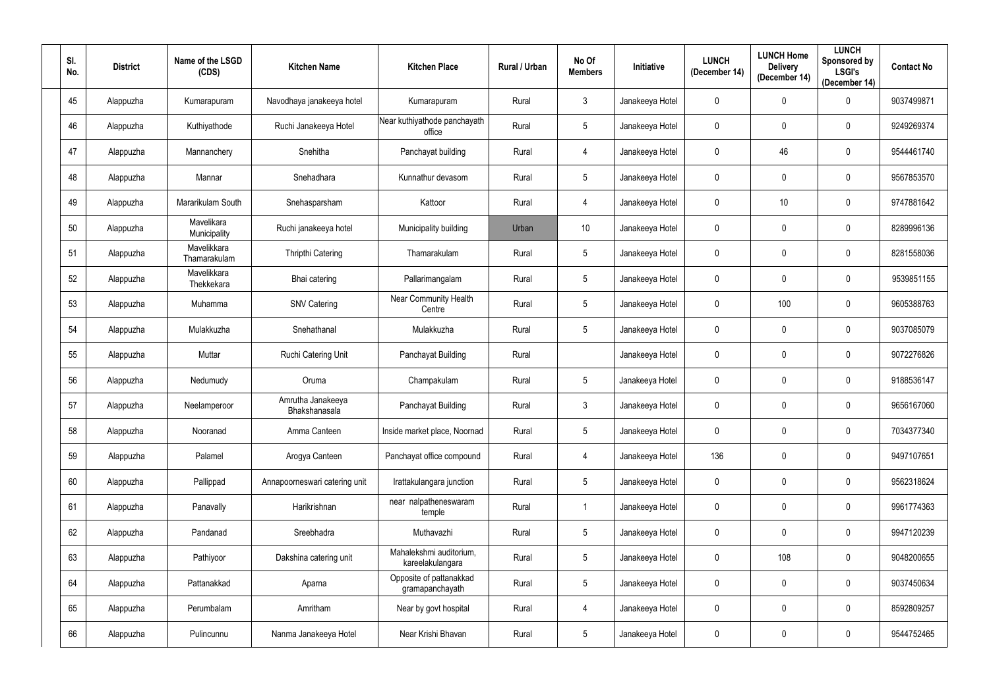| SI.<br>No. | <b>District</b> | Name of the LSGD<br>(CDS)   | <b>Kitchen Name</b>                | <b>Kitchen Place</b>                        | Rural / Urban | No Of<br><b>Members</b> | Initiative      | <b>LUNCH</b><br>(December 14) | <b>LUNCH Home</b><br><b>Delivery</b><br>(December 14) | <b>LUNCH</b><br>Sponsored by<br><b>LSGI's</b><br>(December 14) | <b>Contact No</b> |
|------------|-----------------|-----------------------------|------------------------------------|---------------------------------------------|---------------|-------------------------|-----------------|-------------------------------|-------------------------------------------------------|----------------------------------------------------------------|-------------------|
| 45         | Alappuzha       | Kumarapuram                 | Navodhaya janakeeya hotel          | Kumarapuram                                 | Rural         | $3\phantom{.0}$         | Janakeeya Hotel | $\mathbf 0$                   | $\mathbf 0$                                           | $\mathbf 0$                                                    | 9037499871        |
| 46         | Alappuzha       | Kuthiyathode                | Ruchi Janakeeya Hotel              | Near kuthiyathode panchayath<br>office      | Rural         | $5\phantom{.0}$         | Janakeeya Hotel | $\mathbf 0$                   | $\mathbf 0$                                           | $\mathbf 0$                                                    | 9249269374        |
| 47         | Alappuzha       | Mannanchery                 | Snehitha                           | Panchayat building                          | Rural         | 4                       | Janakeeya Hotel | $\mathbf 0$                   | 46                                                    | $\mathbf 0$                                                    | 9544461740        |
| 48         | Alappuzha       | Mannar                      | Snehadhara                         | Kunnathur devasom                           | Rural         | $5\phantom{.0}$         | Janakeeya Hotel | $\overline{0}$                | $\mathbf 0$                                           | $\mathbf 0$                                                    | 9567853570        |
| 49         | Alappuzha       | Mararikulam South           | Snehasparsham                      | Kattoor                                     | Rural         | 4                       | Janakeeya Hotel | $\overline{0}$                | 10                                                    | $\mathbf 0$                                                    | 9747881642        |
| 50         | Alappuzha       | Mavelikara<br>Municipality  | Ruchi janakeeya hotel              | Municipality building                       | Urban         | 10                      | Janakeeya Hotel | $\overline{0}$                | $\mathbf 0$                                           | $\mathbf 0$                                                    | 8289996136        |
| 51         | Alappuzha       | Mavelikkara<br>Thamarakulam | <b>Thripthi Catering</b>           | Thamarakulam                                | Rural         | $5\phantom{.0}$         | Janakeeya Hotel | $\overline{0}$                | $\mathbf 0$                                           | $\mathbf 0$                                                    | 8281558036        |
| 52         | Alappuzha       | Mavelikkara<br>Thekkekara   | Bhai catering                      | Pallarimangalam                             | Rural         | $5\phantom{.0}$         | Janakeeya Hotel | $\overline{0}$                | $\mathbf 0$                                           | $\mathbf 0$                                                    | 9539851155        |
| 53         | Alappuzha       | Muhamma                     | <b>SNV Catering</b>                | Near Community Health<br>Centre             | Rural         | $5\phantom{.0}$         | Janakeeya Hotel | $\overline{0}$                | 100                                                   | $\mathbf 0$                                                    | 9605388763        |
| 54         | Alappuzha       | Mulakkuzha                  | Snehathanal                        | Mulakkuzha                                  | Rural         | $5\phantom{.0}$         | Janakeeya Hotel | $\overline{0}$                | $\mathbf 0$                                           | $\mathbf 0$                                                    | 9037085079        |
| 55         | Alappuzha       | Muttar                      | Ruchi Catering Unit                | Panchayat Building                          | Rural         |                         | Janakeeya Hotel | $\overline{0}$                | $\mathbf 0$                                           | $\mathbf 0$                                                    | 9072276826        |
| 56         | Alappuzha       | Nedumudy                    | Oruma                              | Champakulam                                 | Rural         | $5\phantom{.0}$         | Janakeeya Hotel | $\overline{0}$                | $\mathbf 0$                                           | $\mathbf 0$                                                    | 9188536147        |
| 57         | Alappuzha       | Neelamperoor                | Amrutha Janakeeya<br>Bhakshanasala | Panchayat Building                          | Rural         | $\mathfrak{Z}$          | Janakeeya Hotel | $\pmb{0}$                     | $\mathbf 0$                                           | $\mathbf 0$                                                    | 9656167060        |
| 58         | Alappuzha       | Nooranad                    | Amma Canteen                       | Inside market place, Noornad                | Rural         | $5\phantom{.0}$         | Janakeeya Hotel | $\overline{0}$                | $\mathbf 0$                                           | $\mathbf 0$                                                    | 7034377340        |
| 59         | Alappuzha       | Palamel                     | Arogya Canteen                     | Panchayat office compound                   | Rural         | $\overline{4}$          | Janakeeya Hotel | 136                           | $\mathbf 0$                                           | $\mathbf 0$                                                    | 9497107651        |
| 60         | Alappuzha       | Pallippad                   | Annapoorneswari catering unit      | Irattakulangara junction                    | Rural         | $5\phantom{.0}$         | Janakeeya Hotel | $\overline{0}$                | $\mathbf 0$                                           | $\mathbf 0$                                                    | 9562318624        |
| 61         | Alappuzha       | Panavally                   | Harikrishnan                       | near nalpatheneswaram<br>temple             | Rural         |                         | Janakeeya Hotel | $\mathbf 0$                   | $\mathbf 0$                                           | $\mathbf 0$                                                    | 9961774363        |
| 62         | Alappuzha       | Pandanad                    | Sreebhadra                         | Muthavazhi                                  | Rural         | $5\phantom{.0}$         | Janakeeya Hotel | $\overline{0}$                | $\pmb{0}$                                             | $\mathbf 0$                                                    | 9947120239        |
| 63         | Alappuzha       | Pathiyoor                   | Dakshina catering unit             | Mahalekshmi auditorium,<br>kareelakulangara | Rural         | $5\phantom{.0}$         | Janakeeya Hotel | $\overline{0}$                | 108                                                   | $\mathbf 0$                                                    | 9048200655        |
| 64         | Alappuzha       | Pattanakkad                 | Aparna                             | Opposite of pattanakkad<br>gramapanchayath  | Rural         | $5\phantom{.0}$         | Janakeeya Hotel | $\mathbf 0$                   | $\mathbf 0$                                           | $\mathbf 0$                                                    | 9037450634        |
| 65         | Alappuzha       | Perumbalam                  | Amritham                           | Near by govt hospital                       | Rural         | $\overline{4}$          | Janakeeya Hotel | $\overline{0}$                | $\pmb{0}$                                             | $\mathbf 0$                                                    | 8592809257        |
| 66         | Alappuzha       | Pulincunnu                  | Nanma Janakeeya Hotel              | Near Krishi Bhavan                          | Rural         | $5\phantom{.0}$         | Janakeeya Hotel | $\overline{0}$                | $\pmb{0}$                                             | $\boldsymbol{0}$                                               | 9544752465        |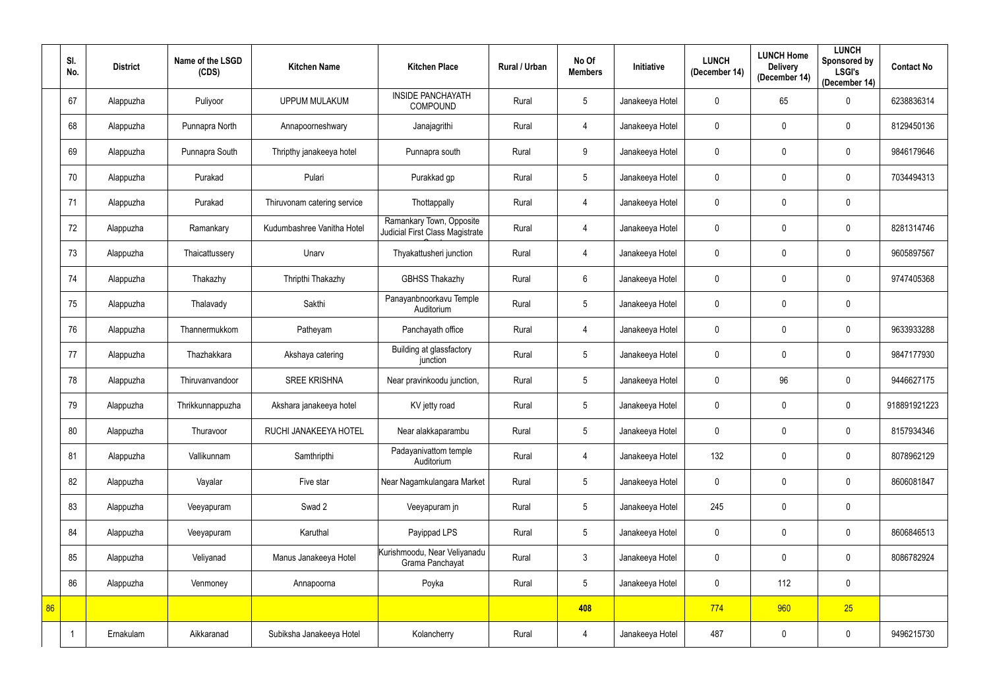|    | SI.<br>No. | <b>District</b> | Name of the LSGD<br>(CDS) | <b>Kitchen Name</b>         | <b>Kitchen Place</b>                                        | Rural / Urban | No Of<br><b>Members</b> | Initiative      | <b>LUNCH</b><br>(December 14) | <b>LUNCH Home</b><br><b>Delivery</b><br>(December 14) | <b>LUNCH</b><br>Sponsored by<br><b>LSGI's</b><br>(December 14) | <b>Contact No</b> |
|----|------------|-----------------|---------------------------|-----------------------------|-------------------------------------------------------------|---------------|-------------------------|-----------------|-------------------------------|-------------------------------------------------------|----------------------------------------------------------------|-------------------|
|    | 67         | Alappuzha       | Puliyoor                  | <b>UPPUM MULAKUM</b>        | <b>INSIDE PANCHAYATH</b><br>COMPOUND                        | Rural         | 5                       | Janakeeya Hotel | $\mathbf 0$                   | 65                                                    | $\mathbf 0$                                                    | 6238836314        |
|    | 68         | Alappuzha       | Punnapra North            | Annapoorneshwary            | Janajagrithi                                                | Rural         | 4                       | Janakeeya Hotel | $\mathbf 0$                   | $\mathbf 0$                                           | $\mathbf 0$                                                    | 8129450136        |
|    | 69         | Alappuzha       | Punnapra South            | Thripthy janakeeya hotel    | Punnapra south                                              | Rural         | 9                       | Janakeeya Hotel | $\mathbf 0$                   | $\mathbf 0$                                           | $\mathbf 0$                                                    | 9846179646        |
|    | 70         | Alappuzha       | Purakad                   | Pulari                      | Purakkad gp                                                 | Rural         | $5\phantom{.0}$         | Janakeeya Hotel | $\mathbf 0$                   | $\mathbf 0$                                           | $\mathbf 0$                                                    | 7034494313        |
|    | 71         | Alappuzha       | Purakad                   | Thiruvonam catering service | Thottappally                                                | Rural         | 4                       | Janakeeya Hotel | $\mathbf 0$                   | $\mathbf 0$                                           | $\pmb{0}$                                                      |                   |
|    | 72         | Alappuzha       | Ramankary                 | Kudumbashree Vanitha Hotel  | Ramankary Town, Opposite<br>Judicial First Class Magistrate | Rural         | $\overline{4}$          | Janakeeya Hotel | $\mathbf 0$                   | $\mathbf 0$                                           | $\mathbf 0$                                                    | 8281314746        |
|    | 73         | Alappuzha       | Thaicattussery            | Unarv                       | Thyakattusheri junction                                     | Rural         | 4                       | Janakeeya Hotel | $\mathbf 0$                   | $\mathbf 0$                                           | $\mathbf 0$                                                    | 9605897567        |
|    | 74         | Alappuzha       | Thakazhy                  | Thripthi Thakazhy           | <b>GBHSS Thakazhy</b>                                       | Rural         | 6                       | Janakeeya Hotel | $\mathbf 0$                   | $\mathbf 0$                                           | $\mathbf 0$                                                    | 9747405368        |
|    | 75         | Alappuzha       | Thalavady                 | Sakthi                      | Panayanbnoorkavu Temple<br>Auditorium                       | Rural         | $5\phantom{.0}$         | Janakeeya Hotel | $\mathbf 0$                   | $\mathbf 0$                                           | $\mathbf 0$                                                    |                   |
|    | 76         | Alappuzha       | Thannermukkom             | Patheyam                    | Panchayath office                                           | Rural         | 4                       | Janakeeya Hotel | $\mathbf 0$                   | $\mathbf 0$                                           | $\mathbf 0$                                                    | 9633933288        |
|    | 77         | Alappuzha       | Thazhakkara               | Akshaya catering            | Building at glassfactory<br>junction                        | Rural         | $5\phantom{.0}$         | Janakeeya Hotel | $\mathbf 0$                   | $\boldsymbol{0}$                                      | $\mathbf 0$                                                    | 9847177930        |
|    | 78         | Alappuzha       | Thiruvanvandoor           | <b>SREE KRISHNA</b>         | Near pravinkoodu junction,                                  | Rural         | 5                       | Janakeeya Hotel | $\mathbf 0$                   | 96                                                    | $\mathbf 0$                                                    | 9446627175        |
|    | 79         | Alappuzha       | Thrikkunnappuzha          | Akshara janakeeya hotel     | KV jetty road                                               | Rural         | 5                       | Janakeeya Hotel | $\mathbf 0$                   | $\mathbf 0$                                           | $\mathbf 0$                                                    | 918891921223      |
|    | 80         | Alappuzha       | Thuravoor                 | RUCHI JANAKEEYA HOTEL       | Near alakkaparambu                                          | Rural         | 5                       | Janakeeya Hotel | $\mathbf 0$                   | $\mathbf 0$                                           | $\mathbf 0$                                                    | 8157934346        |
|    | 81         | Alappuzha       | Vallikunnam               | Samthripthi                 | Padayanivattom temple<br>Auditorium                         | Rural         | $\overline{4}$          | Janakeeya Hotel | 132                           | $\pmb{0}$                                             | $\pmb{0}$                                                      | 8078962129        |
|    | 82         | Alappuzha       | Vayalar                   | Five star                   | Near Nagamkulangara Market                                  | Rural         | 5 <sup>5</sup>          | Janakeeya Hotel | $\mathbf 0$                   | $\boldsymbol{0}$                                      | $\pmb{0}$                                                      | 8606081847        |
|    | 83         | Alappuzha       | Veeyapuram                | Swad 2                      | Veeyapuram jn                                               | Rural         | $5\phantom{.0}$         | Janakeeya Hotel | 245                           | $\mathbf 0$                                           | $\pmb{0}$                                                      |                   |
|    | 84         | Alappuzha       | Veeyapuram                | Karuthal                    | Payippad LPS                                                | Rural         | $5\overline{)}$         | Janakeeya Hotel | $\mathbf 0$                   | $\boldsymbol{0}$                                      | $\pmb{0}$                                                      | 8606846513        |
|    | 85         | Alappuzha       | Veliyanad                 | Manus Janakeeya Hotel       | Kurishmoodu, Near Veliyanadu<br>Grama Panchayat             | Rural         | 3 <sup>1</sup>          | Janakeeya Hotel | $\mathbf 0$                   | $\mathbf 0$                                           | $\pmb{0}$                                                      | 8086782924        |
|    | 86         | Alappuzha       | Venmoney                  | Annapoorna                  | Poyka                                                       | Rural         | 5 <sup>5</sup>          | Janakeeya Hotel | $\mathbf 0$                   | 112                                                   | $\pmb{0}$                                                      |                   |
| 86 |            |                 |                           |                             |                                                             |               | 408                     |                 | 774                           | 960                                                   | 25                                                             |                   |
|    |            | Ernakulam       | Aikkaranad                | Subiksha Janakeeya Hotel    | Kolancherry                                                 | Rural         | $\overline{4}$          | Janakeeya Hotel | 487                           | $\pmb{0}$                                             | $\pmb{0}$                                                      | 9496215730        |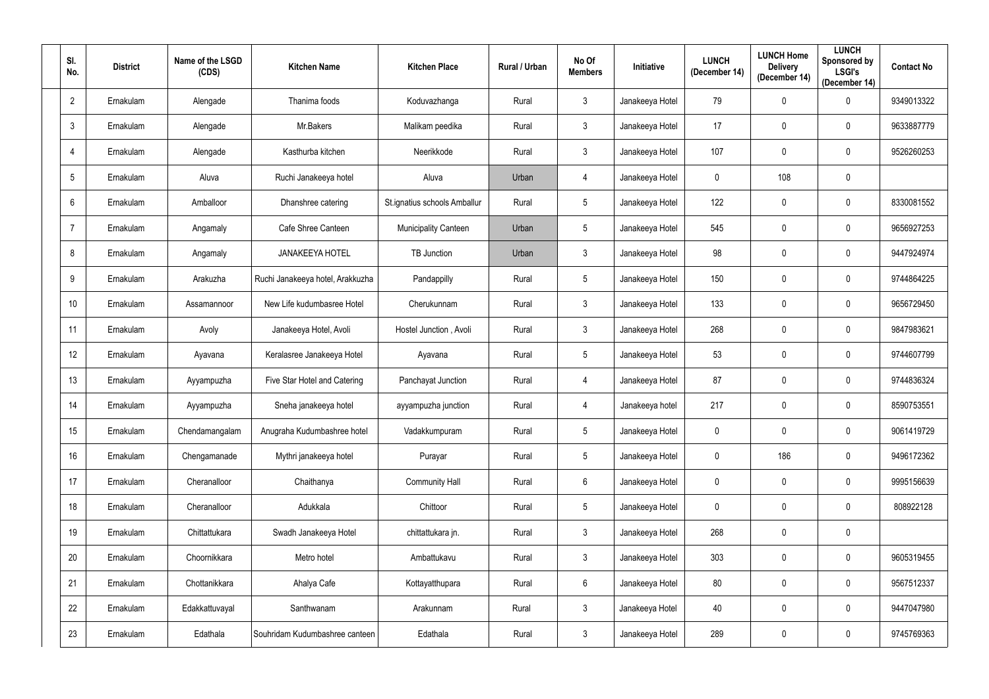| SI.<br>No.     | <b>District</b> | Name of the LSGD<br>(CDS) | <b>Kitchen Name</b>              | <b>Kitchen Place</b>         | Rural / Urban | No Of<br><b>Members</b> | Initiative      | <b>LUNCH</b><br>(December 14) | <b>LUNCH Home</b><br><b>Delivery</b><br>(December 14) | <b>LUNCH</b><br>Sponsored by<br><b>LSGI's</b><br>(December 14) | <b>Contact No</b> |
|----------------|-----------------|---------------------------|----------------------------------|------------------------------|---------------|-------------------------|-----------------|-------------------------------|-------------------------------------------------------|----------------------------------------------------------------|-------------------|
| $\overline{2}$ | Ernakulam       | Alengade                  | Thanima foods                    | Koduvazhanga                 | Rural         | $3\phantom{.0}$         | Janakeeya Hotel | 79                            | $\mathbf 0$                                           | 0                                                              | 9349013322        |
| $\mathfrak{Z}$ | Ernakulam       | Alengade                  | Mr.Bakers                        | Malikam peedika              | Rural         | 3 <sup>1</sup>          | Janakeeya Hotel | 17                            | $\mathbf 0$                                           | $\mathbf 0$                                                    | 9633887779        |
| $\overline{4}$ | Ernakulam       | Alengade                  | Kasthurba kitchen                | Neerikkode                   | Rural         | $3\phantom{.0}$         | Janakeeya Hotel | 107                           | $\mathbf 0$                                           | 0                                                              | 9526260253        |
| 5              | Ernakulam       | Aluva                     | Ruchi Janakeeya hotel            | Aluva                        | Urban         | 4                       | Janakeeya Hotel | $\mathbf 0$                   | 108                                                   | 0                                                              |                   |
| $6\phantom{.}$ | Ernakulam       | Amballoor                 | Dhanshree catering               | St.ignatius schools Amballur | Rural         | $5\phantom{.0}$         | Janakeeya Hotel | 122                           | $\mathbf 0$                                           | $\mathbf 0$                                                    | 8330081552        |
| $\overline{7}$ | Ernakulam       | Angamaly                  | Cafe Shree Canteen               | <b>Municipality Canteen</b>  | Urban         | 5                       | Janakeeya Hotel | 545                           | $\mathbf 0$                                           | 0                                                              | 9656927253        |
| 8              | Ernakulam       | Angamaly                  | <b>JANAKEEYA HOTEL</b>           | TB Junction                  | Urban         | $\mathfrak{Z}$          | Janakeeya Hotel | 98                            | $\mathbf 0$                                           | 0                                                              | 9447924974        |
| 9              | Ernakulam       | Arakuzha                  | Ruchi Janakeeya hotel, Arakkuzha | Pandappilly                  | Rural         | 5                       | Janakeeya Hotel | 150                           | $\mathbf 0$                                           | 0                                                              | 9744864225        |
| 10             | Ernakulam       | Assamannoor               | New Life kudumbasree Hotel       | Cherukunnam                  | Rural         | $\mathbf{3}$            | Janakeeya Hotel | 133                           | $\mathbf 0$                                           | $\mathbf 0$                                                    | 9656729450        |
| 11             | Ernakulam       | Avoly                     | Janakeeya Hotel, Avoli           | Hostel Junction, Avoli       | Rural         | $\mathbf{3}$            | Janakeeya Hotel | 268                           | $\mathbf 0$                                           | $\mathbf 0$                                                    | 9847983621        |
| 12             | Ernakulam       | Ayavana                   | Keralasree Janakeeya Hotel       | Ayavana                      | Rural         | 5                       | Janakeeya Hotel | 53                            | $\mathbf 0$                                           | $\mathbf 0$                                                    | 9744607799        |
| 13             | Ernakulam       | Ayyampuzha                | Five Star Hotel and Catering     | Panchayat Junction           | Rural         | 4                       | Janakeeya Hotel | 87                            | $\mathbf 0$                                           | 0                                                              | 9744836324        |
| 14             | Ernakulam       | Ayyampuzha                | Sneha janakeeya hotel            | ayyampuzha junction          | Rural         | 4                       | Janakeeya hotel | 217                           | $\mathbf 0$                                           | $\mathbf 0$                                                    | 8590753551        |
| 15             | Ernakulam       | Chendamangalam            | Anugraha Kudumbashree hotel      | Vadakkumpuram                | Rural         | $5\phantom{.0}$         | Janakeeya Hotel | $\pmb{0}$                     | $\mathbf 0$                                           | $\mathbf 0$                                                    | 9061419729        |
| 16             | Ernakulam       | Chengamanade              | Mythri janakeeya hotel           | Purayar                      | Rural         | $5\phantom{.0}$         | Janakeeya Hotel | $\mathbf 0$                   | 186                                                   | $\mathbf 0$                                                    | 9496172362        |
| 17             | Ernakulam       | Cheranalloor              | Chaithanya                       | <b>Community Hall</b>        | Rural         | $6\phantom{.0}$         | Janakeeya Hotel | $\mathbf 0$                   | $\mathbf 0$                                           | $\mathbf 0$                                                    | 9995156639        |
| 18             | Ernakulam       | Cheranalloor              | Adukkala                         | Chittoor                     | Rural         | $5\phantom{.0}$         | Janakeeya Hotel | $\mathbf 0$                   | $\mathbf 0$                                           | $\mathbf 0$                                                    | 808922128         |
| 19             | Ernakulam       | Chittattukara             | Swadh Janakeeya Hotel            | chittattukara jn.            | Rural         | $\mathfrak{Z}$          | Janakeeya Hotel | 268                           | $\pmb{0}$                                             | $\mathbf 0$                                                    |                   |
| 20             | Ernakulam       | Choornikkara              | Metro hotel                      | Ambattukavu                  | Rural         | 3 <sup>1</sup>          | Janakeeya Hotel | 303                           | $\pmb{0}$                                             | $\bf{0}$                                                       | 9605319455        |
| 21             | Ernakulam       | Chottanikkara             | Ahalya Cafe                      | Kottayatthupara              | Rural         | $6\phantom{.0}$         | Janakeeya Hotel | 80                            | $\pmb{0}$                                             | $\bf{0}$                                                       | 9567512337        |
| 22             | Ernakulam       | Edakkattuvayal            | Santhwanam                       | Arakunnam                    | Rural         | 3 <sup>1</sup>          | Janakeeya Hotel | 40                            | $\pmb{0}$                                             | $\mathbf 0$                                                    | 9447047980        |
| 23             | Ernakulam       | Edathala                  | Souhridam Kudumbashree canteen   | Edathala                     | Rural         | $\mathfrak{Z}$          | Janakeeya Hotel | 289                           | $\pmb{0}$                                             | $\pmb{0}$                                                      | 9745769363        |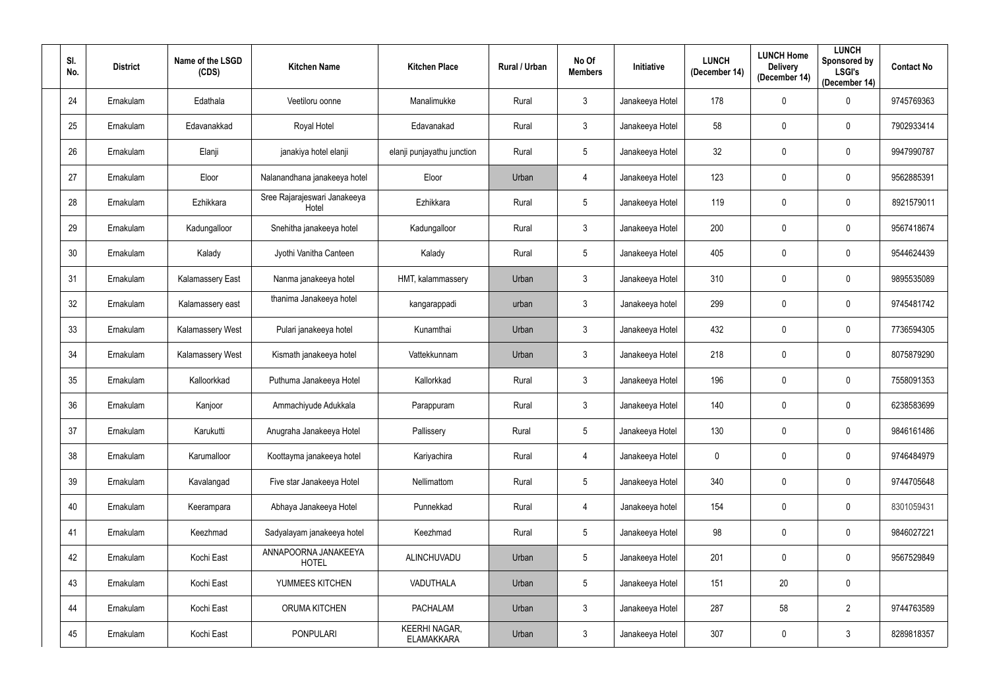| SI.<br>No. | <b>District</b> | Name of the LSGD<br>(CDS) | <b>Kitchen Name</b>                   | <b>Kitchen Place</b>                      | Rural / Urban | No Of<br><b>Members</b> | <b>Initiative</b> | <b>LUNCH</b><br>(December 14) | <b>LUNCH Home</b><br><b>Delivery</b><br>(December 14) | <b>LUNCH</b><br>Sponsored by<br><b>LSGI's</b><br>(December 14) | <b>Contact No</b> |
|------------|-----------------|---------------------------|---------------------------------------|-------------------------------------------|---------------|-------------------------|-------------------|-------------------------------|-------------------------------------------------------|----------------------------------------------------------------|-------------------|
| 24         | Ernakulam       | Edathala                  | Veetiloru oonne                       | Manalimukke                               | Rural         | $\mathbf{3}$            | Janakeeya Hotel   | 178                           | $\mathbf 0$                                           | $\mathbf 0$                                                    | 9745769363        |
| 25         | Ernakulam       | Edavanakkad               | Royal Hotel                           | Edavanakad                                | Rural         | $\mathbf{3}$            | Janakeeya Hotel   | 58                            | $\mathbf 0$                                           | $\mathbf 0$                                                    | 7902933414        |
| 26         | Ernakulam       | Elanji                    | janakiya hotel elanji                 | elanji punjayathu junction                | Rural         | 5                       | Janakeeya Hotel   | 32                            | $\mathbf 0$                                           | 0                                                              | 9947990787        |
| 27         | Ernakulam       | Eloor                     | Nalanandhana janakeeya hotel          | Eloor                                     | Urban         | 4                       | Janakeeya Hotel   | 123                           | $\mathbf 0$                                           | $\mathbf 0$                                                    | 9562885391        |
| 28         | Ernakulam       | Ezhikkara                 | Sree Rajarajeswari Janakeeya<br>Hotel | Ezhikkara                                 | Rural         | 5                       | Janakeeya Hotel   | 119                           | $\mathbf 0$                                           | 0                                                              | 8921579011        |
| 29         | Ernakulam       | Kadungalloor              | Snehitha janakeeya hotel              | Kadungalloor                              | Rural         | $3\phantom{.0}$         | Janakeeya Hotel   | 200                           | $\mathbf 0$                                           | $\mathbf 0$                                                    | 9567418674        |
| 30         | Ernakulam       | Kalady                    | Jyothi Vanitha Canteen                | Kalady                                    | Rural         | $5\phantom{.0}$         | Janakeeya Hotel   | 405                           | $\mathbf 0$                                           | $\mathbf 0$                                                    | 9544624439        |
| 31         | Ernakulam       | <b>Kalamassery East</b>   | Nanma janakeeya hotel                 | HMT, kalammassery                         | Urban         | $3\phantom{.0}$         | Janakeeya Hotel   | 310                           | $\mathbf 0$                                           | 0                                                              | 9895535089        |
| 32         | Ernakulam       | Kalamassery east          | thanima Janakeeya hotel               | kangarappadi                              | urban         | 3                       | Janakeeya hotel   | 299                           | $\mathbf 0$                                           | $\mathbf 0$                                                    | 9745481742        |
| 33         | Ernakulam       | <b>Kalamassery West</b>   | Pulari janakeeya hotel                | Kunamthai                                 | Urban         | $\mathbf{3}$            | Janakeeya Hotel   | 432                           | $\mathbf 0$                                           | $\mathbf 0$                                                    | 7736594305        |
| 34         | Ernakulam       | <b>Kalamassery West</b>   | Kismath janakeeya hotel               | Vattekkunnam                              | Urban         | $\mathbf{3}$            | Janakeeya Hotel   | 218                           | $\mathbf 0$                                           | $\mathbf 0$                                                    | 8075879290        |
| 35         | Ernakulam       | Kalloorkkad               | Puthuma Janakeeya Hotel               | Kallorkkad                                | Rural         | $3\phantom{.0}$         | Janakeeya Hotel   | 196                           | $\mathbf 0$                                           | 0                                                              | 7558091353        |
| 36         | Ernakulam       | Kanjoor                   | Ammachiyude Adukkala                  | Parappuram                                | Rural         | $\mathfrak{Z}$          | Janakeeya Hotel   | 140                           | $\mathbf 0$                                           | 0                                                              | 6238583699        |
| 37         | Ernakulam       | Karukutti                 | Anugraha Janakeeya Hotel              | Pallissery                                | Rural         | 5                       | Janakeeya Hotel   | 130                           | $\mathbf 0$                                           | $\mathbf 0$                                                    | 9846161486        |
| 38         | Ernakulam       | Karumalloor               | Koottayma janakeeya hotel             | Kariyachira                               | Rural         | $\overline{4}$          | Janakeeya Hotel   | $\overline{0}$                | $\mathbf 0$                                           | $\mathbf 0$                                                    | 9746484979        |
| 39         | Ernakulam       | Kavalangad                | Five star Janakeeya Hotel             | Nellimattom                               | Rural         | $5\phantom{.0}$         | Janakeeya Hotel   | 340                           | $\mathbf 0$                                           | $\mathbf 0$                                                    | 9744705648        |
| 40         | Ernakulam       | Keerampara                | Abhaya Janakeeya Hotel                | Punnekkad                                 | Rural         | $\overline{4}$          | Janakeeya hotel   | 154                           | $\mathbf 0$                                           | $\mathbf 0$                                                    | 8301059431        |
| 41         | Ernakulam       | Keezhmad                  | Sadyalayam janakeeya hotel            | Keezhmad                                  | Rural         | 5 <sup>5</sup>          | Janakeeya Hotel   | 98                            | $\mathbf 0$                                           | $\mathbf 0$                                                    | 9846027221        |
| 42         | Ernakulam       | Kochi East                | ANNAPOORNA JANAKEEYA<br><b>HOTEL</b>  | ALINCHUVADU                               | Urban         | $5\phantom{.0}$         | Janakeeya Hotel   | 201                           | $\pmb{0}$                                             | $\mathbf 0$                                                    | 9567529849        |
| 43         | Ernakulam       | Kochi East                | YUMMEES KITCHEN                       | VADUTHALA                                 | Urban         | $5\overline{)}$         | Janakeeya Hotel   | 151                           | 20                                                    | $\mathbf 0$                                                    |                   |
| 44         | Ernakulam       | Kochi East                | ORUMA KITCHEN                         | <b>PACHALAM</b>                           | Urban         | 3 <sup>1</sup>          | Janakeeya Hotel   | 287                           | 58                                                    | $\overline{2}$                                                 | 9744763589        |
| 45         | Ernakulam       | Kochi East                | <b>PONPULARI</b>                      | <b>KEERHI NAGAR,</b><br><b>ELAMAKKARA</b> | Urban         | 3 <sup>1</sup>          | Janakeeya Hotel   | 307                           | $\boldsymbol{0}$                                      | $\mathfrak{Z}$                                                 | 8289818357        |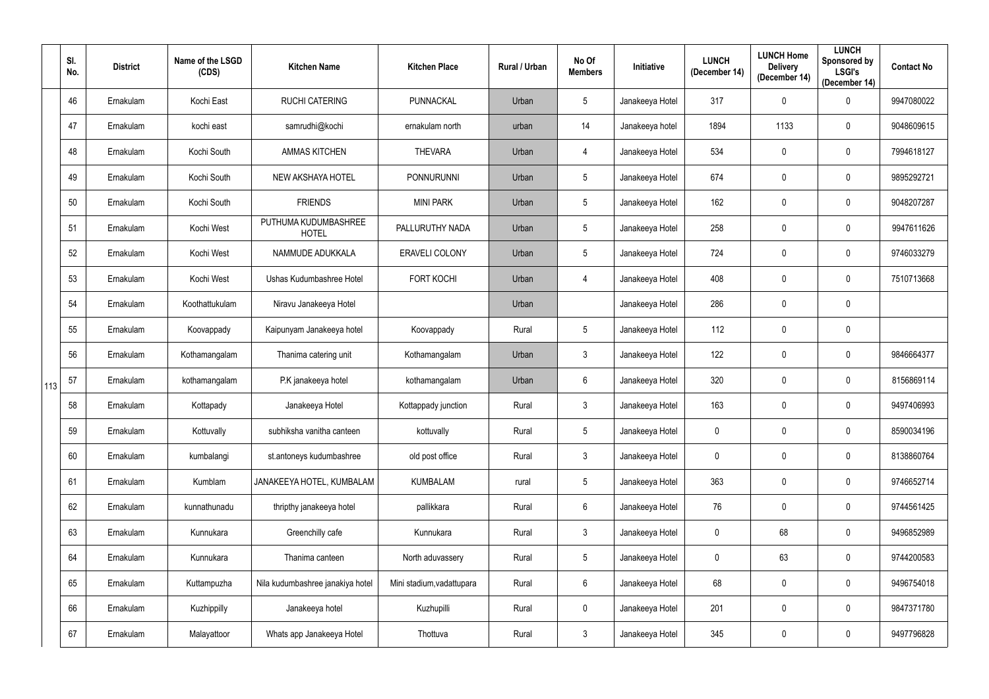|     | SI.<br>No. | <b>District</b> | Name of the LSGD<br>(CDS) | <b>Kitchen Name</b>                  | <b>Kitchen Place</b>      | Rural / Urban | No Of<br><b>Members</b> | <b>Initiative</b> | <b>LUNCH</b><br>(December 14) | <b>LUNCH Home</b><br><b>Delivery</b><br>(December 14) | <b>LUNCH</b><br>Sponsored by<br><b>LSGI's</b><br>(December 14) | <b>Contact No</b> |
|-----|------------|-----------------|---------------------------|--------------------------------------|---------------------------|---------------|-------------------------|-------------------|-------------------------------|-------------------------------------------------------|----------------------------------------------------------------|-------------------|
|     | 46         | Ernakulam       | Kochi East                | <b>RUCHI CATERING</b>                | PUNNACKAL                 | Urban         | $5\phantom{.0}$         | Janakeeya Hotel   | 317                           | $\mathbf 0$                                           | $\mathbf 0$                                                    | 9947080022        |
|     | 47         | Ernakulam       | kochi east                | samrudhi@kochi                       | ernakulam north           | urban         | 14                      | Janakeeya hotel   | 1894                          | 1133                                                  | $\mathbf 0$                                                    | 9048609615        |
|     | 48         | Ernakulam       | Kochi South               | <b>AMMAS KITCHEN</b>                 | <b>THEVARA</b>            | Urban         | 4                       | Janakeeya Hotel   | 534                           | 0                                                     | $\mathbf 0$                                                    | 7994618127        |
|     | 49         | Ernakulam       | Kochi South               | NEW AKSHAYA HOTEL                    | <b>PONNURUNNI</b>         | Urban         | 5                       | Janakeeya Hotel   | 674                           | 0                                                     | $\mathbf 0$                                                    | 9895292721        |
|     | 50         | Ernakulam       | Kochi South               | <b>FRIENDS</b>                       | <b>MINI PARK</b>          | Urban         | $5\phantom{.0}$         | Janakeeya Hotel   | 162                           | 0                                                     | $\mathbf 0$                                                    | 9048207287        |
|     | 51         | Ernakulam       | Kochi West                | PUTHUMA KUDUMBASHREE<br><b>HOTEL</b> | PALLURUTHY NADA           | Urban         | $5\phantom{.0}$         | Janakeeya Hotel   | 258                           | $\mathbf 0$                                           | $\mathbf 0$                                                    | 9947611626        |
|     | 52         | Ernakulam       | Kochi West                | NAMMUDE ADUKKALA                     | ERAVELI COLONY            | Urban         | $5\phantom{.0}$         | Janakeeya Hotel   | 724                           | 0                                                     | $\mathbf 0$                                                    | 9746033279        |
|     | 53         | Ernakulam       | Kochi West                | Ushas Kudumbashree Hotel             | <b>FORT KOCHI</b>         | Urban         | 4                       | Janakeeya Hotel   | 408                           | 0                                                     | $\mathbf 0$                                                    | 7510713668        |
|     | 54         | Ernakulam       | Koothattukulam            | Niravu Janakeeya Hotel               |                           | Urban         |                         | Janakeeya Hotel   | 286                           | 0                                                     | $\mathbf 0$                                                    |                   |
|     | 55         | Ernakulam       | Koovappady                | Kaipunyam Janakeeya hotel            | Koovappady                | Rural         | 5                       | Janakeeya Hotel   | 112                           | $\mathbf 0$                                           | $\mathbf 0$                                                    |                   |
|     | 56         | Ernakulam       | Kothamangalam             | Thanima catering unit                | Kothamangalam             | Urban         | $\mathfrak{Z}$          | Janakeeya Hotel   | 122                           | $\mathbf 0$                                           | $\mathbf 0$                                                    | 9846664377        |
| 113 | 57         | Ernakulam       | kothamangalam             | P.K janakeeya hotel                  | kothamangalam             | Urban         | 6                       | Janakeeya Hotel   | 320                           | $\mathbf 0$                                           | $\mathbf 0$                                                    | 8156869114        |
|     | 58         | Ernakulam       | Kottapady                 | Janakeeya Hotel                      | Kottappady junction       | Rural         | 3                       | Janakeeya Hotel   | 163                           | 0                                                     | $\mathbf 0$                                                    | 9497406993        |
|     | 59         | Ernakulam       | Kottuvally                | subhiksha vanitha canteen            | kottuvally                | Rural         | $5\phantom{.0}$         | Janakeeya Hotel   | $\mathbf 0$                   | 0                                                     | $\pmb{0}$                                                      | 8590034196        |
|     | 60         | Ernakulam       | kumbalangi                | st.antoneys kudumbashree             | old post office           | Rural         | $\mathbf{3}$            | Janakeeya Hotel   | $\mathbf 0$                   | $\pmb{0}$                                             | $\mathbf 0$                                                    | 8138860764        |
|     | 61         | Ernakulam       | Kumblam                   | JANAKEEYA HOTEL, KUMBALAM            | <b>KUMBALAM</b>           | rural         | $5\phantom{.0}$         | Janakeeya Hotel   | 363                           | $\mathbf 0$                                           | $\pmb{0}$                                                      | 9746652714        |
|     | 62         | Ernakulam       | kunnathunadu              | thripthy janakeeya hotel             | pallikkara                | Rural         | $6\,$                   | Janakeeya Hotel   | 76                            | $\pmb{0}$                                             | $\bf{0}$                                                       | 9744561425        |
|     | 63         | Ernakulam       | Kunnukara                 | Greenchilly cafe                     | Kunnukara                 | Rural         | 3 <sup>1</sup>          | Janakeeya Hotel   | $\overline{0}$                | 68                                                    | $\mathbf 0$                                                    | 9496852989        |
|     | 64         | Ernakulam       | Kunnukara                 | Thanima canteen                      | North aduvassery          | Rural         | $5\phantom{.0}$         | Janakeeya Hotel   | $\pmb{0}$                     | 63                                                    | $\mathbf 0$                                                    | 9744200583        |
|     | 65         | Ernakulam       | Kuttampuzha               | Nila kudumbashree janakiya hotel     | Mini stadium, vadattupara | Rural         | $6\overline{6}$         | Janakeeya Hotel   | 68                            | $\pmb{0}$                                             | $\pmb{0}$                                                      | 9496754018        |
|     | 66         | Ernakulam       | Kuzhippilly               | Janakeeya hotel                      | Kuzhupilli                | Rural         | $\mathbf 0$             | Janakeeya Hotel   | 201                           | $\mathbf 0$                                           | $\mathbf 0$                                                    | 9847371780        |
|     | 67         | Ernakulam       | Malayattoor               | Whats app Janakeeya Hotel            | Thottuva                  | Rural         | $\mathfrak{Z}$          | Janakeeya Hotel   | 345                           | $\pmb{0}$                                             | $\pmb{0}$                                                      | 9497796828        |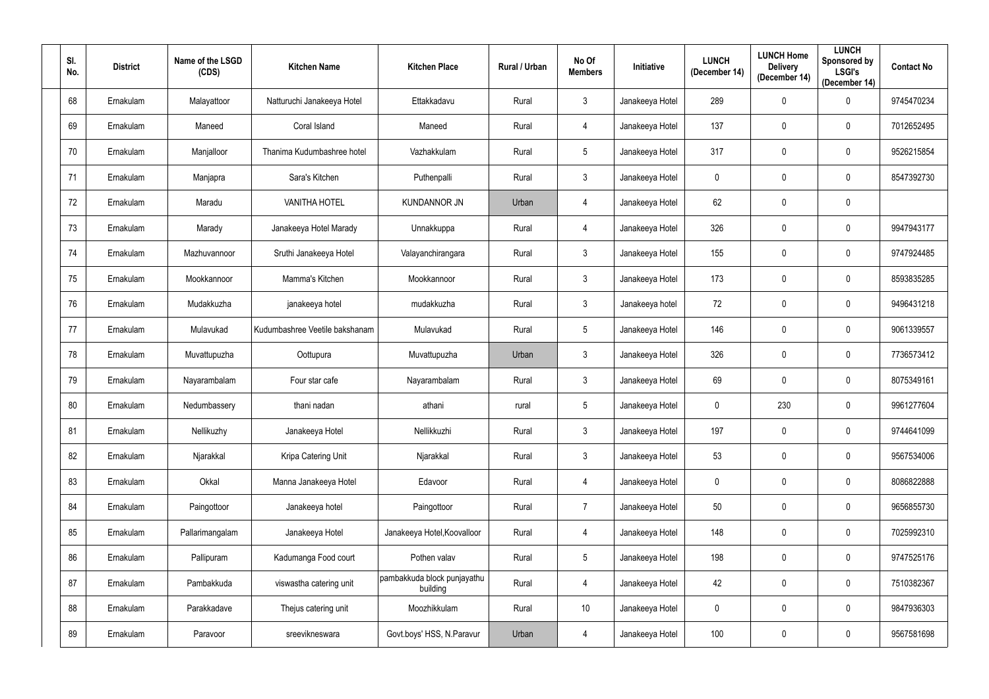| SI.<br>No. | <b>District</b> | Name of the LSGD<br>(CDS) | <b>Kitchen Name</b>            | <b>Kitchen Place</b>                    | Rural / Urban | No Of<br><b>Members</b> | Initiative      | <b>LUNCH</b><br>(December 14) | <b>LUNCH Home</b><br><b>Delivery</b><br>(December 14) | <b>LUNCH</b><br>Sponsored by<br><b>LSGI's</b><br>(December 14) | <b>Contact No</b> |
|------------|-----------------|---------------------------|--------------------------------|-----------------------------------------|---------------|-------------------------|-----------------|-------------------------------|-------------------------------------------------------|----------------------------------------------------------------|-------------------|
| 68         | Ernakulam       | Malayattoor               | Natturuchi Janakeeya Hotel     | Ettakkadavu                             | Rural         | $3\phantom{.0}$         | Janakeeya Hotel | 289                           | $\mathbf 0$                                           | $\mathbf 0$                                                    | 9745470234        |
| 69         | Ernakulam       | Maneed                    | Coral Island                   | Maneed                                  | Rural         | 4                       | Janakeeya Hotel | 137                           | $\mathbf 0$                                           | $\mathbf 0$                                                    | 7012652495        |
| 70         | Ernakulam       | Manjalloor                | Thanima Kudumbashree hotel     | Vazhakkulam                             | Rural         | $5\phantom{.0}$         | Janakeeya Hotel | 317                           | $\mathbf 0$                                           | $\mathbf 0$                                                    | 9526215854        |
| 71         | Ernakulam       | Manjapra                  | Sara's Kitchen                 | Puthenpalli                             | Rural         | $\mathbf{3}$            | Janakeeya Hotel | $\overline{0}$                | $\mathbf 0$                                           | $\mathbf 0$                                                    | 8547392730        |
| 72         | Ernakulam       | Maradu                    | <b>VANITHA HOTEL</b>           | <b>KUNDANNOR JN</b>                     | Urban         | 4                       | Janakeeya Hotel | 62                            | $\mathbf 0$                                           | $\mathbf 0$                                                    |                   |
| 73         | Ernakulam       | Marady                    | Janakeeya Hotel Marady         | Unnakkuppa                              | Rural         | 4                       | Janakeeya Hotel | 326                           | $\mathbf 0$                                           | $\mathbf 0$                                                    | 9947943177        |
| 74         | Ernakulam       | Mazhuvannoor              | Sruthi Janakeeya Hotel         | Valayanchirangara                       | Rural         | $3\phantom{.0}$         | Janakeeya Hotel | 155                           | $\mathbf 0$                                           | $\mathbf 0$                                                    | 9747924485        |
| 75         | Ernakulam       | Mookkannoor               | Mamma's Kitchen                | Mookkannoor                             | Rural         | $3\phantom{.0}$         | Janakeeya Hotel | 173                           | $\mathbf 0$                                           | $\mathbf 0$                                                    | 8593835285        |
| 76         | Ernakulam       | Mudakkuzha                | janakeeya hotel                | mudakkuzha                              | Rural         | $\mathfrak{Z}$          | Janakeeya hotel | 72                            | $\mathbf 0$                                           | $\mathbf 0$                                                    | 9496431218        |
| 77         | Ernakulam       | Mulavukad                 | Kudumbashree Veetile bakshanam | Mulavukad                               | Rural         | $5\phantom{.0}$         | Janakeeya Hotel | 146                           | $\mathbf 0$                                           | $\mathbf 0$                                                    | 9061339557        |
| 78         | Ernakulam       | Muvattupuzha              | Oottupura                      | Muvattupuzha                            | Urban         | $\mathbf{3}$            | Janakeeya Hotel | 326                           | $\mathbf 0$                                           | $\mathbf 0$                                                    | 7736573412        |
| 79         | Ernakulam       | Nayarambalam              | Four star cafe                 | Nayarambalam                            | Rural         | $\mathbf{3}$            | Janakeeya Hotel | 69                            | $\mathbf 0$                                           | $\mathbf 0$                                                    | 8075349161        |
| 80         | Ernakulam       | Nedumbassery              | thani nadan                    | athani                                  | rural         | $5\phantom{.0}$         | Janakeeya Hotel | $\overline{0}$                | 230                                                   | $\mathbf 0$                                                    | 9961277604        |
| 81         | Ernakulam       | Nellikuzhy                | Janakeeya Hotel                | Nellikkuzhi                             | Rural         | $\mathfrak{Z}$          | Janakeeya Hotel | 197                           | $\mathbf 0$                                           | $\mathbf 0$                                                    | 9744641099        |
| 82         | Ernakulam       | Njarakkal                 | Kripa Catering Unit            | Njarakkal                               | Rural         | 3 <sup>1</sup>          | Janakeeya Hotel | 53                            | $\pmb{0}$                                             | $\mathbf 0$                                                    | 9567534006        |
| 83         | Ernakulam       | Okkal                     | Manna Janakeeya Hotel          | Edavoor                                 | Rural         | $\overline{4}$          | Janakeeya Hotel | $\mathbf 0$                   | $\mathbf 0$                                           | $\mathbf 0$                                                    | 8086822888        |
| 84         | Ernakulam       | Paingottoor               | Janakeeya hotel                | Paingottoor                             | Rural         | $\overline{7}$          | Janakeeya Hotel | 50                            | $\pmb{0}$                                             | $\mathbf 0$                                                    | 9656855730        |
| 85         | Ernakulam       | Pallarimangalam           | Janakeeya Hotel                | Janakeeya Hotel, Koovalloor             | Rural         | $\overline{4}$          | Janakeeya Hotel | 148                           | $\pmb{0}$                                             | $\mathbf 0$                                                    | 7025992310        |
| 86         | Ernakulam       | Pallipuram                | Kadumanga Food court           | Pothen valav                            | Rural         | $5\phantom{.0}$         | Janakeeya Hotel | 198                           | $\mathbf 0$                                           | $\mathbf 0$                                                    | 9747525176        |
| 87         | Ernakulam       | Pambakkuda                | viswastha catering unit        | pambakkuda block punjayathu<br>building | Rural         | $\overline{4}$          | Janakeeya Hotel | 42                            | $\mathbf 0$                                           | $\mathbf 0$                                                    | 7510382367        |
| 88         | Ernakulam       | Parakkadave               | Thejus catering unit           | Moozhikkulam                            | Rural         | 10                      | Janakeeya Hotel | $\overline{0}$                | $\pmb{0}$                                             | $\mathbf 0$                                                    | 9847936303        |
| 89         | Ernakulam       | Paravoor                  | sreevikneswara                 | Govt.boys' HSS, N.Paravur               | Urban         | $\overline{4}$          | Janakeeya Hotel | 100                           | $\boldsymbol{0}$                                      | $\pmb{0}$                                                      | 9567581698        |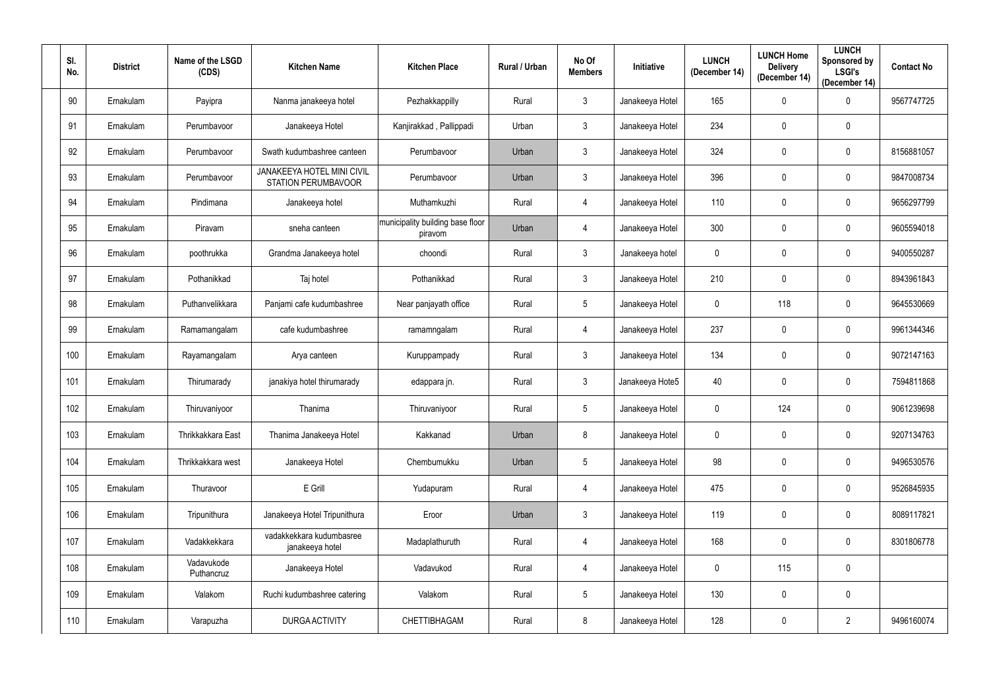| SI.<br>No. | <b>District</b> | Name of the LSGD<br>(CDS) | <b>Kitchen Name</b>                                      | <b>Kitchen Place</b>                        | Rural / Urban | No Of<br><b>Members</b> | Initiative      | <b>LUNCH</b><br>(December 14) | <b>LUNCH Home</b><br><b>Delivery</b><br>(December 14) | <b>LUNCH</b><br>Sponsored by<br><b>LSGI's</b><br>(December 14) | <b>Contact No</b> |
|------------|-----------------|---------------------------|----------------------------------------------------------|---------------------------------------------|---------------|-------------------------|-----------------|-------------------------------|-------------------------------------------------------|----------------------------------------------------------------|-------------------|
| 90         | Ernakulam       | Payipra                   | Nanma janakeeya hotel                                    | Pezhakkappilly                              | Rural         | $3\phantom{.0}$         | Janakeeya Hotel | 165                           | $\mathbf 0$                                           | $\mathbf 0$                                                    | 9567747725        |
| 91         | Ernakulam       | Perumbavoor               | Janakeeya Hotel                                          | Kanjirakkad, Pallippadi                     | Urban         | $3\phantom{.0}$         | Janakeeya Hotel | 234                           | $\mathbf 0$                                           | $\mathbf 0$                                                    |                   |
| 92         | Ernakulam       | Perumbavoor               | Swath kudumbashree canteen                               | Perumbavoor                                 | Urban         | $\mathbf{3}$            | Janakeeya Hotel | 324                           | $\mathbf 0$                                           | 0                                                              | 8156881057        |
| 93         | Ernakulam       | Perumbavoor               | JANAKEEYA HOTEL MINI CIVIL<br><b>STATION PERUMBAVOOR</b> | Perumbavoor                                 | Urban         | $\mathbf{3}$            | Janakeeya Hotel | 396                           | $\mathbf 0$                                           | $\mathbf 0$                                                    | 9847008734        |
| 94         | Ernakulam       | Pindimana                 | Janakeeya hotel                                          | Muthamkuzhi                                 | Rural         | 4                       | Janakeeya Hotel | 110                           | $\mathbf 0$                                           | $\mathbf 0$                                                    | 9656297799        |
| 95         | Ernakulam       | Piravam                   | sneha canteen                                            | municipality building base floor<br>piravom | Urban         | 4                       | Janakeeya Hotel | 300                           | $\mathbf 0$                                           | $\mathbf 0$                                                    | 9605594018        |
| 96         | Ernakulam       | poothrukka                | Grandma Janakeeya hotel                                  | choondi                                     | Rural         | $3\phantom{.0}$         | Janakeeya hotel | $\mathbf 0$                   | $\mathbf 0$                                           | 0                                                              | 9400550287        |
| 97         | Ernakulam       | Pothanikkad               | Taj hotel                                                | Pothanikkad                                 | Rural         | $\mathfrak{Z}$          | Janakeeya Hotel | 210                           | $\mathbf 0$                                           | 0                                                              | 8943961843        |
| 98         | Ernakulam       | Puthanvelikkara           | Panjami cafe kudumbashree                                | Near panjayath office                       | Rural         | $5\overline{)}$         | Janakeeya Hotel | $\mathbf 0$                   | 118                                                   | 0                                                              | 9645530669        |
| 99         | Ernakulam       | Ramamangalam              | cafe kudumbashree                                        | ramamngalam                                 | Rural         | 4                       | Janakeeya Hotel | 237                           | $\mathbf 0$                                           | 0                                                              | 9961344346        |
| 100        | Ernakulam       | Rayamangalam              | Arya canteen                                             | Kuruppampady                                | Rural         | $3\phantom{.0}$         | Janakeeya Hotel | 134                           | $\mathbf 0$                                           | $\mathbf 0$                                                    | 9072147163        |
| 101        | Ernakulam       | Thirumarady               | janakiya hotel thirumarady                               | edappara jn.                                | Rural         | $3\phantom{.0}$         | Janakeeya Hote5 | 40                            | $\mathbf 0$                                           | $\mathbf 0$                                                    | 7594811868        |
| 102        | Ernakulam       | Thiruvaniyoor             | Thanima                                                  | Thiruvaniyoor                               | Rural         | 5                       | Janakeeya Hotel | $\mathbf 0$                   | 124                                                   | 0                                                              | 9061239698        |
| 103        | Ernakulam       | Thrikkakkara East         | Thanima Janakeeya Hotel                                  | Kakkanad                                    | Urban         | 8                       | Janakeeya Hotel | $\mathbf 0$                   | $\mathbf 0$                                           | $\mathbf 0$                                                    | 9207134763        |
| 104        | Ernakulam       | Thrikkakkara west         | Janakeeya Hotel                                          | Chembumukku                                 | Urban         | $5\phantom{.0}$         | Janakeeya Hotel | 98                            | $\mathbf 0$                                           | $\mathbf 0$                                                    | 9496530576        |
| 105        | Ernakulam       | Thuravoor                 | E Grill                                                  | Yudapuram                                   | Rural         | $\overline{4}$          | Janakeeya Hotel | 475                           | $\pmb{0}$                                             | $\mathbf 0$                                                    | 9526845935        |
| 106        | Ernakulam       | Tripunithura              | Janakeeya Hotel Tripunithura                             | Eroor                                       | Urban         | $\mathfrak{Z}$          | Janakeeya Hotel | 119                           | $\pmb{0}$                                             | $\mathbf 0$                                                    | 8089117821        |
| 107        | Ernakulam       | Vadakkekkara              | vadakkekkara kudumbasree<br>janakeeya hotel              | Madaplathuruth                              | Rural         | $\overline{4}$          | Janakeeya Hotel | 168                           | $\pmb{0}$                                             | $\bf{0}$                                                       | 8301806778        |
| 108        | Ernakulam       | Vadavukode<br>Puthancruz  | Janakeeya Hotel                                          | Vadavukod                                   | Rural         | $\overline{4}$          | Janakeeya Hotel | $\mathbf 0$                   | 115                                                   | $\mathbf 0$                                                    |                   |
| 109        | Ernakulam       | Valakom                   | Ruchi kudumbashree catering                              | Valakom                                     | Rural         | 5                       | Janakeeya Hotel | 130                           | $\mathbf 0$                                           | $\mathbf 0$                                                    |                   |
| 110        | Ernakulam       | Varapuzha                 | <b>DURGA ACTIVITY</b>                                    | CHETTIBHAGAM                                | Rural         | 8                       | Janakeeya Hotel | 128                           | $\pmb{0}$                                             | $\overline{2}$                                                 | 9496160074        |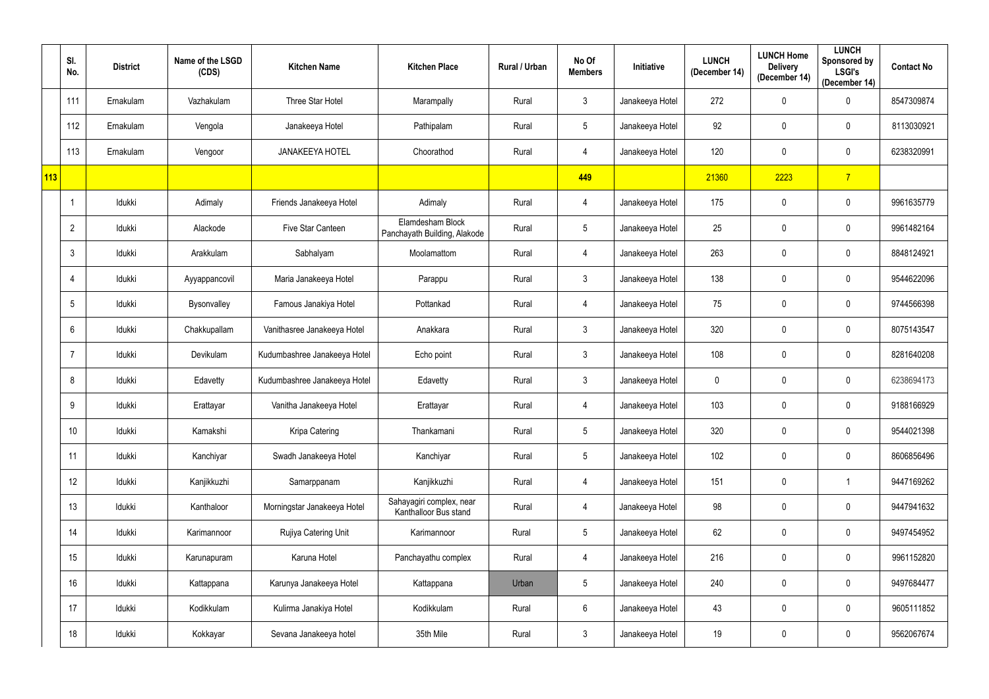|     | SI.<br>No.     | <b>District</b> | Name of the LSGD<br>(CDS) | <b>Kitchen Name</b>          | <b>Kitchen Place</b>                              | Rural / Urban | No Of<br><b>Members</b> | Initiative      | <b>LUNCH</b><br>(December 14) | <b>LUNCH Home</b><br><b>Delivery</b><br>(December 14) | <b>LUNCH</b><br>Sponsored by<br><b>LSGI's</b><br>(December 14) | <b>Contact No</b> |
|-----|----------------|-----------------|---------------------------|------------------------------|---------------------------------------------------|---------------|-------------------------|-----------------|-------------------------------|-------------------------------------------------------|----------------------------------------------------------------|-------------------|
|     | 111            | Ernakulam       | Vazhakulam                | Three Star Hotel             | Marampally                                        | Rural         | $\mathbf{3}$            | Janakeeya Hotel | 272                           | $\mathbf 0$                                           | $\mathbf 0$                                                    | 8547309874        |
|     | 112            | Ernakulam       | Vengola                   | Janakeeya Hotel              | Pathipalam                                        | Rural         | $5\overline{)}$         | Janakeeya Hotel | 92                            | $\mathbf 0$                                           | $\mathbf 0$                                                    | 8113030921        |
|     | 113            | Ernakulam       | Vengoor                   | <b>JANAKEEYA HOTEL</b>       | Choorathod                                        | Rural         | 4                       | Janakeeya Hotel | 120                           | $\mathbf 0$                                           | $\mathbf 0$                                                    | 6238320991        |
| 113 |                |                 |                           |                              |                                                   |               | 449                     |                 | 21360                         | 2223                                                  | $\overline{7}$                                                 |                   |
|     |                | Idukki          | Adimaly                   | Friends Janakeeya Hotel      | Adimaly                                           | Rural         | 4                       | Janakeeya Hotel | 175                           | $\boldsymbol{0}$                                      | $\mathbf 0$                                                    | 9961635779        |
|     | $\overline{2}$ | Idukki          | Alackode                  | Five Star Canteen            | Elamdesham Block<br>Panchayath Building, Alakode  | Rural         | $5\phantom{.0}$         | Janakeeya Hotel | 25                            | $\boldsymbol{0}$                                      | $\mathbf 0$                                                    | 9961482164        |
|     | 3              | Idukki          | Arakkulam                 | Sabhalyam                    | Moolamattom                                       | Rural         | 4                       | Janakeeya Hotel | 263                           | $\mathbf 0$                                           | $\mathbf 0$                                                    | 8848124921        |
|     | 4              | Idukki          | Ayyappancovil             | Maria Janakeeya Hotel        | Parappu                                           | Rural         | $\mathbf{3}$            | Janakeeya Hotel | 138                           | $\mathbf 0$                                           | $\mathbf 0$                                                    | 9544622096        |
|     | 5              | Idukki          | Bysonvalley               | Famous Janakiya Hotel        | Pottankad                                         | Rural         | 4                       | Janakeeya Hotel | 75                            | $\mathbf 0$                                           | $\mathbf 0$                                                    | 9744566398        |
|     | 6              | Idukki          | Chakkupallam              | Vanithasree Janakeeya Hotel  | Anakkara                                          | Rural         | $\mathbf{3}$            | Janakeeya Hotel | 320                           | $\mathbf 0$                                           | $\mathbf 0$                                                    | 8075143547        |
|     |                | Idukki          | Devikulam                 | Kudumbashree Janakeeya Hotel | Echo point                                        | Rural         | 3 <sup>1</sup>          | Janakeeya Hotel | 108                           | $\overline{0}$                                        | $\mathbf 0$                                                    | 8281640208        |
|     | 8              | Idukki          | Edavetty                  | Kudumbashree Janakeeya Hotel | Edavetty                                          | Rural         | $\mathbf{3}$            | Janakeeya Hotel | $\mathbf 0$                   | $\boldsymbol{0}$                                      | $\mathbf 0$                                                    | 6238694173        |
|     | 9              | Idukki          | Erattayar                 | Vanitha Janakeeya Hotel      | Erattayar                                         | Rural         | 4                       | Janakeeya Hotel | 103                           | $\mathbf 0$                                           | $\mathbf 0$                                                    | 9188166929        |
|     | 10             | Idukki          | Kamakshi                  | Kripa Catering               | Thankamani                                        | Rural         | $5\phantom{.0}$         | Janakeeya Hotel | 320                           | $\mathbf 0$                                           | $\mathbf 0$                                                    | 9544021398        |
|     | 11             | Idukki          | Kanchiyar                 | Swadh Janakeeya Hotel        | Kanchiyar                                         | Rural         | $5\overline{)}$         | Janakeeya Hotel | 102                           | $\mathbf 0$                                           | $\pmb{0}$                                                      | 8606856496        |
|     | 12             | Idukki          | Kanjikkuzhi               | Samarppanam                  | Kanjikkuzhi                                       | Rural         | 4                       | Janakeeya Hotel | 151                           | $\mathbf 0$                                           | $\overline{1}$                                                 | 9447169262        |
|     | 13             | Idukki          | Kanthaloor                | Morningstar Janakeeya Hotel  | Sahayagiri complex, near<br>Kanthalloor Bus stand | Rural         | $\overline{4}$          | Janakeeya Hotel | 98                            | $\mathbf 0$                                           | $\pmb{0}$                                                      | 9447941632        |
|     | 14             | Idukki          | Karimannoor               | Rujiya Catering Unit         | Karimannoor                                       | Rural         | $5\overline{)}$         | Janakeeya Hotel | 62                            | $\pmb{0}$                                             | $\pmb{0}$                                                      | 9497454952        |
|     | 15             | Idukki          | Karunapuram               | Karuna Hotel                 | Panchayathu complex                               | Rural         | $\overline{4}$          | Janakeeya Hotel | 216                           | $\mathbf 0$                                           | $\pmb{0}$                                                      | 9961152820        |
|     | 16             | Idukki          | Kattappana                | Karunya Janakeeya Hotel      | Kattappana                                        | Urban         | 5 <sup>5</sup>          | Janakeeya Hotel | 240                           | $\mathbf 0$                                           | $\pmb{0}$                                                      | 9497684477        |
|     | 17             | Idukki          | Kodikkulam                | Kulirma Janakiya Hotel       | Kodikkulam                                        | Rural         | 6 <sup>1</sup>          | Janakeeya Hotel | 43                            | $\mathbf 0$                                           | $\mathbf 0$                                                    | 9605111852        |
|     | 18             | Idukki          | Kokkayar                  | Sevana Janakeeya hotel       | 35th Mile                                         | Rural         | 3 <sup>1</sup>          | Janakeeya Hotel | 19                            | $\overline{0}$                                        | $\pmb{0}$                                                      | 9562067674        |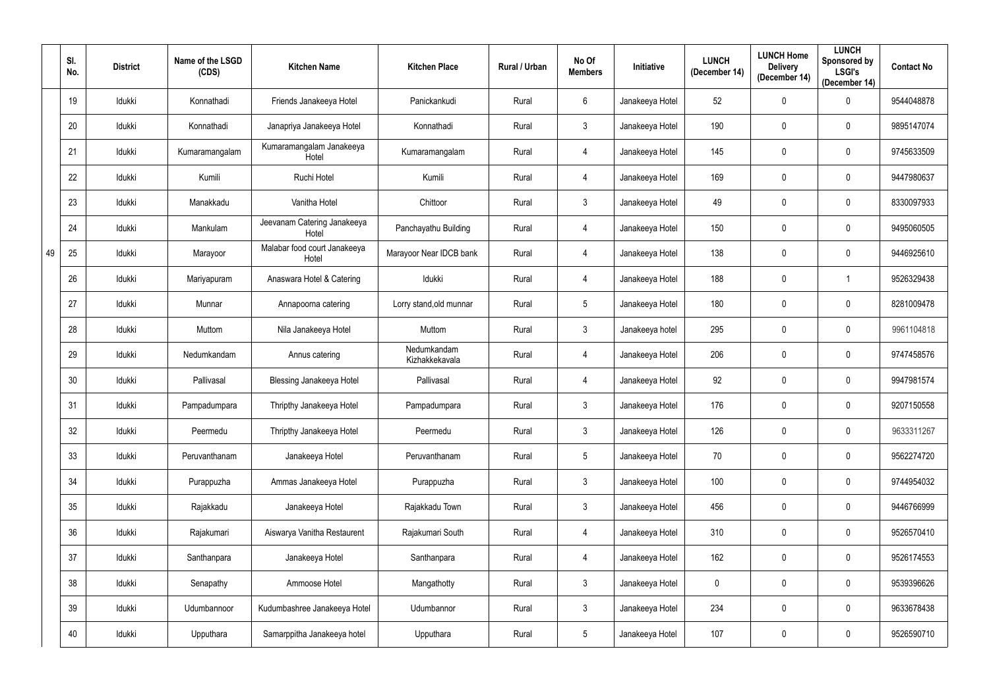|    | SI.<br>No. | <b>District</b> | Name of the LSGD<br>(CDS) | <b>Kitchen Name</b>                   | <b>Kitchen Place</b>          | Rural / Urban | No Of<br><b>Members</b> | Initiative      | <b>LUNCH</b><br>(December 14) | <b>LUNCH Home</b><br><b>Delivery</b><br>(December 14) | <b>LUNCH</b><br>Sponsored by<br><b>LSGI's</b><br>(December 14) | <b>Contact No</b> |
|----|------------|-----------------|---------------------------|---------------------------------------|-------------------------------|---------------|-------------------------|-----------------|-------------------------------|-------------------------------------------------------|----------------------------------------------------------------|-------------------|
|    | 19         | Idukki          | Konnathadi                | Friends Janakeeya Hotel               | Panickankudi                  | Rural         | $6\phantom{.}$          | Janakeeya Hotel | 52                            | $\mathbf 0$                                           | $\mathbf 0$                                                    | 9544048878        |
|    | 20         | Idukki          | Konnathadi                | Janapriya Janakeeya Hotel             | Konnathadi                    | Rural         | $\mathbf{3}$            | Janakeeya Hotel | 190                           | $\mathbf 0$                                           | $\mathbf 0$                                                    | 9895147074        |
|    | 21         | Idukki          | Kumaramangalam            | Kumaramangalam Janakeeya<br>Hotel     | Kumaramangalam                | Rural         | 4                       | Janakeeya Hotel | 145                           | $\mathbf 0$                                           | $\mathbf 0$                                                    | 9745633509        |
|    | 22         | Idukki          | Kumili                    | Ruchi Hotel                           | Kumili                        | Rural         | 4                       | Janakeeya Hotel | 169                           | $\mathbf 0$                                           | $\mathbf 0$                                                    | 9447980637        |
|    | 23         | Idukki          | Manakkadu                 | Vanitha Hotel                         | Chittoor                      | Rural         | $\mathfrak{Z}$          | Janakeeya Hotel | 49                            | $\mathbf 0$                                           | $\mathbf 0$                                                    | 8330097933        |
|    | 24         | Idukki          | Mankulam                  | Jeevanam Catering Janakeeya<br>Hotel  | Panchayathu Building          | Rural         | 4                       | Janakeeya Hotel | 150                           | $\mathbf 0$                                           | $\mathbf 0$                                                    | 9495060505        |
| 49 | 25         | Idukki          | Marayoor                  | Malabar food court Janakeeya<br>Hotel | Marayoor Near IDCB bank       | Rural         | 4                       | Janakeeya Hotel | 138                           | $\mathbf 0$                                           | $\mathbf 0$                                                    | 9446925610        |
|    | 26         | Idukki          | Mariyapuram               | Anaswara Hotel & Catering             | Idukki                        | Rural         | 4                       | Janakeeya Hotel | 188                           | $\mathbf 0$                                           | -1                                                             | 9526329438        |
|    | 27         | Idukki          | Munnar                    | Annapoorna catering                   | Lorry stand, old munnar       | Rural         | $5\phantom{.0}$         | Janakeeya Hotel | 180                           | $\mathbf 0$                                           | $\mathbf 0$                                                    | 8281009478        |
|    | 28         | Idukki          | Muttom                    | Nila Janakeeya Hotel                  | Muttom                        | Rural         | $\mathbf{3}$            | Janakeeya hotel | 295                           | $\mathbf 0$                                           | $\mathbf 0$                                                    | 9961104818        |
|    | 29         | Idukki          | Nedumkandam               | Annus catering                        | Nedumkandam<br>Kizhakkekavala | Rural         | 4                       | Janakeeya Hotel | 206                           | $\mathbf 0$                                           | $\mathbf{0}$                                                   | 9747458576        |
|    | 30         | Idukki          | Pallivasal                | <b>Blessing Janakeeya Hotel</b>       | Pallivasal                    | Rural         | 4                       | Janakeeya Hotel | 92                            | $\mathbf 0$                                           | $\mathbf 0$                                                    | 9947981574        |
|    | 31         | Idukki          | Pampadumpara              | Thripthy Janakeeya Hotel              | Pampadumpara                  | Rural         | 3                       | Janakeeya Hotel | 176                           | $\mathbf 0$                                           | $\mathbf 0$                                                    | 9207150558        |
|    | 32         | Idukki          | Peermedu                  | Thripthy Janakeeya Hotel              | Peermedu                      | Rural         | $\mathfrak{Z}$          | Janakeeya Hotel | 126                           | $\mathbf 0$                                           | $\mathbf 0$                                                    | 9633311267        |
|    | 33         | Idukki          | Peruvanthanam             | Janakeeya Hotel                       | Peruvanthanam                 | Rural         | $5\phantom{.0}$         | Janakeeya Hotel | 70                            | $\mathbf 0$                                           | $\mathbf 0$                                                    | 9562274720        |
|    | 34         | Idukki          | Purappuzha                | Ammas Janakeeya Hotel                 | Purappuzha                    | Rural         | 3 <sup>1</sup>          | Janakeeya Hotel | 100                           | $\pmb{0}$                                             | $\pmb{0}$                                                      | 9744954032        |
|    | 35         | Idukki          | Rajakkadu                 | Janakeeya Hotel                       | Rajakkadu Town                | Rural         | 3 <sup>1</sup>          | Janakeeya Hotel | 456                           | $\bf{0}$                                              | $\mathbf 0$                                                    | 9446766999        |
|    | 36         | Idukki          | Rajakumari                | Aiswarya Vanitha Restaurent           | Rajakumari South              | Rural         | 4                       | Janakeeya Hotel | 310                           | $\bf{0}$                                              | $\mathbf 0$                                                    | 9526570410        |
|    | 37         | Idukki          | Santhanpara               | Janakeeya Hotel                       | Santhanpara                   | Rural         | 4                       | Janakeeya Hotel | 162                           | $\pmb{0}$                                             | $\pmb{0}$                                                      | 9526174553        |
|    | 38         | Idukki          | Senapathy                 | Ammoose Hotel                         | Mangathotty                   | Rural         | 3 <sup>1</sup>          | Janakeeya Hotel | $\overline{0}$                | $\mathbf 0$                                           | $\pmb{0}$                                                      | 9539396626        |
|    | 39         | Idukki          | Udumbannoor               | Kudumbashree Janakeeya Hotel          | Udumbannor                    | Rural         | 3 <sup>1</sup>          | Janakeeya Hotel | 234                           | $\pmb{0}$                                             | $\pmb{0}$                                                      | 9633678438        |
|    | 40         | Idukki          | Upputhara                 | Samarppitha Janakeeya hotel           | Upputhara                     | Rural         | $5\phantom{.0}$         | Janakeeya Hotel | 107                           | $\pmb{0}$                                             | $\pmb{0}$                                                      | 9526590710        |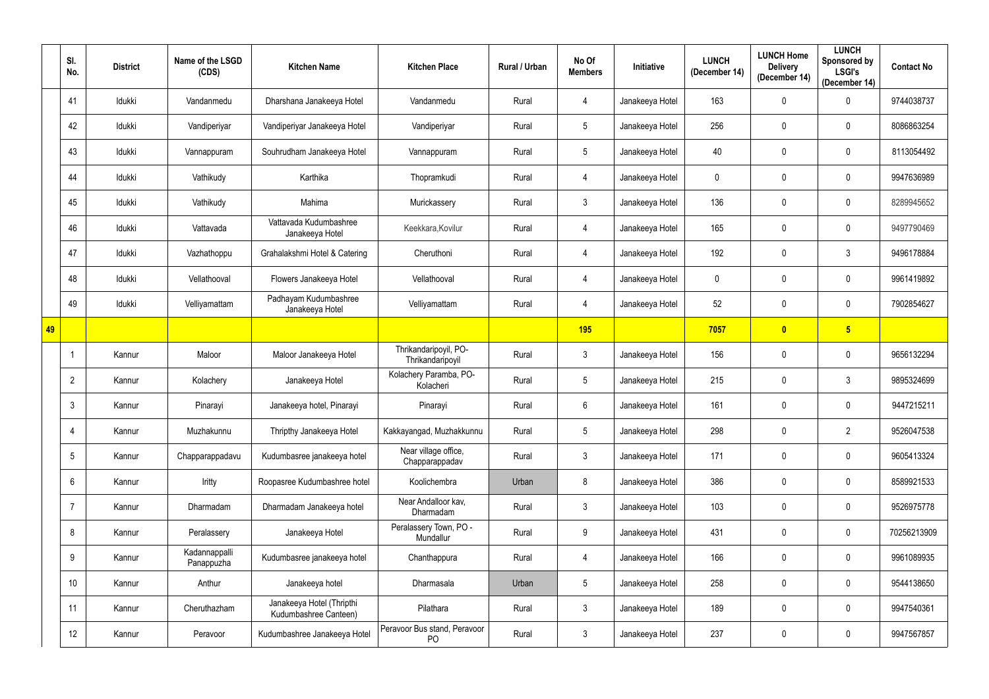|    | SI.<br>No.      | <b>District</b> | Name of the LSGD<br>(CDS)   | <b>Kitchen Name</b>                                | <b>Kitchen Place</b>                      | Rural / Urban | No Of<br><b>Members</b> | Initiative      | <b>LUNCH</b><br>(December 14) | <b>LUNCH Home</b><br><b>Delivery</b><br>(December 14) | <b>LUNCH</b><br>Sponsored by<br><b>LSGI's</b><br>(December 14) | <b>Contact No</b> |
|----|-----------------|-----------------|-----------------------------|----------------------------------------------------|-------------------------------------------|---------------|-------------------------|-----------------|-------------------------------|-------------------------------------------------------|----------------------------------------------------------------|-------------------|
|    | 41              | Idukki          | Vandanmedu                  | Dharshana Janakeeya Hotel                          | Vandanmedu                                | Rural         | 4                       | Janakeeya Hotel | 163                           | $\mathbf 0$                                           | $\mathbf 0$                                                    | 9744038737        |
|    | 42              | Idukki          | Vandiperiyar                | Vandiperiyar Janakeeya Hotel                       | Vandiperiyar                              | Rural         | $5\phantom{.0}$         | Janakeeya Hotel | 256                           | $\mathbf 0$                                           | $\mathbf 0$                                                    | 8086863254        |
|    | 43              | Idukki          | Vannappuram                 | Souhrudham Janakeeya Hotel                         | Vannappuram                               | Rural         | $5\phantom{.0}$         | Janakeeya Hotel | 40                            | $\mathbf 0$                                           | $\mathbf 0$                                                    | 8113054492        |
|    | 44              | Idukki          | Vathikudy                   | Karthika                                           | Thopramkudi                               | Rural         | 4                       | Janakeeya Hotel | $\mathbf 0$                   | $\mathbf 0$                                           | $\mathbf 0$                                                    | 9947636989        |
|    | 45              | Idukki          | Vathikudy                   | Mahima                                             | Murickassery                              | Rural         | $\mathbf{3}$            | Janakeeya Hotel | 136                           | $\mathbf 0$                                           | $\mathbf 0$                                                    | 8289945652        |
|    | 46              | Idukki          | Vattavada                   | Vattavada Kudumbashree<br>Janakeeya Hotel          | Keekkara, Kovilur                         | Rural         | 4                       | Janakeeya Hotel | 165                           | $\mathbf 0$                                           | $\mathbf 0$                                                    | 9497790469        |
|    | 47              | Idukki          | Vazhathoppu                 | Grahalakshmi Hotel & Catering                      | Cheruthoni                                | Rural         | 4                       | Janakeeya Hotel | 192                           | $\mathbf 0$                                           | $\mathfrak{Z}$                                                 | 9496178884        |
|    | 48              | Idukki          | Vellathooval                | Flowers Janakeeya Hotel                            | Vellathooval                              | Rural         | 4                       | Janakeeya Hotel | $\mathbf 0$                   | $\mathbf 0$                                           | $\mathbf 0$                                                    | 9961419892        |
|    | 49              | Idukki          | Velliyamattam               | Padhayam Kudumbashree<br>Janakeeya Hotel           | Velliyamattam                             | Rural         | 4                       | Janakeeya Hotel | 52                            | $\mathbf 0$                                           | $\mathbf 0$                                                    | 7902854627        |
| 49 |                 |                 |                             |                                                    |                                           |               | <b>195</b>              |                 | 7057                          | $\bullet$                                             | $5\overline{)}$                                                |                   |
|    | -1              | Kannur          | Maloor                      | Maloor Janakeeya Hotel                             | Thrikandaripoyil, PO-<br>Thrikandaripoyil | Rural         | 3                       | Janakeeya Hotel | 156                           | 0                                                     | $\mathbf{0}$                                                   | 9656132294        |
|    | $\overline{2}$  | Kannur          | Kolachery                   | Janakeeya Hotel                                    | Kolachery Paramba, PO-<br>Kolacheri       | Rural         | $5\phantom{.0}$         | Janakeeya Hotel | 215                           | $\mathbf 0$                                           | $\mathfrak{Z}$                                                 | 9895324699        |
|    | 3               | Kannur          | Pinarayi                    | Janakeeya hotel, Pinarayi                          | Pinarayi                                  | Rural         | 6                       | Janakeeya Hotel | 161                           | $\mathbf 0$                                           | $\mathbf 0$                                                    | 9447215211        |
|    | $\overline{4}$  | Kannur          | Muzhakunnu                  | Thripthy Janakeeya Hotel                           | Kakkayangad, Muzhakkunnu                  | Rural         | $5\phantom{.0}$         | Janakeeya Hotel | 298                           | $\mathbf 0$                                           | $\overline{2}$                                                 | 9526047538        |
|    | $5\phantom{.0}$ | Kannur          | Chapparappadavu             | Kudumbasree janakeeya hotel                        | Near village office,<br>Chapparappadav    | Rural         | $\mathbf{3}$            | Janakeeya Hotel | 171                           | $\pmb{0}$                                             | $\mathbf 0$                                                    | 9605413324        |
|    | $6\phantom{.}$  | Kannur          | Iritty                      | Roopasree Kudumbashree hotel                       | Koolichembra                              | Urban         | 8                       | Janakeeya Hotel | 386                           | $\mathbf 0$                                           | $\pmb{0}$                                                      | 8589921533        |
|    | $\overline{7}$  | Kannur          | Dharmadam                   | Dharmadam Janakeeya hotel                          | Near Andalloor kav,<br>Dharmadam          | Rural         | 3 <sup>1</sup>          | Janakeeya Hotel | 103                           | $\pmb{0}$                                             | $\pmb{0}$                                                      | 9526975778        |
|    | 8               | Kannur          | Peralassery                 | Janakeeya Hotel                                    | Peralassery Town, PO -<br>Mundallur       | Rural         | 9                       | Janakeeya Hotel | 431                           | $\mathbf 0$                                           | $\pmb{0}$                                                      | 70256213909       |
|    | 9               | Kannur          | Kadannappalli<br>Panappuzha | Kudumbasree janakeeya hotel                        | Chanthappura                              | Rural         | 4                       | Janakeeya Hotel | 166                           | $\boldsymbol{0}$                                      | $\pmb{0}$                                                      | 9961089935        |
|    | 10 <sup>°</sup> | Kannur          | Anthur                      | Janakeeya hotel                                    | Dharmasala                                | Urban         | $5\phantom{.0}$         | Janakeeya Hotel | 258                           | $\pmb{0}$                                             | $\pmb{0}$                                                      | 9544138650        |
|    | 11              | Kannur          | Cheruthazham                | Janakeeya Hotel (Thripthi<br>Kudumbashree Canteen) | Pilathara                                 | Rural         | $\mathbf{3}$            | Janakeeya Hotel | 189                           | $\mathbf 0$                                           | $\pmb{0}$                                                      | 9947540361        |
|    | 12              | Kannur          | Peravoor                    | Kudumbashree Janakeeya Hotel                       | Peravoor Bus stand, Peravoor<br>PO        | Rural         | $\mathfrak{Z}$          | Janakeeya Hotel | 237                           | $\pmb{0}$                                             | $\pmb{0}$                                                      | 9947567857        |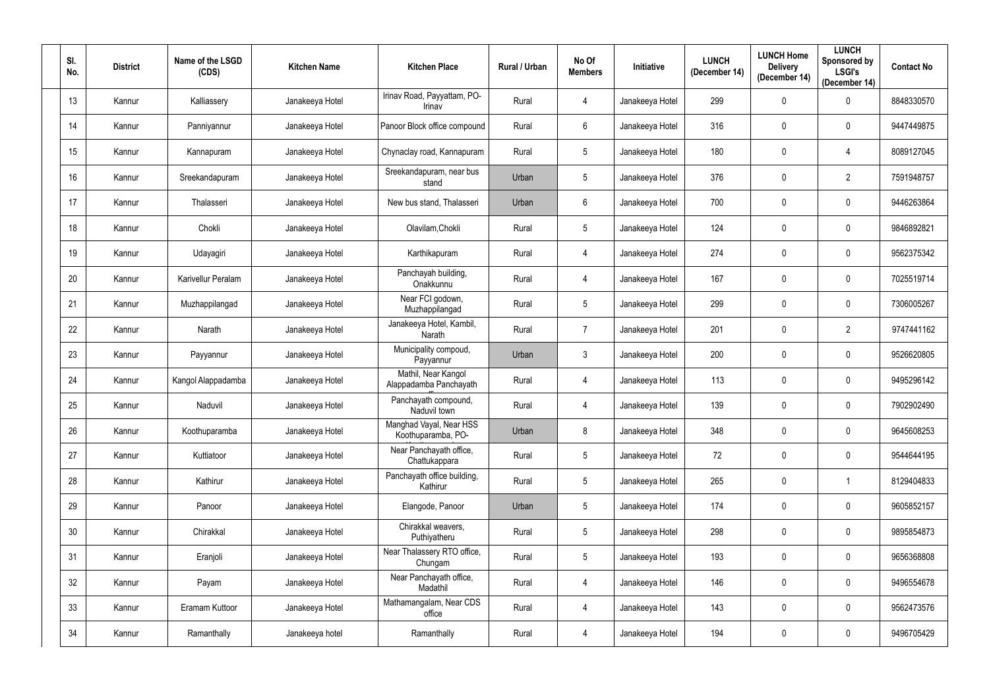| SI.<br>No.      | <b>District</b> | Name of the LSGD<br>(CDS) | <b>Kitchen Name</b> | <b>Kitchen Place</b>                          | Rural / Urban | No Of<br><b>Members</b> | Initiative      | <b>LUNCH</b><br>(December 14) | <b>LUNCH Home</b><br><b>Delivery</b><br>(December 14) | <b>LUNCH</b><br>Sponsored by<br><b>LSGI's</b><br>(December 14) | <b>Contact No</b> |
|-----------------|-----------------|---------------------------|---------------------|-----------------------------------------------|---------------|-------------------------|-----------------|-------------------------------|-------------------------------------------------------|----------------------------------------------------------------|-------------------|
| 13              | Kannur          | Kalliassery               | Janakeeya Hotel     | Irinav Road, Payyattam, PO-<br>Irinav         | Rural         | $\overline{4}$          | Janakeeya Hotel | 299                           | $\mathbf 0$                                           | $\mathbf 0$                                                    | 8848330570        |
| 14              | Kannur          | Panniyannur               | Janakeeya Hotel     | Panoor Block office compound                  | Rural         | $6\overline{6}$         | Janakeeya Hotel | 316                           | $\mathbf 0$                                           | 0                                                              | 9447449875        |
| 15              | Kannur          | Kannapuram                | Janakeeya Hotel     | Chynaclay road, Kannapuram                    | Rural         | 5                       | Janakeeya Hotel | 180                           | $\mathbf 0$                                           | 4                                                              | 8089127045        |
| 16              | Kannur          | Sreekandapuram            | Janakeeya Hotel     | Sreekandapuram, near bus<br>stand             | Urban         | $5\overline{)}$         | Janakeeya Hotel | 376                           | 0                                                     | $\overline{2}$                                                 | 7591948757        |
| 17              | Kannur          | Thalasseri                | Janakeeya Hotel     | New bus stand, Thalasseri                     | Urban         | 6                       | Janakeeya Hotel | 700                           | $\mathbf 0$                                           | 0                                                              | 9446263864        |
| 18              | Kannur          | Chokli                    | Janakeeya Hotel     | Olavilam, Chokli                              | Rural         | 5                       | Janakeeya Hotel | 124                           | $\mathbf 0$                                           | 0                                                              | 9846892821        |
| 19              | Kannur          | Udayagiri                 | Janakeeya Hotel     | Karthikapuram                                 | Rural         | 4                       | Janakeeya Hotel | 274                           | $\mathbf 0$                                           | 0                                                              | 9562375342        |
| 20              | Kannur          | Karivellur Peralam        | Janakeeya Hotel     | Panchayah building,<br>Onakkunnu              | Rural         | 4                       | Janakeeya Hotel | 167                           | $\mathbf 0$                                           | 0                                                              | 7025519714        |
| 21              | Kannur          | Muzhappilangad            | Janakeeya Hotel     | Near FCI godown,<br>Muzhappilangad            | Rural         | $5\overline{)}$         | Janakeeya Hotel | 299                           | 0                                                     | $\mathbf 0$                                                    | 7306005267        |
| 22              | Kannur          | Narath                    | Janakeeya Hotel     | Janakeeya Hotel, Kambil,<br>Narath            | Rural         | $\overline{7}$          | Janakeeya Hotel | 201                           | $\mathbf 0$                                           | $\overline{2}$                                                 | 9747441162        |
| 23              | Kannur          | Payyannur                 | Janakeeya Hotel     | Municipality compoud,<br>Payyannur            | Urban         | $\mathbf{3}$            | Janakeeya Hotel | 200                           | $\mathbf 0$                                           | $\mathbf 0$                                                    | 9526620805        |
| 24              | Kannur          | Kangol Alappadamba        | Janakeeya Hotel     | Mathil, Near Kangol<br>Alappadamba Panchayath | Rural         | 4                       | Janakeeya Hotel | 113                           | $\mathbf 0$                                           | 0                                                              | 9495296142        |
| 25              | Kannur          | Naduvil                   | Janakeeya Hotel     | Panchayath compound,<br>Naduvil town          | Rural         | 4                       | Janakeeya Hotel | 139                           | $\mathbf 0$                                           | $\mathbf 0$                                                    | 7902902490        |
| 26              | Kannur          | Koothuparamba             | Janakeeya Hotel     | Manghad Vayal, Near HSS<br>Koothuparamba, PO- | Urban         | 8                       | Janakeeya Hotel | 348                           | $\mathbf 0$                                           | $\mathbf 0$                                                    | 9645608253        |
| 27              | Kannur          | Kuttiatoor                | Janakeeya Hotel     | Near Panchayath office,<br>Chattukappara      | Rural         | 5                       | Janakeeya Hotel | 72                            | $\mathbf 0$                                           | $\mathbf 0$                                                    | 9544644195        |
| 28              | Kannur          | Kathirur                  | Janakeeya Hotel     | Panchayath office building,<br>Kathirur       | Rural         | $5\phantom{.0}$         | Janakeeya Hotel | 265                           | $\mathbf 0$                                           | $\overline{1}$                                                 | 8129404833        |
| 29              | Kannur          | Panoor                    | Janakeeya Hotel     | Elangode, Panoor                              | Urban         | $5\phantom{.0}$         | Janakeeya Hotel | 174                           | $\mathbf 0$                                           | $\mathbf 0$                                                    | 9605852157        |
| 30 <sup>°</sup> | Kannur          | Chirakkal                 | Janakeeya Hotel     | Chirakkal weavers,<br>Puthiyatheru            | Rural         | 5                       | Janakeeya Hotel | 298                           | $\pmb{0}$                                             | $\mathbf 0$                                                    | 9895854873        |
| 31              | Kannur          | Eranjoli                  | Janakeeya Hotel     | Near Thalassery RTO office,<br>Chungam        | Rural         | $5\phantom{.0}$         | Janakeeya Hotel | 193                           | $\mathbf 0$                                           | $\mathbf 0$                                                    | 9656368808        |
| 32              | Kannur          | Payam                     | Janakeeya Hotel     | Near Panchayath office,<br>Madathil           | Rural         | $\overline{4}$          | Janakeeya Hotel | 146                           | $\mathbf 0$                                           | $\mathbf 0$                                                    | 9496554678        |
| 33              | Kannur          | Eramam Kuttoor            | Janakeeya Hotel     | Mathamangalam, Near CDS<br>office             | Rural         | $\overline{4}$          | Janakeeya Hotel | 143                           | $\pmb{0}$                                             | $\mathbf 0$                                                    | 9562473576        |
| 34              | Kannur          | Ramanthally               | Janakeeya hotel     | Ramanthally                                   | Rural         | $\overline{4}$          | Janakeeya Hotel | 194                           | $\pmb{0}$                                             | $\pmb{0}$                                                      | 9496705429        |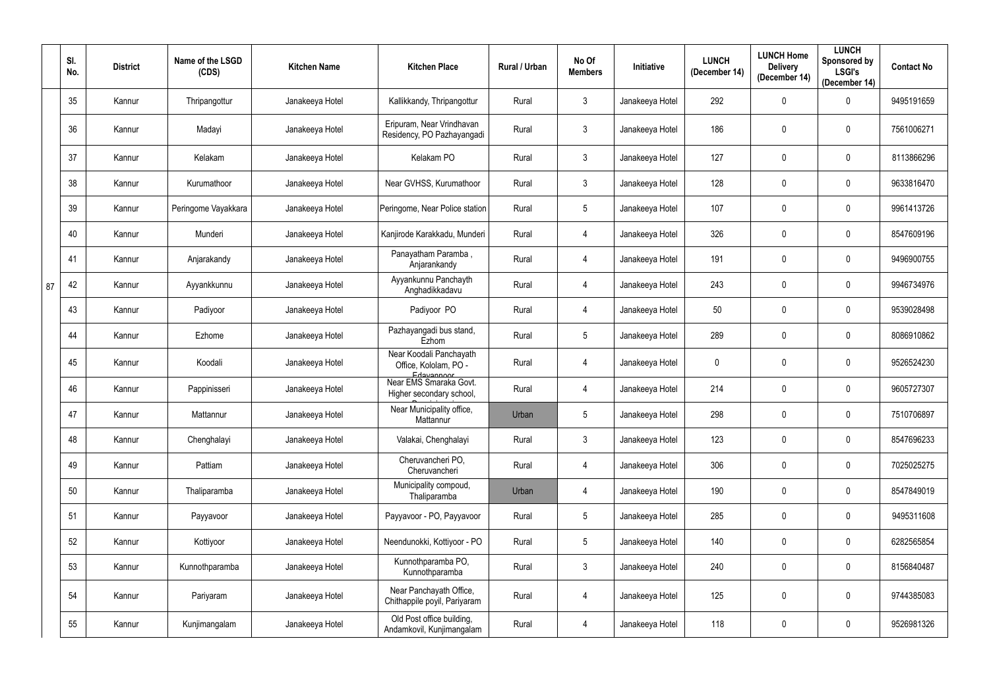|    | SI.<br>No. | <b>District</b> | Name of the LSGD<br>(CDS) | <b>Kitchen Name</b> | <b>Kitchen Place</b>                                             | Rural / Urban | No Of<br><b>Members</b> | Initiative      | <b>LUNCH</b><br>(December 14) | <b>LUNCH Home</b><br><b>Delivery</b><br>(December 14) | <b>LUNCH</b><br>Sponsored by<br><b>LSGI's</b><br>(December 14) | <b>Contact No</b> |
|----|------------|-----------------|---------------------------|---------------------|------------------------------------------------------------------|---------------|-------------------------|-----------------|-------------------------------|-------------------------------------------------------|----------------------------------------------------------------|-------------------|
|    | 35         | Kannur          | Thripangottur             | Janakeeya Hotel     | Kallikkandy, Thripangottur                                       | Rural         | $\mathbf{3}$            | Janakeeya Hotel | 292                           | 0                                                     | $\mathbf 0$                                                    | 9495191659        |
|    | 36         | Kannur          | Madayi                    | Janakeeya Hotel     | Eripuram, Near Vrindhavan<br>Residency, PO Pazhayangadi          | Rural         | $\mathbf{3}$            | Janakeeya Hotel | 186                           | 0                                                     | $\mathbf 0$                                                    | 7561006271        |
|    | 37         | Kannur          | Kelakam                   | Janakeeya Hotel     | Kelakam PO                                                       | Rural         | $\mathbf{3}$            | Janakeeya Hotel | 127                           | 0                                                     | $\mathbf 0$                                                    | 8113866296        |
|    | 38         | Kannur          | Kurumathoor               | Janakeeya Hotel     | Near GVHSS, Kurumathoor                                          | Rural         | $\mathbf{3}$            | Janakeeya Hotel | 128                           | 0                                                     | $\mathbf 0$                                                    | 9633816470        |
|    | 39         | Kannur          | Peringome Vayakkara       | Janakeeya Hotel     | Peringome, Near Police station                                   | Rural         | $5\phantom{.0}$         | Janakeeya Hotel | 107                           | $\mathbf 0$                                           | $\mathbf 0$                                                    | 9961413726        |
|    | 40         | Kannur          | Munderi                   | Janakeeya Hotel     | Kanjirode Karakkadu, Munderi                                     | Rural         | 4                       | Janakeeya Hotel | 326                           | 0                                                     | $\mathbf 0$                                                    | 8547609196        |
|    | 41         | Kannur          | Anjarakandy               | Janakeeya Hotel     | Panayatham Paramba,<br>Anjarankandy                              | Rural         | 4                       | Janakeeya Hotel | 191                           | 0                                                     | $\mathbf 0$                                                    | 9496900755        |
| 87 | 42         | Kannur          | Ayyankkunnu               | Janakeeya Hotel     | Ayyankunnu Panchayth<br>Anghadikkadavu                           | Rural         | 4                       | Janakeeya Hotel | 243                           | 0                                                     | $\mathbf 0$                                                    | 9946734976        |
|    | 43         | Kannur          | Padiyoor                  | Janakeeya Hotel     | Padiyoor PO                                                      | Rural         | 4                       | Janakeeya Hotel | 50                            | $\mathbf 0$                                           | $\mathbf 0$                                                    | 9539028498        |
|    | 44         | Kannur          | Ezhome                    | Janakeeya Hotel     | Pazhayangadi bus stand,<br>Ezhom                                 | Rural         | $5\phantom{.0}$         | Janakeeya Hotel | 289                           | 0                                                     | $\mathbf 0$                                                    | 8086910862        |
|    | 45         | Kannur          | Koodali                   | Janakeeya Hotel     | Near Koodali Panchayath<br>Office, Kololam, PO -                 | Rural         | 4                       | Janakeeya Hotel | $\mathbf 0$                   | 0                                                     | $\mathbf 0$                                                    | 9526524230        |
|    | 46         | Kannur          | Pappinisseri              | Janakeeya Hotel     | Edavannoor<br>Near EMS Smaraka Govt.<br>Higher secondary school, | Rural         | 4                       | Janakeeya Hotel | 214                           | 0                                                     | $\mathbf 0$                                                    | 9605727307        |
|    | 47         | Kannur          | Mattannur                 | Janakeeya Hotel     | Near Municipality office,<br>Mattannur                           | Urban         |                         | Janakeeya Hotel | 298                           | $\mathbf 0$                                           | $\mathbf 0$                                                    | 7510706897        |
|    | 48         | Kannur          | Chenghalayi               | Janakeeya Hotel     | Valakai, Chenghalayi                                             | Rural         | $3\phantom{.0}$         | Janakeeya Hotel | 123                           | $\boldsymbol{0}$                                      | $\mathbf 0$                                                    | 8547696233        |
|    | 49         | Kannur          | Pattiam                   | Janakeeya Hotel     | Cheruvancheri PO,<br>Cheruvancheri                               | Rural         | 4                       | Janakeeya Hotel | 306                           | $\pmb{0}$                                             | $\pmb{0}$                                                      | 7025025275        |
|    | 50         | Kannur          | Thaliparamba              | Janakeeya Hotel     | Municipality compoud,<br>Thaliparamba                            | Urban         | 4                       | Janakeeya Hotel | 190                           | 0                                                     | $\pmb{0}$                                                      | 8547849019        |
|    | 51         | Kannur          | Payyavoor                 | Janakeeya Hotel     | Payyavoor - PO, Payyavoor                                        | Rural         | $5\phantom{.0}$         | Janakeeya Hotel | 285                           | $\pmb{0}$                                             | $\pmb{0}$                                                      | 9495311608        |
|    | 52         | Kannur          | Kottiyoor                 | Janakeeya Hotel     | Neendunokki, Kottiyoor - PO                                      | Rural         | $5\phantom{.0}$         | Janakeeya Hotel | 140                           | 0                                                     | $\pmb{0}$                                                      | 6282565854        |
|    | 53         | Kannur          | Kunnothparamba            | Janakeeya Hotel     | Kunnothparamba PO,<br>Kunnothparamba                             | Rural         | $3\phantom{.0}$         | Janakeeya Hotel | 240                           | $\pmb{0}$                                             | $\bf{0}$                                                       | 8156840487        |
|    | 54         | Kannur          | Pariyaram                 | Janakeeya Hotel     | Near Panchayath Office,<br>Chithappile poyil, Pariyaram          | Rural         | 4                       | Janakeeya Hotel | 125                           | $\pmb{0}$                                             | $\pmb{0}$                                                      | 9744385083        |
|    | 55         | Kannur          | Kunjimangalam             | Janakeeya Hotel     | Old Post office building,<br>Andamkovil, Kunjimangalam           | Rural         | 4                       | Janakeeya Hotel | 118                           | 0                                                     | $\pmb{0}$                                                      | 9526981326        |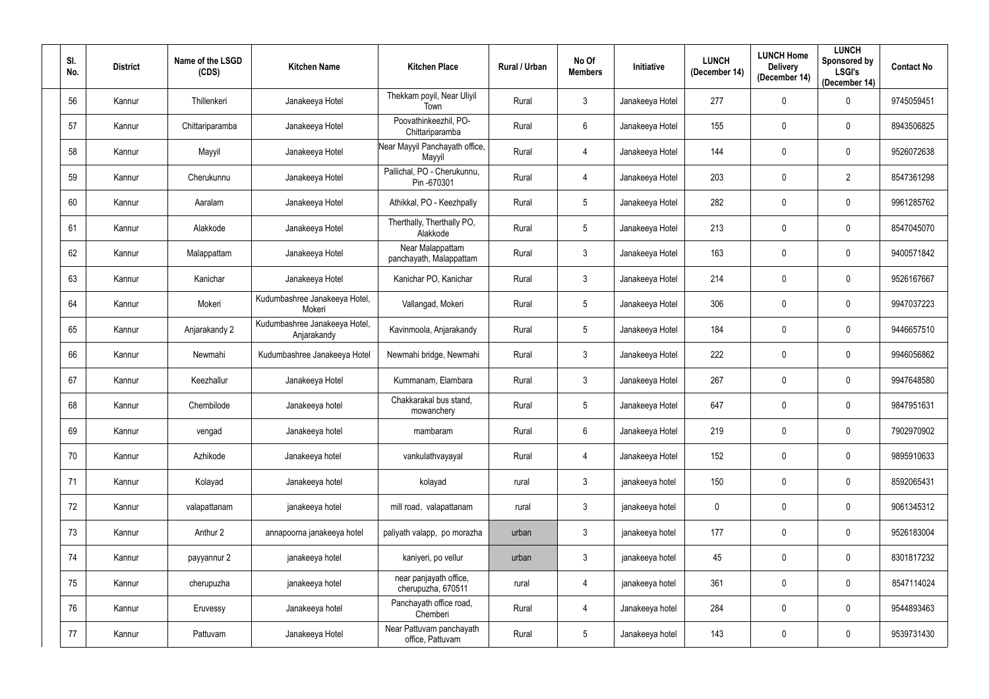| SI.<br>No. | <b>District</b> | Name of the LSGD<br>(CDS) | <b>Kitchen Name</b>                          | <b>Kitchen Place</b>                         | Rural / Urban | No Of<br><b>Members</b> | Initiative      | <b>LUNCH</b><br>(December 14) | <b>LUNCH Home</b><br><b>Delivery</b><br>(December 14) | <b>LUNCH</b><br>Sponsored by<br><b>LSGI's</b><br>(December 14) | <b>Contact No</b> |
|------------|-----------------|---------------------------|----------------------------------------------|----------------------------------------------|---------------|-------------------------|-----------------|-------------------------------|-------------------------------------------------------|----------------------------------------------------------------|-------------------|
| 56         | Kannur          | Thillenkeri               | Janakeeya Hotel                              | Thekkam poyil, Near Uliyil<br>Town           | Rural         | $\mathbf{3}$            | Janakeeya Hotel | 277                           | $\mathbf 0$                                           | $\mathbf 0$                                                    | 9745059451        |
| 57         | Kannur          | Chittariparamba           | Janakeeya Hotel                              | Poovathinkeezhil, PO-<br>Chittariparamba     | Rural         | 6                       | Janakeeya Hotel | 155                           | $\pmb{0}$                                             | 0                                                              | 8943506825        |
| 58         | Kannur          | Mayyil                    | Janakeeya Hotel                              | Near Mayyil Panchayath office,<br>Mayyil     | Rural         | 4                       | Janakeeya Hotel | 144                           | $\pmb{0}$                                             | 0                                                              | 9526072638        |
| 59         | Kannur          | Cherukunnu                | Janakeeya Hotel                              | Pallichal, PO - Cherukunnu,<br>Pin-670301    | Rural         | 4                       | Janakeeya Hotel | 203                           | 0                                                     | $\overline{2}$                                                 | 8547361298        |
| 60         | Kannur          | Aaralam                   | Janakeeya Hotel                              | Athikkal, PO - Keezhpally                    | Rural         | 5                       | Janakeeya Hotel | 282                           | $\pmb{0}$                                             | 0                                                              | 9961285762        |
| 61         | Kannur          | Alakkode                  | Janakeeya Hotel                              | Therthally, Therthally PO,<br>Alakkode       | Rural         | 5                       | Janakeeya Hotel | 213                           | $\mathbf 0$                                           | 0                                                              | 8547045070        |
| 62         | Kannur          | Malappattam               | Janakeeya Hotel                              | Near Malappattam<br>panchayath, Malappattam  | Rural         | $\mathbf{3}$            | Janakeeya Hotel | 163                           | $\pmb{0}$                                             | 0                                                              | 9400571842        |
| 63         | Kannur          | Kanichar                  | Janakeeya Hotel                              | Kanichar PO, Kanichar                        | Rural         | 3                       | Janakeeya Hotel | 214                           | $\mathbf 0$                                           | 0                                                              | 9526167667        |
| 64         | Kannur          | Mokeri                    | Kudumbashree Janakeeya Hotel,<br>Mokeri      | Vallangad, Mokeri                            | Rural         | $5\overline{)}$         | Janakeeya Hotel | 306                           | 0                                                     | $\mathbf 0$                                                    | 9947037223        |
| 65         | Kannur          | Anjarakandy 2             | Kudumbashree Janakeeya Hotel,<br>Anjarakandy | Kavinmoola, Anjarakandy                      | Rural         | $5\phantom{.0}$         | Janakeeya Hotel | 184                           | $\pmb{0}$                                             | 0                                                              | 9446657510        |
| 66         | Kannur          | Newmahi                   | Kudumbashree Janakeeya Hotel                 | Newmahi bridge, Newmahi                      | Rural         | $\mathfrak{Z}$          | Janakeeya Hotel | 222                           | $\mathbf 0$                                           | $\mathbf 0$                                                    | 9946056862        |
| 67         | Kannur          | Keezhallur                | Janakeeya Hotel                              | Kummanam, Elambara                           | Rural         | $\mathbf{3}$            | Janakeeya Hotel | 267                           | $\pmb{0}$                                             | 0                                                              | 9947648580        |
| 68         | Kannur          | Chembilode                | Janakeeya hotel                              | Chakkarakal bus stand,<br>mowanchery         | Rural         | 5                       | Janakeeya Hotel | 647                           | $\mathbf 0$                                           | $\mathbf 0$                                                    | 9847951631        |
| 69         | Kannur          | vengad                    | Janakeeya hotel                              | mambaram                                     | Rural         | 6                       | Janakeeya Hotel | 219                           | $\pmb{0}$                                             | $\mathbf 0$                                                    | 7902970902        |
| 70         | Kannur          | Azhikode                  | Janakeeya hotel                              | vankulathvayayal                             | Rural         | $\overline{4}$          | Janakeeya Hotel | 152                           | $\pmb{0}$                                             | $\mathbf 0$                                                    | 9895910633        |
| 71         | Kannur          | Kolayad                   | Janakeeya hotel                              | kolayad                                      | rural         | 3 <sup>1</sup>          | janakeeya hotel | 150                           | $\pmb{0}$                                             | $\mathbf 0$                                                    | 8592065431        |
| 72         | Kannur          | valapattanam              | janakeeya hotel                              | mill road, valapattanam                      | rural         | $\mathfrak{Z}$          | janakeeya hotel | $\mathbf 0$                   | $\pmb{0}$                                             | $\mathbf 0$                                                    | 9061345312        |
| 73         | Kannur          | Anthur 2                  | annapoorna janakeeya hotel                   | paliyath valapp, po morazha                  | urban         | $\mathbf{3}$            | janakeeya hotel | 177                           | $\pmb{0}$                                             | $\mathbf 0$                                                    | 9526183004        |
| 74         | Kannur          | payyannur 2               | janakeeya hotel                              | kaniyeri, po vellur                          | urban         | $\mathbf{3}$            | janakeeya hotel | 45                            | $\pmb{0}$                                             | $\mathbf 0$                                                    | 8301817232        |
| 75         | Kannur          | cherupuzha                | janakeeya hotel                              | near panjayath office,<br>cherupuzha, 670511 | rural         | 4                       | janakeeya hotel | 361                           | $\pmb{0}$                                             | $\mathbf 0$                                                    | 8547114024        |
| 76         | Kannur          | Eruvessy                  | Janakeeya hotel                              | Panchayath office road,<br>Chemberi          | Rural         | $\overline{4}$          | Janakeeya hotel | 284                           | $\pmb{0}$                                             | $\mathbf 0$                                                    | 9544893463        |
| 77         | Kannur          | Pattuvam                  | Janakeeya Hotel                              | Near Pattuvam panchayath<br>office, Pattuvam | Rural         | $5\phantom{.0}$         | Janakeeya hotel | 143                           | $\pmb{0}$                                             | $\pmb{0}$                                                      | 9539731430        |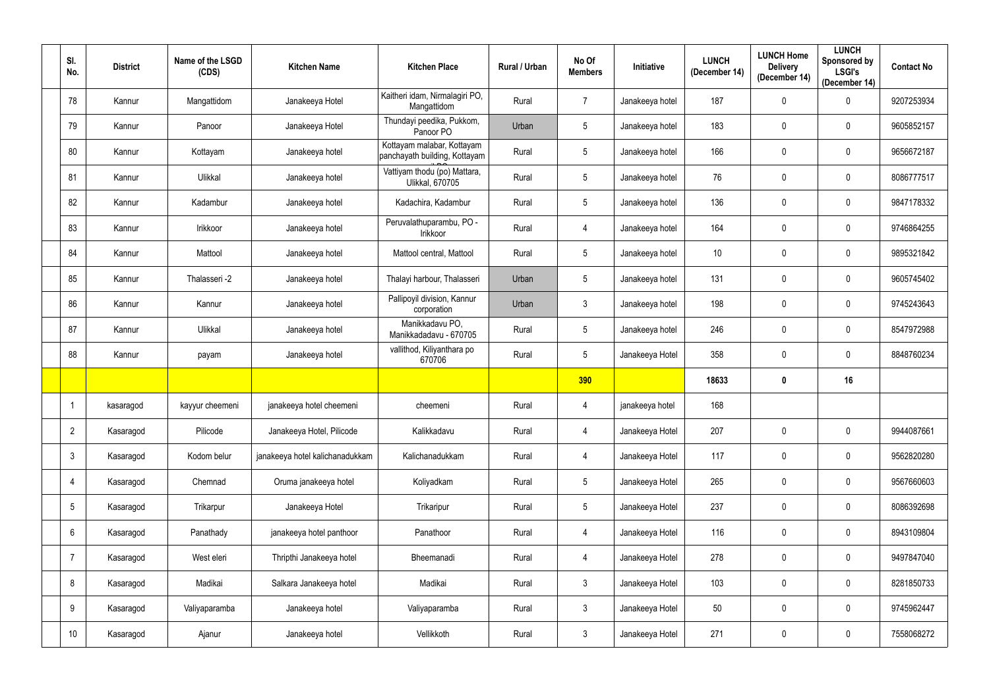| SI.<br>No.      | <b>District</b> | Name of the LSGD<br>(CDS) | <b>Kitchen Name</b>             | <b>Kitchen Place</b>                                        | Rural / Urban | No Of<br><b>Members</b> | Initiative      | <b>LUNCH</b><br>(December 14) | <b>LUNCH Home</b><br><b>Delivery</b><br>(December 14) | <b>LUNCH</b><br>Sponsored by<br><b>LSGI's</b><br>(December 14) | <b>Contact No</b> |
|-----------------|-----------------|---------------------------|---------------------------------|-------------------------------------------------------------|---------------|-------------------------|-----------------|-------------------------------|-------------------------------------------------------|----------------------------------------------------------------|-------------------|
| 78              | Kannur          | Mangattidom               | Janakeeya Hotel                 | Kaitheri idam, Nirmalagiri PO,<br>Mangattidom               | Rural         | $\overline{7}$          | Janakeeya hotel | 187                           | $\mathbf 0$                                           | $\mathbf 0$                                                    | 9207253934        |
| 79              | Kannur          | Panoor                    | Janakeeya Hotel                 | Thundayi peedika, Pukkom,<br>Panoor PO                      | Urban         | 5 <sup>5</sup>          | Janakeeya hotel | 183                           | $\mathbf 0$                                           | $\mathbf 0$                                                    | 9605852157        |
| 80              | Kannur          | Kottayam                  | Janakeeya hotel                 | Kottayam malabar, Kottayam<br>panchayath building, Kottayam | Rural         | $5\phantom{.0}$         | Janakeeya hotel | 166                           | $\mathbf 0$                                           | $\pmb{0}$                                                      | 9656672187        |
| 81              | Kannur          | Ulikkal                   | Janakeeya hotel                 | Vattiyam thodu (po) Mattara,<br><b>Ulikkal, 670705</b>      | Rural         | 5 <sup>5</sup>          | Janakeeya hotel | 76                            | $\mathbf 0$                                           | $\mathbf 0$                                                    | 8086777517        |
| 82              | Kannur          | Kadambur                  | Janakeeya hotel                 | Kadachira, Kadambur                                         | Rural         | 5                       | Janakeeya hotel | 136                           | $\mathbf 0$                                           | $\mathbf 0$                                                    | 9847178332        |
| 83              | Kannur          | Irikkoor                  | Janakeeya hotel                 | Peruvalathuparambu, PO -<br>Irikkoor                        | Rural         | 4                       | Janakeeya hotel | 164                           | $\boldsymbol{0}$                                      | $\mathbf 0$                                                    | 9746864255        |
| 84              | Kannur          | Mattool                   | Janakeeya hotel                 | Mattool central, Mattool                                    | Rural         | 5                       | Janakeeya hotel | 10                            | $\mathbf 0$                                           | $\mathbf 0$                                                    | 9895321842        |
| 85              | Kannur          | Thalasseri -2             | Janakeeya hotel                 | Thalayi harbour, Thalasseri                                 | Urban         | 5 <sup>5</sup>          | Janakeeya hotel | 131                           | 0                                                     | $\mathbf 0$                                                    | 9605745402        |
| 86              | Kannur          | Kannur                    | Janakeeya hotel                 | Pallipoyil division, Kannur<br>corporation                  | Urban         | 3 <sup>1</sup>          | Janakeeya hotel | 198                           | $\mathbf 0$                                           | $\mathbf 0$                                                    | 9745243643        |
| 87              | Kannur          | Ulikkal                   | Janakeeya hotel                 | Manikkadavu PO,<br>Manikkadadavu - 670705                   | Rural         | 5 <sup>5</sup>          | Janakeeya hotel | 246                           | $\boldsymbol{0}$                                      | $\mathbf 0$                                                    | 8547972988        |
| 88              | Kannur          | payam                     | Janakeeya hotel                 | vallithod, Kiliyanthara po<br>670706                        | Rural         | 5 <sup>5</sup>          | Janakeeya Hotel | 358                           | $\boldsymbol{0}$                                      | $\mathbf 0$                                                    | 8848760234        |
|                 |                 |                           |                                 |                                                             |               | 390                     |                 | 18633                         | $\mathbf 0$                                           | 16                                                             |                   |
|                 | kasaragod       | kayyur cheemeni           | janakeeya hotel cheemeni        | cheemeni                                                    | Rural         | 4                       | janakeeya hotel | 168                           |                                                       |                                                                |                   |
| $\overline{2}$  | Kasaragod       | Pilicode                  | Janakeeya Hotel, Pilicode       | Kalikkadavu                                                 | Rural         | 4                       | Janakeeya Hotel | 207                           | $\mathbf 0$                                           | $\mathbf 0$                                                    | 9944087661        |
| $\mathbf{3}$    | Kasaragod       | Kodom belur               | janakeeya hotel kalichanadukkam | Kalichanadukkam                                             | Rural         | $\overline{4}$          | Janakeeya Hotel | 117                           | $\mathbf 0$                                           | $\mathbf 0$                                                    | 9562820280        |
| 4               | Kasaragod       | Chemnad                   | Oruma janakeeya hotel           | Koliyadkam                                                  | Rural         | 5 <sup>5</sup>          | Janakeeya Hotel | 265                           | $\mathbf 0$                                           | $\bf{0}$                                                       | 9567660603        |
| $5\phantom{.0}$ | Kasaragod       | Trikarpur                 | Janakeeya Hotel                 | Trikaripur                                                  | Rural         | 5 <sub>5</sub>          | Janakeeya Hotel | 237                           | $\mathbf 0$                                           | $\mathbf 0$                                                    | 8086392698        |
| $6\phantom{.}6$ | Kasaragod       | Panathady                 | janakeeya hotel panthoor        | Panathoor                                                   | Rural         | $\overline{4}$          | Janakeeya Hotel | 116                           | $\pmb{0}$                                             | $\pmb{0}$                                                      | 8943109804        |
| 7               | Kasaragod       | West eleri                | Thripthi Janakeeya hotel        | Bheemanadi                                                  | Rural         | $\overline{4}$          | Janakeeya Hotel | 278                           | $\mathbf 0$                                           | $\mathbf 0$                                                    | 9497847040        |
| 8               | Kasaragod       | Madikai                   | Salkara Janakeeya hotel         | Madikai                                                     | Rural         | 3 <sup>1</sup>          | Janakeeya Hotel | 103                           | $\mathbf 0$                                           | $\pmb{0}$                                                      | 8281850733        |
| 9               | Kasaragod       | Valiyaparamba             | Janakeeya hotel                 | Valiyaparamba                                               | Rural         | 3 <sup>1</sup>          | Janakeeya Hotel | 50                            | $\mathbf 0$                                           | $\pmb{0}$                                                      | 9745962447        |
| 10              | Kasaragod       | Ajanur                    | Janakeeya hotel                 | Vellikkoth                                                  | Rural         | $\mathbf{3}$            | Janakeeya Hotel | 271                           | $\mathbf 0$                                           | $\pmb{0}$                                                      | 7558068272        |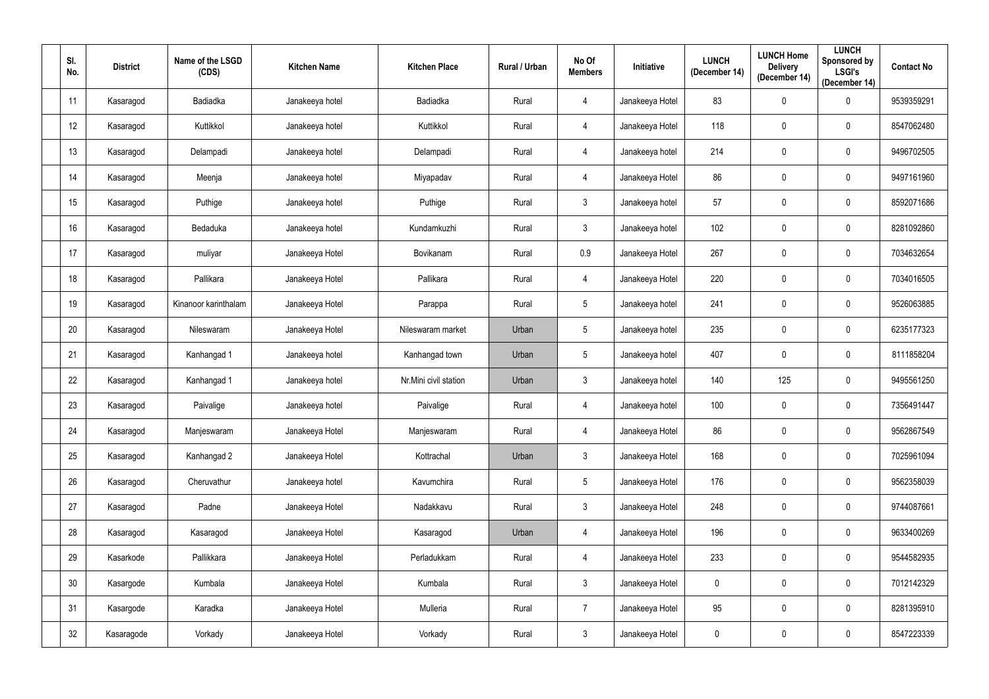| SI.<br>No.      | <b>District</b> | Name of the LSGD<br>(CDS) | <b>Kitchen Name</b> | <b>Kitchen Place</b>  | Rural / Urban | No Of<br><b>Members</b> | Initiative      | <b>LUNCH</b><br>(December 14) | <b>LUNCH Home</b><br><b>Delivery</b><br>(December 14) | <b>LUNCH</b><br><b>Sponsored by</b><br><b>LSGI's</b><br>(December 14) | <b>Contact No</b> |
|-----------------|-----------------|---------------------------|---------------------|-----------------------|---------------|-------------------------|-----------------|-------------------------------|-------------------------------------------------------|-----------------------------------------------------------------------|-------------------|
| 11              | Kasaragod       | Badiadka                  | Janakeeya hotel     | Badiadka              | Rural         | 4                       | Janakeeya Hotel | 83                            | $\pmb{0}$                                             | $\mathbf 0$                                                           | 9539359291        |
| 12              | Kasaragod       | Kuttikkol                 | Janakeeya hotel     | Kuttikkol             | Rural         | 4                       | Janakeeya Hotel | 118                           | $\pmb{0}$                                             | $\boldsymbol{0}$                                                      | 8547062480        |
| 13              | Kasaragod       | Delampadi                 | Janakeeya hotel     | Delampadi             | Rural         | 4                       | Janakeeya hotel | 214                           | $\pmb{0}$                                             | $\boldsymbol{0}$                                                      | 9496702505        |
| 14              | Kasaragod       | Meenja                    | Janakeeya hotel     | Miyapadav             | Rural         | 4                       | Janakeeya Hotel | 86                            | $\pmb{0}$                                             | $\mathbf 0$                                                           | 9497161960        |
| 15              | Kasaragod       | Puthige                   | Janakeeya hotel     | Puthige               | Rural         | $\mathbf{3}$            | Janakeeya hotel | 57                            | $\pmb{0}$                                             | $\mathbf 0$                                                           | 8592071686        |
| 16              | Kasaragod       | Bedaduka                  | Janakeeya hotel     | Kundamkuzhi           | Rural         | $\mathbf{3}$            | Janakeeya hotel | 102                           | $\pmb{0}$                                             | $\mathbf 0$                                                           | 8281092860        |
| 17              | Kasaragod       | muliyar                   | Janakeeya Hotel     | Bovikanam             | Rural         | 0.9                     | Janakeeya Hotel | 267                           | $\pmb{0}$                                             | $\mathbf 0$                                                           | 7034632654        |
| 18              | Kasaragod       | Pallikara                 | Janakeeya Hotel     | Pallikara             | Rural         | $\overline{4}$          | Janakeeya Hotel | 220                           | $\pmb{0}$                                             | $\boldsymbol{0}$                                                      | 7034016505        |
| 19              | Kasaragod       | Kinanoor karinthalam      | Janakeeya Hotel     | Parappa               | Rural         | 5 <sub>5</sub>          | Janakeeya hotel | 241                           | $\pmb{0}$                                             | $\mathbf 0$                                                           | 9526063885        |
| 20              | Kasaragod       | Nileswaram                | Janakeeya Hotel     | Nileswaram market     | Urban         | $5\phantom{.0}$         | Janakeeya hotel | 235                           | $\pmb{0}$                                             | $\mathbf 0$                                                           | 6235177323        |
| 21              | Kasaragod       | Kanhangad 1               | Janakeeya hotel     | Kanhangad town        | Urban         | $5\overline{)}$         | Janakeeya hotel | 407                           | $\pmb{0}$                                             | $\mathbf 0$                                                           | 8111858204        |
| 22              | Kasaragod       | Kanhangad 1               | Janakeeya hotel     | Nr.Mini civil station | Urban         | $\mathbf{3}$            | Janakeeya hotel | 140                           | 125                                                   | $\pmb{0}$                                                             | 9495561250        |
| 23              | Kasaragod       | Paivalige                 | Janakeeya hotel     | Paivalige             | Rural         | 4                       | Janakeeya hotel | 100                           | $\pmb{0}$                                             | $\boldsymbol{0}$                                                      | 7356491447        |
| 24              | Kasaragod       | Manjeswaram               | Janakeeya Hotel     | Manjeswaram           | Rural         | 4                       | Janakeeya Hotel | 86                            | $\pmb{0}$                                             | $\mathbf 0$                                                           | 9562867549        |
| 25              | Kasaragod       | Kanhangad 2               | Janakeeya Hotel     | Kottrachal            | Urban         | $\mathbf{3}$            | Janakeeya Hotel | 168                           | $\pmb{0}$                                             | $\mathbf 0$                                                           | 7025961094        |
| 26              | Kasaragod       | Cheruvathur               | Janakeeya hotel     | Kavumchira            | Rural         | $5\phantom{.0}$         | Janakeeya Hotel | 176                           | $\pmb{0}$                                             | $\boldsymbol{0}$                                                      | 9562358039        |
| 27              | Kasaragod       | Padne                     | Janakeeya Hotel     | Nadakkavu             | Rural         | $\mathbf{3}$            | Janakeeya Hotel | 248                           | $\pmb{0}$                                             | $\pmb{0}$                                                             | 9744087661        |
| 28              | Kasaragod       | Kasaragod                 | Janakeeya Hotel     | Kasaragod             | Urban         | 4                       | Janakeeya Hotel | 196                           | $\pmb{0}$                                             | $\pmb{0}$                                                             | 9633400269        |
| 29              | Kasarkode       | Pallikkara                | Janakeeya Hotel     | Perladukkam           | Rural         | 4                       | Janakeeya Hotel | 233                           | $\pmb{0}$                                             | $\pmb{0}$                                                             | 9544582935        |
| 30 <sup>°</sup> | Kasargode       | Kumbala                   | Janakeeya Hotel     | Kumbala               | Rural         | 3 <sup>1</sup>          | Janakeeya Hotel | $\mathbf 0$                   | $\pmb{0}$                                             | $\pmb{0}$                                                             | 7012142329        |
| 31              | Kasargode       | Karadka                   | Janakeeya Hotel     | Mulleria              | Rural         | $\overline{7}$          | Janakeeya Hotel | 95                            | $\pmb{0}$                                             | $\boldsymbol{0}$                                                      | 8281395910        |
| 32              | Kasaragode      | Vorkady                   | Janakeeya Hotel     | Vorkady               | Rural         | $3\phantom{.0}$         | Janakeeya Hotel | $\mathbf 0$                   | $\pmb{0}$                                             | $\pmb{0}$                                                             | 8547223339        |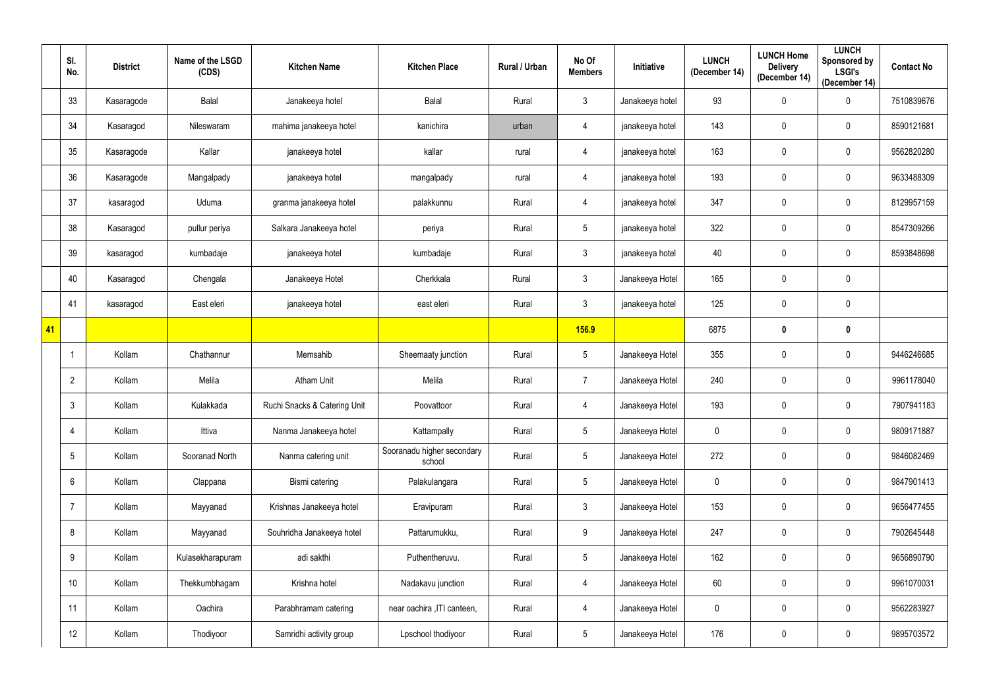|            | SI.<br>No.      | <b>District</b> | Name of the LSGD<br>(CDS) | <b>Kitchen Name</b>          | <b>Kitchen Place</b>                 | Rural / Urban | No Of<br><b>Members</b> | Initiative      | <b>LUNCH</b><br>(December 14) | <b>LUNCH Home</b><br><b>Delivery</b><br>(December 14) | <b>LUNCH</b><br>Sponsored by<br><b>LSGI's</b><br>(December 14) | <b>Contact No</b> |
|------------|-----------------|-----------------|---------------------------|------------------------------|--------------------------------------|---------------|-------------------------|-----------------|-------------------------------|-------------------------------------------------------|----------------------------------------------------------------|-------------------|
|            | 33              | Kasaragode      | <b>Balal</b>              | Janakeeya hotel              | Balal                                | Rural         | $\mathbf{3}$            | Janakeeya hotel | 93                            | $\overline{0}$                                        | $\boldsymbol{0}$                                               | 7510839676        |
|            | 34              | Kasaragod       | Nileswaram                | mahima janakeeya hotel       | kanichira                            | urban         | 4                       | janakeeya hotel | 143                           | $\mathbf 0$                                           | $\mathbf 0$                                                    | 8590121681        |
|            | 35              | Kasaragode      | Kallar                    | janakeeya hotel              | kallar                               | rural         | 4                       | janakeeya hotel | 163                           | 0                                                     | $\pmb{0}$                                                      | 9562820280        |
|            | 36              | Kasaragode      | Mangalpady                | janakeeya hotel              | mangalpady                           | rural         | 4                       | janakeeya hotel | 193                           | $\mathbf 0$                                           | $\mathbf 0$                                                    | 9633488309        |
|            | 37              | kasaragod       | Uduma                     | granma janakeeya hotel       | palakkunnu                           | Rural         | 4                       | janakeeya hotel | 347                           | $\overline{0}$                                        | $\boldsymbol{0}$                                               | 8129957159        |
|            | 38              | Kasaragod       | pullur periya             | Salkara Janakeeya hotel      | periya                               | Rural         | 5 <sub>5</sub>          | janakeeya hotel | 322                           | $\overline{0}$                                        | $\boldsymbol{0}$                                               | 8547309266        |
|            | 39              | kasaragod       | kumbadaje                 | janakeeya hotel              | kumbadaje                            | Rural         | $\mathbf{3}$            | janakeeya hotel | 40                            | $\mathbf 0$                                           | $\boldsymbol{0}$                                               | 8593848698        |
|            | 40              | Kasaragod       | Chengala                  | Janakeeya Hotel              | Cherkkala                            | Rural         | $\mathbf{3}$            | Janakeeya Hotel | 165                           | $\overline{0}$                                        | $\pmb{0}$                                                      |                   |
|            | 41              | kasaragod       | East eleri                | janakeeya hotel              | east eleri                           | Rural         | 3 <sup>1</sup>          | janakeeya hotel | 125                           | $\mathbf 0$                                           | $\mathbf 0$                                                    |                   |
| $\vert$ 41 |                 |                 |                           |                              |                                      |               | 156.9                   |                 | 6875                          | $\boldsymbol{0}$                                      | $\mathbf 0$                                                    |                   |
|            |                 | Kollam          | Chathannur                | Memsahib                     | Sheemaaty junction                   | Rural         | $5\overline{)}$         | Janakeeya Hotel | 355                           | $\overline{0}$                                        | $\mathbf 0$                                                    | 9446246685        |
|            | $\overline{2}$  | Kollam          | Melila                    | <b>Atham Unit</b>            | Melila                               | Rural         | $\overline{7}$          | Janakeeya Hotel | 240                           | $\overline{0}$                                        | $\boldsymbol{0}$                                               | 9961178040        |
|            | $\mathfrak{Z}$  | Kollam          | Kulakkada                 | Ruchi Snacks & Catering Unit | Poovattoor                           | Rural         | 4                       | Janakeeya Hotel | 193                           | 0                                                     | $\mathbf 0$                                                    | 7907941183        |
|            | $\overline{4}$  | Kollam          | Ittiva                    | Nanma Janakeeya hotel        | Kattampally                          | Rural         | 5 <sup>5</sup>          | Janakeeya Hotel | $\mathbf 0$                   | $\mathbf 0$                                           | $\mathbf 0$                                                    | 9809171887        |
|            | $5\phantom{.0}$ | Kollam          | Sooranad North            | Nanma catering unit          | Sooranadu higher secondary<br>school | Rural         | $5\overline{)}$         | Janakeeya Hotel | 272                           | $\mathbf 0$                                           | $\pmb{0}$                                                      | 9846082469        |
|            | $6\phantom{.}$  | Kollam          | Clappana                  | Bismi catering               | Palakulangara                        | Rural         | $5\phantom{.0}$         | Janakeeya Hotel | $\mathbf 0$                   | $\overline{0}$                                        | $\boldsymbol{0}$                                               | 9847901413        |
|            | $\overline{7}$  | Kollam          | Mayyanad                  | Krishnas Janakeeya hotel     | Eravipuram                           | Rural         | 3 <sup>1</sup>          | Janakeeya Hotel | 153                           | $\overline{0}$                                        | $\boldsymbol{0}$                                               | 9656477455        |
|            | 8               | Kollam          | Mayyanad                  | Souhridha Janakeeya hotel    | Pattarumukku,                        | Rural         | 9                       | Janakeeya Hotel | 247                           | $\overline{0}$                                        | $\pmb{0}$                                                      | 7902645448        |
|            | 9               | Kollam          | Kulasekharapuram          | adi sakthi                   | Puthentheruvu.                       | Rural         | $5\overline{)}$         | Janakeeya Hotel | 162                           | $\overline{0}$                                        | $\pmb{0}$                                                      | 9656890790        |
|            | 10 <sup>°</sup> | Kollam          | Thekkumbhagam             | Krishna hotel                | Nadakavu junction                    | Rural         | $\overline{4}$          | Janakeeya Hotel | 60                            | $\mathbf 0$                                           | $\pmb{0}$                                                      | 9961070031        |
|            | 11              | Kollam          | Oachira                   | Parabhramam catering         | near oachira , ITI canteen,          | Rural         | $\overline{4}$          | Janakeeya Hotel | $\overline{0}$                | $\overline{0}$                                        | $\boldsymbol{0}$                                               | 9562283927        |
|            | 12              | Kollam          | Thodiyoor                 | Samridhi activity group      | Lpschool thodiyoor                   | Rural         | $5\overline{)}$         | Janakeeya Hotel | 176                           | $\overline{0}$                                        | $\pmb{0}$                                                      | 9895703572        |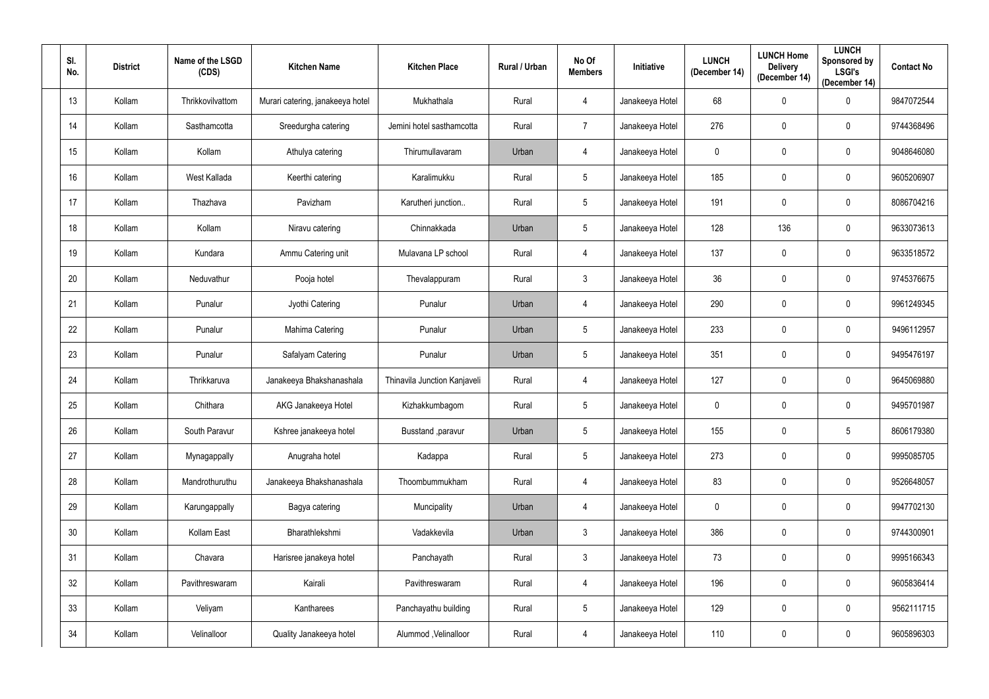| SI.<br>No. | <b>District</b> | Name of the LSGD<br>(CDS) | <b>Kitchen Name</b>              | <b>Kitchen Place</b>         | Rural / Urban | No Of<br><b>Members</b> | Initiative      | <b>LUNCH</b><br>(December 14) | <b>LUNCH Home</b><br><b>Delivery</b><br>(December 14) | <b>LUNCH</b><br>Sponsored by<br><b>LSGI's</b><br>(December 14) | <b>Contact No</b> |
|------------|-----------------|---------------------------|----------------------------------|------------------------------|---------------|-------------------------|-----------------|-------------------------------|-------------------------------------------------------|----------------------------------------------------------------|-------------------|
| 13         | Kollam          | Thrikkovilvattom          | Murari catering, janakeeya hotel | Mukhathala                   | Rural         | 4                       | Janakeeya Hotel | 68                            | $\mathbf 0$                                           | $\mathbf 0$                                                    | 9847072544        |
| 14         | Kollam          | Sasthamcotta              | Sreedurgha catering              | Jemini hotel sasthamcotta    | Rural         | $\overline{7}$          | Janakeeya Hotel | 276                           | $\mathbf 0$                                           | $\mathbf 0$                                                    | 9744368496        |
| 15         | Kollam          | Kollam                    | Athulya catering                 | Thirumullavaram              | Urban         | 4                       | Janakeeya Hotel | $\overline{0}$                | $\mathbf 0$                                           | $\mathbf 0$                                                    | 9048646080        |
| 16         | Kollam          | West Kallada              | Keerthi catering                 | Karalimukku                  | Rural         | $5\phantom{.0}$         | Janakeeya Hotel | 185                           | $\mathbf 0$                                           | $\mathbf 0$                                                    | 9605206907        |
| 17         | Kollam          | Thazhava                  | Pavizham                         | Karutheri junction           | Rural         | $5\phantom{.0}$         | Janakeeya Hotel | 191                           | $\mathbf 0$                                           | $\mathbf 0$                                                    | 8086704216        |
| 18         | Kollam          | Kollam                    | Niravu catering                  | Chinnakkada                  | Urban         | $5\phantom{.0}$         | Janakeeya Hotel | 128                           | 136                                                   | $\mathbf 0$                                                    | 9633073613        |
| 19         | Kollam          | Kundara                   | Ammu Catering unit               | Mulavana LP school           | Rural         | 4                       | Janakeeya Hotel | 137                           | $\mathbf 0$                                           | $\mathbf 0$                                                    | 9633518572        |
| 20         | Kollam          | Neduvathur                | Pooja hotel                      | Thevalappuram                | Rural         | $3\phantom{.0}$         | Janakeeya Hotel | 36                            | $\mathbf 0$                                           | $\mathbf 0$                                                    | 9745376675        |
| 21         | Kollam          | Punalur                   | Jyothi Catering                  | Punalur                      | Urban         | 4                       | Janakeeya Hotel | 290                           | $\mathbf 0$                                           | $\mathbf 0$                                                    | 9961249345        |
| 22         | Kollam          | Punalur                   | Mahima Catering                  | Punalur                      | Urban         | $5\phantom{.0}$         | Janakeeya Hotel | 233                           | $\mathbf 0$                                           | $\mathbf 0$                                                    | 9496112957        |
| 23         | Kollam          | Punalur                   | Safalyam Catering                | Punalur                      | Urban         | $5\phantom{.0}$         | Janakeeya Hotel | 351                           | $\mathbf 0$                                           | $\mathbf 0$                                                    | 9495476197        |
| 24         | Kollam          | Thrikkaruva               | Janakeeya Bhakshanashala         | Thinavila Junction Kanjaveli | Rural         | 4                       | Janakeeya Hotel | 127                           | $\mathbf 0$                                           | $\mathbf 0$                                                    | 9645069880        |
| 25         | Kollam          | Chithara                  | AKG Janakeeya Hotel              | Kizhakkumbagom               | Rural         | $5\overline{)}$         | Janakeeya Hotel | $\overline{0}$                | $\mathbf 0$                                           | $\mathbf 0$                                                    | 9495701987        |
| 26         | Kollam          | South Paravur             | Kshree janakeeya hotel           | Busstand , paravur           | Urban         | $5\phantom{.0}$         | Janakeeya Hotel | 155                           | $\mathbf 0$                                           | $5\phantom{.0}$                                                | 8606179380        |
| 27         | Kollam          | Mynagappally              | Anugraha hotel                   | Kadappa                      | Rural         | $5\phantom{.0}$         | Janakeeya Hotel | 273                           | $\pmb{0}$                                             | $\mathbf 0$                                                    | 9995085705        |
| 28         | Kollam          | Mandrothuruthu            | Janakeeya Bhakshanashala         | Thoombummukham               | Rural         | $\overline{4}$          | Janakeeya Hotel | 83                            | $\mathbf 0$                                           | $\mathbf 0$                                                    | 9526648057        |
| 29         | Kollam          | Karungappally             | Bagya catering                   | Muncipality                  | Urban         | $\overline{4}$          | Janakeeya Hotel | $\mathbf 0$                   | $\pmb{0}$                                             | $\mathbf 0$                                                    | 9947702130        |
| 30         | Kollam          | Kollam East               | Bharathlekshmi                   | Vadakkevila                  | Urban         | 3 <sup>7</sup>          | Janakeeya Hotel | 386                           | $\pmb{0}$                                             | $\mathbf 0$                                                    | 9744300901        |
| 31         | Kollam          | Chavara                   | Harisree janakeya hotel          | Panchayath                   | Rural         | $\mathbf{3}$            | Janakeeya Hotel | 73                            | $\mathbf 0$                                           | $\mathbf 0$                                                    | 9995166343        |
| 32         | Kollam          | Pavithreswaram            | Kairali                          | Pavithreswaram               | Rural         | $\overline{4}$          | Janakeeya Hotel | 196                           | $\mathbf 0$                                           | $\mathbf 0$                                                    | 9605836414        |
| 33         | Kollam          | Veliyam                   | Kantharees                       | Panchayathu building         | Rural         | 5 <sup>5</sup>          | Janakeeya Hotel | 129                           | $\pmb{0}$                                             | $\mathbf 0$                                                    | 9562111715        |
| 34         | Kollam          | Velinalloor               | Quality Janakeeya hotel          | Alummod, Velinalloor         | Rural         | $\overline{4}$          | Janakeeya Hotel | 110                           | $\boldsymbol{0}$                                      | $\pmb{0}$                                                      | 9605896303        |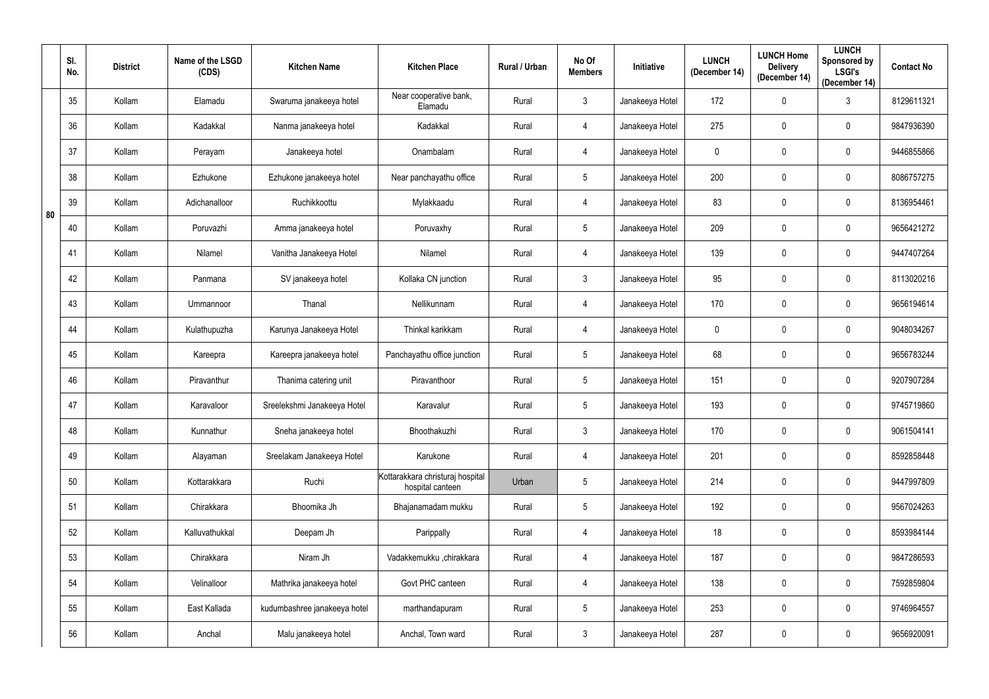|    | SI.<br>No. | <b>District</b> | Name of the LSGD<br>(CDS) | <b>Kitchen Name</b>          | <b>Kitchen Place</b>                                 | Rural / Urban | No Of<br><b>Members</b> | Initiative      | <b>LUNCH</b><br>(December 14) | <b>LUNCH Home</b><br><b>Delivery</b><br>(December 14) | <b>LUNCH</b><br>Sponsored by<br><b>LSGI's</b><br>(December 14) | <b>Contact No</b> |
|----|------------|-----------------|---------------------------|------------------------------|------------------------------------------------------|---------------|-------------------------|-----------------|-------------------------------|-------------------------------------------------------|----------------------------------------------------------------|-------------------|
|    | 35         | Kollam          | Elamadu                   | Swaruma janakeeya hotel      | Near cooperative bank,<br>Elamadu                    | Rural         | $\mathfrak{Z}$          | Janakeeya Hotel | 172                           | $\mathbf 0$                                           | 3                                                              | 8129611321        |
|    | 36         | Kollam          | Kadakkal                  | Nanma janakeeya hotel        | Kadakkal                                             | Rural         | 4                       | Janakeeya Hotel | 275                           | 0                                                     | $\mathbf 0$                                                    | 9847936390        |
|    | 37         | Kollam          | Perayam                   | Janakeeya hotel              | Onambalam                                            | Rural         | 4                       | Janakeeya Hotel | $\pmb{0}$                     | 0                                                     | $\mathbf 0$                                                    | 9446855866        |
|    | 38         | Kollam          | Ezhukone                  | Ezhukone janakeeya hotel     | Near panchayathu office                              | Rural         | 5                       | Janakeeya Hotel | 200                           | 0                                                     | $\mathbf 0$                                                    | 8086757275        |
| 80 | 39         | Kollam          | Adichanalloor             | Ruchikkoottu                 | Mylakkaadu                                           | Rural         | 4                       | Janakeeya Hotel | 83                            | 0                                                     | $\mathbf 0$                                                    | 8136954461        |
|    | 40         | Kollam          | Poruvazhi                 | Amma janakeeya hotel         | Poruvaxhy                                            | Rural         | $5\phantom{.0}$         | Janakeeya Hotel | 209                           | $\mathbf 0$                                           | $\mathbf 0$                                                    | 9656421272        |
|    | 41         | Kollam          | Nilamel                   | Vanitha Janakeeya Hotel      | Nilamel                                              | Rural         | 4                       | Janakeeya Hotel | 139                           | $\mathbf 0$                                           | $\mathbf 0$                                                    | 9447407264        |
|    | 42         | Kollam          | Panmana                   | SV janakeeya hotel           | Kollaka CN junction                                  | Rural         | 3                       | Janakeeya Hotel | 95                            | 0                                                     | $\mathbf 0$                                                    | 8113020216        |
|    | 43         | Kollam          | Ummannoor                 | Thanal                       | Nellikunnam                                          | Rural         | 4                       | Janakeeya Hotel | 170                           | 0                                                     | $\mathbf 0$                                                    | 9656194614        |
|    | 44         | Kollam          | Kulathupuzha              | Karunya Janakeeya Hotel      | Thinkal karikkam                                     | Rural         | 4                       | Janakeeya Hotel | $\pmb{0}$                     | $\mathbf 0$                                           | $\mathbf 0$                                                    | 9048034267        |
|    | 45         | Kollam          | Kareepra                  | Kareepra janakeeya hotel     | Panchayathu office junction                          | Rural         | 5 <sup>5</sup>          | Janakeeya Hotel | 68                            | $\mathbf 0$                                           | $\mathbf 0$                                                    | 9656783244        |
|    | 46         | Kollam          | Piravanthur               | Thanima catering unit        | Piravanthoor                                         | Rural         | $5\phantom{.0}$         | Janakeeya Hotel | 151                           | $\mathbf 0$                                           | $\mathbf 0$                                                    | 9207907284        |
|    | 47         | Kollam          | Karavaloor                | Sreelekshmi Janakeeya Hotel  | Karavalur                                            | Rural         | $5\overline{)}$         | Janakeeya Hotel | 193                           | 0                                                     | $\mathbf 0$                                                    | 9745719860        |
|    | 48         | Kollam          | Kunnathur                 | Sneha janakeeya hotel        | Bhoothakuzhi                                         | Rural         | $\mathfrak{Z}$          | Janakeeya Hotel | 170                           | 0                                                     | $\pmb{0}$                                                      | 9061504141        |
|    | 49         | Kollam          | Alayaman                  | Sreelakam Janakeeya Hotel    | Karukone                                             | Rural         | $\overline{4}$          | Janakeeya Hotel | 201                           | $\pmb{0}$                                             | $\mathbf 0$                                                    | 8592858448        |
|    | $50\,$     | Kollam          | Kottarakkara              | Ruchi                        | Kottarakkara christuraj hospital<br>hospital canteen | Urban         | $5\phantom{.0}$         | Janakeeya Hotel | 214                           | $\mathbf 0$                                           | $\mathbf 0$                                                    | 9447997809        |
|    | 51         | Kollam          | Chirakkara                | Bhoomika Jh                  | Bhajanamadam mukku                                   | Rural         | $5\phantom{.0}$         | Janakeeya Hotel | 192                           | $\pmb{0}$                                             | $\mathbf 0$                                                    | 9567024263        |
|    | 52         | Kollam          | Kalluvathukkal            | Deepam Jh                    | Parippally                                           | Rural         | $\overline{4}$          | Janakeeya Hotel | 18                            | $\mathbf 0$                                           | $\mathbf 0$                                                    | 8593984144        |
|    | 53         | Kollam          | Chirakkara                | Niram Jh                     | Vadakkemukku ,chirakkara                             | Rural         | 4                       | Janakeeya Hotel | 187                           | $\pmb{0}$                                             | $\mathbf 0$                                                    | 9847286593        |
|    | 54         | Kollam          | Velinalloor               | Mathrika janakeeya hotel     | Govt PHC canteen                                     | Rural         | $\overline{4}$          | Janakeeya Hotel | 138                           | $\pmb{0}$                                             | $\pmb{0}$                                                      | 7592859804        |
|    | 55         | Kollam          | East Kallada              | kudumbashree janakeeya hotel | marthandapuram                                       | Rural         | $5\phantom{.0}$         | Janakeeya Hotel | 253                           | $\mathbf 0$                                           | $\mathbf 0$                                                    | 9746964557        |
|    | 56         | Kollam          | Anchal                    | Malu janakeeya hotel         | Anchal, Town ward                                    | Rural         | $\mathfrak{Z}$          | Janakeeya Hotel | 287                           | $\pmb{0}$                                             | $\pmb{0}$                                                      | 9656920091        |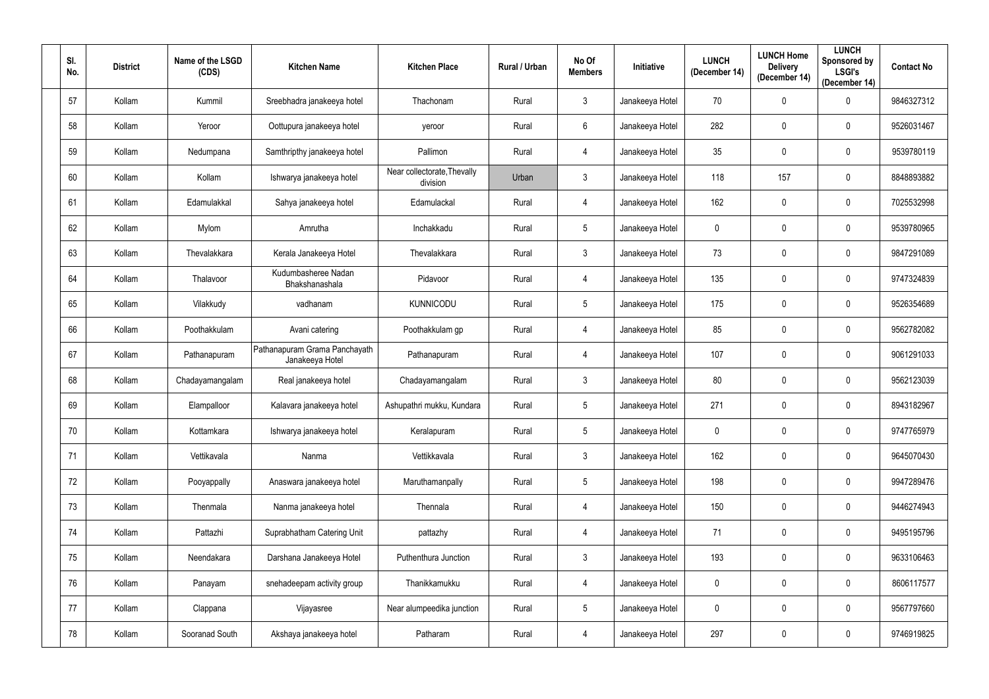| SI.<br>No. | <b>District</b> | Name of the LSGD<br>(CDS) | <b>Kitchen Name</b>                              | <b>Kitchen Place</b>                    | Rural / Urban | No Of<br><b>Members</b> | Initiative      | <b>LUNCH</b><br>(December 14) | <b>LUNCH Home</b><br><b>Delivery</b><br>(December 14) | <b>LUNCH</b><br>Sponsored by<br><b>LSGI's</b><br>(December 14) | <b>Contact No</b> |
|------------|-----------------|---------------------------|--------------------------------------------------|-----------------------------------------|---------------|-------------------------|-----------------|-------------------------------|-------------------------------------------------------|----------------------------------------------------------------|-------------------|
| 57         | Kollam          | Kummil                    | Sreebhadra janakeeya hotel                       | Thachonam                               | Rural         | $\mathfrak{Z}$          | Janakeeya Hotel | 70                            | $\mathbf 0$                                           | $\mathbf 0$                                                    | 9846327312        |
| 58         | Kollam          | Yeroor                    | Oottupura janakeeya hotel                        | yeroor                                  | Rural         | 6                       | Janakeeya Hotel | 282                           | 0                                                     | $\mathbf 0$                                                    | 9526031467        |
| 59         | Kollam          | Nedumpana                 | Samthripthy janakeeya hotel                      | Pallimon                                | Rural         | 4                       | Janakeeya Hotel | 35                            | 0                                                     | $\mathbf 0$                                                    | 9539780119        |
| 60         | Kollam          | Kollam                    | Ishwarya janakeeya hotel                         | Near collectorate, Thevally<br>division | Urban         | $\mathfrak{Z}$          | Janakeeya Hotel | 118                           | 157                                                   | $\mathbf 0$                                                    | 8848893882        |
| 61         | Kollam          | Edamulakkal               | Sahya janakeeya hotel                            | Edamulackal                             | Rural         | 4                       | Janakeeya Hotel | 162                           | $\mathbf 0$                                           | $\mathbf 0$                                                    | 7025532998        |
| 62         | Kollam          | Mylom                     | Amrutha                                          | Inchakkadu                              | Rural         | $5\phantom{.0}$         | Janakeeya Hotel | $\pmb{0}$                     | $\mathbf 0$                                           | $\mathbf 0$                                                    | 9539780965        |
| 63         | Kollam          | Thevalakkara              | Kerala Janakeeya Hotel                           | Thevalakkara                            | Rural         | $\mathfrak{Z}$          | Janakeeya Hotel | 73                            | $\mathbf 0$                                           | $\mathbf 0$                                                    | 9847291089        |
| 64         | Kollam          | Thalavoor                 | Kudumbasheree Nadan<br>Bhakshanashala            | Pidavoor                                | Rural         | 4                       | Janakeeya Hotel | 135                           | $\mathbf 0$                                           | $\mathbf 0$                                                    | 9747324839        |
| 65         | Kollam          | Vilakkudy                 | vadhanam                                         | <b>KUNNICODU</b>                        | Rural         | 5                       | Janakeeya Hotel | 175                           | 0                                                     | $\mathbf 0$                                                    | 9526354689        |
| 66         | Kollam          | Poothakkulam              | Avani catering                                   | Poothakkulam gp                         | Rural         | 4                       | Janakeeya Hotel | 85                            | $\mathbf 0$                                           | $\mathbf 0$                                                    | 9562782082        |
| 67         | Kollam          | Pathanapuram              | Pathanapuram Grama Panchayath<br>Janakeeya Hotel | Pathanapuram                            | Rural         | 4                       | Janakeeya Hotel | 107                           | $\mathbf 0$                                           | $\mathbf 0$                                                    | 9061291033        |
| 68         | Kollam          | Chadayamangalam           | Real janakeeya hotel                             | Chadayamangalam                         | Rural         | $\mathbf{3}$            | Janakeeya Hotel | 80                            | $\mathbf 0$                                           | $\mathbf 0$                                                    | 9562123039        |
| 69         | Kollam          | Elampalloor               | Kalavara janakeeya hotel                         | Ashupathri mukku, Kundara               | Rural         | $5\overline{)}$         | Janakeeya Hotel | 271                           | 0                                                     | $\mathbf 0$                                                    | 8943182967        |
| 70         | Kollam          | Kottamkara                | Ishwarya janakeeya hotel                         | Keralapuram                             | Rural         | $5\phantom{.0}$         | Janakeeya Hotel | $\pmb{0}$                     | 0                                                     | $\pmb{0}$                                                      | 9747765979        |
| 71         | Kollam          | Vettikavala               | Nanma                                            | Vettikkavala                            | Rural         | $\mathbf{3}$            | Janakeeya Hotel | 162                           | $\pmb{0}$                                             | $\mathbf 0$                                                    | 9645070430        |
| 72         | Kollam          | Pooyappally               | Anaswara janakeeya hotel                         | Maruthamanpally                         | Rural         | $5\phantom{.0}$         | Janakeeya Hotel | 198                           | $\mathbf 0$                                           | $\pmb{0}$                                                      | 9947289476        |
| 73         | Kollam          | Thenmala                  | Nanma janakeeya hotel                            | Thennala                                | Rural         | 4                       | Janakeeya Hotel | 150                           | $\pmb{0}$                                             | $\mathbf 0$                                                    | 9446274943        |
| 74         | Kollam          | Pattazhi                  | Suprabhatham Catering Unit                       | pattazhy                                | Rural         | $\overline{4}$          | Janakeeya Hotel | 71                            | $\mathbf 0$                                           | $\mathbf 0$                                                    | 9495195796        |
| 75         | Kollam          | Neendakara                | Darshana Janakeeya Hotel                         | Puthenthura Junction                    | Rural         | $\mathfrak{Z}$          | Janakeeya Hotel | 193                           | $\pmb{0}$                                             | $\mathbf 0$                                                    | 9633106463        |
| 76         | Kollam          | Panayam                   | snehadeepam activity group                       | Thanikkamukku                           | Rural         | $\overline{4}$          | Janakeeya Hotel | $\overline{0}$                | $\pmb{0}$                                             | $\pmb{0}$                                                      | 8606117577        |
| 77         | Kollam          | Clappana                  | Vijayasree                                       | Near alumpeedika junction               | Rural         | $5\phantom{.0}$         | Janakeeya Hotel | $\pmb{0}$                     | $\mathbf 0$                                           | $\mathbf 0$                                                    | 9567797660        |
| 78         | Kollam          | Sooranad South            | Akshaya janakeeya hotel                          | Patharam                                | Rural         | 4                       | Janakeeya Hotel | 297                           | $\pmb{0}$                                             | $\pmb{0}$                                                      | 9746919825        |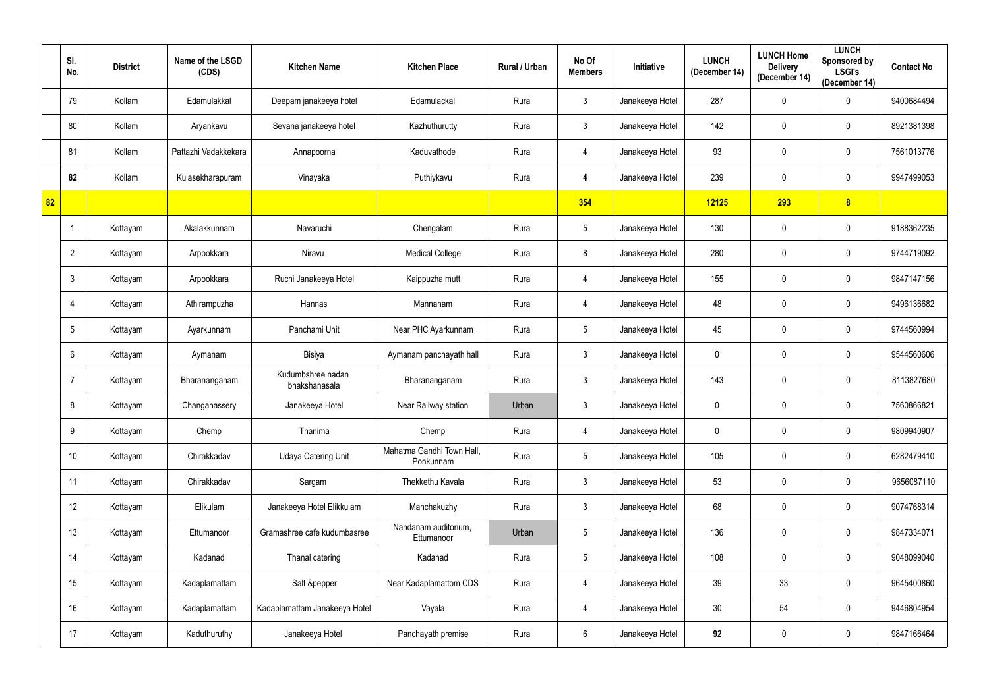|    | SI.<br>No.     | <b>District</b> | Name of the LSGD<br>(CDS) | <b>Kitchen Name</b>                | <b>Kitchen Place</b>                   | Rural / Urban | No Of<br><b>Members</b> | Initiative      | <b>LUNCH</b><br>(December 14) | <b>LUNCH Home</b><br><b>Delivery</b><br>(December 14) | <b>LUNCH</b><br>Sponsored by<br><b>LSGI's</b><br>(December 14) | <b>Contact No</b> |
|----|----------------|-----------------|---------------------------|------------------------------------|----------------------------------------|---------------|-------------------------|-----------------|-------------------------------|-------------------------------------------------------|----------------------------------------------------------------|-------------------|
|    | 79             | Kollam          | Edamulakkal               | Deepam janakeeya hotel             | Edamulackal                            | Rural         | $\mathbf{3}$            | Janakeeya Hotel | 287                           | $\mathbf 0$                                           | $\mathbf 0$                                                    | 9400684494        |
|    | 80             | Kollam          | Aryankavu                 | Sevana janakeeya hotel             | Kazhuthurutty                          | Rural         | $\mathbf{3}$            | Janakeeya Hotel | 142                           | $\mathbf 0$                                           | $\mathbf 0$                                                    | 8921381398        |
|    | 81             | Kollam          | Pattazhi Vadakkekara      | Annapoorna                         | Kaduvathode                            | Rural         | 4                       | Janakeeya Hotel | 93                            | $\mathbf 0$                                           | $\mathbf 0$                                                    | 7561013776        |
|    | 82             | Kollam          | Kulasekharapuram          | Vinayaka                           | Puthiykavu                             | Rural         | 4                       | Janakeeya Hotel | 239                           | $\mathbf 0$                                           | $\mathbf 0$                                                    | 9947499053        |
| 82 |                |                 |                           |                                    |                                        |               | 354                     |                 | 12125                         | 293                                                   | 8                                                              |                   |
|    |                | Kottayam        | Akalakkunnam              | Navaruchi                          | Chengalam                              | Rural         | $5\phantom{.0}$         | Janakeeya Hotel | 130                           | $\mathbf 0$                                           | $\mathbf 0$                                                    | 9188362235        |
|    | $\overline{2}$ | Kottayam        | Arpookkara                | Niravu                             | <b>Medical College</b>                 | Rural         | 8                       | Janakeeya Hotel | 280                           | $\mathbf 0$                                           | $\mathbf 0$                                                    | 9744719092        |
|    | 3              | Kottayam        | Arpookkara                | Ruchi Janakeeya Hotel              | Kaippuzha mutt                         | Rural         | 4                       | Janakeeya Hotel | 155                           | 0                                                     | $\mathbf 0$                                                    | 9847147156        |
|    | 4              | Kottayam        | Athirampuzha              | Hannas                             | Mannanam                               | Rural         | 4                       | Janakeeya Hotel | 48                            | $\mathbf 0$                                           | $\mathbf 0$                                                    | 9496136682        |
|    | 5              | Kottayam        | Ayarkunnam                | Panchami Unit                      | Near PHC Ayarkunnam                    | Rural         | $5\overline{)}$         | Janakeeya Hotel | 45                            | $\mathbf 0$                                           | $\mathbf 0$                                                    | 9744560994        |
|    | 6              | Kottayam        | Aymanam                   | Bisiya                             | Aymanam panchayath hall                | Rural         | 3 <sup>1</sup>          | Janakeeya Hotel | $\mathbf 0$                   | 0                                                     | $\mathbf 0$                                                    | 9544560606        |
|    | 7              | Kottayam        | Bharananganam             | Kudumbshree nadan<br>bhakshanasala | Bharananganam                          | Rural         | $\mathbf{3}$            | Janakeeya Hotel | 143                           | $\mathbf 0$                                           | $\mathbf 0$                                                    | 8113827680        |
|    | 8              | Kottayam        | Changanassery             | Janakeeya Hotel                    | Near Railway station                   | Urban         | $\mathbf{3}$            | Janakeeya Hotel | $\mathbf 0$                   | $\mathbf 0$                                           | $\mathbf 0$                                                    | 7560866821        |
|    | 9              | Kottayam        | Chemp                     | Thanima                            | Chemp                                  | Rural         | $\overline{4}$          | Janakeeya Hotel | $\mathbf 0$                   | $\mathbf 0$                                           | $\mathbf 0$                                                    | 9809940907        |
|    | 10             | Kottayam        | Chirakkadav               | <b>Udaya Catering Unit</b>         | Mahatma Gandhi Town Hall,<br>Ponkunnam | Rural         | $5\overline{)}$         | Janakeeya Hotel | 105                           | $\mathbf 0$                                           | $\pmb{0}$                                                      | 6282479410        |
|    | 11             | Kottayam        | Chirakkadav               | Sargam                             | Thekkethu Kavala                       | Rural         | 3 <sup>1</sup>          | Janakeeya Hotel | 53                            | $\mathbf 0$                                           | $\mathbf 0$                                                    | 9656087110        |
|    | 12             | Kottayam        | Elikulam                  | Janakeeya Hotel Elikkulam          | Manchakuzhy                            | Rural         | 3 <sup>1</sup>          | Janakeeya Hotel | 68                            | $\mathbf 0$                                           | $\pmb{0}$                                                      | 9074768314        |
|    | 13             | Kottayam        | Ettumanoor                | Gramashree cafe kudumbasree        | Nandanam auditorium,<br>Ettumanoor     | Urban         | $5\phantom{.0}$         | Janakeeya Hotel | 136                           | $\pmb{0}$                                             | $\pmb{0}$                                                      | 9847334071        |
|    | 14             | Kottayam        | Kadanad                   | Thanal catering                    | Kadanad                                | Rural         | $5\phantom{.0}$         | Janakeeya Hotel | 108                           | $\mathbf 0$                                           | $\pmb{0}$                                                      | 9048099040        |
|    | 15             | Kottayam        | Kadaplamattam             | Salt &pepper                       | Near Kadaplamattom CDS                 | Rural         | 4                       | Janakeeya Hotel | 39                            | 33                                                    | $\pmb{0}$                                                      | 9645400860        |
|    | 16             | Kottayam        | Kadaplamattam             | Kadaplamattam Janakeeya Hotel      | Vayala                                 | Rural         | 4                       | Janakeeya Hotel | 30                            | 54                                                    | $\mathbf 0$                                                    | 9446804954        |
|    | 17             | Kottayam        | Kaduthuruthy              | Janakeeya Hotel                    | Panchayath premise                     | Rural         | $6\overline{6}$         | Janakeeya Hotel | 92                            | $\overline{0}$                                        | $\pmb{0}$                                                      | 9847166464        |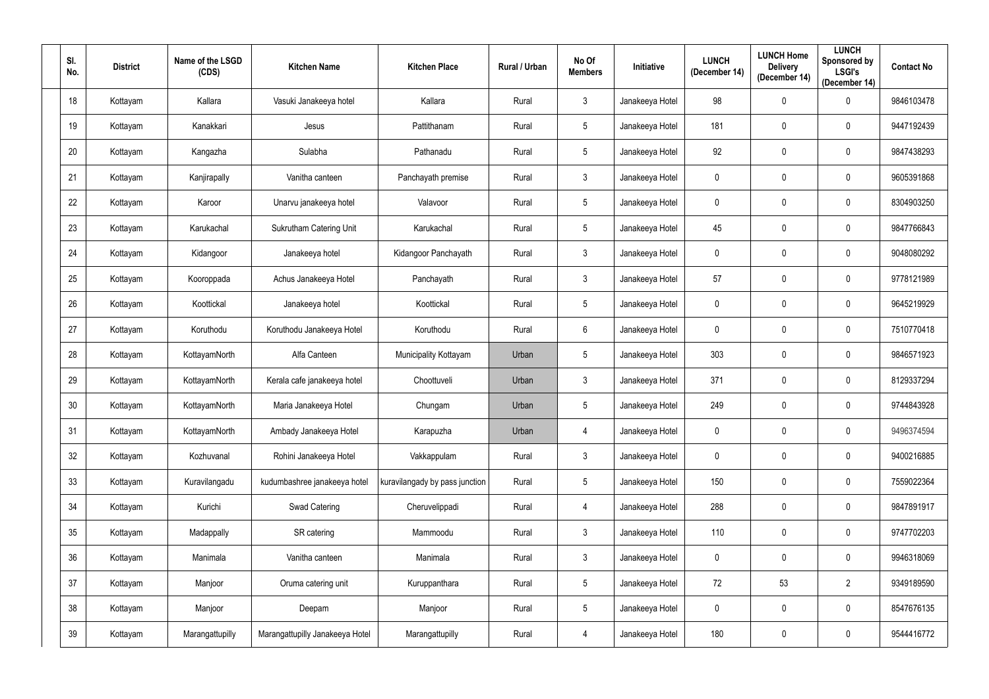| SI.<br>No. | <b>District</b> | Name of the LSGD<br>(CDS) | <b>Kitchen Name</b>             | <b>Kitchen Place</b>           | Rural / Urban | No Of<br><b>Members</b> | Initiative      | <b>LUNCH</b><br>(December 14) | <b>LUNCH Home</b><br><b>Delivery</b><br>(December 14) | <b>LUNCH</b><br>Sponsored by<br><b>LSGI's</b><br>(December 14) | <b>Contact No</b> |
|------------|-----------------|---------------------------|---------------------------------|--------------------------------|---------------|-------------------------|-----------------|-------------------------------|-------------------------------------------------------|----------------------------------------------------------------|-------------------|
| 18         | Kottayam        | Kallara                   | Vasuki Janakeeya hotel          | Kallara                        | Rural         | $3\phantom{.0}$         | Janakeeya Hotel | 98                            | $\mathbf 0$                                           | $\mathbf 0$                                                    | 9846103478        |
| 19         | Kottayam        | Kanakkari                 | Jesus                           | Pattithanam                    | Rural         | $5\phantom{.0}$         | Janakeeya Hotel | 181                           | $\mathbf 0$                                           | $\mathbf 0$                                                    | 9447192439        |
| 20         | Kottayam        | Kangazha                  | Sulabha                         | Pathanadu                      | Rural         | $5\phantom{.0}$         | Janakeeya Hotel | 92                            | $\mathbf 0$                                           | $\mathbf 0$                                                    | 9847438293        |
| 21         | Kottayam        | Kanjirapally              | Vanitha canteen                 | Panchayath premise             | Rural         | $\mathbf{3}$            | Janakeeya Hotel | $\overline{0}$                | $\mathbf 0$                                           | $\mathbf 0$                                                    | 9605391868        |
| 22         | Kottayam        | Karoor                    | Unarvu janakeeya hotel          | Valavoor                       | Rural         | $5\phantom{.0}$         | Janakeeya Hotel | $\overline{0}$                | $\mathbf 0$                                           | $\mathbf 0$                                                    | 8304903250        |
| 23         | Kottayam        | Karukachal                | <b>Sukrutham Catering Unit</b>  | Karukachal                     | Rural         | $5\phantom{.0}$         | Janakeeya Hotel | 45                            | $\mathbf 0$                                           | $\mathbf 0$                                                    | 9847766843        |
| 24         | Kottayam        | Kidangoor                 | Janakeeya hotel                 | Kidangoor Panchayath           | Rural         | $3\phantom{.0}$         | Janakeeya Hotel | $\overline{0}$                | $\mathbf 0$                                           | $\mathbf 0$                                                    | 9048080292        |
| 25         | Kottayam        | Kooroppada                | Achus Janakeeya Hotel           | Panchayath                     | Rural         | $3\phantom{.0}$         | Janakeeya Hotel | 57                            | $\mathbf 0$                                           | $\mathbf 0$                                                    | 9778121989        |
| 26         | Kottayam        | Koottickal                | Janakeeya hotel                 | Koottickal                     | Rural         | $5\overline{)}$         | Janakeeya Hotel | $\overline{0}$                | $\mathbf 0$                                           | $\mathbf 0$                                                    | 9645219929        |
| 27         | Kottayam        | Koruthodu                 | Koruthodu Janakeeya Hotel       | Koruthodu                      | Rural         | 6                       | Janakeeya Hotel | $\overline{0}$                | $\mathbf 0$                                           | $\mathbf 0$                                                    | 7510770418        |
| 28         | Kottayam        | KottayamNorth             | Alfa Canteen                    | Municipality Kottayam          | Urban         | $5\overline{)}$         | Janakeeya Hotel | 303                           | $\mathbf 0$                                           | $\mathbf 0$                                                    | 9846571923        |
| 29         | Kottayam        | KottayamNorth             | Kerala cafe janakeeya hotel     | Choottuveli                    | Urban         | $3\phantom{.0}$         | Janakeeya Hotel | 371                           | $\mathbf 0$                                           | $\mathbf 0$                                                    | 8129337294        |
| 30         | Kottayam        | KottayamNorth             | Maria Janakeeya Hotel           | Chungam                        | Urban         | 5                       | Janakeeya Hotel | 249                           | $\mathbf 0$                                           | $\mathbf 0$                                                    | 9744843928        |
| 31         | Kottayam        | KottayamNorth             | Ambady Janakeeya Hotel          | Karapuzha                      | Urban         | $\overline{4}$          | Janakeeya Hotel | $\mathbf 0$                   | $\mathbf 0$                                           | $\mathbf 0$                                                    | 9496374594        |
| 32         | Kottayam        | Kozhuvanal                | Rohini Janakeeya Hotel          | Vakkappulam                    | Rural         | 3 <sup>1</sup>          | Janakeeya Hotel | $\mathbf 0$                   | $\mathbf 0$                                           | $\mathbf 0$                                                    | 9400216885        |
| 33         | Kottayam        | Kuravilangadu             | kudumbashree janakeeya hotel    | kuravilangady by pass junction | Rural         | $5\phantom{.0}$         | Janakeeya Hotel | 150                           | $\pmb{0}$                                             | $\mathbf 0$                                                    | 7559022364        |
| 34         | Kottayam        | Kurichi                   | Swad Catering                   | Cheruvelippadi                 | Rural         | $\overline{4}$          | Janakeeya Hotel | 288                           | $\pmb{0}$                                             | $\mathbf 0$                                                    | 9847891917        |
| 35         | Kottayam        | Madappally                | SR catering                     | Mammoodu                       | Rural         | 3 <sup>1</sup>          | Janakeeya Hotel | 110                           | $\pmb{0}$                                             | $\mathbf 0$                                                    | 9747702203        |
| 36         | Kottayam        | Manimala                  | Vanitha canteen                 | Manimala                       | Rural         | $\mathfrak{Z}$          | Janakeeya Hotel | $\mathbf 0$                   | $\mathbf 0$                                           | $\mathbf 0$                                                    | 9946318069        |
| 37         | Kottayam        | Manjoor                   | Oruma catering unit             | Kuruppanthara                  | Rural         | 5 <sub>5</sub>          | Janakeeya Hotel | 72                            | 53                                                    | $\overline{2}$                                                 | 9349189590        |
| 38         | Kottayam        | Manjoor                   | Deepam                          | Manjoor                        | Rural         | $5\phantom{.0}$         | Janakeeya Hotel | $\overline{0}$                | $\pmb{0}$                                             | $\mathbf 0$                                                    | 8547676135        |
| 39         | Kottayam        | Marangattupilly           | Marangattupilly Janakeeya Hotel | Marangattupilly                | Rural         | $\overline{4}$          | Janakeeya Hotel | 180                           | $\pmb{0}$                                             | $\pmb{0}$                                                      | 9544416772        |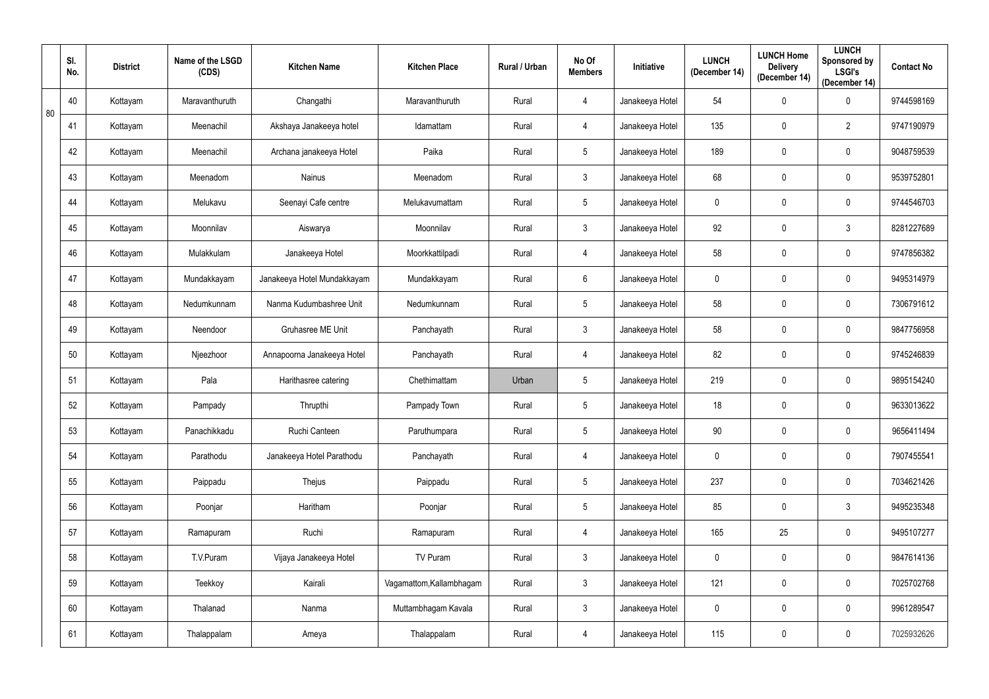|    | SI.<br>No. | <b>District</b> | Name of the LSGD<br>(CDS) | <b>Kitchen Name</b>         | <b>Kitchen Place</b>     | Rural / Urban | No Of<br><b>Members</b> | Initiative      | <b>LUNCH</b><br>(December 14) | <b>LUNCH Home</b><br><b>Delivery</b><br>(December 14) | <b>LUNCH</b><br>Sponsored by<br><b>LSGI's</b><br>(December 14) | <b>Contact No</b> |
|----|------------|-----------------|---------------------------|-----------------------------|--------------------------|---------------|-------------------------|-----------------|-------------------------------|-------------------------------------------------------|----------------------------------------------------------------|-------------------|
| 80 | 40         | Kottayam        | Maravanthuruth            | Changathi                   | Maravanthuruth           | Rural         | 4                       | Janakeeya Hotel | 54                            | $\mathbf 0$                                           | $\mathbf 0$                                                    | 9744598169        |
|    | 41         | Kottayam        | Meenachil                 | Akshaya Janakeeya hotel     | Idamattam                | Rural         | 4                       | Janakeeya Hotel | 135                           | 0                                                     | $\overline{2}$                                                 | 9747190979        |
|    | 42         | Kottayam        | Meenachil                 | Archana janakeeya Hotel     | Paika                    | Rural         | $5\phantom{.0}$         | Janakeeya Hotel | 189                           | $\pmb{0}$                                             | 0                                                              | 9048759539        |
|    | 43         | Kottayam        | Meenadom                  | Nainus                      | Meenadom                 | Rural         | $\mathfrak{Z}$          | Janakeeya Hotel | 68                            | 0                                                     | 0                                                              | 9539752801        |
|    | 44         | Kottayam        | Melukavu                  | Seenayi Cafe centre         | Melukavumattam           | Rural         | $5\phantom{.0}$         | Janakeeya Hotel | $\mathbf 0$                   | $\mathbf 0$                                           | 0                                                              | 9744546703        |
|    | 45         | Kottayam        | Moonnilav                 | Aiswarya                    | Moonnilav                | Rural         | $\mathbf{3}$            | Janakeeya Hotel | 92                            | $\mathbf 0$                                           | $\mathfrak{Z}$                                                 | 8281227689        |
|    | 46         | Kottayam        | Mulakkulam                | Janakeeya Hotel             | Moorkkattilpadi          | Rural         | 4                       | Janakeeya Hotel | 58                            | $\pmb{0}$                                             | 0                                                              | 9747856382        |
|    | 47         | Kottayam        | Mundakkayam               | Janakeeya Hotel Mundakkayam | Mundakkayam              | Rural         | 6                       | Janakeeya Hotel | $\mathbf 0$                   | $\mathbf 0$                                           | 0                                                              | 9495314979        |
|    | 48         | Kottayam        | Nedumkunnam               | Nanma Kudumbashree Unit     | Nedumkunnam              | Rural         | $5\overline{)}$         | Janakeeya Hotel | 58                            | 0                                                     | $\mathbf 0$                                                    | 7306791612        |
|    | 49         | Kottayam        | Neendoor                  | Gruhasree ME Unit           | Panchayath               | Rural         | $\mathbf{3}$            | Janakeeya Hotel | 58                            | $\pmb{0}$                                             | 0                                                              | 9847756958        |
|    | 50         | Kottayam        | Njeezhoor                 | Annapoorna Janakeeya Hotel  | Panchayath               | Rural         | 4                       | Janakeeya Hotel | 82                            | $\mathbf 0$                                           | $\mathbf 0$                                                    | 9745246839        |
|    | 51         | Kottayam        | Pala                      | Harithasree catering        | Chethimattam             | Urban         | $5\phantom{.0}$         | Janakeeya Hotel | 219                           | $\pmb{0}$                                             | 0                                                              | 9895154240        |
|    | 52         | Kottayam        | Pampady                   | Thrupthi                    | Pampady Town             | Rural         | 5                       | Janakeeya Hotel | 18                            | $\mathbf 0$                                           | $\mathbf 0$                                                    | 9633013622        |
|    | 53         | Kottayam        | Panachikkadu              | Ruchi Canteen               | Paruthumpara             | Rural         | $5\phantom{.0}$         | Janakeeya Hotel | 90                            | $\pmb{0}$                                             | $\mathbf 0$                                                    | 9656411494        |
|    | 54         | Kottayam        | Parathodu                 | Janakeeya Hotel Parathodu   | Panchayath               | Rural         | $\overline{4}$          | Janakeeya Hotel | $\overline{0}$                | $\pmb{0}$                                             | $\mathbf 0$                                                    | 7907455541        |
|    | 55         | Kottayam        | Paippadu                  | Thejus                      | Paippadu                 | Rural         | $5\phantom{.0}$         | Janakeeya Hotel | 237                           | $\pmb{0}$                                             | $\mathbf 0$                                                    | 7034621426        |
|    | 56         | Kottayam        | Poonjar                   | Haritham                    | Poonjar                  | Rural         | $5\phantom{.0}$         | Janakeeya Hotel | 85                            | $\pmb{0}$                                             | $\mathfrak{Z}$                                                 | 9495235348        |
|    | 57         | Kottayam        | Ramapuram                 | Ruchi                       | Ramapuram                | Rural         | $\overline{4}$          | Janakeeya Hotel | 165                           | 25                                                    | $\mathbf 0$                                                    | 9495107277        |
|    | 58         | Kottayam        | T.V.Puram                 | Vijaya Janakeeya Hotel      | TV Puram                 | Rural         | $\mathbf{3}$            | Janakeeya Hotel | $\mathbf 0$                   | $\pmb{0}$                                             | $\mathbf 0$                                                    | 9847614136        |
|    | 59         | Kottayam        | Teekkoy                   | Kairali                     | Vagamattom, Kallambhagam | Rural         | 3 <sup>1</sup>          | Janakeeya Hotel | 121                           | $\mathbf 0$                                           | $\mathbf 0$                                                    | 7025702768        |
|    | 60         | Kottayam        | Thalanad                  | Nanma                       | Muttambhagam Kavala      | Rural         | $\mathbf{3}$            | Janakeeya Hotel | $\mathbf 0$                   | $\pmb{0}$                                             | $\mathbf 0$                                                    | 9961289547        |
|    | 61         | Kottayam        | Thalappalam               | Ameya                       | Thalappalam              | Rural         | $\overline{4}$          | Janakeeya Hotel | 115                           | $\pmb{0}$                                             | $\pmb{0}$                                                      | 7025932626        |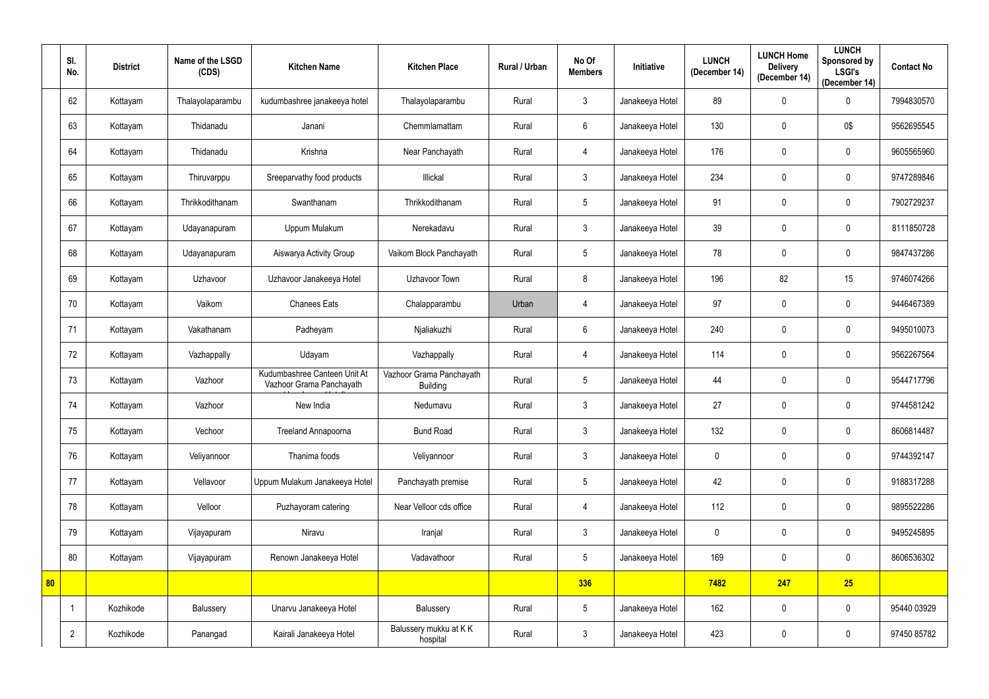|    | SI.<br>No.     | <b>District</b> | Name of the LSGD<br>(CDS) | <b>Kitchen Name</b>                                      | <b>Kitchen Place</b>                        | Rural / Urban | No Of<br><b>Members</b> | Initiative      | <b>LUNCH</b><br>(December 14) | <b>LUNCH Home</b><br><b>Delivery</b><br>(December 14) | <b>LUNCH</b><br>Sponsored by<br><b>LSGI's</b><br>(December 14) | <b>Contact No</b> |
|----|----------------|-----------------|---------------------------|----------------------------------------------------------|---------------------------------------------|---------------|-------------------------|-----------------|-------------------------------|-------------------------------------------------------|----------------------------------------------------------------|-------------------|
|    | 62             | Kottayam        | Thalayolaparambu          | kudumbashree janakeeya hotel                             | Thalayolaparambu                            | Rural         | $\mathbf{3}$            | Janakeeya Hotel | 89                            | $\mathbf 0$                                           | $\mathbf 0$                                                    | 7994830570        |
|    | 63             | Kottayam        | Thidanadu                 | Janani                                                   | Chemmlamattam                               | Rural         | 6                       | Janakeeya Hotel | 130                           | $\mathbf 0$                                           | 0\$                                                            | 9562695545        |
|    | 64             | Kottayam        | Thidanadu                 | Krishna                                                  | Near Panchayath                             | Rural         | 4                       | Janakeeya Hotel | 176                           | 0                                                     | $\mathbf 0$                                                    | 9605565960        |
|    | 65             | Kottayam        | Thiruvarppu               | Sreeparvathy food products                               | Illickal                                    | Rural         | $\mathfrak{Z}$          | Janakeeya Hotel | 234                           | 0                                                     | $\mathbf 0$                                                    | 9747289846        |
|    | 66             | Kottayam        | Thrikkodithanam           | Swanthanam                                               | Thrikkodithanam                             | Rural         | $5\phantom{.0}$         | Janakeeya Hotel | 91                            | $\mathbf 0$                                           | $\mathbf 0$                                                    | 7902729237        |
|    | 67             | Kottayam        | Udayanapuram              | Uppum Mulakum                                            | Nerekadavu                                  | Rural         | 3                       | Janakeeya Hotel | 39                            | $\mathbf 0$                                           | $\mathbf 0$                                                    | 8111850728        |
|    | 68             | Kottayam        | Udayanapuram              | Aiswarya Activity Group                                  | Vaikom Block Panchayath                     | Rural         | 5                       | Janakeeya Hotel | 78                            | $\mathbf 0$                                           | $\mathbf 0$                                                    | 9847437286        |
|    | 69             | Kottayam        | Uzhavoor                  | Uzhavoor Janakeeya Hotel                                 | Uzhavoor Town                               | Rural         | 8                       | Janakeeya Hotel | 196                           | 82                                                    | 15                                                             | 9746074266        |
|    | 70             | Kottayam        | Vaikom                    | <b>Chanees Eats</b>                                      | Chalapparambu                               | Urban         | 4                       | Janakeeya Hotel | 97                            | $\mathbf 0$                                           | $\mathbf 0$                                                    | 9446467389        |
|    | 71             | Kottayam        | Vakathanam                | Padheyam                                                 | Njaliakuzhi                                 | Rural         | $6^{\circ}$             | Janakeeya Hotel | 240                           | $\mathbf 0$                                           | $\mathbf 0$                                                    | 9495010073        |
|    | 72             | Kottayam        | Vazhappally               | Udayam                                                   | Vazhappally                                 | Rural         | 4                       | Janakeeya Hotel | 114                           | 0                                                     | $\mathbf 0$                                                    | 9562267564        |
|    | 73             | Kottayam        | Vazhoor                   | Kudumbashree Canteen Unit At<br>Vazhoor Grama Panchayath | Vazhoor Grama Panchayath<br><b>Building</b> | Rural         | 5                       | Janakeeya Hotel | 44                            | $\boldsymbol{0}$                                      | $\mathbf 0$                                                    | 9544717796        |
|    | 74             | Kottayam        | Vazhoor                   | New India                                                | Nedumavu                                    | Rural         | 3                       | Janakeeya Hotel | 27                            | 0                                                     | $\mathbf 0$                                                    | 9744581242        |
|    | 75             | Kottayam        | Vechoor                   | Treeland Annapoorna                                      | <b>Bund Road</b>                            | Rural         | $\mathbf{3}$            | Janakeeya Hotel | 132                           | $\mathbf 0$                                           | $\mathbf 0$                                                    | 8606814487        |
|    | 76             | Kottayam        | Veliyannoor               | Thanima foods                                            | Veliyannoor                                 | Rural         | 3 <sup>1</sup>          | Janakeeya Hotel | $\mathbf 0$                   | $\mathbf 0$                                           | $\mathbf 0$                                                    | 9744392147        |
|    | 77             | Kottayam        | Vellavoor                 | Uppum Mulakum Janakeeya Hotel                            | Panchayath premise                          | Rural         | $5\phantom{.0}$         | Janakeeya Hotel | 42                            | $\boldsymbol{0}$                                      | $\pmb{0}$                                                      | 9188317288        |
|    | 78             | Kottayam        | Velloor                   | Puzhayoram catering                                      | Near Velloor cds office                     | Rural         | $\overline{4}$          | Janakeeya Hotel | 112                           | $\boldsymbol{0}$                                      | $\pmb{0}$                                                      | 9895522286        |
|    | 79             | Kottayam        | Vijayapuram               | Niravu                                                   | Iranjal                                     | Rural         | 3 <sup>1</sup>          | Janakeeya Hotel | $\overline{0}$                | $\mathbf 0$                                           | $\pmb{0}$                                                      | 9495245895        |
|    | 80             | Kottayam        | Vijayapuram               | Renown Janakeeya Hotel                                   | Vadavathoor                                 | Rural         | $5\phantom{.0}$         | Janakeeya Hotel | 169                           | $\pmb{0}$                                             | $\pmb{0}$                                                      | 8606536302        |
| 80 |                |                 |                           |                                                          |                                             |               | 336                     |                 | 7482                          | 247                                                   | 25                                                             |                   |
|    |                | Kozhikode       | Balussery                 | Unarvu Janakeeya Hotel                                   | Balussery                                   | Rural         | 5 <sup>5</sup>          | Janakeeya Hotel | 162                           | $\boldsymbol{0}$                                      | $\pmb{0}$                                                      | 95440 03929       |
|    | $\overline{2}$ | Kozhikode       | Panangad                  | Kairali Janakeeya Hotel                                  | Balussery mukku at KK<br>hospital           | Rural         | 3 <sup>1</sup>          | Janakeeya Hotel | 423                           | $\pmb{0}$                                             | $\pmb{0}$                                                      | 97450 85782       |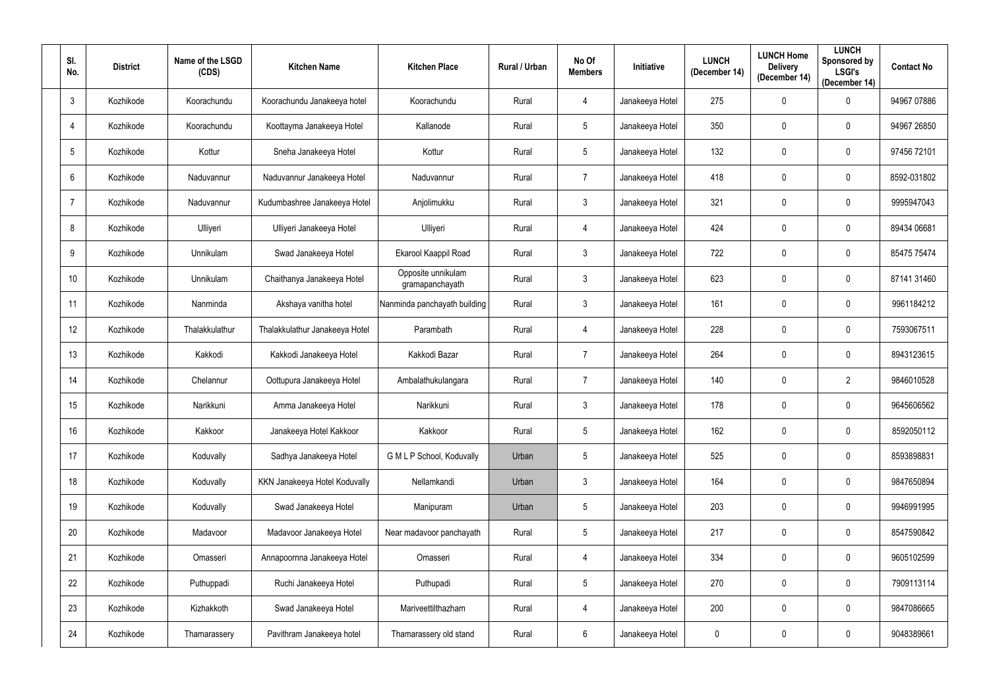| SI.<br>No.      | <b>District</b> | Name of the LSGD<br>(CDS) | <b>Kitchen Name</b>            | <b>Kitchen Place</b>                  | Rural / Urban | No Of<br><b>Members</b> | Initiative      | <b>LUNCH</b><br>(December 14) | <b>LUNCH Home</b><br><b>Delivery</b><br>(December 14) | <b>LUNCH</b><br>Sponsored by<br><b>LSGI's</b><br>(December 14) | <b>Contact No</b> |
|-----------------|-----------------|---------------------------|--------------------------------|---------------------------------------|---------------|-------------------------|-----------------|-------------------------------|-------------------------------------------------------|----------------------------------------------------------------|-------------------|
| $\mathbf{3}$    | Kozhikode       | Koorachundu               | Koorachundu Janakeeya hotel    | Koorachundu                           | Rural         | 4                       | Janakeeya Hotel | 275                           | $\mathbf 0$                                           | $\mathbf 0$                                                    | 94967 07886       |
| $\overline{4}$  | Kozhikode       | Koorachundu               | Koottayma Janakeeya Hotel      | Kallanode                             | Rural         | 5                       | Janakeeya Hotel | 350                           | $\mathbf 0$                                           | 0                                                              | 94967 26850       |
| $5\phantom{.0}$ | Kozhikode       | Kottur                    | Sneha Janakeeya Hotel          | Kottur                                | Rural         | 5                       | Janakeeya Hotel | 132                           | $\mathbf 0$                                           | 0                                                              | 97456 72101       |
| $6\phantom{.}$  | Kozhikode       | Naduvannur                | Naduvannur Janakeeya Hotel     | Naduvannur                            | Rural         | $\overline{7}$          | Janakeeya Hotel | 418                           | $\mathbf 0$                                           | $\mathbf 0$                                                    | 8592-031802       |
| $\overline{7}$  | Kozhikode       | Naduvannur                | Kudumbashree Janakeeya Hotel   | Anjolimukku                           | Rural         | $3\phantom{.0}$         | Janakeeya Hotel | 321                           | $\mathbf 0$                                           | $\mathbf 0$                                                    | 9995947043        |
| 8               | Kozhikode       | Ulliyeri                  | Ulliyeri Janakeeya Hotel       | Ulliyeri                              | Rural         | 4                       | Janakeeya Hotel | 424                           | $\mathbf 0$                                           | $\mathbf 0$                                                    | 89434 06681       |
| 9               | Kozhikode       | Unnikulam                 | Swad Janakeeya Hotel           | Ekarool Kaappil Road                  | Rural         | $3\phantom{.0}$         | Janakeeya Hotel | 722                           | $\mathbf 0$                                           | 0                                                              | 85475 75474       |
| 10              | Kozhikode       | Unnikulam                 | Chaithanya Janakeeya Hotel     | Opposite unnikulam<br>gramapanchayath | Rural         | $\mathfrak{Z}$          | Janakeeya Hotel | 623                           | $\mathbf 0$                                           | 0                                                              | 87141 31460       |
| 11              | Kozhikode       | Nanminda                  | Akshaya vanitha hotel          | Nanminda panchayath building          | Rural         | $\mathbf{3}$            | Janakeeya Hotel | 161                           | $\mathbf 0$                                           | $\mathbf 0$                                                    | 9961184212        |
| 12              | Kozhikode       | Thalakkulathur            | Thalakkulathur Janakeeya Hotel | Parambath                             | Rural         | 4                       | Janakeeya Hotel | 228                           | $\mathbf 0$                                           | 0                                                              | 7593067511        |
| 13              | Kozhikode       | Kakkodi                   | Kakkodi Janakeeya Hotel        | Kakkodi Bazar                         | Rural         | 7                       | Janakeeya Hotel | 264                           | $\mathbf 0$                                           | $\mathbf 0$                                                    | 8943123615        |
| 14              | Kozhikode       | Chelannur                 | Oottupura Janakeeya Hotel      | Ambalathukulangara                    | Rural         | $\overline{7}$          | Janakeeya Hotel | 140                           | $\mathbf 0$                                           | $\overline{2}$                                                 | 9846010528        |
| 15              | Kozhikode       | Narikkuni                 | Amma Janakeeya Hotel           | Narikkuni                             | Rural         | $\mathfrak{Z}$          | Janakeeya Hotel | 178                           | $\mathbf 0$                                           | $\mathbf 0$                                                    | 9645606562        |
| 16              | Kozhikode       | Kakkoor                   | Janakeeya Hotel Kakkoor        | Kakkoor                               | Rural         | 5                       | Janakeeya Hotel | 162                           | $\mathbf 0$                                           | $\mathbf 0$                                                    | 8592050112        |
| 17              | Kozhikode       | Koduvally                 | Sadhya Janakeeya Hotel         | G M L P School, Koduvally             | Urban         | $5\phantom{.0}$         | Janakeeya Hotel | 525                           | $\mathbf 0$                                           | $\mathbf 0$                                                    | 8593898831        |
| 18              | Kozhikode       | Koduvally                 | KKN Janakeeya Hotel Koduvally  | Nellamkandi                           | Urban         | 3 <sup>1</sup>          | Janakeeya Hotel | 164                           | $\mathbf 0$                                           | $\mathbf 0$                                                    | 9847650894        |
| 19              | Kozhikode       | Koduvally                 | Swad Janakeeya Hotel           | Manipuram                             | Urban         | 5                       | Janakeeya Hotel | 203                           | $\pmb{0}$                                             | $\mathbf 0$                                                    | 9946991995        |
| $20\,$          | Kozhikode       | Madavoor                  | Madavoor Janakeeya Hotel       | Near madavoor panchayath              | Rural         | $5\phantom{.0}$         | Janakeeya Hotel | 217                           | $\pmb{0}$                                             | $\pmb{0}$                                                      | 8547590842        |
| 21              | Kozhikode       | Omasseri                  | Annapoornna Janakeeya Hotel    | Omasseri                              | Rural         | $\overline{4}$          | Janakeeya Hotel | 334                           | $\mathbf 0$                                           | $\mathbf 0$                                                    | 9605102599        |
| 22              | Kozhikode       | Puthuppadi                | Ruchi Janakeeya Hotel          | Puthupadi                             | Rural         | 5 <sup>5</sup>          | Janakeeya Hotel | 270                           | $\pmb{0}$                                             | $\mathbf 0$                                                    | 7909113114        |
| 23              | Kozhikode       | Kizhakkoth                | Swad Janakeeya Hotel           | Mariveettilthazham                    | Rural         | $\overline{4}$          | Janakeeya Hotel | 200                           | $\pmb{0}$                                             | $\mathbf 0$                                                    | 9847086665        |
| 24              | Kozhikode       | Thamarassery              | Pavithram Janakeeya hotel      | Thamarassery old stand                | Rural         | $6\phantom{.0}$         | Janakeeya Hotel | $\overline{0}$                | $\pmb{0}$                                             | $\pmb{0}$                                                      | 9048389661        |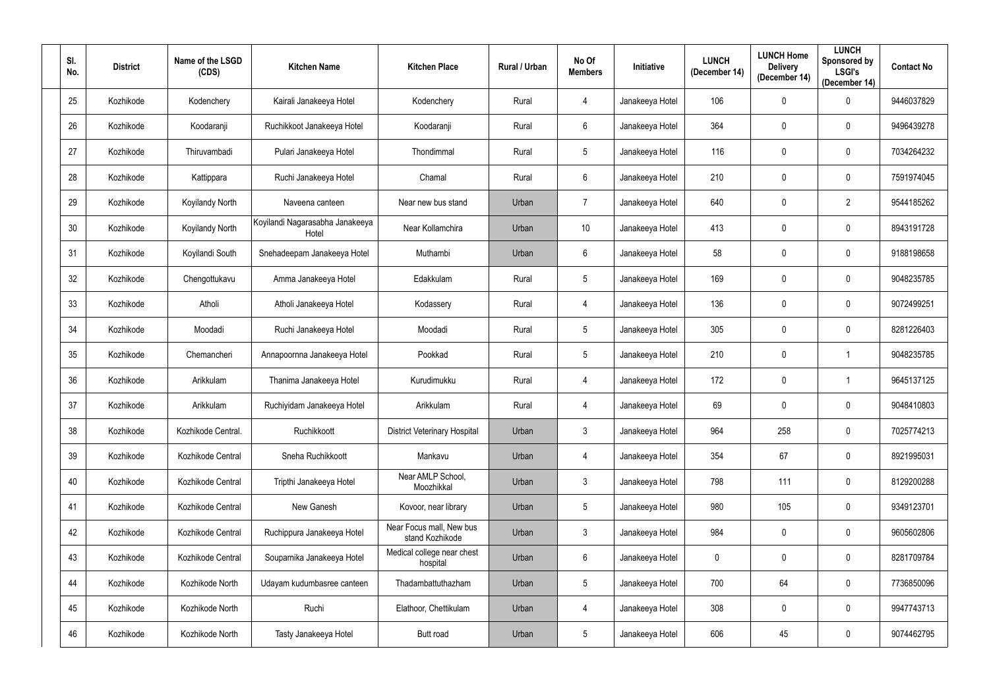| SI.<br>No. | <b>District</b> | Name of the LSGD<br>(CDS) | <b>Kitchen Name</b>                      | <b>Kitchen Place</b>                        | Rural / Urban | No Of<br><b>Members</b> | Initiative      | <b>LUNCH</b><br>(December 14) | <b>LUNCH Home</b><br><b>Delivery</b><br>(December 14) | <b>LUNCH</b><br>Sponsored by<br><b>LSGI's</b><br>(December 14) | <b>Contact No</b> |
|------------|-----------------|---------------------------|------------------------------------------|---------------------------------------------|---------------|-------------------------|-----------------|-------------------------------|-------------------------------------------------------|----------------------------------------------------------------|-------------------|
| 25         | Kozhikode       | Kodenchery                | Kairali Janakeeya Hotel                  | Kodenchery                                  | Rural         | 4                       | Janakeeya Hotel | 106                           | $\mathbf 0$                                           | $\mathbf 0$                                                    | 9446037829        |
| 26         | Kozhikode       | Koodaranji                | Ruchikkoot Janakeeya Hotel               | Koodaranji                                  | Rural         | $6\phantom{.}$          | Janakeeya Hotel | 364                           | $\mathbf 0$                                           | $\mathbf 0$                                                    | 9496439278        |
| 27         | Kozhikode       | Thiruvambadi              | Pulari Janakeeya Hotel                   | Thondimmal                                  | Rural         | $5\phantom{.0}$         | Janakeeya Hotel | 116                           | $\mathbf 0$                                           | $\mathbf 0$                                                    | 7034264232        |
| 28         | Kozhikode       | Kattippara                | Ruchi Janakeeya Hotel                    | Chamal                                      | Rural         | $6\phantom{.}$          | Janakeeya Hotel | 210                           | $\mathbf 0$                                           | $\mathbf 0$                                                    | 7591974045        |
| 29         | Kozhikode       | <b>Koyilandy North</b>    | Naveena canteen                          | Near new bus stand                          | Urban         | $\overline{7}$          | Janakeeya Hotel | 640                           | $\mathbf 0$                                           | $\overline{2}$                                                 | 9544185262        |
| 30         | Kozhikode       | <b>Koyilandy North</b>    | Koyilandi Nagarasabha Janakeeya<br>Hotel | Near Kollamchira                            | Urban         | 10                      | Janakeeya Hotel | 413                           | $\mathbf 0$                                           | $\mathbf 0$                                                    | 8943191728        |
| 31         | Kozhikode       | Koyilandi South           | Snehadeepam Janakeeya Hotel              | Muthambi                                    | Urban         | 6                       | Janakeeya Hotel | 58                            | $\mathbf 0$                                           | $\mathbf 0$                                                    | 9188198658        |
| 32         | Kozhikode       | Chengottukavu             | Amma Janakeeya Hotel                     | Edakkulam                                   | Rural         | $5\overline{)}$         | Janakeeya Hotel | 169                           | $\mathbf 0$                                           | $\mathbf 0$                                                    | 9048235785        |
| 33         | Kozhikode       | Atholi                    | Atholi Janakeeya Hotel                   | Kodassery                                   | Rural         | 4                       | Janakeeya Hotel | 136                           | $\mathbf 0$                                           | $\mathbf 0$                                                    | 9072499251        |
| 34         | Kozhikode       | Moodadi                   | Ruchi Janakeeya Hotel                    | Moodadi                                     | Rural         | $5\phantom{.0}$         | Janakeeya Hotel | 305                           | $\mathbf 0$                                           | $\mathbf 0$                                                    | 8281226403        |
| 35         | Kozhikode       | Chemancheri               | Annapoornna Janakeeya Hotel              | Pookkad                                     | Rural         | $5\overline{)}$         | Janakeeya Hotel | 210                           | $\mathbf 0$                                           |                                                                | 9048235785        |
| 36         | Kozhikode       | Arikkulam                 | Thanima Janakeeya Hotel                  | Kurudimukku                                 | Rural         | 4                       | Janakeeya Hotel | 172                           | $\mathbf 0$                                           |                                                                | 9645137125        |
| 37         | Kozhikode       | Arikkulam                 | Ruchiyidam Janakeeya Hotel               | Arikkulam                                   | Rural         | 4                       | Janakeeya Hotel | 69                            | $\mathbf 0$                                           | $\mathbf 0$                                                    | 9048410803        |
| 38         | Kozhikode       | Kozhikode Central.        | Ruchikkoott                              | <b>District Veterinary Hospital</b>         | Urban         | $\mathfrak{Z}$          | Janakeeya Hotel | 964                           | 258                                                   | $\mathbf 0$                                                    | 7025774213        |
| 39         | Kozhikode       | Kozhikode Central         | Sneha Ruchikkoott                        | Mankavu                                     | Urban         | $\overline{4}$          | Janakeeya Hotel | 354                           | 67                                                    | $\mathbf 0$                                                    | 8921995031        |
| 40         | Kozhikode       | Kozhikode Central         | Tripthi Janakeeya Hotel                  | Near AMLP School,<br>Moozhikkal             | Urban         | 3 <sup>1</sup>          | Janakeeya Hotel | 798                           | 111                                                   | $\mathbf 0$                                                    | 8129200288        |
| 41         | Kozhikode       | Kozhikode Central         | New Ganesh                               | Kovoor, near library                        | Urban         | $5\phantom{.0}$         | Janakeeya Hotel | 980                           | 105                                                   | $\mathbf 0$                                                    | 9349123701        |
| 42         | Kozhikode       | Kozhikode Central         | Ruchippura Janakeeya Hotel               | Near Focus mall, New bus<br>stand Kozhikode | Urban         | 3 <sup>1</sup>          | Janakeeya Hotel | 984                           | $\pmb{0}$                                             | $\mathbf 0$                                                    | 9605602806        |
| 43         | Kozhikode       | Kozhikode Central         | Souparnika Janakeeya Hotel               | Medical college near chest<br>hospital      | Urban         | $6\overline{6}$         | Janakeeya Hotel | $\mathbf 0$                   | $\mathbf 0$                                           | $\mathbf 0$                                                    | 8281709784        |
| 44         | Kozhikode       | Kozhikode North           | Udayam kudumbasree canteen               | Thadambattuthazham                          | Urban         | 5 <sup>5</sup>          | Janakeeya Hotel | 700                           | 64                                                    | $\mathbf 0$                                                    | 7736850096        |
| 45         | Kozhikode       | Kozhikode North           | Ruchi                                    | Elathoor, Chettikulam                       | Urban         | $\overline{4}$          | Janakeeya Hotel | 308                           | $\pmb{0}$                                             | $\mathbf 0$                                                    | 9947743713        |
| 46         | Kozhikode       | Kozhikode North           | Tasty Janakeeya Hotel                    | Butt road                                   | Urban         | $5\phantom{.0}$         | Janakeeya Hotel | 606                           | 45                                                    | $\boldsymbol{0}$                                               | 9074462795        |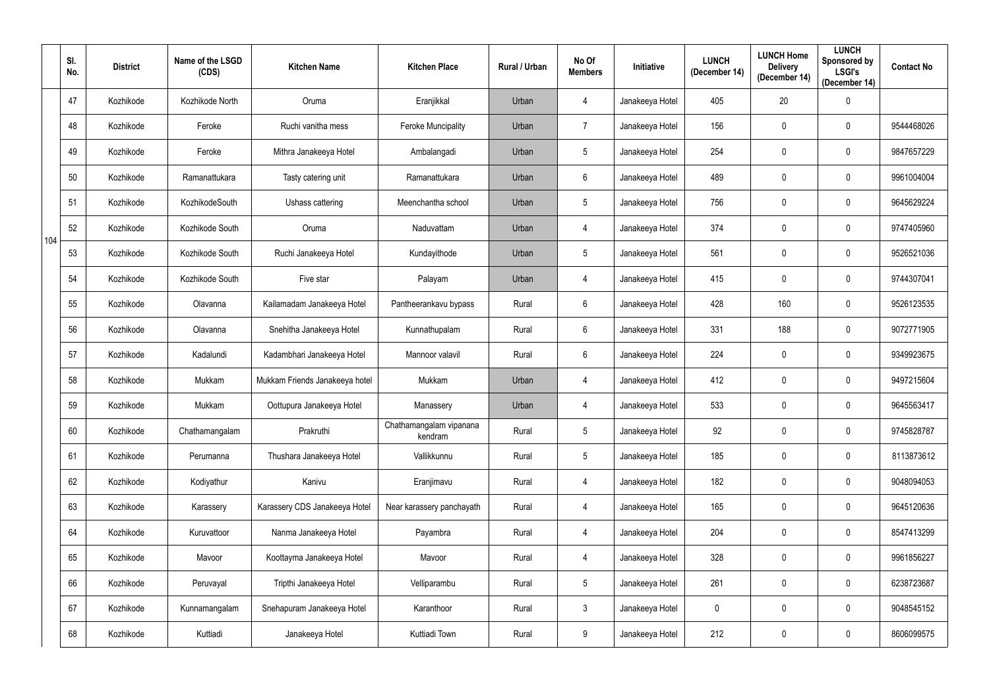|     | SI.<br>No. | <b>District</b> | Name of the LSGD<br>(CDS) | <b>Kitchen Name</b>            | <b>Kitchen Place</b>               | Rural / Urban | No Of<br><b>Members</b> | <b>Initiative</b> | <b>LUNCH</b><br>(December 14) | <b>LUNCH Home</b><br><b>Delivery</b><br>(December 14) | <b>LUNCH</b><br>Sponsored by<br><b>LSGI's</b><br>(December 14) | <b>Contact No</b> |
|-----|------------|-----------------|---------------------------|--------------------------------|------------------------------------|---------------|-------------------------|-------------------|-------------------------------|-------------------------------------------------------|----------------------------------------------------------------|-------------------|
|     | 47         | Kozhikode       | Kozhikode North           | Oruma                          | Eranjikkal                         | Urban         | 4                       | Janakeeya Hotel   | 405                           | 20                                                    | $\mathbf 0$                                                    |                   |
|     | 48         | Kozhikode       | Feroke                    | Ruchi vanitha mess             | Feroke Muncipality                 | Urban         | $\overline{7}$          | Janakeeya Hotel   | 156                           | 0                                                     | $\mathbf 0$                                                    | 9544468026        |
|     | 49         | Kozhikode       | Feroke                    | Mithra Janakeeya Hotel         | Ambalangadi                        | Urban         | 5                       | Janakeeya Hotel   | 254                           | 0                                                     | $\mathbf 0$                                                    | 9847657229        |
|     | 50         | Kozhikode       | Ramanattukara             | Tasty catering unit            | Ramanattukara                      | Urban         | 6                       | Janakeeya Hotel   | 489                           | 0                                                     | $\mathbf 0$                                                    | 9961004004        |
|     | 51         | Kozhikode       | KozhikodeSouth            | Ushass cattering               | Meenchantha school                 | Urban         | $5\phantom{.0}$         | Janakeeya Hotel   | 756                           | $\mathbf 0$                                           | $\mathbf 0$                                                    | 9645629224        |
|     | 52         | Kozhikode       | Kozhikode South           | Oruma                          | Naduvattam                         | Urban         | 4                       | Janakeeya Hotel   | 374                           | $\mathbf 0$                                           | $\mathbf 0$                                                    | 9747405960        |
| 104 | 53         | Kozhikode       | Kozhikode South           | Ruchi Janakeeya Hotel          | Kundayithode                       | Urban         | $5\phantom{.0}$         | Janakeeya Hotel   | 561                           | 0                                                     | $\mathbf 0$                                                    | 9526521036        |
|     | 54         | Kozhikode       | Kozhikode South           | Five star                      | Palayam                            | Urban         | 4                       | Janakeeya Hotel   | 415                           | 0                                                     | $\mathbf 0$                                                    | 9744307041        |
|     | 55         | Kozhikode       | Olavanna                  | Kailamadam Janakeeya Hotel     | Pantheerankavu bypass              | Rural         | 6                       | Janakeeya Hotel   | 428                           | 160                                                   | $\mathbf 0$                                                    | 9526123535        |
|     | 56         | Kozhikode       | Olavanna                  | Snehitha Janakeeya Hotel       | Kunnathupalam                      | Rural         | 6                       | Janakeeya Hotel   | 331                           | 188                                                   | $\mathbf 0$                                                    | 9072771905        |
|     | 57         | Kozhikode       | Kadalundi                 | Kadambhari Janakeeya Hotel     | Mannoor valavil                    | Rural         | 6                       | Janakeeya Hotel   | 224                           | $\mathbf 0$                                           | $\mathbf 0$                                                    | 9349923675        |
|     | 58         | Kozhikode       | Mukkam                    | Mukkam Friends Janakeeya hotel | Mukkam                             | Urban         | 4                       | Janakeeya Hotel   | 412                           | $\mathbf 0$                                           | $\mathbf 0$                                                    | 9497215604        |
|     | 59         | Kozhikode       | Mukkam                    | Oottupura Janakeeya Hotel      | Manassery                          | Urban         |                         | Janakeeya Hotel   | 533                           | 0                                                     | $\mathbf 0$                                                    | 9645563417        |
|     | 60         | Kozhikode       | Chathamangalam            | Prakruthi                      | Chathamangalam vipanana<br>kendram | Rural         | $5\phantom{.0}$         | Janakeeya Hotel   | 92                            | 0                                                     | $\mathbf 0$                                                    | 9745828787        |
|     | 61         | Kozhikode       | Perumanna                 | Thushara Janakeeya Hotel       | Vallikkunnu                        | Rural         | $5\phantom{.0}$         | Janakeeya Hotel   | 185                           | $\pmb{0}$                                             | $\mathbf 0$                                                    | 8113873612        |
|     | 62         | Kozhikode       | Kodiyathur                | Kanivu                         | Eranjimavu                         | Rural         | 4                       | Janakeeya Hotel   | 182                           | $\mathbf 0$                                           | $\pmb{0}$                                                      | 9048094053        |
|     | 63         | Kozhikode       | Karassery                 | Karassery CDS Janakeeya Hotel  | Near karassery panchayath          | Rural         | 4                       | Janakeeya Hotel   | 165                           | $\pmb{0}$                                             | $\bf{0}$                                                       | 9645120636        |
|     | 64         | Kozhikode       | Kuruvattoor               | Nanma Janakeeya Hotel          | Payambra                           | Rural         | $\overline{4}$          | Janakeeya Hotel   | 204                           | $\mathbf 0$                                           | $\mathbf 0$                                                    | 8547413299        |
|     | 65         | Kozhikode       | Mavoor                    | Koottayma Janakeeya Hotel      | Mavoor                             | Rural         | 4                       | Janakeeya Hotel   | 328                           | 0                                                     | $\mathbf 0$                                                    | 9961856227        |
|     | 66         | Kozhikode       | Peruvayal                 | Tripthi Janakeeya Hotel        | Velliparambu                       | Rural         | 5 <sub>5</sub>          | Janakeeya Hotel   | 261                           | $\pmb{0}$                                             | $\pmb{0}$                                                      | 6238723687        |
|     | 67         | Kozhikode       | Kunnamangalam             | Snehapuram Janakeeya Hotel     | Karanthoor                         | Rural         | 3 <sup>1</sup>          | Janakeeya Hotel   | $\pmb{0}$                     | $\mathbf 0$                                           | $\mathbf 0$                                                    | 9048545152        |
|     | 68         | Kozhikode       | Kuttiadi                  | Janakeeya Hotel                | Kuttiadi Town                      | Rural         | 9                       | Janakeeya Hotel   | 212                           | $\pmb{0}$                                             | $\pmb{0}$                                                      | 8606099575        |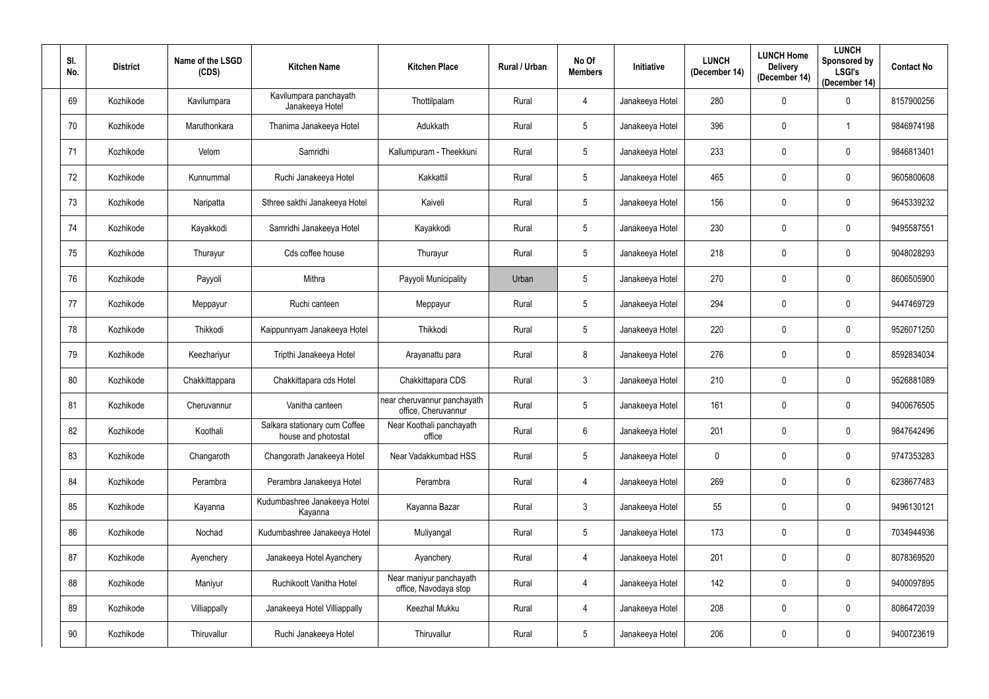| SI.<br>No. | <b>District</b> | Name of the LSGD<br>(CDS) | <b>Kitchen Name</b>                                  | <b>Kitchen Place</b>                               | Rural / Urban | No Of<br><b>Members</b> | Initiative      | <b>LUNCH</b><br>(December 14) | <b>LUNCH Home</b><br><b>Delivery</b><br>(December 14) | <b>LUNCH</b><br>Sponsored by<br><b>LSGI's</b><br>(December 14) | <b>Contact No</b> |
|------------|-----------------|---------------------------|------------------------------------------------------|----------------------------------------------------|---------------|-------------------------|-----------------|-------------------------------|-------------------------------------------------------|----------------------------------------------------------------|-------------------|
| 69         | Kozhikode       | Kavilumpara               | Kavilumpara panchayath<br>Janakeeya Hotel            | Thottilpalam                                       | Rural         | 4                       | Janakeeya Hotel | 280                           | $\mathbf 0$                                           | $\mathbf 0$                                                    | 8157900256        |
| 70         | Kozhikode       | Maruthonkara              | Thanima Janakeeya Hotel                              | Adukkath                                           | Rural         | $5\phantom{.0}$         | Janakeeya Hotel | 396                           | $\mathbf 0$                                           |                                                                | 9846974198        |
| 71         | Kozhikode       | Velom                     | Samridhi                                             | Kallumpuram - Theekkuni                            | Rural         | $5\phantom{.0}$         | Janakeeya Hotel | 233                           | $\mathbf 0$                                           | $\mathbf 0$                                                    | 9846813401        |
| 72         | Kozhikode       | Kunnummal                 | Ruchi Janakeeya Hotel                                | Kakkattil                                          | Rural         | $5\phantom{.0}$         | Janakeeya Hotel | 465                           | $\mathbf 0$                                           | $\mathbf 0$                                                    | 9605800608        |
| 73         | Kozhikode       | Naripatta                 | Sthree sakthi Janakeeya Hotel                        | Kaiveli                                            | Rural         | $5\phantom{.0}$         | Janakeeya Hotel | 156                           | $\mathbf 0$                                           | $\mathbf 0$                                                    | 9645339232        |
| 74         | Kozhikode       | Kayakkodi                 | Samridhi Janakeeya Hotel                             | Kayakkodi                                          | Rural         | $5\phantom{.0}$         | Janakeeya Hotel | 230                           | $\mathbf 0$                                           | $\mathbf 0$                                                    | 9495587551        |
| 75         | Kozhikode       | Thurayur                  | Cds coffee house                                     | Thurayur                                           | Rural         | $5\phantom{.0}$         | Janakeeya Hotel | 218                           | $\mathbf 0$                                           | $\mathbf 0$                                                    | 9048028293        |
| 76         | Kozhikode       | Payyoli                   | Mithra                                               | Payyoli Municipality                               | Urban         | $5\phantom{.0}$         | Janakeeya Hotel | 270                           | $\mathbf 0$                                           | $\mathbf 0$                                                    | 8606505900        |
| 77         | Kozhikode       | Meppayur                  | Ruchi canteen                                        | Meppayur                                           | Rural         | $5\overline{)}$         | Janakeeya Hotel | 294                           | $\mathbf 0$                                           | $\mathbf 0$                                                    | 9447469729        |
| 78         | Kozhikode       | Thikkodi                  | Kaippunnyam Janakeeya Hotel                          | Thikkodi                                           | Rural         | $5\phantom{.0}$         | Janakeeya Hotel | 220                           | $\mathbf 0$                                           | $\mathbf 0$                                                    | 9526071250        |
| 79         | Kozhikode       | Keezhariyur               | Tripthi Janakeeya Hotel                              | Arayanattu para                                    | Rural         | 8                       | Janakeeya Hotel | 276                           | $\mathbf 0$                                           | $\mathbf 0$                                                    | 8592834034        |
| 80         | Kozhikode       | Chakkittappara            | Chakkittapara cds Hotel                              | Chakkittapara CDS                                  | Rural         | $\mathbf{3}$            | Janakeeya Hotel | 210                           | $\mathbf 0$                                           | $\mathbf 0$                                                    | 9526881089        |
| 81         | Kozhikode       | Cheruvannur               | Vanitha canteen                                      | near cheruvannur panchayath<br>office, Cheruvannur | Rural         | 5                       | Janakeeya Hotel | 161                           | $\mathbf 0$                                           | $\mathbf 0$                                                    | 9400676505        |
| 82         | Kozhikode       | Koothali                  | Salkara stationary cum Coffee<br>house and photostat | Near Koothali panchayath<br>office                 | Rural         | $6\overline{6}$         | Janakeeya Hotel | 201                           | $\mathbf 0$                                           | $\mathbf 0$                                                    | 9847642496        |
| 83         | Kozhikode       | Changaroth                | Changorath Janakeeya Hotel                           | Near Vadakkumbad HSS                               | Rural         | $5\phantom{.0}$         | Janakeeya Hotel | $\mathbf 0$                   | $\mathbf 0$                                           | $\mathbf 0$                                                    | 9747353283        |
| 84         | Kozhikode       | Perambra                  | Perambra Janakeeya Hotel                             | Perambra                                           | Rural         | $\overline{4}$          | Janakeeya Hotel | 269                           | $\mathbf 0$                                           | $\mathbf 0$                                                    | 6238677483        |
| 85         | Kozhikode       | Kayanna                   | Kudumbashree Janakeeya Hotel<br>Kayanna              | Kayanna Bazar                                      | Rural         | $\mathfrak{Z}$          | Janakeeya Hotel | 55                            | $\mathbf 0$                                           | $\mathbf 0$                                                    | 9496130121        |
| 86         | Kozhikode       | Nochad                    | Kudumbashree Janakeeya Hotel                         | Muliyangal                                         | Rural         | $5\phantom{.0}$         | Janakeeya Hotel | 173                           | $\mathbf 0$                                           | $\mathbf 0$                                                    | 7034944936        |
| 87         | Kozhikode       | Ayenchery                 | Janakeeya Hotel Ayanchery                            | Ayanchery                                          | Rural         | $\overline{4}$          | Janakeeya Hotel | 201                           | $\pmb{0}$                                             | $\mathbf 0$                                                    | 8078369520        |
| 88         | Kozhikode       | Maniyur                   | Ruchikoott Vanitha Hotel                             | Near maniyur panchayath<br>office, Navodaya stop   | Rural         | $\overline{4}$          | Janakeeya Hotel | 142                           | $\pmb{0}$                                             | $\mathbf 0$                                                    | 9400097895        |
| 89         | Kozhikode       | Villiappally              | Janakeeya Hotel Villiappally                         | Keezhal Mukku                                      | Rural         | $\overline{4}$          | Janakeeya Hotel | 208                           | $\pmb{0}$                                             | $\mathbf 0$                                                    | 8086472039        |
| 90         | Kozhikode       | Thiruvallur               | Ruchi Janakeeya Hotel                                | Thiruvallur                                        | Rural         | $5\phantom{.0}$         | Janakeeya Hotel | 206                           | $\pmb{0}$                                             | $\pmb{0}$                                                      | 9400723619        |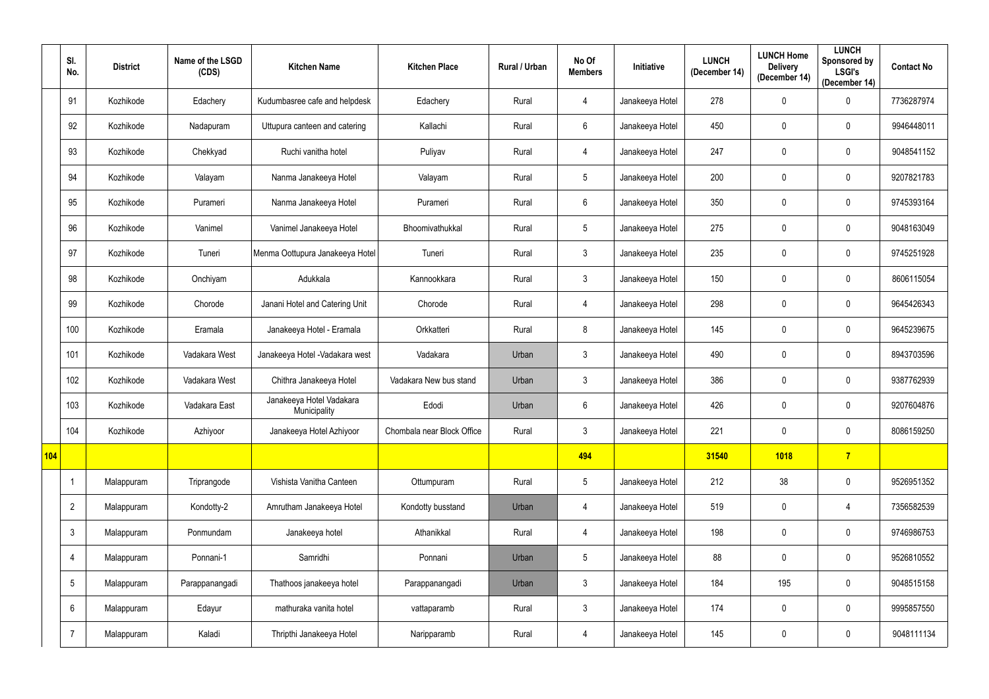|            | SI.<br>No.      | <b>District</b> | Name of the LSGD<br>(CDS) | <b>Kitchen Name</b>                      | <b>Kitchen Place</b>       | Rural / Urban | No Of<br><b>Members</b> | Initiative      | <b>LUNCH</b><br>(December 14) | <b>LUNCH Home</b><br><b>Delivery</b><br>(December 14) | <b>LUNCH</b><br>Sponsored by<br><b>LSGI's</b><br>(December 14) | <b>Contact No</b> |
|------------|-----------------|-----------------|---------------------------|------------------------------------------|----------------------------|---------------|-------------------------|-----------------|-------------------------------|-------------------------------------------------------|----------------------------------------------------------------|-------------------|
|            | 91              | Kozhikode       | Edachery                  | Kudumbasree cafe and helpdesk            | Edachery                   | Rural         | 4                       | Janakeeya Hotel | 278                           | $\mathbf 0$                                           | $\mathbf 0$                                                    | 7736287974        |
|            | 92              | Kozhikode       | Nadapuram                 | Uttupura canteen and catering            | Kallachi                   | Rural         | 6                       | Janakeeya Hotel | 450                           | $\mathbf 0$                                           | $\mathbf 0$                                                    | 9946448011        |
|            | 93              | Kozhikode       | Chekkyad                  | Ruchi vanitha hotel                      | Puliyav                    | Rural         | 4                       | Janakeeya Hotel | 247                           | $\mathbf 0$                                           | $\mathbf 0$                                                    | 9048541152        |
|            | 94              | Kozhikode       | Valayam                   | Nanma Janakeeya Hotel                    | Valayam                    | Rural         | $5\phantom{.0}$         | Janakeeya Hotel | 200                           | 0                                                     | $\mathbf 0$                                                    | 9207821783        |
|            | 95              | Kozhikode       | Purameri                  | Nanma Janakeeya Hotel                    | Purameri                   | Rural         | $6\overline{6}$         | Janakeeya Hotel | 350                           | $\mathbf 0$                                           | $\mathbf 0$                                                    | 9745393164        |
|            | 96              | Kozhikode       | Vanimel                   | Vanimel Janakeeya Hotel                  | Bhoomivathukkal            | Rural         | $5\phantom{.0}$         | Janakeeya Hotel | 275                           | $\mathbf 0$                                           | $\mathbf 0$                                                    | 9048163049        |
|            | 97              | Kozhikode       | Tuneri                    | Menma Oottupura Janakeeya Hotel          | Tuneri                     | Rural         | 3 <sup>5</sup>          | Janakeeya Hotel | 235                           | $\mathbf 0$                                           | $\mathbf 0$                                                    | 9745251928        |
|            | 98              | Kozhikode       | Onchiyam                  | Adukkala                                 | Kannookkara                | Rural         | $\mathbf{3}$            | Janakeeya Hotel | 150                           | 0                                                     | $\mathbf 0$                                                    | 8606115054        |
|            | 99              | Kozhikode       | Chorode                   | Janani Hotel and Catering Unit           | Chorode                    | Rural         | 4                       | Janakeeya Hotel | 298                           | 0                                                     | $\mathbf 0$                                                    | 9645426343        |
|            | 100             | Kozhikode       | Eramala                   | Janakeeya Hotel - Eramala                | Orkkatteri                 | Rural         | 8                       | Janakeeya Hotel | 145                           | $\mathbf 0$                                           | $\mathbf 0$                                                    | 9645239675        |
|            | 101             | Kozhikode       | Vadakara West             | Janakeeya Hotel - Vadakara west          | Vadakara                   | Urban         | 3 <sup>5</sup>          | Janakeeya Hotel | 490                           | 0                                                     | $\mathbf 0$                                                    | 8943703596        |
|            | 102             | Kozhikode       | Vadakara West             | Chithra Janakeeya Hotel                  | Vadakara New bus stand     | Urban         | $\mathbf{3}$            | Janakeeya Hotel | 386                           | $\mathbf 0$                                           | $\mathbf 0$                                                    | 9387762939        |
|            | 103             | Kozhikode       | Vadakara East             | Janakeeya Hotel Vadakara<br>Municipality | Edodi                      | Urban         | 6                       | Janakeeya Hotel | 426                           | 0                                                     | $\mathbf 0$                                                    | 9207604876        |
|            | 104             | Kozhikode       | Azhiyoor                  | Janakeeya Hotel Azhiyoor                 | Chombala near Block Office | Rural         | 3 <sup>1</sup>          | Janakeeya Hotel | 221                           | $\mathbf 0$                                           | $\mathbf 0$                                                    | 8086159250        |
| <b>104</b> |                 |                 |                           |                                          |                            |               | 494                     |                 | 31540                         | 1018                                                  | $\overline{7}$                                                 |                   |
|            |                 | Malappuram      | Triprangode               | Vishista Vanitha Canteen                 | Ottumpuram                 | Rural         | $5\phantom{.0}$         | Janakeeya Hotel | 212                           | 38                                                    | $\pmb{0}$                                                      | 9526951352        |
|            | $\overline{2}$  | Malappuram      | Kondotty-2                | Amrutham Janakeeya Hotel                 | Kondotty busstand          | Urban         | $\overline{4}$          | Janakeeya Hotel | 519                           | $\boldsymbol{0}$                                      | $\overline{4}$                                                 | 7356582539        |
|            | $\mathbf{3}$    | Malappuram      | Ponmundam                 | Janakeeya hotel                          | Athanikkal                 | Rural         | $\overline{4}$          | Janakeeya Hotel | 198                           | $\pmb{0}$                                             | $\pmb{0}$                                                      | 9746986753        |
|            | $\overline{4}$  | Malappuram      | Ponnani-1                 | Samridhi                                 | Ponnani                    | Urban         | $5\phantom{.0}$         | Janakeeya Hotel | 88                            | $\boldsymbol{0}$                                      | $\pmb{0}$                                                      | 9526810552        |
|            | $5\phantom{.0}$ | Malappuram      | Parappanangadi            | Thathoos janakeeya hotel                 | Parappanangadi             | Urban         | 3 <sup>1</sup>          | Janakeeya Hotel | 184                           | 195                                                   | $\pmb{0}$                                                      | 9048515158        |
|            | $6^{\circ}$     | Malappuram      | Edayur                    | mathuraka vanita hotel                   | vattaparamb                | Rural         | 3 <sup>1</sup>          | Janakeeya Hotel | 174                           | $\bf{0}$                                              | $\mathbf 0$                                                    | 9995857550        |
|            | $\overline{7}$  | Malappuram      | Kaladi                    | Thripthi Janakeeya Hotel                 | Naripparamb                | Rural         | 4                       | Janakeeya Hotel | 145                           | $\bf{0}$                                              | $\pmb{0}$                                                      | 9048111134        |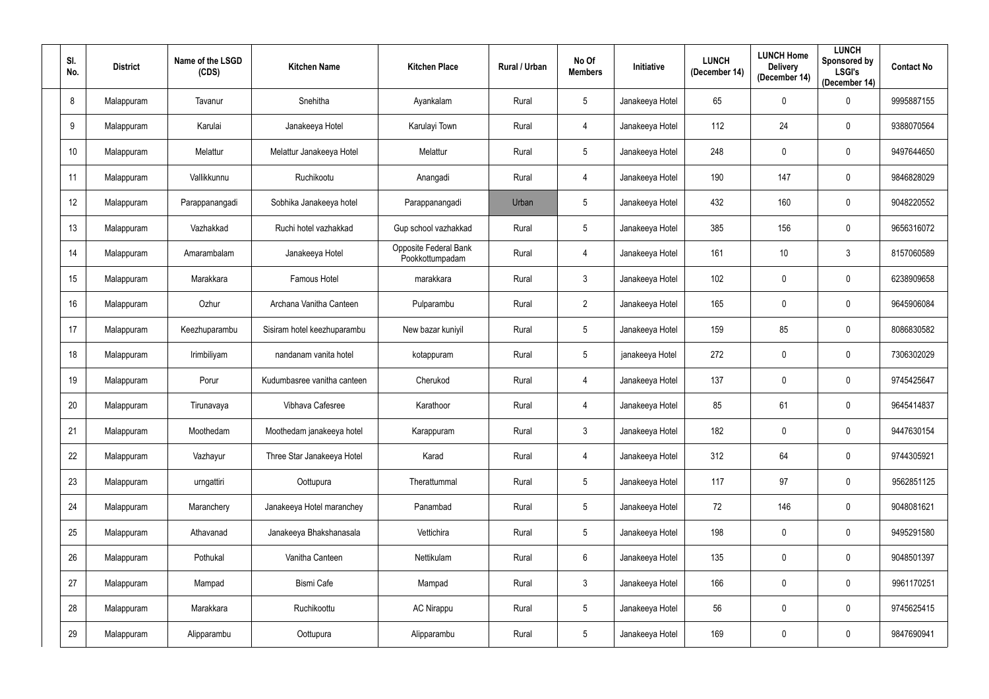| SI.<br>No. | <b>District</b> | Name of the LSGD<br>(CDS) | <b>Kitchen Name</b>         | <b>Kitchen Place</b>                     | Rural / Urban | No Of<br><b>Members</b> | Initiative      | <b>LUNCH</b><br>(December 14) | <b>LUNCH Home</b><br><b>Delivery</b><br>(December 14) | <b>LUNCH</b><br>Sponsored by<br><b>LSGI's</b><br>(December 14) | <b>Contact No</b> |
|------------|-----------------|---------------------------|-----------------------------|------------------------------------------|---------------|-------------------------|-----------------|-------------------------------|-------------------------------------------------------|----------------------------------------------------------------|-------------------|
| 8          | Malappuram      | Tavanur                   | Snehitha                    | Ayankalam                                | Rural         | $5\phantom{.0}$         | Janakeeya Hotel | 65                            | $\mathbf 0$                                           | $\mathbf 0$                                                    | 9995887155        |
| 9          | Malappuram      | Karulai                   | Janakeeya Hotel             | Karulayi Town                            | Rural         | 4                       | Janakeeya Hotel | 112                           | 24                                                    | $\mathbf 0$                                                    | 9388070564        |
| 10         | Malappuram      | Melattur                  | Melattur Janakeeya Hotel    | Melattur                                 | Rural         | $5\phantom{.0}$         | Janakeeya Hotel | 248                           | $\mathbf 0$                                           | $\mathbf 0$                                                    | 9497644650        |
| 11         | Malappuram      | Vallikkunnu               | Ruchikootu                  | Anangadi                                 | Rural         | 4                       | Janakeeya Hotel | 190                           | 147                                                   | $\mathbf 0$                                                    | 9846828029        |
| 12         | Malappuram      | Parappanangadi            | Sobhika Janakeeya hotel     | Parappanangadi                           | Urban         | $5\phantom{.0}$         | Janakeeya Hotel | 432                           | 160                                                   | $\mathbf 0$                                                    | 9048220552        |
| 13         | Malappuram      | Vazhakkad                 | Ruchi hotel vazhakkad       | Gup school vazhakkad                     | Rural         | $5\phantom{.0}$         | Janakeeya Hotel | 385                           | 156                                                   | $\mathbf 0$                                                    | 9656316072        |
| 14         | Malappuram      | Amarambalam               | Janakeeya Hotel             | Opposite Federal Bank<br>Pookkottumpadam | Rural         | 4                       | Janakeeya Hotel | 161                           | 10                                                    | 3                                                              | 8157060589        |
| 15         | Malappuram      | Marakkara                 | Famous Hotel                | marakkara                                | Rural         | $\mathfrak{Z}$          | Janakeeya Hotel | 102                           | $\mathbf 0$                                           | $\mathbf 0$                                                    | 6238909658        |
| 16         | Malappuram      | Ozhur                     | Archana Vanitha Canteen     | Pulparambu                               | Rural         | $\overline{2}$          | Janakeeya Hotel | 165                           | $\mathbf 0$                                           | $\mathbf 0$                                                    | 9645906084        |
| 17         | Malappuram      | Keezhuparambu             | Sisiram hotel keezhuparambu | New bazar kuniyil                        | Rural         | $5\phantom{.0}$         | Janakeeya Hotel | 159                           | 85                                                    | $\mathbf 0$                                                    | 8086830582        |
| 18         | Malappuram      | Irimbiliyam               | nandanam vanita hotel       | kotappuram                               | Rural         | $5\phantom{.0}$         | janakeeya Hotel | 272                           | $\mathbf 0$                                           | $\mathbf 0$                                                    | 7306302029        |
| 19         | Malappuram      | Porur                     | Kudumbasree vanitha canteen | Cherukod                                 | Rural         | 4                       | Janakeeya Hotel | 137                           | $\mathbf 0$                                           | $\mathbf 0$                                                    | 9745425647        |
| 20         | Malappuram      | Tirunavaya                | Vibhava Cafesree            | Karathoor                                | Rural         | 4                       | Janakeeya Hotel | 85                            | 61                                                    | $\mathbf 0$                                                    | 9645414837        |
| 21         | Malappuram      | Moothedam                 | Moothedam janakeeya hotel   | Karappuram                               | Rural         | $\mathfrak{Z}$          | Janakeeya Hotel | 182                           | $\mathbf 0$                                           | $\mathbf 0$                                                    | 9447630154        |
| 22         | Malappuram      | Vazhayur                  | Three Star Janakeeya Hotel  | Karad                                    | Rural         | $\overline{4}$          | Janakeeya Hotel | 312                           | 64                                                    | $\mathbf 0$                                                    | 9744305921        |
| 23         | Malappuram      | urngattiri                | Oottupura                   | Therattummal                             | Rural         | $5\phantom{.0}$         | Janakeeya Hotel | 117                           | 97                                                    | $\mathbf 0$                                                    | 9562851125        |
| 24         | Malappuram      | Maranchery                | Janakeeya Hotel maranchey   | Panambad                                 | Rural         | $5\phantom{.0}$         | Janakeeya Hotel | 72                            | 146                                                   | $\mathbf 0$                                                    | 9048081621        |
| 25         | Malappuram      | Athavanad                 | Janakeeya Bhakshanasala     | Vettichira                               | Rural         | $5\phantom{.0}$         | Janakeeya Hotel | 198                           | $\pmb{0}$                                             | $\mathbf 0$                                                    | 9495291580        |
| 26         | Malappuram      | Pothukal                  | Vanitha Canteen             | Nettikulam                               | Rural         | $6\overline{6}$         | Janakeeya Hotel | 135                           | $\pmb{0}$                                             | $\mathbf 0$                                                    | 9048501397        |
| 27         | Malappuram      | Mampad                    | Bismi Cafe                  | Mampad                                   | Rural         | 3 <sup>1</sup>          | Janakeeya Hotel | 166                           | $\mathbf 0$                                           | $\mathbf 0$                                                    | 9961170251        |
| 28         | Malappuram      | Marakkara                 | Ruchikoottu                 | <b>AC Nirappu</b>                        | Rural         | $5\phantom{.0}$         | Janakeeya Hotel | 56                            | $\pmb{0}$                                             | $\mathbf 0$                                                    | 9745625415        |
| 29         | Malappuram      | Alipparambu               | Oottupura                   | Alipparambu                              | Rural         | $5\phantom{.0}$         | Janakeeya Hotel | 169                           | $\pmb{0}$                                             | $\pmb{0}$                                                      | 9847690941        |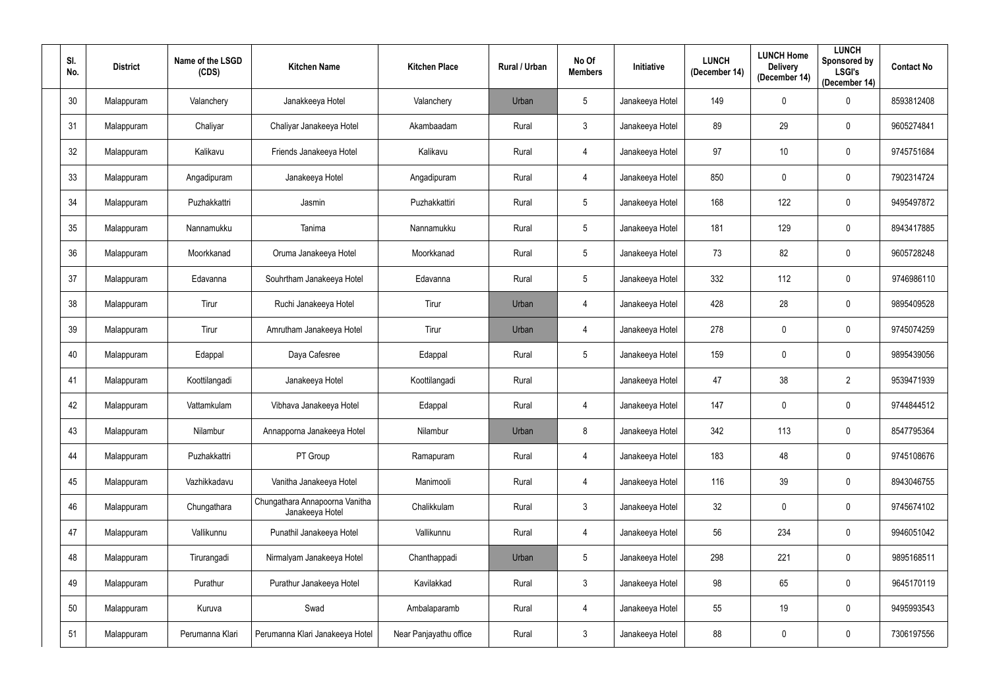| SI.<br>No. | <b>District</b> | Name of the LSGD<br>(CDS) | <b>Kitchen Name</b>                               | <b>Kitchen Place</b>   | Rural / Urban | No Of<br><b>Members</b> | Initiative      | <b>LUNCH</b><br>(December 14) | <b>LUNCH Home</b><br><b>Delivery</b><br>(December 14) | <b>LUNCH</b><br>Sponsored by<br><b>LSGI's</b><br>(December 14) | <b>Contact No</b> |
|------------|-----------------|---------------------------|---------------------------------------------------|------------------------|---------------|-------------------------|-----------------|-------------------------------|-------------------------------------------------------|----------------------------------------------------------------|-------------------|
| 30         | Malappuram      | Valanchery                | Janakkeeya Hotel                                  | Valanchery             | Urban         | $5\phantom{.0}$         | Janakeeya Hotel | 149                           | $\mathbf 0$                                           | $\mathbf 0$                                                    | 8593812408        |
| 31         | Malappuram      | Chaliyar                  | Chaliyar Janakeeya Hotel                          | Akambaadam             | Rural         | $\mathbf{3}$            | Janakeeya Hotel | 89                            | 29                                                    | $\mathbf 0$                                                    | 9605274841        |
| 32         | Malappuram      | Kalikavu                  | Friends Janakeeya Hotel                           | Kalikavu               | Rural         | $\overline{4}$          | Janakeeya Hotel | 97                            | 10                                                    | $\mathbf 0$                                                    | 9745751684        |
| 33         | Malappuram      | Angadipuram               | Janakeeya Hotel                                   | Angadipuram            | Rural         | 4                       | Janakeeya Hotel | 850                           | 0                                                     | $\mathbf 0$                                                    | 7902314724        |
| 34         | Malappuram      | Puzhakkattri              | Jasmin                                            | Puzhakkattiri          | Rural         | $5\overline{)}$         | Janakeeya Hotel | 168                           | 122                                                   | $\mathbf 0$                                                    | 9495497872        |
| 35         | Malappuram      | Nannamukku                | Tanima                                            | Nannamukku             | Rural         | $5\phantom{.0}$         | Janakeeya Hotel | 181                           | 129                                                   | $\mathbf 0$                                                    | 8943417885        |
| 36         | Malappuram      | Moorkkanad                | Oruma Janakeeya Hotel                             | Moorkkanad             | Rural         | $5\phantom{.0}$         | Janakeeya Hotel | 73                            | 82                                                    | $\mathbf 0$                                                    | 9605728248        |
| 37         | Malappuram      | Edavanna                  | Souhrtham Janakeeya Hotel                         | Edavanna               | Rural         | $5\phantom{.0}$         | Janakeeya Hotel | 332                           | 112                                                   | $\mathbf 0$                                                    | 9746986110        |
| 38         | Malappuram      | Tirur                     | Ruchi Janakeeya Hotel                             | Tirur                  | Urban         | 4                       | Janakeeya Hotel | 428                           | 28                                                    | $\mathbf 0$                                                    | 9895409528        |
| 39         | Malappuram      | Tirur                     | Amrutham Janakeeya Hotel                          | Tirur                  | Urban         | 4                       | Janakeeya Hotel | 278                           | 0                                                     | $\mathbf 0$                                                    | 9745074259        |
| 40         | Malappuram      | Edappal                   | Daya Cafesree                                     | Edappal                | Rural         | $5\overline{)}$         | Janakeeya Hotel | 159                           | $\mathbf 0$                                           | $\mathbf 0$                                                    | 9895439056        |
| 41         | Malappuram      | Koottilangadi             | Janakeeya Hotel                                   | Koottilangadi          | Rural         |                         | Janakeeya Hotel | 47                            | 38                                                    | $\overline{2}$                                                 | 9539471939        |
| 42         | Malappuram      | Vattamkulam               | Vibhava Janakeeya Hotel                           | Edappal                | Rural         | 4                       | Janakeeya Hotel | 147                           | 0                                                     | $\mathbf 0$                                                    | 9744844512        |
| 43         | Malappuram      | Nilambur                  | Annapporna Janakeeya Hotel                        | Nilambur               | Urban         | 8                       | Janakeeya Hotel | 342                           | 113                                                   | $\mathbf 0$                                                    | 8547795364        |
| 44         | Malappuram      | Puzhakkattri              | PT Group                                          | Ramapuram              | Rural         | $\overline{4}$          | Janakeeya Hotel | 183                           | 48                                                    | $\mathbf 0$                                                    | 9745108676        |
| 45         | Malappuram      | Vazhikkadavu              | Vanitha Janakeeya Hotel                           | Manimooli              | Rural         | $\overline{4}$          | Janakeeya Hotel | 116                           | 39                                                    | $\mathbf 0$                                                    | 8943046755        |
| 46         | Malappuram      | Chungathara               | Chungathara Annapoorna Vanitha<br>Janakeeya Hotel | Chalikkulam            | Rural         | $\mathbf{3}$            | Janakeeya Hotel | 32                            | 0                                                     | $\mathbf 0$                                                    | 9745674102        |
| 47         | Malappuram      | Vallikunnu                | Punathil Janakeeya Hotel                          | Vallikunnu             | Rural         | $\overline{4}$          | Janakeeya Hotel | 56                            | 234                                                   | $\mathbf 0$                                                    | 9946051042        |
| 48         | Malappuram      | Tirurangadi               | Nirmalyam Janakeeya Hotel                         | Chanthappadi           | Urban         | $5\overline{)}$         | Janakeeya Hotel | 298                           | 221                                                   | $\mathbf 0$                                                    | 9895168511        |
| 49         | Malappuram      | Purathur                  | Purathur Janakeeya Hotel                          | Kavilakkad             | Rural         | 3                       | Janakeeya Hotel | 98                            | 65                                                    | $\mathbf 0$                                                    | 9645170119        |
| 50         | Malappuram      | Kuruva                    | Swad                                              | Ambalaparamb           | Rural         | $\overline{4}$          | Janakeeya Hotel | 55                            | 19                                                    | $\mathbf 0$                                                    | 9495993543        |
| 51         | Malappuram      | Perumanna Klari           | Perumanna Klari Janakeeya Hotel                   | Near Panjayathu office | Rural         | $\mathbf{3}$            | Janakeeya Hotel | 88                            | $\mathbf 0$                                           | $\pmb{0}$                                                      | 7306197556        |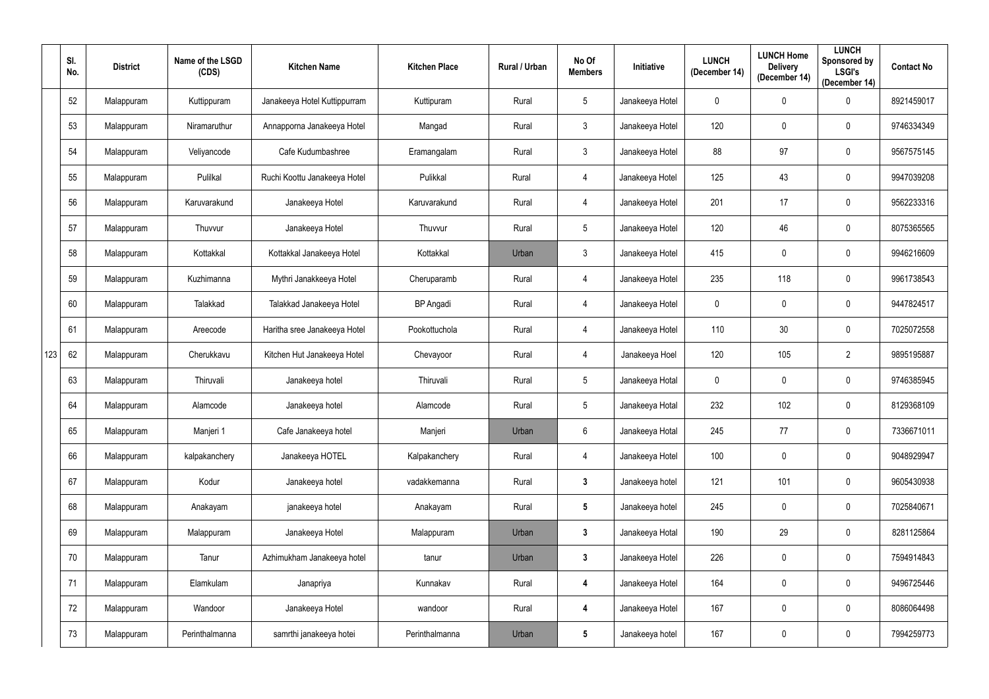|     | SI.<br>No. | <b>District</b> | Name of the LSGD<br>(CDS) | <b>Kitchen Name</b>          | <b>Kitchen Place</b> | Rural / Urban | No Of<br><b>Members</b> | Initiative      | <b>LUNCH</b><br>(December 14) | <b>LUNCH Home</b><br><b>Delivery</b><br>(December 14) | <b>LUNCH</b><br>Sponsored by<br><b>LSGI's</b><br>(December 14) | <b>Contact No</b> |
|-----|------------|-----------------|---------------------------|------------------------------|----------------------|---------------|-------------------------|-----------------|-------------------------------|-------------------------------------------------------|----------------------------------------------------------------|-------------------|
|     | 52         | Malappuram      | Kuttippuram               | Janakeeya Hotel Kuttippurram | Kuttipuram           | Rural         | $5\phantom{.0}$         | Janakeeya Hotel | $\mathbf 0$                   | $\mathbf 0$                                           | $\mathbf 0$                                                    | 8921459017        |
|     | 53         | Malappuram      | Niramaruthur              | Annapporna Janakeeya Hotel   | Mangad               | Rural         | $\mathbf{3}$            | Janakeeya Hotel | 120                           | 0                                                     | $\mathbf 0$                                                    | 9746334349        |
|     | 54         | Malappuram      | Veliyancode               | Cafe Kudumbashree            | Eramangalam          | Rural         | $\mathbf{3}$            | Janakeeya Hotel | 88                            | 97                                                    | $\mathbf 0$                                                    | 9567575145        |
|     | 55         | Malappuram      | Pulilkal                  | Ruchi Koottu Janakeeya Hotel | Pulikkal             | Rural         | 4                       | Janakeeya Hotel | 125                           | 43                                                    | $\mathbf 0$                                                    | 9947039208        |
|     | 56         | Malappuram      | Karuvarakund              | Janakeeya Hotel              | Karuvarakund         | Rural         | 4                       | Janakeeya Hotel | 201                           | 17                                                    | $\mathbf 0$                                                    | 9562233316        |
|     | 57         | Malappuram      | Thuvvur                   | Janakeeya Hotel              | Thuvvur              | Rural         | $5\phantom{.0}$         | Janakeeya Hotel | 120                           | 46                                                    | $\mathbf 0$                                                    | 8075365565        |
|     | 58         | Malappuram      | Kottakkal                 | Kottakkal Janakeeya Hotel    | Kottakkal            | Urban         | 3                       | Janakeeya Hotel | 415                           | 0                                                     | $\mathbf 0$                                                    | 9946216609        |
|     | 59         | Malappuram      | Kuzhimanna                | Mythri Janakkeeya Hotel      | Cheruparamb          | Rural         | 4                       | Janakeeya Hotel | 235                           | 118                                                   | $\mathbf 0$                                                    | 9961738543        |
|     | 60         | Malappuram      | Talakkad                  | Talakkad Janakeeya Hotel     | <b>BP</b> Angadi     | Rural         | 4                       | Janakeeya Hotel | $\mathbf 0$                   | 0                                                     | $\mathbf 0$                                                    | 9447824517        |
|     | 61         | Malappuram      | Areecode                  | Haritha sree Janakeeya Hotel | Pookottuchola        | Rural         | 4                       | Janakeeya Hotel | 110                           | 30                                                    | $\mathbf 0$                                                    | 7025072558        |
| 123 | 62         | Malappuram      | Cherukkavu                | Kitchen Hut Janakeeya Hotel  | Chevayoor            | Rural         | 4                       | Janakeeya Hoel  | 120                           | 105                                                   | 2                                                              | 9895195887        |
|     | 63         | Malappuram      | Thiruvali                 | Janakeeya hotel              | Thiruvali            | Rural         | $5\phantom{.0}$         | Janakeeya Hotal | $\mathbf 0$                   | $\mathbf 0$                                           | $\mathbf 0$                                                    | 9746385945        |
|     | 64         | Malappuram      | Alamcode                  | Janakeeya hotel              | Alamcode             | Rural         | $5\overline{)}$         | Janakeeya Hotal | 232                           | 102                                                   | $\mathbf 0$                                                    | 8129368109        |
|     | 65         | Malappuram      | Manjeri 1                 | Cafe Janakeeya hotel         | Manjeri              | Urban         | $6\phantom{.}$          | Janakeeya Hotal | 245                           | 77                                                    | $\pmb{0}$                                                      | 7336671011        |
|     | 66         | Malappuram      | kalpakanchery             | Janakeeya HOTEL              | Kalpakanchery        | Rural         | $\overline{4}$          | Janakeeya Hotel | 100                           | $\pmb{0}$                                             | $\mathbf 0$                                                    | 9048929947        |
|     | 67         | Malappuram      | Kodur                     | Janakeeya hotel              | vadakkemanna         | Rural         | $\mathbf{3}$            | Janakeeya hotel | 121                           | 101                                                   | $\pmb{0}$                                                      | 9605430938        |
|     | 68         | Malappuram      | Anakayam                  | janakeeya hotel              | Anakayam             | Rural         | $5\phantom{.0}$         | Janakeeya hotel | 245                           | $\pmb{0}$                                             | $\mathbf 0$                                                    | 7025840671        |
|     | 69         | Malappuram      | Malappuram                | Janakeeya Hotel              | Malappuram           | Urban         | $\mathbf{3}$            | Janakeeya Hotal | 190                           | 29                                                    | $\mathbf 0$                                                    | 8281125864        |
|     | 70         | Malappuram      | Tanur                     | Azhimukham Janakeeya hotel   | tanur                | Urban         | $\mathbf{3}$            | Janakeeya Hotel | 226                           | $\pmb{0}$                                             | $\mathbf 0$                                                    | 7594914843        |
|     | 71         | Malappuram      | Elamkulam                 | Janapriya                    | Kunnakav             | Rural         | $\boldsymbol{4}$        | Janakeeya Hotel | 164                           | $\pmb{0}$                                             | $\pmb{0}$                                                      | 9496725446        |
|     | 72         | Malappuram      | Wandoor                   | Janakeeya Hotel              | wandoor              | Rural         | 4                       | Janakeeya Hotel | 167                           | $\pmb{0}$                                             | $\mathbf 0$                                                    | 8086064498        |
|     | 73         | Malappuram      | Perinthalmanna            | samrthi janakeeya hotei      | Perinthalmanna       | Urban         | $5\phantom{.0}$         | Janakeeya hotel | 167                           | $\pmb{0}$                                             | $\pmb{0}$                                                      | 7994259773        |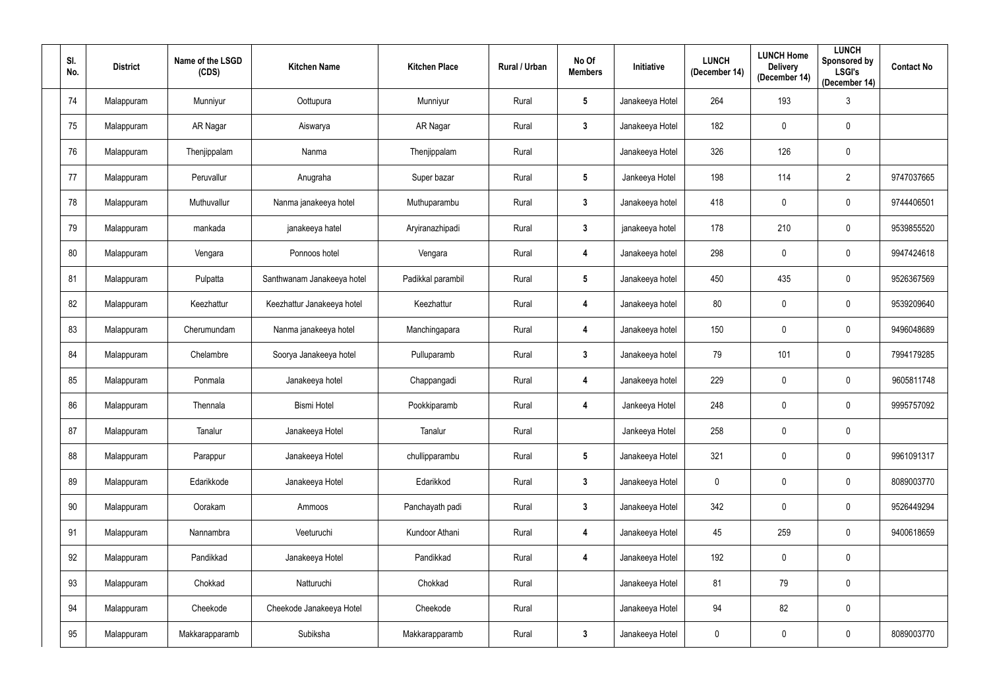| SI.<br>No. | <b>District</b> | Name of the LSGD<br>(CDS) | <b>Kitchen Name</b>        | <b>Kitchen Place</b> | <b>Rural / Urban</b> | No Of<br><b>Members</b> | Initiative      | <b>LUNCH</b><br>(December 14) | <b>LUNCH Home</b><br><b>Delivery</b><br>(December 14) | <b>LUNCH</b><br>Sponsored by<br><b>LSGI's</b><br>(December 14) | <b>Contact No</b> |
|------------|-----------------|---------------------------|----------------------------|----------------------|----------------------|-------------------------|-----------------|-------------------------------|-------------------------------------------------------|----------------------------------------------------------------|-------------------|
| 74         | Malappuram      | Munniyur                  | Oottupura                  | Munniyur             | Rural                | $5\phantom{.0}$         | Janakeeya Hotel | 264                           | 193                                                   | $\mathfrak{Z}$                                                 |                   |
| 75         | Malappuram      | AR Nagar                  | Aiswarya                   | AR Nagar             | Rural                | $3\phantom{a}$          | Janakeeya Hotel | 182                           | $\mathbf 0$                                           | $\mathbf 0$                                                    |                   |
| 76         | Malappuram      | Thenjippalam              | Nanma                      | Thenjippalam         | Rural                |                         | Janakeeya Hotel | 326                           | 126                                                   | $\mathbf 0$                                                    |                   |
| 77         | Malappuram      | Peruvallur                | Anugraha                   | Super bazar          | Rural                | $5\phantom{.0}$         | Jankeeya Hotel  | 198                           | 114                                                   | $\overline{2}$                                                 | 9747037665        |
| 78         | Malappuram      | Muthuvallur               | Nanma janakeeya hotel      | Muthuparambu         | Rural                | $\mathbf{3}$            | Janakeeya hotel | 418                           | $\mathbf 0$                                           | $\overline{0}$                                                 | 9744406501        |
| 79         | Malappuram      | mankada                   | janakeeya hatel            | Aryiranazhipadi      | Rural                | $\mathbf{3}$            | janakeeya hotel | 178                           | 210                                                   | $\mathbf 0$                                                    | 9539855520        |
| 80         | Malappuram      | Vengara                   | Ponnoos hotel              | Vengara              | Rural                | 4                       | Janakeeya hotel | 298                           | $\mathbf 0$                                           | $\bf{0}$                                                       | 9947424618        |
| 81         | Malappuram      | Pulpatta                  | Santhwanam Janakeeya hotel | Padikkal parambil    | Rural                | $5\phantom{.0}$         | Janakeeya hotel | 450                           | 435                                                   | $\mathbf 0$                                                    | 9526367569        |
| 82         | Malappuram      | Keezhattur                | Keezhattur Janakeeya hotel | Keezhattur           | Rural                | 4                       | Janakeeya hotel | 80                            | $\mathbf 0$                                           | $\mathbf 0$                                                    | 9539209640        |
| 83         | Malappuram      | Cherumundam               | Nanma janakeeya hotel      | Manchingapara        | Rural                | 4                       | Janakeeya hotel | 150                           | $\pmb{0}$                                             | $\mathbf 0$                                                    | 9496048689        |
| 84         | Malappuram      | Chelambre                 | Soorya Janakeeya hotel     | Pulluparamb          | Rural                | $3\phantom{.0}$         | Janakeeya hotel | 79                            | 101                                                   | $\mathbf 0$                                                    | 7994179285        |
| 85         | Malappuram      | Ponmala                   | Janakeeya hotel            | Chappangadi          | Rural                | 4                       | Janakeeya hotel | 229                           | $\mathbf 0$                                           | $\mathbf 0$                                                    | 9605811748        |
| 86         | Malappuram      | Thennala                  | <b>Bismi Hotel</b>         | Pookkiparamb         | Rural                | 4                       | Jankeeya Hotel  | 248                           | $\mathbf 0$                                           | 0                                                              | 9995757092        |
| 87         | Malappuram      | Tanalur                   | Janakeeya Hotel            | Tanalur              | Rural                |                         | Jankeeya Hotel  | 258                           | $\mathbf 0$                                           | $\mathbf 0$                                                    |                   |
| 88         | Malappuram      | Parappur                  | Janakeeya Hotel            | chullipparambu       | Rural                | $5\phantom{.0}$         | Janakeeya Hotel | 321                           | $\mathbf 0$                                           | $\mathbf 0$                                                    | 9961091317        |
| 89         | Malappuram      | Edarikkode                | Janakeeya Hotel            | Edarikkod            | Rural                | $\mathbf{3}$            | Janakeeya Hotel | $\overline{0}$                | $\mathbf 0$                                           | $\mathbf 0$                                                    | 8089003770        |
| $90\,$     | Malappuram      | Oorakam                   | Ammoos                     | Panchayath padi      | Rural                | 3 <sup>1</sup>          | Janakeeya Hotel | 342                           | $\pmb{0}$                                             | $\mathbf 0$                                                    | 9526449294        |
| 91         | Malappuram      | Nannambra                 | Veeturuchi                 | Kundoor Athani       | Rural                | 4                       | Janakeeya Hotel | 45                            | 259                                                   | $\mathbf 0$                                                    | 9400618659        |
| 92         | Malappuram      | Pandikkad                 | Janakeeya Hotel            | Pandikkad            | Rural                | 4                       | Janakeeya Hotel | 192                           | $\mathbf 0$                                           | $\mathbf 0$                                                    |                   |
| 93         | Malappuram      | Chokkad                   | Natturuchi                 | Chokkad              | Rural                |                         | Janakeeya Hotel | 81                            | 79                                                    | $\mathbf 0$                                                    |                   |
| 94         | Malappuram      | Cheekode                  | Cheekode Janakeeya Hotel   | Cheekode             | Rural                |                         | Janakeeya Hotel | 94                            | 82                                                    | $\mathbf 0$                                                    |                   |
| 95         | Malappuram      | Makkarapparamb            | Subiksha                   | Makkarapparamb       | Rural                | $\mathbf{3}$            | Janakeeya Hotel | $\overline{0}$                | $\mathbf 0$                                           | $\pmb{0}$                                                      | 8089003770        |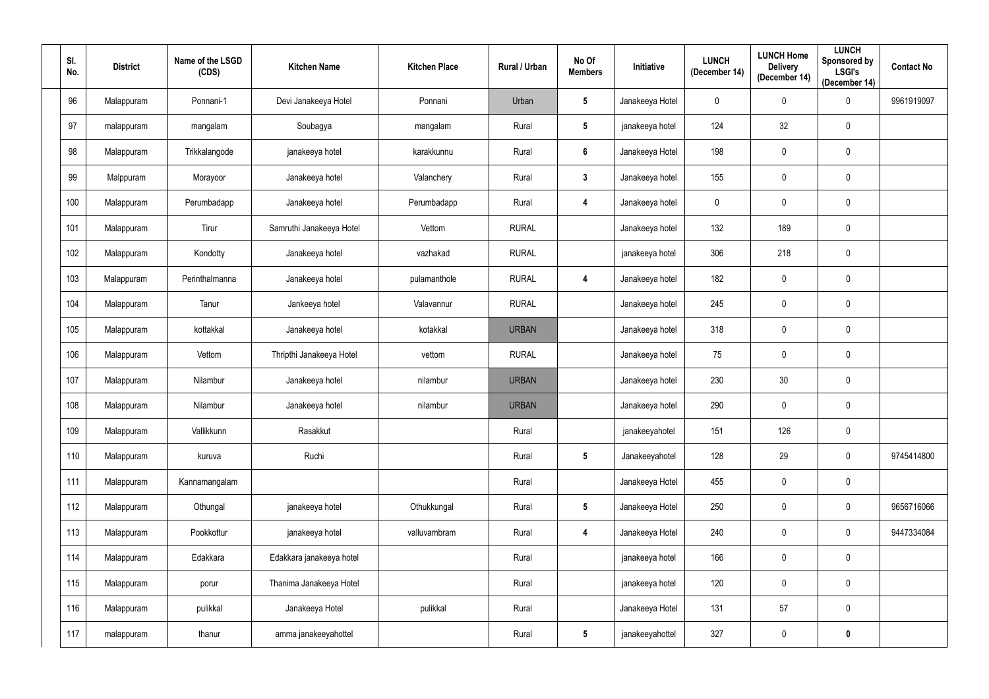| SI.<br>No. | <b>District</b> | Name of the LSGD<br>(CDS) | <b>Kitchen Name</b>      | <b>Kitchen Place</b> | Rural / Urban | No Of<br><b>Members</b> | Initiative      | <b>LUNCH</b><br>(December 14) | <b>LUNCH Home</b><br><b>Delivery</b><br>(December 14) | <b>LUNCH</b><br>Sponsored by<br><b>LSGI's</b><br>(December 14) | <b>Contact No</b> |
|------------|-----------------|---------------------------|--------------------------|----------------------|---------------|-------------------------|-----------------|-------------------------------|-------------------------------------------------------|----------------------------------------------------------------|-------------------|
| 96         | Malappuram      | Ponnani-1                 | Devi Janakeeya Hotel     | Ponnani              | Urban         | $5\phantom{.0}$         | Janakeeya Hotel | $\mathbf 0$                   | $\mathbf 0$                                           | $\mathbf 0$                                                    | 9961919097        |
| 97         | malappuram      | mangalam                  | Soubagya                 | mangalam             | Rural         | $5\phantom{.0}$         | janakeeya hotel | 124                           | 32                                                    | $\pmb{0}$                                                      |                   |
| 98         | Malappuram      | Trikkalangode             | janakeeya hotel          | karakkunnu           | Rural         | 6                       | Janakeeya Hotel | 198                           | $\pmb{0}$                                             | $\pmb{0}$                                                      |                   |
| 99         | Malppuram       | Morayoor                  | Janakeeya hotel          | Valanchery           | Rural         | $\mathbf{3}$            | Janakeeya hotel | 155                           | $\mathbf 0$                                           | $\mathbf 0$                                                    |                   |
| 100        | Malappuram      | Perumbadapp               | Janakeeya hotel          | Perumbadapp          | Rural         | 4                       | Janakeeya hotel | $\mathbf 0$                   | $\mathbf 0$                                           | $\pmb{0}$                                                      |                   |
| 101        | Malappuram      | Tirur                     | Samruthi Janakeeya Hotel | Vettom               | <b>RURAL</b>  |                         | Janakeeya hotel | 132                           | 189                                                   | $\pmb{0}$                                                      |                   |
| 102        | Malappuram      | Kondotty                  | Janakeeya hotel          | vazhakad             | <b>RURAL</b>  |                         | janakeeya hotel | 306                           | 218                                                   | $\pmb{0}$                                                      |                   |
| 103        | Malappuram      | Perinthalmanna            | Janakeeya hotel          | pulamanthole         | <b>RURAL</b>  | 4                       | Janakeeya hotel | 182                           | $\pmb{0}$                                             | $\pmb{0}$                                                      |                   |
| 104        | Malappuram      | Tanur                     | Jankeeya hotel           | Valavannur           | <b>RURAL</b>  |                         | Janakeeya hotel | 245                           | $\pmb{0}$                                             | $\boldsymbol{0}$                                               |                   |
| 105        | Malappuram      | kottakkal                 | Janakeeya hotel          | kotakkal             | <b>URBAN</b>  |                         | Janakeeya hotel | 318                           | $\pmb{0}$                                             | $\pmb{0}$                                                      |                   |
| 106        | Malappuram      | Vettom                    | Thripthi Janakeeya Hotel | vettom               | <b>RURAL</b>  |                         | Janakeeya hotel | 75                            | $\mathbf 0$                                           | $\boldsymbol{0}$                                               |                   |
| 107        | Malappuram      | Nilambur                  | Janakeeya hotel          | nilambur             | <b>URBAN</b>  |                         | Janakeeya hotel | 230                           | 30                                                    | $\pmb{0}$                                                      |                   |
| 108        | Malappuram      | Nilambur                  | Janakeeya hotel          | nilambur             | <b>URBAN</b>  |                         | Janakeeya hotel | 290                           | $\mathbf 0$                                           | $\pmb{0}$                                                      |                   |
| 109        | Malappuram      | Vallikkunn                | Rasakkut                 |                      | Rural         |                         | janakeeyahotel  | 151                           | 126                                                   | $\pmb{0}$                                                      |                   |
| 110        | Malappuram      | kuruva                    | Ruchi                    |                      | Rural         | $5\overline{)}$         | Janakeeyahotel  | 128                           | 29                                                    | $\pmb{0}$                                                      | 9745414800        |
| 111        | Malappuram      | Kannamangalam             |                          |                      | Rural         |                         | Janakeeya Hotel | 455                           | $\mathbf 0$                                           | $\mathbf 0$                                                    |                   |
| 112        | Malappuram      | Othungal                  | janakeeya hotel          | Othukkungal          | Rural         | $5\phantom{.0}$         | Janakeeya Hotel | 250                           | $\mathbf 0$                                           | $\pmb{0}$                                                      | 9656716066        |
| 113        | Malappuram      | Pookkottur                | janakeeya hotel          | valluvambram         | Rural         | 4                       | Janakeeya Hotel | 240                           | $\pmb{0}$                                             | $\mathbf 0$                                                    | 9447334084        |
| 114        | Malappuram      | Edakkara                  | Edakkara janakeeya hotel |                      | Rural         |                         | janakeeya hotel | 166                           | $\mathbf 0$                                           | $\mathbf 0$                                                    |                   |
| 115        | Malappuram      | porur                     | Thanima Janakeeya Hotel  |                      | Rural         |                         | janakeeya hotel | 120                           | $\mathbf 0$                                           | $\mathbf 0$                                                    |                   |
| 116        | Malappuram      | pulikkal                  | Janakeeya Hotel          | pulikkal             | Rural         |                         | Janakeeya Hotel | 131                           | 57                                                    | $\mathbf 0$                                                    |                   |
| 117        | malappuram      | thanur                    | amma janakeeyahottel     |                      | Rural         | $5\phantom{.0}$         | janakeeyahottel | 327                           | $\mathbf 0$                                           | $\pmb{0}$                                                      |                   |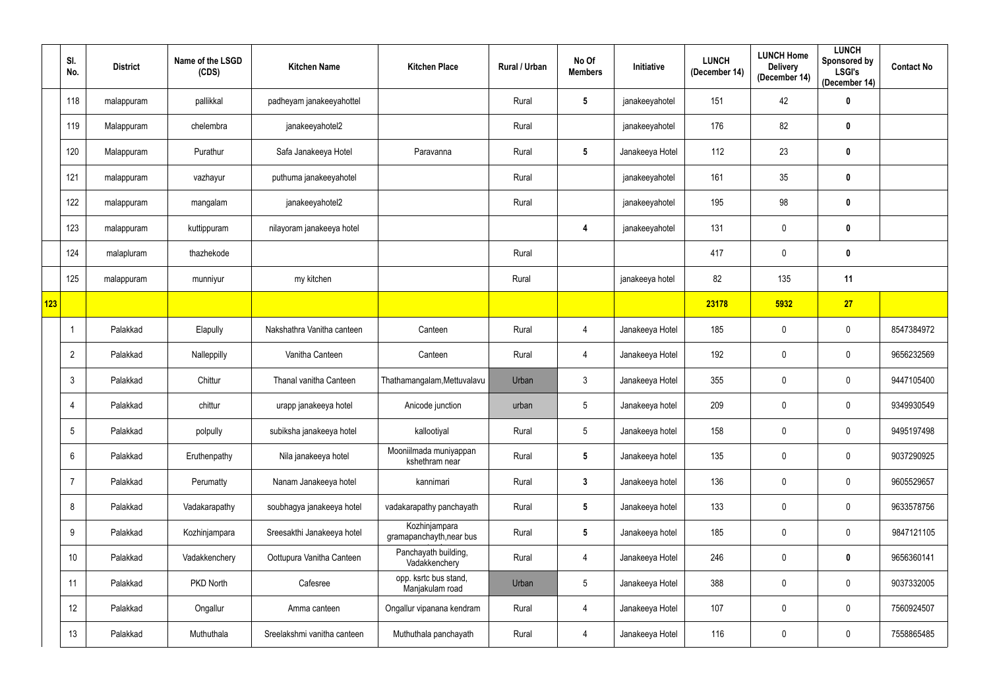|     | SI.<br>No.     | <b>District</b> | Name of the LSGD<br>(CDS) | <b>Kitchen Name</b>         | <b>Kitchen Place</b>                      | Rural / Urban | No Of<br><b>Members</b> | <b>Initiative</b> | <b>LUNCH</b><br>(December 14) | <b>LUNCH Home</b><br><b>Delivery</b><br>(December 14) | <b>LUNCH</b><br>Sponsored by<br><b>LSGI's</b><br>(December 14) | <b>Contact No</b> |
|-----|----------------|-----------------|---------------------------|-----------------------------|-------------------------------------------|---------------|-------------------------|-------------------|-------------------------------|-------------------------------------------------------|----------------------------------------------------------------|-------------------|
|     | 118            | malappuram      | pallikkal                 | padheyam janakeeyahottel    |                                           | Rural         | $5\phantom{.0}$         | janakeeyahotel    | 151                           | 42                                                    | $\boldsymbol{0}$                                               |                   |
|     | 119            | Malappuram      | chelembra                 | janakeeyahotel2             |                                           | Rural         |                         | janakeeyahotel    | 176                           | 82                                                    | $\boldsymbol{0}$                                               |                   |
|     | 120            | Malappuram      | Purathur                  | Safa Janakeeya Hotel        | Paravanna                                 | Rural         | $5\phantom{.0}$         | Janakeeya Hotel   | 112                           | 23                                                    | $\pmb{0}$                                                      |                   |
|     | 121            | malappuram      | vazhayur                  | puthuma janakeeyahotel      |                                           | Rural         |                         | janakeeyahotel    | 161                           | 35                                                    | $\pmb{0}$                                                      |                   |
|     | 122            | malappuram      | mangalam                  | janakeeyahotel2             |                                           | Rural         |                         | janakeeyahotel    | 195                           | 98                                                    | $\mathbf 0$                                                    |                   |
|     | 123            | malappuram      | kuttippuram               | nilayoram janakeeya hotel   |                                           |               | 4                       | janakeeyahotel    | 131                           | $\mathbf 0$                                           | $\boldsymbol{0}$                                               |                   |
|     | 124            | malapluram      | thazhekode                |                             |                                           | Rural         |                         |                   | 417                           | $\mathbf 0$                                           | $\boldsymbol{0}$                                               |                   |
|     | 125            | malappuram      | munniyur                  | my kitchen                  |                                           | Rural         |                         | janakeeya hotel   | 82                            | 135                                                   | 11                                                             |                   |
| 123 |                |                 |                           |                             |                                           |               |                         |                   | 23178                         | 5932                                                  | 27                                                             |                   |
|     |                | Palakkad        | Elapully                  | Nakshathra Vanitha canteen  | Canteen                                   | Rural         | 4                       | Janakeeya Hotel   | 185                           | $\mathbf 0$                                           | $\boldsymbol{0}$                                               | 8547384972        |
|     | $\overline{2}$ | Palakkad        | Nalleppilly               | Vanitha Canteen             | Canteen                                   | Rural         | 4                       | Janakeeya Hotel   | 192                           | $\mathbf 0$                                           | $\boldsymbol{0}$                                               | 9656232569        |
|     | 3              | Palakkad        | Chittur                   | Thanal vanitha Canteen      | Thathamangalam, Mettuvalavu               | Urban         | 3 <sup>1</sup>          | Janakeeya Hotel   | 355                           | $\mathbf 0$                                           | $\mathbf 0$                                                    | 9447105400        |
|     | 4              | Palakkad        | chittur                   | urapp janakeeya hotel       | Anicode junction                          | urban         | $5\phantom{.0}$         | Janakeeya hotel   | 209                           | $\mathbf 0$                                           | $\boldsymbol{0}$                                               | 9349930549        |
|     | $\overline{5}$ | Palakkad        | polpully                  | subiksha janakeeya hotel    | kallootiyal                               | Rural         | $5\phantom{.0}$         | Janakeeya hotel   | 158                           | $\mathbf 0$                                           | $\pmb{0}$                                                      | 9495197498        |
|     | $6\phantom{.}$ | Palakkad        | Eruthenpathy              | Nila janakeeya hotel        | Mooniilmada muniyappan<br>kshethram near  | Rural         | $5\phantom{.0}$         | Janakeeya hotel   | 135                           | $\mathbf 0$                                           | $\mathbf 0$                                                    | 9037290925        |
|     | -7             | Palakkad        | Perumatty                 | Nanam Janakeeya hotel       | kannimari                                 | Rural         | $\mathbf{3}$            | Janakeeya hotel   | 136                           | $\mathbf 0$                                           | $\mathbf 0$                                                    | 9605529657        |
|     | 8              | Palakkad        | Vadakarapathy             | soubhagya janakeeya hotel   | vadakarapathy panchayath                  | Rural         | $5\phantom{.0}$         | Janakeeya hotel   | 133                           | $\pmb{0}$                                             | $\mathbf 0$                                                    | 9633578756        |
|     | 9              | Palakkad        | Kozhinjampara             | Sreesakthi Janakeeya hotel  | Kozhinjampara<br>gramapanchayth, near bus | Rural         | $5\phantom{.0}$         | Janakeeya hotel   | 185                           | $\pmb{0}$                                             | $\mathbf 0$                                                    | 9847121105        |
|     | 10             | Palakkad        | Vadakkenchery             | Oottupura Vanitha Canteen   | Panchayath building,<br>Vadakkenchery     | Rural         | 4                       | Janakeeya Hotel   | 246                           | $\pmb{0}$                                             | $\mathbf 0$                                                    | 9656360141        |
|     | 11             | Palakkad        | PKD North                 | Cafesree                    | opp. ksrtc bus stand,<br>Manjakulam road  | Urban         | $5\phantom{.0}$         | Janakeeya Hotel   | 388                           | $\mathbf 0$                                           | $\mathbf 0$                                                    | 9037332005        |
|     | 12             | Palakkad        | Ongallur                  | Amma canteen                | Ongallur vipanana kendram                 | Rural         | 4                       | Janakeeya Hotel   | 107                           | $\pmb{0}$                                             | $\mathbf 0$                                                    | 7560924507        |
|     | 13             | Palakkad        | Muthuthala                | Sreelakshmi vanitha canteen | Muthuthala panchayath                     | Rural         | 4                       | Janakeeya Hotel   | 116                           | $\pmb{0}$                                             | $\mathbf 0$                                                    | 7558865485        |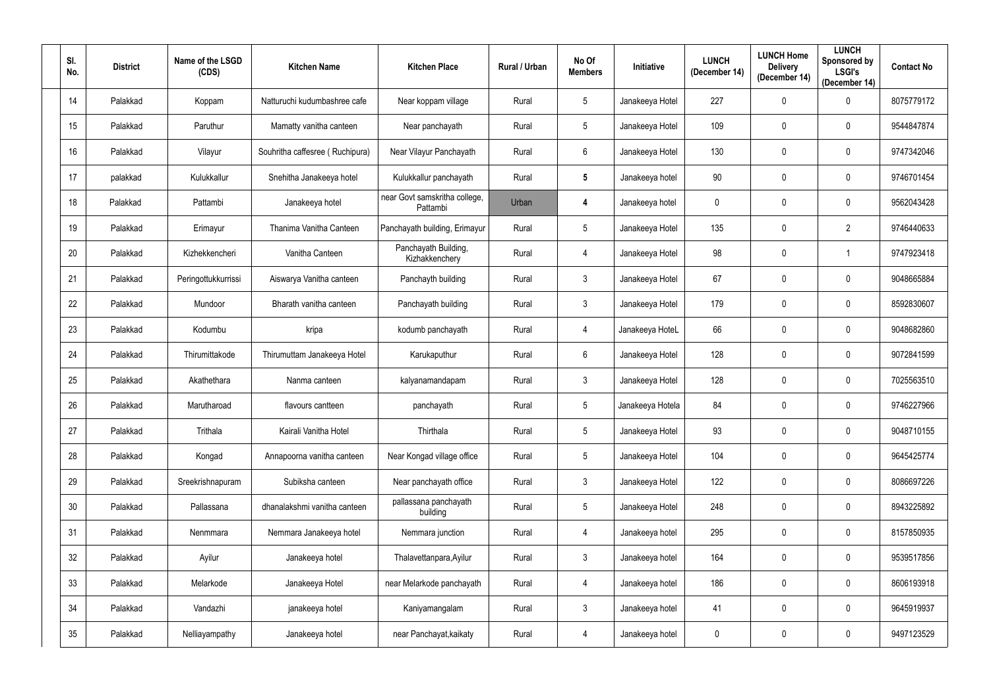| SI.<br>No. | <b>District</b> | Name of the LSGD<br>(CDS) | <b>Kitchen Name</b>             | <b>Kitchen Place</b>                      | Rural / Urban | No Of<br><b>Members</b> | Initiative       | <b>LUNCH</b><br>(December 14) | <b>LUNCH Home</b><br><b>Delivery</b><br>(December 14) | <b>LUNCH</b><br>Sponsored by<br><b>LSGI's</b><br>(December 14) | <b>Contact No</b> |
|------------|-----------------|---------------------------|---------------------------------|-------------------------------------------|---------------|-------------------------|------------------|-------------------------------|-------------------------------------------------------|----------------------------------------------------------------|-------------------|
| 14         | Palakkad        | Koppam                    | Natturuchi kudumbashree cafe    | Near koppam village                       | Rural         | $5\phantom{.0}$         | Janakeeya Hotel  | 227                           | $\mathbf 0$                                           | $\mathbf 0$                                                    | 8075779172        |
| 15         | Palakkad        | Paruthur                  | Mamatty vanitha canteen         | Near panchayath                           | Rural         | $5\phantom{.0}$         | Janakeeya Hotel  | 109                           | $\mathbf 0$                                           | $\mathbf 0$                                                    | 9544847874        |
| 16         | Palakkad        | Vilayur                   | Souhritha caffesree (Ruchipura) | Near Vilayur Panchayath                   | Rural         | $6\phantom{.}$          | Janakeeya Hotel  | 130                           | $\mathbf 0$                                           | $\mathbf 0$                                                    | 9747342046        |
| 17         | palakkad        | Kulukkallur               | Snehitha Janakeeya hotel        | Kulukkallur panchayath                    | Rural         | 5                       | Janakeeya hotel  | 90                            | $\mathbf 0$                                           | $\mathbf 0$                                                    | 9746701454        |
| 18         | Palakkad        | Pattambi                  | Janakeeya hotel                 | near Govt samskritha college,<br>Pattambi | Urban         | 4                       | Janakeeya hotel  | $\overline{0}$                | $\mathbf 0$                                           | $\mathbf 0$                                                    | 9562043428        |
| 19         | Palakkad        | Erimayur                  | Thanima Vanitha Canteen         | Panchayath building, Erimayur             | Rural         | $5\phantom{.0}$         | Janakeeya Hotel  | 135                           | $\mathbf 0$                                           | $\overline{2}$                                                 | 9746440633        |
| 20         | Palakkad        | Kizhekkencheri            | Vanitha Canteen                 | Panchayath Building,<br>Kizhakkenchery    | Rural         | 4                       | Janakeeya Hotel  | 98                            | $\mathbf 0$                                           |                                                                | 9747923418        |
| 21         | Palakkad        | Peringottukkurrissi       | Aiswarya Vanitha canteen        | Panchayth building                        | Rural         | $3\phantom{.0}$         | Janakeeya Hotel  | 67                            | $\mathbf 0$                                           | $\mathbf 0$                                                    | 9048665884        |
| 22         | Palakkad        | Mundoor                   | Bharath vanitha canteen         | Panchayath building                       | Rural         | $\mathfrak{Z}$          | Janakeeya Hotel  | 179                           | $\mathbf 0$                                           | $\mathbf 0$                                                    | 8592830607        |
| 23         | Palakkad        | Kodumbu                   | kripa                           | kodumb panchayath                         | Rural         | 4                       | Janakeeya HoteL  | 66                            | $\mathbf 0$                                           | $\mathbf 0$                                                    | 9048682860        |
| 24         | Palakkad        | Thirumittakode            | Thirumuttam Janakeeya Hotel     | Karukaputhur                              | Rural         | 6                       | Janakeeya Hotel  | 128                           | $\mathbf 0$                                           | $\mathbf{0}$                                                   | 9072841599        |
| 25         | Palakkad        | Akathethara               | Nanma canteen                   | kalyanamandapam                           | Rural         | $\mathfrak{Z}$          | Janakeeya Hotel  | 128                           | $\mathbf 0$                                           | $\mathbf 0$                                                    | 7025563510        |
| 26         | Palakkad        | Marutharoad               | flavours cantteen               | panchayath                                | Rural         | 5                       | Janakeeya Hotela | 84                            | $\mathbf 0$                                           | $\mathbf 0$                                                    | 9746227966        |
| 27         | Palakkad        | Trithala                  | Kairali Vanitha Hotel           | Thirthala                                 | Rural         | $5\phantom{.0}$         | Janakeeya Hotel  | 93                            | $\mathbf 0$                                           | $\mathbf 0$                                                    | 9048710155        |
| 28         | Palakkad        | Kongad                    | Annapoorna vanitha canteen      | Near Kongad village office                | Rural         | $5\phantom{.0}$         | Janakeeya Hotel  | 104                           | $\mathbf 0$                                           | $\mathbf 0$                                                    | 9645425774        |
| 29         | Palakkad        | Sreekrishnapuram          | Subiksha canteen                | Near panchayath office                    | Rural         | 3 <sup>1</sup>          | Janakeeya Hotel  | 122                           | $\mathbf 0$                                           | $\mathbf 0$                                                    | 8086697226        |
| 30         | Palakkad        | Pallassana                | dhanalakshmi vanitha canteen    | pallassana panchayath<br>building         | Rural         | $5\phantom{.0}$         | Janakeeya Hotel  | 248                           | $\pmb{0}$                                             | $\mathbf 0$                                                    | 8943225892        |
| 31         | Palakkad        | Nenmmara                  | Nemmara Janakeeya hotel         | Nemmara junction                          | Rural         | $\overline{4}$          | Janakeeya hotel  | 295                           | $\pmb{0}$                                             | $\mathbf 0$                                                    | 8157850935        |
| 32         | Palakkad        | Ayilur                    | Janakeeya hotel                 | Thalavettanpara, Ayilur                   | Rural         | $3\phantom{.0}$         | Janakeeya hotel  | 164                           | $\mathbf 0$                                           | $\mathbf 0$                                                    | 9539517856        |
| 33         | Palakkad        | Melarkode                 | Janakeeya Hotel                 | near Melarkode panchayath                 | Rural         | $\overline{4}$          | Janakeeya hotel  | 186                           | $\pmb{0}$                                             | $\mathbf 0$                                                    | 8606193918        |
| 34         | Palakkad        | Vandazhi                  | janakeeya hotel                 | Kaniyamangalam                            | Rural         | 3 <sup>1</sup>          | Janakeeya hotel  | 41                            | $\pmb{0}$                                             | $\mathbf 0$                                                    | 9645919937        |
| 35         | Palakkad        | Nelliayampathy            | Janakeeya hotel                 | near Panchayat, kaikaty                   | Rural         | 4                       | Janakeeya hotel  | $\mathbf 0$                   | $\pmb{0}$                                             | $\boldsymbol{0}$                                               | 9497123529        |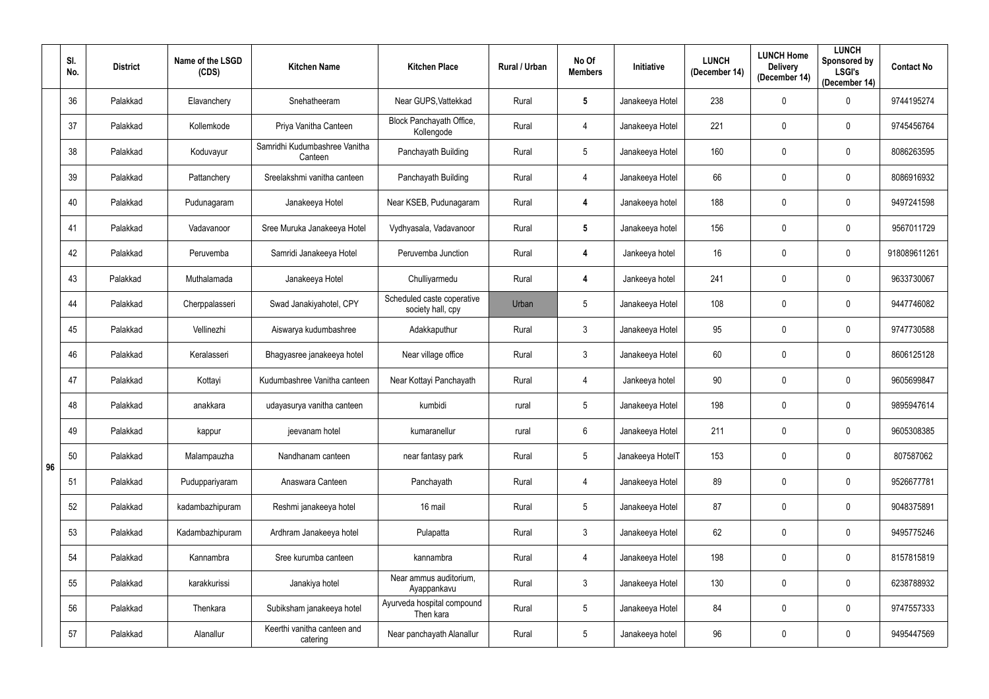|    | SI.<br>No. | <b>District</b> | Name of the LSGD<br>(CDS) | <b>Kitchen Name</b>                      | <b>Kitchen Place</b>                            | Rural / Urban | No Of<br><b>Members</b> | <b>Initiative</b> | <b>LUNCH</b><br>(December 14) | <b>LUNCH Home</b><br><b>Delivery</b><br>(December 14) | <b>LUNCH</b><br>Sponsored by<br><b>LSGI's</b><br>(December 14) | <b>Contact No</b> |
|----|------------|-----------------|---------------------------|------------------------------------------|-------------------------------------------------|---------------|-------------------------|-------------------|-------------------------------|-------------------------------------------------------|----------------------------------------------------------------|-------------------|
|    | 36         | Palakkad        | Elavanchery               | Snehatheeram                             | Near GUPS, Vattekkad                            | Rural         | $5\phantom{.0}$         | Janakeeya Hotel   | 238                           | $\mathbf 0$                                           | $\mathbf 0$                                                    | 9744195274        |
|    | 37         | Palakkad        | Kollemkode                | Priya Vanitha Canteen                    | Block Panchayath Office,<br>Kollengode          | Rural         | 4                       | Janakeeya Hotel   | 221                           | 0                                                     | 0                                                              | 9745456764        |
|    | 38         | Palakkad        | Koduvayur                 | Samridhi Kudumbashree Vanitha<br>Canteen | Panchayath Building                             | Rural         | 5                       | Janakeeya Hotel   | 160                           | 0                                                     | 0                                                              | 8086263595        |
|    | 39         | Palakkad        | Pattanchery               | Sreelakshmi vanitha canteen              | Panchayath Building                             | Rural         | 4                       | Janakeeya Hotel   | 66                            | 0                                                     | $\mathbf 0$                                                    | 8086916932        |
|    | 40         | Palakkad        | Pudunagaram               | Janakeeya Hotel                          | Near KSEB, Pudunagaram                          | Rural         | 4                       | Janakeeya hotel   | 188                           | $\pmb{0}$                                             | 0                                                              | 9497241598        |
|    | 41         | Palakkad        | Vadavanoor                | Sree Muruka Janakeeya Hotel              | Vydhyasala, Vadavanoor                          | Rural         | $5\phantom{.0}$         | Janakeeya hotel   | 156                           | $\mathbf 0$                                           | $\mathbf 0$                                                    | 9567011729        |
|    | 42         | Palakkad        | Peruvemba                 | Samridi Janakeeya Hotel                  | Peruvemba Junction                              | Rural         | 4                       | Jankeeya hotel    | 16                            | $\mathbf 0$                                           | 0                                                              | 918089611261      |
|    | 43         | Palakkad        | Muthalamada               | Janakeeya Hotel                          | Chulliyarmedu                                   | Rural         | 4                       | Jankeeya hotel    | 241                           | 0                                                     | 0                                                              | 9633730067        |
|    | 44         | Palakkad        | Cherppalasseri            | Swad Janakiyahotel, CPY                  | Scheduled caste coperative<br>society hall, cpy | Urban         | 5                       | Janakeeya Hotel   | 108                           | 0                                                     | $\mathbf 0$                                                    | 9447746082        |
|    | 45         | Palakkad        | Vellinezhi                | Aiswarya kudumbashree                    | Adakkaputhur                                    | Rural         | $\mathfrak{Z}$          | Janakeeya Hotel   | 95                            | $\pmb{0}$                                             | 0                                                              | 9747730588        |
|    | 46         | Palakkad        | Keralasseri               | Bhagyasree janakeeya hotel               | Near village office                             | Rural         | 3                       | Janakeeya Hotel   | 60                            | $\mathbf 0$                                           | $\mathbf 0$                                                    | 8606125128        |
|    | 47         | Palakkad        | Kottayi                   | Kudumbashree Vanitha canteen             | Near Kottayi Panchayath                         | Rural         | 4                       | Jankeeya hotel    | 90                            | $\pmb{0}$                                             | 0                                                              | 9605699847        |
|    | 48         | Palakkad        | anakkara                  | udayasurya vanitha canteen               | kumbidi                                         | rural         | 5                       | Janakeeya Hotel   | 198                           | 0                                                     | $\mathbf 0$                                                    | 9895947614        |
|    | 49         | Palakkad        | kappur                    | jeevanam hotel                           | kumaranellur                                    | rural         | $6\phantom{.0}$         | Janakeeya Hotel   | 211                           | 0                                                     | $\mathbf 0$                                                    | 9605308385        |
| 96 | 50         | Palakkad        | Malampauzha               | Nandhanam canteen                        | near fantasy park                               | Rural         | $5\overline{)}$         | Janakeeya HotelT  | 153                           | $\pmb{0}$                                             | $\mathbf 0$                                                    | 807587062         |
|    | 51         | Palakkad        | Puduppariyaram            | Anaswara Canteen                         | Panchayath                                      | Rural         | 4                       | Janakeeya Hotel   | 89                            | $\mathbf 0$                                           | $\mathbf 0$                                                    | 9526677781        |
|    | 52         | Palakkad        | kadambazhipuram           | Reshmi janakeeya hotel                   | 16 mail                                         | Rural         | $5\phantom{.0}$         | Janakeeya Hotel   | 87                            | $\pmb{0}$                                             | $\bf{0}$                                                       | 9048375891        |
|    | 53         | Palakkad        | Kadambazhipuram           | Ardhram Janakeeya hotel                  | Pulapatta                                       | Rural         | 3 <sup>1</sup>          | Janakeeya Hotel   | 62                            | $\pmb{0}$                                             | $\mathbf 0$                                                    | 9495775246        |
|    | 54         | Palakkad        | Kannambra                 | Sree kurumba canteen                     | kannambra                                       | Rural         | 4                       | Janakeeya Hotel   | 198                           | 0                                                     | $\mathbf 0$                                                    | 8157815819        |
|    | 55         | Palakkad        | karakkurissi              | Janakiya hotel                           | Near ammus auditorium,<br>Ayappankavu           | Rural         | $\mathbf{3}$            | Janakeeya Hotel   | 130                           | $\pmb{0}$                                             | $\pmb{0}$                                                      | 6238788932        |
|    | 56         | Palakkad        | Thenkara                  | Subiksham janakeeya hotel                | Ayurveda hospital compound<br>Then kara         | Rural         | $5\phantom{.0}$         | Janakeeya Hotel   | 84                            | $\pmb{0}$                                             | $\mathbf 0$                                                    | 9747557333        |
|    | 57         | Palakkad        | Alanallur                 | Keerthi vanitha canteen and<br>catering  | Near panchayath Alanallur                       | Rural         | $5\phantom{.0}$         | Janakeeya hotel   | 96                            | $\pmb{0}$                                             | $\pmb{0}$                                                      | 9495447569        |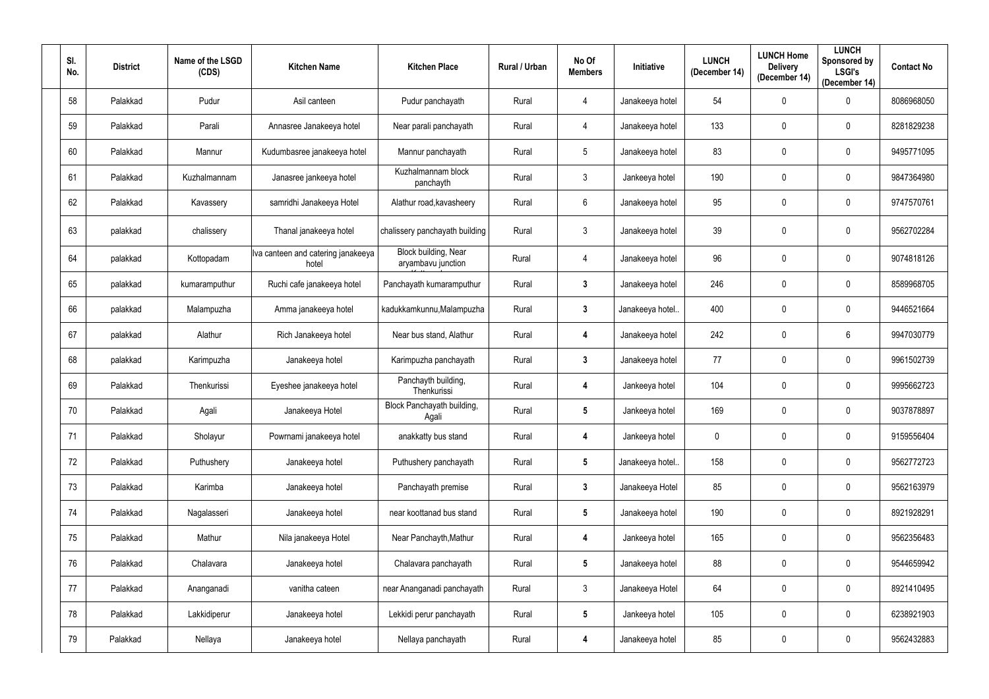| SI.<br>No. | <b>District</b> | Name of the LSGD<br>(CDS) | <b>Kitchen Name</b>                         | <b>Kitchen Place</b>                       | Rural / Urban | No Of<br><b>Members</b> | Initiative      | <b>LUNCH</b><br>(December 14) | <b>LUNCH Home</b><br><b>Delivery</b><br>(December 14) | <b>LUNCH</b><br>Sponsored by<br><b>LSGI's</b><br>(December 14) | <b>Contact No</b> |
|------------|-----------------|---------------------------|---------------------------------------------|--------------------------------------------|---------------|-------------------------|-----------------|-------------------------------|-------------------------------------------------------|----------------------------------------------------------------|-------------------|
| 58         | Palakkad        | Pudur                     | Asil canteen                                | Pudur panchayath                           | Rural         | 4                       | Janakeeya hotel | 54                            | $\mathbf 0$                                           | 0                                                              | 8086968050        |
| 59         | Palakkad        | Parali                    | Annasree Janakeeya hotel                    | Near parali panchayath                     | Rural         | 4                       | Janakeeya hotel | 133                           | $\pmb{0}$                                             | $\mathbf 0$                                                    | 8281829238        |
| 60         | Palakkad        | Mannur                    | Kudumbasree janakeeya hotel                 | Mannur panchayath                          | Rural         | 5                       | Janakeeya hotel | 83                            | $\mathbf 0$                                           | 0                                                              | 9495771095        |
| 61         | Palakkad        | Kuzhalmannam              | Janasree jankeeya hotel                     | Kuzhalmannam block<br>panchayth            | Rural         | $\mathfrak{Z}$          | Jankeeya hotel  | 190                           | $\mathbf 0$                                           | $\mathbf 0$                                                    | 9847364980        |
| 62         | Palakkad        | Kavassery                 | samridhi Janakeeya Hotel                    | Alathur road, kavasheery                   | Rural         | 6                       | Janakeeya hotel | 95                            | $\mathbf 0$                                           | $\mathbf 0$                                                    | 9747570761        |
| 63         | palakkad        | chalissery                | Thanal janakeeya hotel                      | chalissery panchayath building             | Rural         | $\mathfrak{Z}$          | Janakeeya hotel | 39                            | $\pmb{0}$                                             | $\pmb{0}$                                                      | 9562702284        |
| 64         | palakkad        | Kottopadam                | Iva canteen and catering janakeeya<br>hotel | Block building, Near<br>aryambavu junction | Rural         | 4                       | Janakeeya hotel | 96                            | $\mathbf 0$                                           | 0                                                              | 9074818126        |
| 65         | palakkad        | kumaramputhur             | Ruchi cafe janakeeya hotel                  | Panchayath kumaramputhur                   | Rural         | $\mathbf{3}$            | Janakeeya hotel | 246                           | $\mathbf 0$                                           | 0                                                              | 8589968705        |
| 66         | palakkad        | Malampuzha                | Amma janakeeya hotel                        | kadukkamkunnu, Malampuzha                  | Rural         | 3 <sup>1</sup>          | Janakeeya hotel | 400                           | $\mathbf 0$                                           | 0                                                              | 9446521664        |
| 67         | palakkad        | Alathur                   | Rich Janakeeya hotel                        | Near bus stand, Alathur                    | Rural         | 4                       | Janakeeya hotel | 242                           | $\mathbf 0$                                           | $6\phantom{.}$                                                 | 9947030779        |
| 68         | palakkad        | Karimpuzha                | Janakeeya hotel                             | Karimpuzha panchayath                      | Rural         | $3\phantom{a}$          | Janakeeya hotel | 77                            | $\pmb{0}$                                             | 0                                                              | 9961502739        |
| 69         | Palakkad        | Thenkurissi               | Eyeshee janakeeya hotel                     | Panchayth building,<br>Thenkurissi         | Rural         | 4                       | Jankeeya hotel  | 104                           | $\boldsymbol{0}$                                      | 0                                                              | 9995662723        |
| 70         | Palakkad        | Agali                     | Janakeeya Hotel                             | Block Panchayath building,<br>Agali        | Rural         | 5                       | Jankeeya hotel  | 169                           | $\mathbf{0}$                                          | $\mathbf 0$                                                    | 9037878897        |
| 71         | Palakkad        | Sholayur                  | Powrnami janakeeya hotel                    | anakkatty bus stand                        | Rural         | 4                       | Jankeeya hotel  | $\mathbf 0$                   | $\mathbf 0$                                           | $\mathbf 0$                                                    | 9159556404        |
| 72         | Palakkad        | Puthushery                | Janakeeya hotel                             | Puthushery panchayath                      | Rural         | $5\phantom{.0}$         | Janakeeya hotel | 158                           | $\boldsymbol{0}$                                      | $\bf{0}$                                                       | 9562772723        |
| 73         | Palakkad        | Karimba                   | Janakeeya hotel                             | Panchayath premise                         | Rural         | 3 <sup>1</sup>          | Janakeeya Hotel | 85                            | $\mathbf 0$                                           | $\bf{0}$                                                       | 9562163979        |
| 74         | Palakkad        | Nagalasseri               | Janakeeya hotel                             | near koottanad bus stand                   | Rural         | $5\phantom{.0}$         | Janakeeya hotel | 190                           | $\pmb{0}$                                             | $\pmb{0}$                                                      | 8921928291        |
| 75         | Palakkad        | Mathur                    | Nila janakeeya Hotel                        | Near Panchayth, Mathur                     | Rural         | 4                       | Jankeeya hotel  | 165                           | $\pmb{0}$                                             | $\mathbf 0$                                                    | 9562356483        |
| 76         | Palakkad        | Chalavara                 | Janakeeya hotel                             | Chalavara panchayath                       | Rural         | $5\overline{)}$         | Janakeeya hotel | 88                            | $\pmb{0}$                                             | $\mathbf 0$                                                    | 9544659942        |
| 77         | Palakkad        | Ananganadi                | vanitha cateen                              | near Ananganadi panchayath                 | Rural         | 3 <sup>1</sup>          | Janakeeya Hotel | 64                            | $\pmb{0}$                                             | $\mathbf 0$                                                    | 8921410495        |
| 78         | Palakkad        | Lakkidiperur              | Janakeeya hotel                             | Lekkidi perur panchayath                   | Rural         | $5\phantom{.0}$         | Jankeeya hotel  | 105                           | $\mathbf 0$                                           | $\mathbf 0$                                                    | 6238921903        |
| 79         | Palakkad        | Nellaya                   | Janakeeya hotel                             | Nellaya panchayath                         | Rural         | 4                       | Janakeeya hotel | 85                            | $\pmb{0}$                                             | $\bf{0}$                                                       | 9562432883        |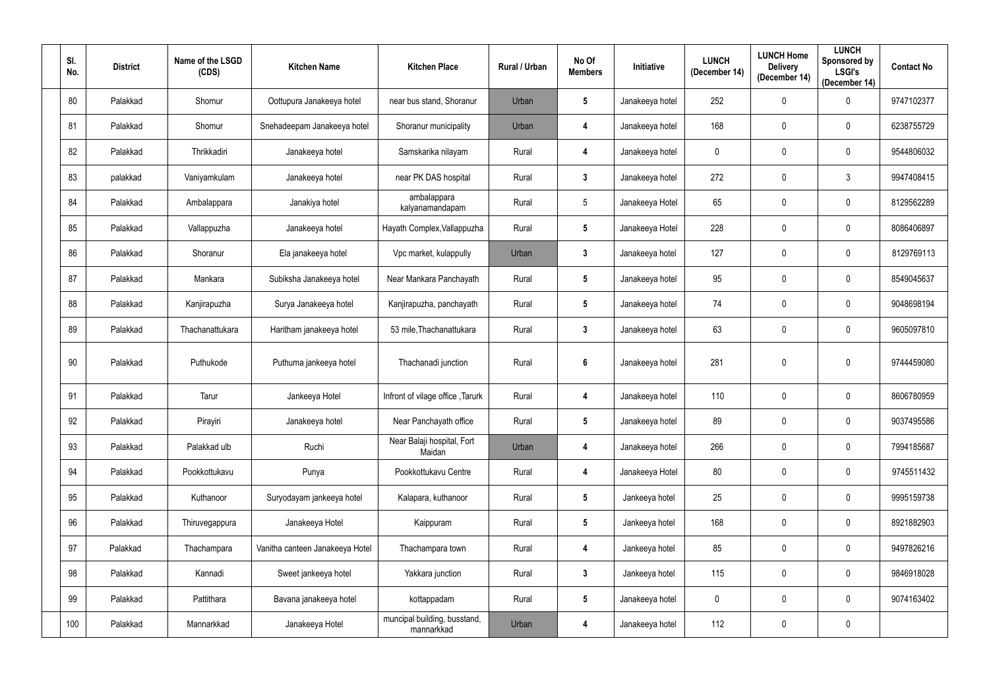| SI.<br>No. | <b>District</b> | Name of the LSGD<br>(CDS) | <b>Kitchen Name</b>             | <b>Kitchen Place</b>                       | Rural / Urban | No Of<br><b>Members</b> | Initiative      | <b>LUNCH</b><br>(December 14) | <b>LUNCH Home</b><br><b>Delivery</b><br>(December 14) | <b>LUNCH</b><br>Sponsored by<br><b>LSGI's</b><br>(December 14) | <b>Contact No</b> |
|------------|-----------------|---------------------------|---------------------------------|--------------------------------------------|---------------|-------------------------|-----------------|-------------------------------|-------------------------------------------------------|----------------------------------------------------------------|-------------------|
| 80         | Palakkad        | Shornur                   | Oottupura Janakeeya hotel       | near bus stand, Shoranur                   | Urban         | $5\phantom{.0}$         | Janakeeya hotel | 252                           | $\mathbf 0$                                           | $\mathbf 0$                                                    | 9747102377        |
| 81         | Palakkad        | Shornur                   | Snehadeepam Janakeeya hotel     | Shoranur municipality                      | Urban         | 4                       | Janakeeya hotel | 168                           | $\mathbf 0$                                           | $\mathbf 0$                                                    | 6238755729        |
| 82         | Palakkad        | Thrikkadiri               | Janakeeya hotel                 | Samskarika nilayam                         | Rural         | 4                       | Janakeeya hotel | $\mathbf 0$                   | 0                                                     | $\mathbf 0$                                                    | 9544806032        |
| 83         | palakkad        | Vaniyamkulam              | Janakeeya hotel                 | near PK DAS hospital                       | Rural         | $\mathbf{3}$            | Janakeeya hotel | 272                           | $\mathbf 0$                                           | $\mathbf{3}$                                                   | 9947408415        |
| 84         | Palakkad        | Ambalappara               | Janakiya hotel                  | ambalappara<br>kalyanamandapam             | Rural         | $5\phantom{.0}$         | Janakeeya Hotel | 65                            | $\mathbf 0$                                           | $\mathbf 0$                                                    | 8129562289        |
| 85         | Palakkad        | Vallappuzha               | Janakeeya hotel                 | Hayath Complex, Vallappuzha                | Rural         | $5\phantom{.0}$         | Janakeeya Hotel | 228                           | $\mathbf 0$                                           | $\mathbf 0$                                                    | 8086406897        |
| 86         | Palakkad        | Shoranur                  | Ela janakeeya hotel             | Vpc market, kulappully                     | Urban         | $3\phantom{.0}$         | Janakeeya hotel | 127                           | $\mathbf 0$                                           | $\mathbf 0$                                                    | 8129769113        |
| 87         | Palakkad        | Mankara                   | Subiksha Janakeeya hotel        | Near Mankara Panchayath                    | Rural         | $5\phantom{.0}$         | Janakeeya hotel | 95                            | 0                                                     | $\mathbf 0$                                                    | 8549045637        |
| 88         | Palakkad        | Kanjirapuzha              | Surya Janakeeya hotel           | Kanjirapuzha, panchayath                   | Rural         | 5                       | Janakeeya hotel | 74                            | $\mathbf 0$                                           | $\mathbf 0$                                                    | 9048698194        |
| 89         | Palakkad        | Thachanattukara           | Haritham janakeeya hotel        | 53 mile, Thachanattukara                   | Rural         | $\mathbf{3}$            | Janakeeya hotel | 63                            | $\mathbf 0$                                           | $\mathbf 0$                                                    | 9605097810        |
| 90         | Palakkad        | Puthukode                 | Puthuma jankeeya hotel          | Thachanadi junction                        | Rural         | 6                       | Janakeeya hotel | 281                           | $\mathbf 0$                                           | $\mathbf{0}$                                                   | 9744459080        |
| 91         | Palakkad        | Tarur                     | Jankeeya Hotel                  | Infront of vilage office, Tarurk           | Rural         | 4                       | Janakeeya hotel | 110                           | $\mathbf 0$                                           | $\mathbf 0$                                                    | 8606780959        |
| 92         | Palakkad        | Pirayiri                  | Janakeeya hotel                 | Near Panchayath office                     | Rural         | 5                       | Janakeeya hotel | 89                            | $\mathbf 0$                                           | $\mathbf 0$                                                    | 9037495586        |
| 93         | Palakkad        | Palakkad ulb              | Ruchi                           | Near Balaji hospital, Fort<br>Maidan       | Urban         | 4                       | Janakeeya hotel | 266                           | $\boldsymbol{0}$                                      | $\pmb{0}$                                                      | 7994185687        |
| 94         | Palakkad        | Pookkottukavu             | Punya                           | Pookkottukavu Centre                       | Rural         | 4                       | Janakeeya Hotel | 80                            | $\boldsymbol{0}$                                      | $\pmb{0}$                                                      | 9745511432        |
| 95         | Palakkad        | Kuthanoor                 | Suryodayam jankeeya hotel       | Kalapara, kuthanoor                        | Rural         | $5\phantom{.0}$         | Jankeeya hotel  | 25                            | $\boldsymbol{0}$                                      | $\pmb{0}$                                                      | 9995159738        |
| 96         | Palakkad        | Thiruvegappura            | Janakeeya Hotel                 | Kaippuram                                  | Rural         | $5\phantom{.0}$         | Jankeeya hotel  | 168                           | $\mathbf 0$                                           | $\pmb{0}$                                                      | 8921882903        |
| 97         | Palakkad        | Thachampara               | Vanitha canteen Janakeeya Hotel | Thachampara town                           | Rural         | 4                       | Jankeeya hotel  | 85                            | $\pmb{0}$                                             | $\pmb{0}$                                                      | 9497826216        |
| 98         | Palakkad        | Kannadi                   | Sweet jankeeya hotel            | Yakkara junction                           | Rural         | 3 <sup>1</sup>          | Jankeeya hotel  | 115                           | $\boldsymbol{0}$                                      | $\pmb{0}$                                                      | 9846918028        |
| 99         | Palakkad        | Pattithara                | Bavana janakeeya hotel          | kottappadam                                | Rural         | $5\overline{)}$         | Janakeeya hotel | $\overline{0}$                | $\boldsymbol{0}$                                      | $\pmb{0}$                                                      | 9074163402        |
| 100        | Palakkad        | Mannarkkad                | Janakeeya Hotel                 | muncipal building, busstand,<br>mannarkkad | Urban         | 4                       | Janakeeya hotel | 112                           | $\pmb{0}$                                             | $\boldsymbol{0}$                                               |                   |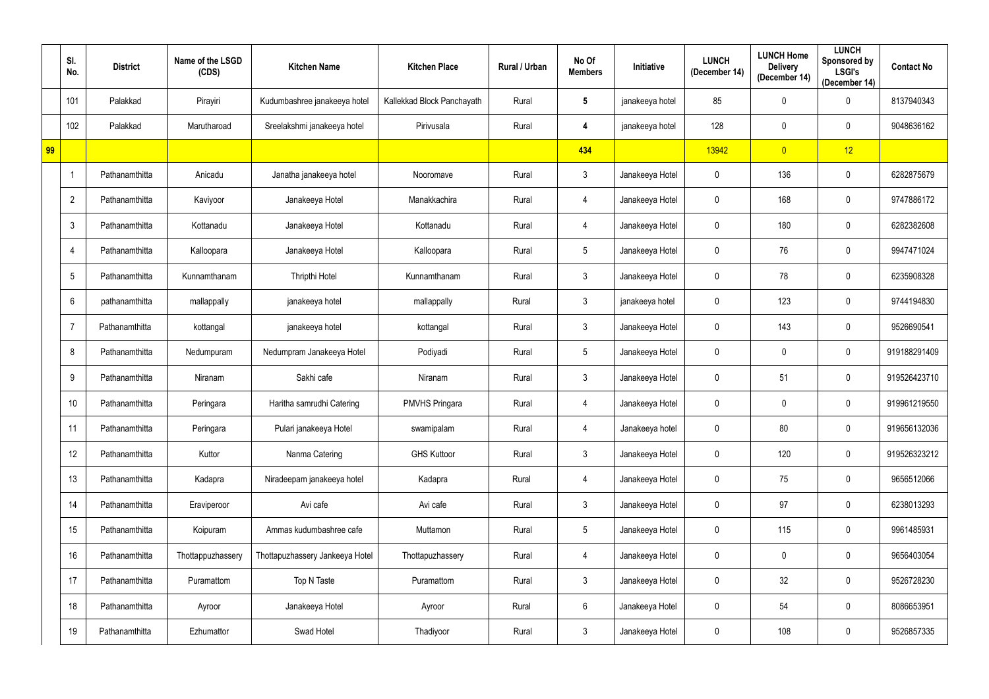|    | SI.<br>No.     | <b>District</b> | Name of the LSGD<br>(CDS) | <b>Kitchen Name</b>             | <b>Kitchen Place</b>       | Rural / Urban | No Of<br><b>Members</b> | Initiative      | <b>LUNCH</b><br>(December 14) | <b>LUNCH Home</b><br><b>Delivery</b><br>(December 14) | <b>LUNCH</b><br>Sponsored by<br><b>LSGI's</b><br>(December 14) | <b>Contact No</b> |
|----|----------------|-----------------|---------------------------|---------------------------------|----------------------------|---------------|-------------------------|-----------------|-------------------------------|-------------------------------------------------------|----------------------------------------------------------------|-------------------|
|    | 101            | Palakkad        | Pirayiri                  | Kudumbashree janakeeya hotel    | Kallekkad Block Panchayath | Rural         | $5\phantom{.0}$         | janakeeya hotel | 85                            | $\mathbf 0$                                           | $\mathbf 0$                                                    | 8137940343        |
|    | 102            | Palakkad        | Marutharoad               | Sreelakshmi janakeeya hotel     | Pirivusala                 | Rural         | 4                       | janakeeya hotel | 128                           | $\mathbf 0$                                           | $\mathbf 0$                                                    | 9048636162        |
| 99 |                |                 |                           |                                 |                            |               | 434                     |                 | 13942                         | $\overline{0}$                                        | 12                                                             |                   |
|    |                | Pathanamthitta  | Anicadu                   | Janatha janakeeya hotel         | Nooromave                  | Rural         | $\mathbf{3}$            | Janakeeya Hotel | $\overline{0}$                | 136                                                   | $\mathbf 0$                                                    | 6282875679        |
|    | $\overline{2}$ | Pathanamthitta  | Kaviyoor                  | Janakeeya Hotel                 | Manakkachira               | Rural         | 4                       | Janakeeya Hotel | $\overline{0}$                | 168                                                   | $\mathbf 0$                                                    | 9747886172        |
|    | $\mathfrak{Z}$ | Pathanamthitta  | Kottanadu                 | Janakeeya Hotel                 | Kottanadu                  | Rural         | 4                       | Janakeeya Hotel | $\mathbf 0$                   | 180                                                   | $\mathbf 0$                                                    | 6282382608        |
|    | $\overline{4}$ | Pathanamthitta  | Kalloopara                | Janakeeya Hotel                 | Kalloopara                 | Rural         | $5\overline{)}$         | Janakeeya Hotel | $\overline{0}$                | 76                                                    | $\mathbf 0$                                                    | 9947471024        |
|    | 5              | Pathanamthitta  | Kunnamthanam              | Thripthi Hotel                  | Kunnamthanam               | Rural         | $\mathbf{3}$            | Janakeeya Hotel | $\mathbf 0$                   | 78                                                    | $\mathbf 0$                                                    | 6235908328        |
|    | 6              | pathanamthitta  | mallappally               | janakeeya hotel                 | mallappally                | Rural         | $\mathbf{3}$            | janakeeya hotel | $\mathbf 0$                   | 123                                                   | $\mathbf 0$                                                    | 9744194830        |
|    | $\overline{7}$ | Pathanamthitta  | kottangal                 | janakeeya hotel                 | kottangal                  | Rural         | $\mathbf{3}$            | Janakeeya Hotel | $\mathbf 0$                   | 143                                                   | $\mathbf 0$                                                    | 9526690541        |
|    | 8              | Pathanamthitta  | Nedumpuram                | Nedumpram Janakeeya Hotel       | Podiyadi                   | Rural         | $5\phantom{.0}$         | Janakeeya Hotel | $\mathbf 0$                   | $\mathbf 0$                                           | $\mathbf 0$                                                    | 919188291409      |
|    | 9              | Pathanamthitta  | Niranam                   | Sakhi cafe                      | Niranam                    | Rural         | $\mathbf{3}$            | Janakeeya Hotel | $\overline{0}$                | 51                                                    | $\mathbf 0$                                                    | 919526423710      |
|    | 10             | Pathanamthitta  | Peringara                 | Haritha samrudhi Catering       | <b>PMVHS Pringara</b>      | Rural         | 4                       | Janakeeya Hotel | $\mathbf 0$                   | $\mathbf 0$                                           | $\mathbf 0$                                                    | 919961219550      |
|    | 11             | Pathanamthitta  | Peringara                 | Pulari janakeeya Hotel          | swamipalam                 | Rural         | 4                       | Janakeeya hotel | $\overline{0}$                | 80                                                    | $\pmb{0}$                                                      | 919656132036      |
|    | 12             | Pathanamthitta  | Kuttor                    | Nanma Catering                  | <b>GHS Kuttoor</b>         | Rural         | 3 <sup>1</sup>          | Janakeeya Hotel | $\overline{0}$                | 120                                                   | $\pmb{0}$                                                      | 919526323212      |
|    | 13             | Pathanamthitta  | Kadapra                   | Niradeepam janakeeya hotel      | Kadapra                    | Rural         | 4                       | Janakeeya Hotel | $\overline{0}$                | 75                                                    | $\pmb{0}$                                                      | 9656512066        |
|    | 14             | Pathanamthitta  | Eraviperoor               | Avi cafe                        | Avi cafe                   | Rural         | 3 <sup>1</sup>          | Janakeeya Hotel | $\mathbf 0$                   | 97                                                    | $\pmb{0}$                                                      | 6238013293        |
|    | 15             | Pathanamthitta  | Koipuram                  | Ammas kudumbashree cafe         | Muttamon                   | Rural         | $5\overline{)}$         | Janakeeya Hotel | 0                             | 115                                                   | $\pmb{0}$                                                      | 9961485931        |
|    | 16             | Pathanamthitta  | Thottappuzhassery         | Thottapuzhassery Jankeeya Hotel | Thottapuzhassery           | Rural         | $\overline{4}$          | Janakeeya Hotel | $\mathbf 0$                   | $\mathbf 0$                                           | $\pmb{0}$                                                      | 9656403054        |
|    | 17             | Pathanamthitta  | Puramattom                | Top N Taste                     | Puramattom                 | Rural         | $\mathbf{3}$            | Janakeeya Hotel | $\mathbf 0$                   | 32                                                    | $\pmb{0}$                                                      | 9526728230        |
|    | 18             | Pathanamthitta  | Ayroor                    | Janakeeya Hotel                 | Ayroor                     | Rural         | $6\phantom{.}6$         | Janakeeya Hotel | $\mathbf 0$                   | 54                                                    | $\pmb{0}$                                                      | 8086653951        |
|    | 19             | Pathanamthitta  | Ezhumattor                | Swad Hotel                      | Thadiyoor                  | Rural         | 3 <sup>1</sup>          | Janakeeya Hotel | 0                             | 108                                                   | $\pmb{0}$                                                      | 9526857335        |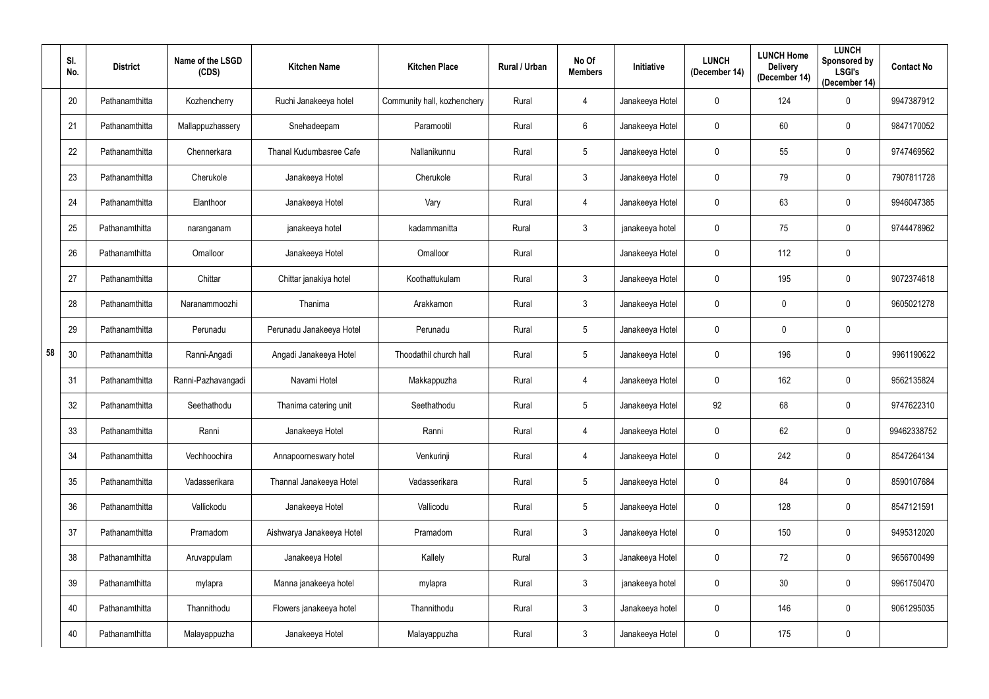|    | SI.<br>No. | <b>District</b> | Name of the LSGD<br>(CDS) | <b>Kitchen Name</b>       | <b>Kitchen Place</b>        | Rural / Urban | No Of<br><b>Members</b> | Initiative      | <b>LUNCH</b><br>(December 14) | <b>LUNCH Home</b><br><b>Delivery</b><br>(December 14) | <b>LUNCH</b><br>Sponsored by<br><b>LSGI's</b><br>(December 14) | <b>Contact No</b> |
|----|------------|-----------------|---------------------------|---------------------------|-----------------------------|---------------|-------------------------|-----------------|-------------------------------|-------------------------------------------------------|----------------------------------------------------------------|-------------------|
|    | 20         | Pathanamthitta  | Kozhencherry              | Ruchi Janakeeya hotel     | Community hall, kozhenchery | Rural         | 4                       | Janakeeya Hotel | $\mathbf 0$                   | 124                                                   | $\mathbf 0$                                                    | 9947387912        |
|    | 21         | Pathanamthitta  | Mallappuzhassery          | Snehadeepam               | Paramootil                  | Rural         | 6                       | Janakeeya Hotel | $\mathbf 0$                   | 60                                                    | 0                                                              | 9847170052        |
|    | 22         | Pathanamthitta  | Chennerkara               | Thanal Kudumbasree Cafe   | Nallanikunnu                | Rural         | 5                       | Janakeeya Hotel | $\mathbf 0$                   | 55                                                    | 0                                                              | 9747469562        |
|    | 23         | Pathanamthitta  | Cherukole                 | Janakeeya Hotel           | Cherukole                   | Rural         | $\mathbf{3}$            | Janakeeya Hotel | $\mathbf 0$                   | 79                                                    | $\mathbf 0$                                                    | 7907811728        |
|    | 24         | Pathanamthitta  | Elanthoor                 | Janakeeya Hotel           | Vary                        | Rural         | 4                       | Janakeeya Hotel | $\mathbf 0$                   | 63                                                    | 0                                                              | 9946047385        |
|    | 25         | Pathanamthitta  | naranganam                | janakeeya hotel           | kadammanitta                | Rural         | $\mathfrak{Z}$          | janakeeya hotel | $\mathbf 0$                   | 75                                                    | 0                                                              | 9744478962        |
|    | 26         | Pathanamthitta  | Omalloor                  | Janakeeya Hotel           | Omalloor                    | Rural         |                         | Janakeeya Hotel | $\mathbf 0$                   | 112                                                   | 0                                                              |                   |
|    | 27         | Pathanamthitta  | Chittar                   | Chittar janakiya hotel    | Koothattukulam              | Rural         | $\mathbf{3}$            | Janakeeya Hotel | $\mathbf 0$                   | 195                                                   | $\mathbf 0$                                                    | 9072374618        |
|    | 28         | Pathanamthitta  | Naranammoozhi             | Thanima                   | Arakkamon                   | Rural         | $\mathbf{3}$            | Janakeeya Hotel | $\mathbf 0$                   | 0                                                     | $\mathbf 0$                                                    | 9605021278        |
|    | 29         | Pathanamthitta  | Perunadu                  | Perunadu Janakeeya Hotel  | Perunadu                    | Rural         | 5                       | Janakeeya Hotel | $\mathbf 0$                   | $\mathbf 0$                                           | 0                                                              |                   |
| 58 | 30         | Pathanamthitta  | Ranni-Angadi              | Angadi Janakeeya Hotel    | Thoodathil church hall      | Rural         | $5\phantom{.0}$         | Janakeeya Hotel | $\mathbf 0$                   | 196                                                   | $\mathbf 0$                                                    | 9961190622        |
|    | 31         | Pathanamthitta  | Ranni-Pazhavangadi        | Navami Hotel              | Makkappuzha                 | Rural         | 4                       | Janakeeya Hotel | $\mathbf 0$                   | 162                                                   | 0                                                              | 9562135824        |
|    | 32         | Pathanamthitta  | Seethathodu               | Thanima catering unit     | Seethathodu                 | Rural         | 5                       | Janakeeya Hotel | 92                            | 68                                                    | $\mathbf 0$                                                    | 9747622310        |
|    | 33         | Pathanamthitta  | Ranni                     | Janakeeya Hotel           | Ranni                       | Rural         | $\overline{4}$          | Janakeeya Hotel | $\mathbf 0$                   | 62                                                    | $\mathbf 0$                                                    | 99462338752       |
|    | 34         | Pathanamthitta  | Vechhoochira              | Annapoorneswary hotel     | Venkurinji                  | Rural         | $\overline{4}$          | Janakeeya Hotel | $\mathbf 0$                   | 242                                                   | $\mathbf 0$                                                    | 8547264134        |
|    | 35         | Pathanamthitta  | Vadasserikara             | Thannal Janakeeya Hotel   | Vadasserikara               | Rural         | $5\phantom{.0}$         | Janakeeya Hotel | $\mathbf 0$                   | 84                                                    | $\mathbf 0$                                                    | 8590107684        |
|    | 36         | Pathanamthitta  | Vallickodu                | Janakeeya Hotel           | Vallicodu                   | Rural         | 5                       | Janakeeya Hotel | $\mathbf 0$                   | 128                                                   | $\mathbf 0$                                                    | 8547121591        |
|    | 37         | Pathanamthitta  | Pramadom                  | Aishwarya Janakeeya Hotel | Pramadom                    | Rural         | $\mathfrak{Z}$          | Janakeeya Hotel | $\overline{0}$                | 150                                                   | $\mathbf 0$                                                    | 9495312020        |
|    | 38         | Pathanamthitta  | Aruvappulam               | Janakeeya Hotel           | Kallely                     | Rural         | $3\phantom{.0}$         | Janakeeya Hotel | $\mathbf 0$                   | 72                                                    | $\mathbf 0$                                                    | 9656700499        |
|    | 39         | Pathanamthitta  | mylapra                   | Manna janakeeya hotel     | mylapra                     | Rural         | 3 <sup>1</sup>          | janakeeya hotel | $\mathbf 0$                   | 30                                                    | $\mathbf 0$                                                    | 9961750470        |
|    | 40         | Pathanamthitta  | Thannithodu               | Flowers janakeeya hotel   | Thannithodu                 | Rural         | 3 <sup>1</sup>          | Janakeeya hotel | $\mathbf 0$                   | 146                                                   | $\overline{0}$                                                 | 9061295035        |
|    | 40         | Pathanamthitta  | Malayappuzha              | Janakeeya Hotel           | Malayappuzha                | Rural         | 3 <sup>1</sup>          | Janakeeya Hotel | $\mathbf 0$                   | 175                                                   | $\pmb{0}$                                                      |                   |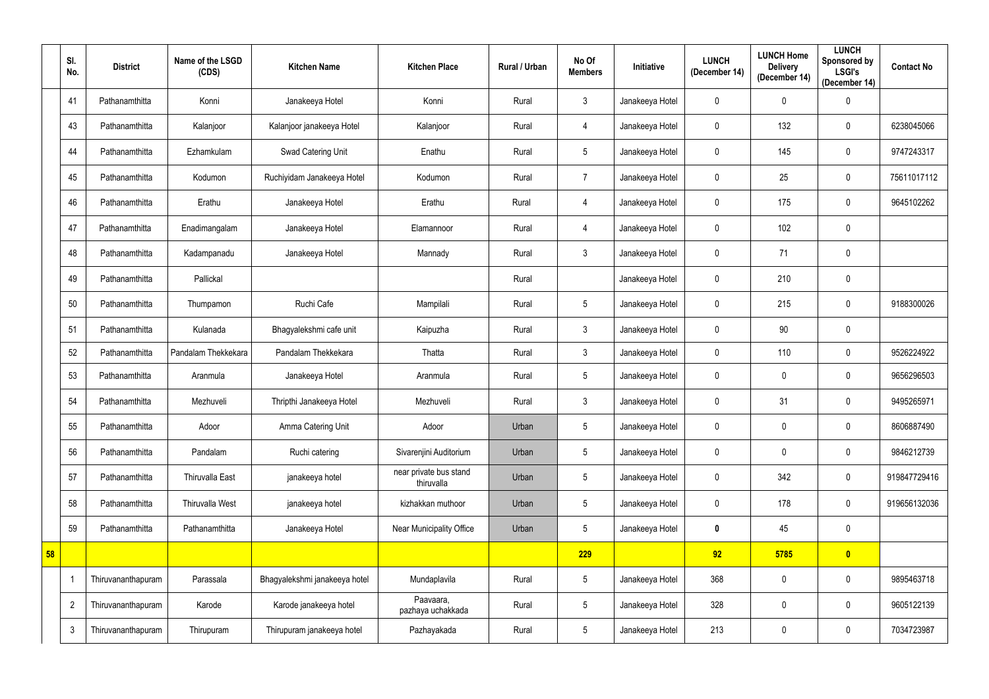|    | SI.<br>No.     | <b>District</b>    | Name of the LSGD<br>(CDS) | <b>Kitchen Name</b>           | <b>Kitchen Place</b>                 | Rural / Urban | No Of<br><b>Members</b> | Initiative      | <b>LUNCH</b><br>(December 14) | <b>LUNCH Home</b><br><b>Delivery</b><br>(December 14) | <b>LUNCH</b><br>Sponsored by<br><b>LSGI's</b><br>(December 14) | <b>Contact No</b> |
|----|----------------|--------------------|---------------------------|-------------------------------|--------------------------------------|---------------|-------------------------|-----------------|-------------------------------|-------------------------------------------------------|----------------------------------------------------------------|-------------------|
|    | 41             | Pathanamthitta     | Konni                     | Janakeeya Hotel               | Konni                                | Rural         | $\mathbf{3}$            | Janakeeya Hotel | $\mathbf 0$                   | $\mathbf 0$                                           | $\mathbf 0$                                                    |                   |
|    | 43             | Pathanamthitta     | Kalanjoor                 | Kalanjoor janakeeya Hotel     | Kalanjoor                            | Rural         | 4                       | Janakeeya Hotel | $\mathbf 0$                   | 132                                                   | $\mathbf 0$                                                    | 6238045066        |
|    | 44             | Pathanamthitta     | Ezhamkulam                | Swad Catering Unit            | Enathu                               | Rural         | $5\phantom{.0}$         | Janakeeya Hotel | $\mathbf 0$                   | 145                                                   | $\mathbf 0$                                                    | 9747243317        |
|    | 45             | Pathanamthitta     | Kodumon                   | Ruchiyidam Janakeeya Hotel    | Kodumon                              | Rural         | $\overline{7}$          | Janakeeya Hotel | $\mathbf 0$                   | 25                                                    | $\mathbf 0$                                                    | 75611017112       |
|    | 46             | Pathanamthitta     | Erathu                    | Janakeeya Hotel               | Erathu                               | Rural         | 4                       | Janakeeya Hotel | $\mathbf 0$                   | 175                                                   | $\mathbf 0$                                                    | 9645102262        |
|    | 47             | Pathanamthitta     | Enadimangalam             | Janakeeya Hotel               | Elamannoor                           | Rural         | 4                       | Janakeeya Hotel | $\mathbf 0$                   | 102                                                   | $\mathbf 0$                                                    |                   |
|    | 48             | Pathanamthitta     | Kadampanadu               | Janakeeya Hotel               | Mannady                              | Rural         | $\mathbf{3}$            | Janakeeya Hotel | $\overline{0}$                | 71                                                    | $\mathbf 0$                                                    |                   |
|    | 49             | Pathanamthitta     | Pallickal                 |                               |                                      | Rural         |                         | Janakeeya Hotel | $\mathbf 0$                   | 210                                                   | $\mathbf 0$                                                    |                   |
|    | 50             | Pathanamthitta     | Thumpamon                 | Ruchi Cafe                    | Mampilali                            | Rural         | $5\overline{)}$         | Janakeeya Hotel | $\mathbf 0$                   | 215                                                   | $\mathbf 0$                                                    | 9188300026        |
|    | 51             | Pathanamthitta     | Kulanada                  | Bhagyalekshmi cafe unit       | Kaipuzha                             | Rural         | $\mathbf{3}$            | Janakeeya Hotel | $\mathbf 0$                   | 90                                                    | $\mathbf 0$                                                    |                   |
|    | 52             | Pathanamthitta     | Pandalam Thekkekara       | Pandalam Thekkekara           | Thatta                               | Rural         | $\mathbf{3}$            | Janakeeya Hotel | $\mathbf 0$                   | 110                                                   | $\mathbf 0$                                                    | 9526224922        |
|    | 53             | Pathanamthitta     | Aranmula                  | Janakeeya Hotel               | Aranmula                             | Rural         | $5\overline{)}$         | Janakeeya Hotel | 0                             | 0                                                     | $\mathbf 0$                                                    | 9656296503        |
|    | 54             | Pathanamthitta     | Mezhuveli                 | Thripthi Janakeeya Hotel      | Mezhuveli                            | Rural         | $\mathbf{3}$            | Janakeeya Hotel | $\overline{0}$                | 31                                                    | $\mathbf 0$                                                    | 9495265971        |
|    | 55             | Pathanamthitta     | Adoor                     | Amma Catering Unit            | Adoor                                | Urban         | $5\phantom{.0}$         | Janakeeya Hotel | $\overline{0}$                | $\mathbf 0$                                           | $\mathbf 0$                                                    | 8606887490        |
|    | 56             | Pathanamthitta     | Pandalam                  | Ruchi catering                | Sivarenjini Auditorium               | Urban         | $5\phantom{.0}$         | Janakeeya Hotel | $\mathbf 0$                   | $\pmb{0}$                                             | $\pmb{0}$                                                      | 9846212739        |
|    | 57             | Pathanamthitta     | Thiruvalla East           | janakeeya hotel               | near private bus stand<br>thiruvalla | Urban         | $5\phantom{.0}$         | Janakeeya Hotel | $\overline{0}$                | 342                                                   | $\mathbf 0$                                                    | 919847729416      |
|    | 58             | Pathanamthitta     | Thiruvalla West           | janakeeya hotel               | kizhakkan muthoor                    | Urban         | $5\phantom{.0}$         | Janakeeya Hotel | $\mathbf 0$                   | 178                                                   | $\pmb{0}$                                                      | 919656132036      |
|    | 59             | Pathanamthitta     | Pathanamthitta            | Janakeeya Hotel               | Near Municipality Office             | Urban         | $5\phantom{.0}$         | Janakeeya Hotel | $\mathbf 0$                   | 45                                                    | $\pmb{0}$                                                      |                   |
| 58 |                |                    |                           |                               |                                      |               | 229                     |                 | 92                            | 5785                                                  | $\bullet$                                                      |                   |
|    | $\overline{1}$ | Thiruvananthapuram | Parassala                 | Bhagyalekshmi janakeeya hotel | Mundaplavila                         | Rural         | $5\phantom{.0}$         | Janakeeya Hotel | 368                           | $\pmb{0}$                                             | $\pmb{0}$                                                      | 9895463718        |
|    | $\overline{2}$ | Thiruvananthapuram | Karode                    | Karode janakeeya hotel        | Paavaara,<br>pazhaya uchakkada       | Rural         | $5\phantom{.0}$         | Janakeeya Hotel | 328                           | $\boldsymbol{0}$                                      | $\pmb{0}$                                                      | 9605122139        |
|    | $\mathbf{3}$   | Thiruvananthapuram | Thirupuram                | Thirupuram janakeeya hotel    | Pazhayakada                          | Rural         | $5\phantom{.0}$         | Janakeeya Hotel | 213                           | $\pmb{0}$                                             | $\pmb{0}$                                                      | 7034723987        |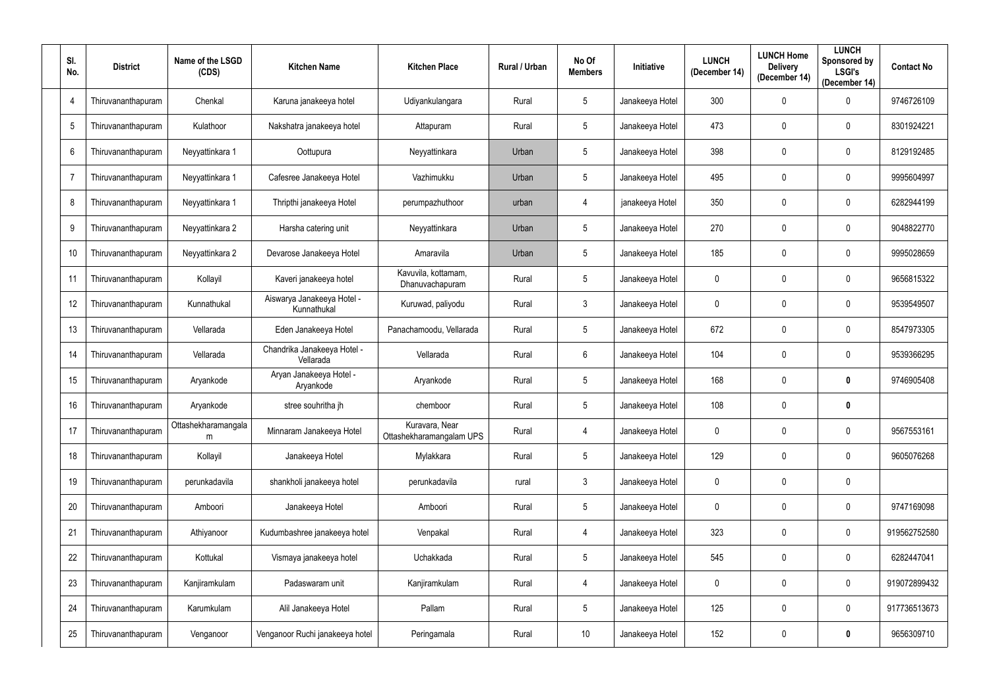| SI.<br>No.      | <b>District</b>    | Name of the LSGD<br>(CDS) | <b>Kitchen Name</b>                       | <b>Kitchen Place</b>                       | Rural / Urban | No Of<br><b>Members</b> | Initiative      | <b>LUNCH</b><br>(December 14) | <b>LUNCH Home</b><br><b>Delivery</b><br>(December 14) | <b>LUNCH</b><br>Sponsored by<br><b>LSGI's</b><br>(December 14) | <b>Contact No</b> |
|-----------------|--------------------|---------------------------|-------------------------------------------|--------------------------------------------|---------------|-------------------------|-----------------|-------------------------------|-------------------------------------------------------|----------------------------------------------------------------|-------------------|
| $\overline{4}$  | Thiruvananthapuram | Chenkal                   | Karuna janakeeya hotel                    | Udiyankulangara                            | Rural         | $5\phantom{.0}$         | Janakeeya Hotel | 300                           | $\mathbf 0$                                           | $\mathbf 0$                                                    | 9746726109        |
| 5               | Thiruvananthapuram | Kulathoor                 | Nakshatra janakeeya hotel                 | Attapuram                                  | Rural         | $5\phantom{.0}$         | Janakeeya Hotel | 473                           | $\mathbf 0$                                           | $\mathbf 0$                                                    | 8301924221        |
| $6\phantom{.}6$ | Thiruvananthapuram | Neyyattinkara 1           | Oottupura                                 | Neyyattinkara                              | Urban         | $5\phantom{.0}$         | Janakeeya Hotel | 398                           | $\mathbf 0$                                           | $\mathbf 0$                                                    | 8129192485        |
| 7               | Thiruvananthapuram | Neyyattinkara 1           | Cafesree Janakeeya Hotel                  | Vazhimukku                                 | Urban         | $5\phantom{.0}$         | Janakeeya Hotel | 495                           | $\mathbf 0$                                           | $\mathbf 0$                                                    | 9995604997        |
| 8               | Thiruvananthapuram | Neyyattinkara 1           | Thripthi janakeeya Hotel                  | perumpazhuthoor                            | urban         | 4                       | janakeeya Hotel | 350                           | $\mathbf 0$                                           | $\mathbf 0$                                                    | 6282944199        |
| 9               | Thiruvananthapuram | Neyyattinkara 2           | Harsha catering unit                      | Neyyattinkara                              | Urban         | $5\phantom{.0}$         | Janakeeya Hotel | 270                           | $\mathbf 0$                                           | $\mathbf 0$                                                    | 9048822770        |
| 10              | Thiruvananthapuram | Neyyattinkara 2           | Devarose Janakeeya Hotel                  | Amaravila                                  | Urban         | $5\phantom{.0}$         | Janakeeya Hotel | 185                           | $\mathbf 0$                                           | $\mathbf 0$                                                    | 9995028659        |
| 11              | Thiruvananthapuram | Kollayil                  | Kaveri janakeeya hotel                    | Kavuvila, kottamam,<br>Dhanuvachapuram     | Rural         | 5 <sub>5</sub>          | Janakeeya Hotel | $\mathbf 0$                   | $\mathbf 0$                                           | $\mathbf 0$                                                    | 9656815322        |
| 12              | Thiruvananthapuram | Kunnathukal               | Aiswarya Janakeeya Hotel -<br>Kunnathukal | Kuruwad, paliyodu                          | Rural         | $\mathbf{3}$            | Janakeeya Hotel | $\overline{0}$                | $\mathbf 0$                                           | $\mathbf 0$                                                    | 9539549507        |
| 13              | Thiruvananthapuram | Vellarada                 | Eden Janakeeya Hotel                      | Panachamoodu, Vellarada                    | Rural         | 5 <sub>5</sub>          | Janakeeya Hotel | 672                           | $\mathbf 0$                                           | $\mathbf 0$                                                    | 8547973305        |
| 14              | Thiruvananthapuram | Vellarada                 | Chandrika Janakeeya Hotel -<br>Vellarada  | Vellarada                                  | Rural         | 6                       | Janakeeya Hotel | 104                           | $\mathbf 0$                                           | $\mathbf 0$                                                    | 9539366295        |
| 15              | Thiruvananthapuram | Aryankode                 | Aryan Janakeeya Hotel -<br>Aryankode      | Aryankode                                  | Rural         | $5\phantom{.0}$         | Janakeeya Hotel | 168                           | $\mathbf 0$                                           | $\mathbf 0$                                                    | 9746905408        |
| 16              | Thiruvananthapuram | Aryankode                 | stree souhritha jh                        | chemboor                                   | Rural         | 5                       | Janakeeya Hotel | 108                           | $\mathbf 0$                                           | $\boldsymbol{0}$                                               |                   |
| 17              | Thiruvananthapuram | Ottashekharamangala<br>m  | Minnaram Janakeeya Hotel                  | Kuravara, Near<br>Ottashekharamangalam UPS | Rural         | 4                       | Janakeeya Hotel | $\overline{0}$                | $\mathbf 0$                                           | $\mathbf 0$                                                    | 9567553161        |
| 18              | Thiruvananthapuram | Kollayil                  | Janakeeya Hotel                           | Mylakkara                                  | Rural         | $5\overline{)}$         | Janakeeya Hotel | 129                           | $\mathbf 0$                                           | $\mathbf 0$                                                    | 9605076268        |
| 19              | Thiruvananthapuram | perunkadavila             | shankholi janakeeya hotel                 | perunkadavila                              | rural         | 3 <sup>1</sup>          | Janakeeya Hotel | $\mathbf 0$                   | $\mathbf 0$                                           | $\mathbf 0$                                                    |                   |
| 20              | Thiruvananthapuram | Amboori                   | Janakeeya Hotel                           | Amboori                                    | Rural         | $5\phantom{.0}$         | Janakeeya Hotel | $\overline{0}$                | $\pmb{0}$                                             | $\mathbf 0$                                                    | 9747169098        |
| 21              | Thiruvananthapuram | Athiyanoor                | Kudumbashree janakeeya hotel              | Venpakal                                   | Rural         | $\overline{4}$          | Janakeeya Hotel | 323                           | $\pmb{0}$                                             | $\mathbf 0$                                                    | 919562752580      |
| 22              | Thiruvananthapuram | Kottukal                  | Vismaya janakeeya hotel                   | Uchakkada                                  | Rural         | $5\overline{)}$         | Janakeeya Hotel | 545                           | $\mathbf 0$                                           | $\mathbf 0$                                                    | 6282447041        |
| 23              | Thiruvananthapuram | Kanjiramkulam             | Padaswaram unit                           | Kanjiramkulam                              | Rural         | $\overline{4}$          | Janakeeya Hotel | $\overline{0}$                | $\pmb{0}$                                             | $\mathbf 0$                                                    | 919072899432      |
| 24              | Thiruvananthapuram | Karumkulam                | Alil Janakeeya Hotel                      | Pallam                                     | Rural         | 5 <sub>5</sub>          | Janakeeya Hotel | 125                           | $\boldsymbol{0}$                                      | $\mathbf 0$                                                    | 917736513673      |
| 25              | Thiruvananthapuram | Venganoor                 | Venganoor Ruchi janakeeya hotel           | Peringamala                                | Rural         | 10                      | Janakeeya Hotel | 152                           | $\pmb{0}$                                             | $\bm{0}$                                                       | 9656309710        |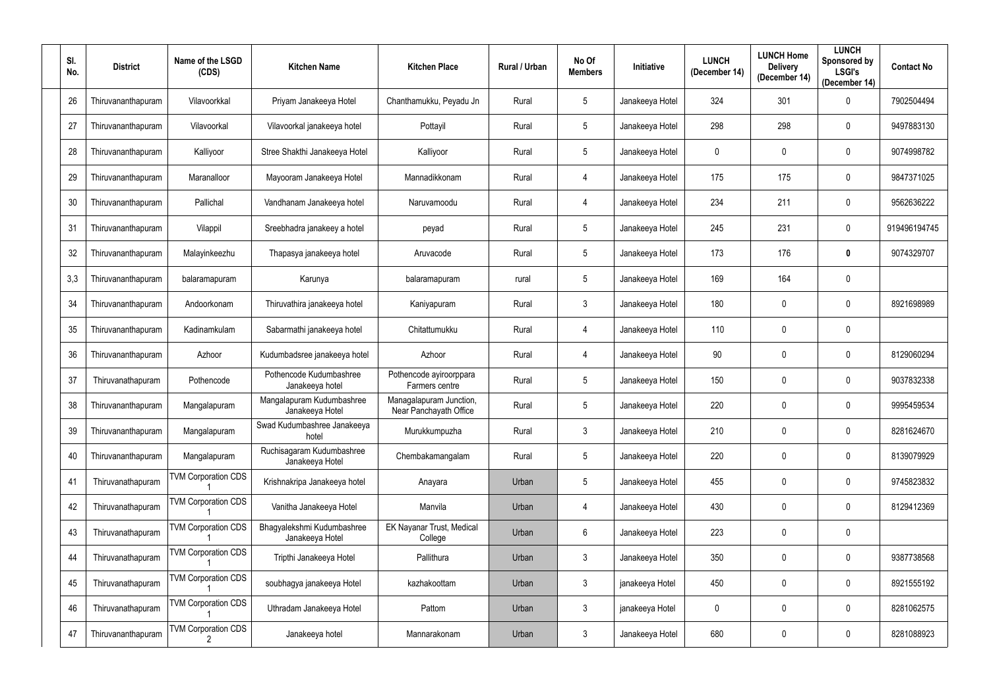| SI.<br>No. | <b>District</b>    | Name of the LSGD<br>(CDS)  | <b>Kitchen Name</b>                           | <b>Kitchen Place</b>                              | Rural / Urban | No Of<br><b>Members</b> | Initiative      | <b>LUNCH</b><br>(December 14) | <b>LUNCH Home</b><br><b>Delivery</b><br>(December 14) | <b>LUNCH</b><br>Sponsored by<br><b>LSGI's</b><br>(December 14) | <b>Contact No</b> |
|------------|--------------------|----------------------------|-----------------------------------------------|---------------------------------------------------|---------------|-------------------------|-----------------|-------------------------------|-------------------------------------------------------|----------------------------------------------------------------|-------------------|
| 26         | Thiruvananthapuram | Vilavoorkkal               | Priyam Janakeeya Hotel                        | Chanthamukku, Peyadu Jn                           | Rural         | $\sqrt{5}$              | Janakeeya Hotel | 324                           | 301                                                   | $\mathbf 0$                                                    | 7902504494        |
| 27         | Thiruvananthapuram | Vilavoorkal                | Vilavoorkal janakeeya hotel                   | Pottayil                                          | Rural         | $5\phantom{.0}$         | Janakeeya Hotel | 298                           | 298                                                   | $\mathbf 0$                                                    | 9497883130        |
| 28         | Thiruvananthapuram | Kalliyoor                  | Stree Shakthi Janakeeya Hotel                 | Kalliyoor                                         | Rural         | $5\phantom{.0}$         | Janakeeya Hotel | $\mathbf 0$                   | $\mathbf 0$                                           | $\mathbf 0$                                                    | 9074998782        |
| 29         | Thiruvananthapuram | Maranalloor                | Mayooram Janakeeya Hotel                      | Mannadikkonam                                     | Rural         | 4                       | Janakeeya Hotel | 175                           | 175                                                   | $\mathbf 0$                                                    | 9847371025        |
| 30         | Thiruvananthapuram | Pallichal                  | Vandhanam Janakeeya hotel                     | Naruvamoodu                                       | Rural         | 4                       | Janakeeya Hotel | 234                           | 211                                                   | $\mathbf 0$                                                    | 9562636222        |
| 31         | Thiruvananthapuram | Vilappil                   | Sreebhadra janakeey a hotel                   | peyad                                             | Rural         | $5\phantom{.0}$         | Janakeeya Hotel | 245                           | 231                                                   | $\mathbf 0$                                                    | 919496194745      |
| 32         | Thiruvananthapuram | Malayinkeezhu              | Thapasya janakeeya hotel                      | Aruvacode                                         | Rural         | 5                       | Janakeeya Hotel | 173                           | 176                                                   | $\mathbf 0$                                                    | 9074329707        |
| 3,3        | Thiruvananthapuram | balaramapuram              | Karunya                                       | balaramapuram                                     | rural         | $5\phantom{.0}$         | Janakeeya Hotel | 169                           | 164                                                   | $\mathbf 0$                                                    |                   |
| 34         | Thiruvananthapuram | Andoorkonam                | Thiruvathira janakeeya hotel                  | Kaniyapuram                                       | Rural         | $\mathbf{3}$            | Janakeeya Hotel | 180                           | $\mathbf 0$                                           | $\mathbf 0$                                                    | 8921698989        |
| 35         | Thiruvananthapuram | Kadinamkulam               | Sabarmathi janakeeya hotel                    | Chitattumukku                                     | Rural         | 4                       | Janakeeya Hotel | 110                           | $\mathbf 0$                                           | $\mathbf 0$                                                    |                   |
| 36         | Thiruvananthapuram | Azhoor                     | Kudumbadsree janakeeya hotel                  | Azhoor                                            | Rural         | 4                       | Janakeeya Hotel | 90                            | $\mathbf 0$                                           | $\mathbf 0$                                                    | 8129060294        |
| 37         | Thiruvanathapuram  | Pothencode                 | Pothencode Kudumbashree<br>Janakeeya hotel    | Pothencode ayiroorppara<br>Farmers centre         | Rural         | 5                       | Janakeeya Hotel | 150                           | 0                                                     | $\mathbf 0$                                                    | 9037832338        |
| 38         | Thiruvananthapuram | Mangalapuram               | Mangalapuram Kudumbashree<br>Janakeeya Hotel  | Managalapuram Junction,<br>Near Panchayath Office | Rural         | $5\phantom{.0}$         | Janakeeya Hotel | 220                           | $\mathbf 0$                                           | $\mathbf{0}$                                                   | 9995459534        |
| 39         | Thiruvananthapuram | Mangalapuram               | Swad Kudumbashree Janakeeya<br>hotel          | Murukkumpuzha                                     | Rural         | $\mathbf{3}$            | Janakeeya Hotel | 210                           | 0                                                     | $\mathbf 0$                                                    | 8281624670        |
| 40         | Thiruvananthapuram | Mangalapuram               | Ruchisagaram Kudumbashree<br>Janakeeya Hotel  | Chembakamangalam                                  | Rural         | $5\phantom{.0}$         | Janakeeya Hotel | 220                           | 0                                                     | $\mathbf 0$                                                    | 8139079929        |
| 41         | Thiruvanathapuram  | <b>TVM Corporation CDS</b> | Krishnakripa Janakeeya hotel                  | Anayara                                           | Urban         | $5\phantom{.0}$         | Janakeeya Hotel | 455                           | 0                                                     | $\mathbf 0$                                                    | 9745823832        |
| 42         | Thiruvanathapuram  | <b>TVM Corporation CDS</b> | Vanitha Janakeeya Hotel                       | Manvila                                           | Urban         | $\overline{4}$          | Janakeeya Hotel | 430                           | 0                                                     | $\mathbf 0$                                                    | 8129412369        |
| 43         | Thiruvanathapuram  | <b>TVM Corporation CDS</b> | Bhagyalekshmi Kudumbashree<br>Janakeeya Hotel | EK Nayanar Trust, Medical<br>College              | Urban         | 6                       | Janakeeya Hotel | 223                           | 0                                                     | $\mathbf 0$                                                    |                   |
| 44         | Thiruvanathapuram  | <b>TVM Corporation CDS</b> | Tripthi Janakeeya Hotel                       | Pallithura                                        | Urban         | $\mathbf{3}$            | Janakeeya Hotel | 350                           | 0                                                     | $\mathbf 0$                                                    | 9387738568        |
| 45         | Thiruvanathapuram  | <b>TVM Corporation CDS</b> | soubhagya janakeeya Hotel                     | kazhakoottam                                      | Urban         | $\mathbf{3}$            | janakeeya Hotel | 450                           | 0                                                     | $\mathbf 0$                                                    | 8921555192        |
| 46         | Thiruvanathapuram  | <b>TVM Corporation CDS</b> | Uthradam Janakeeya Hotel                      | Pattom                                            | Urban         | $\mathbf{3}$            | janakeeya Hotel | $\boldsymbol{0}$              | 0                                                     | $\mathbf 0$                                                    | 8281062575        |
| 47         | Thiruvananthapuram | <b>TVM Corporation CDS</b> | Janakeeya hotel                               | Mannarakonam                                      | Urban         | $\mathbf{3}$            | Janakeeya Hotel | 680                           | 0                                                     | $\boldsymbol{0}$                                               | 8281088923        |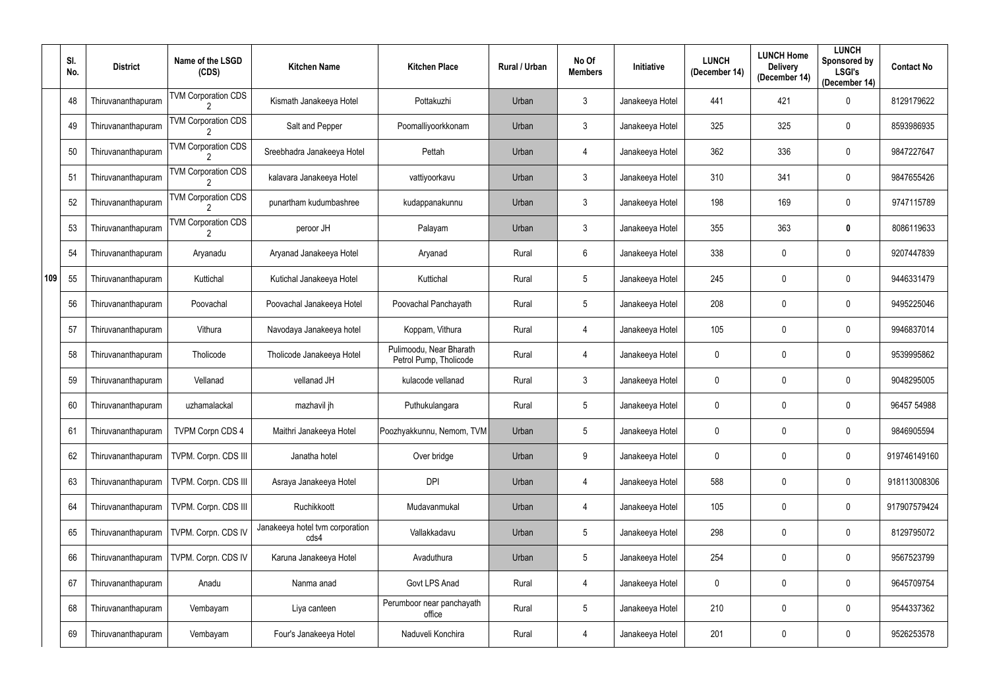|     | SI.<br>No. | <b>District</b>    | Name of the LSGD<br>(CDS)       | <b>Kitchen Name</b>                     | <b>Kitchen Place</b>                              | Rural / Urban | No Of<br><b>Members</b> | Initiative      | <b>LUNCH</b><br>(December 14) | <b>LUNCH Home</b><br><b>Delivery</b><br>(December 14) | <b>LUNCH</b><br>Sponsored by<br><b>LSGI's</b><br>(December 14) | <b>Contact No</b> |
|-----|------------|--------------------|---------------------------------|-----------------------------------------|---------------------------------------------------|---------------|-------------------------|-----------------|-------------------------------|-------------------------------------------------------|----------------------------------------------------------------|-------------------|
|     | 48         | Thiruvananthapuram | <b>TVM Corporation CDS</b>      | Kismath Janakeeya Hotel                 | Pottakuzhi                                        | Urban         | $\mathbf{3}$            | Janakeeya Hotel | 441                           | 421                                                   | $\mathbf{0}$                                                   | 8129179622        |
|     | 49         | Thiruvananthapuram | <b>TVM Corporation CDS</b>      | Salt and Pepper                         | Poomalliyoorkkonam                                | Urban         | $\mathbf{3}$            | Janakeeya Hotel | 325                           | 325                                                   | $\mathbf 0$                                                    | 8593986935        |
|     | 50         | Thiruvananthapuram | <b>TVM Corporation CDS</b>      | Sreebhadra Janakeeya Hotel              | Pettah                                            | Urban         | 4                       | Janakeeya Hotel | 362                           | 336                                                   | $\mathbf 0$                                                    | 9847227647        |
|     | 51         | Thiruvananthapuram | <b>TVM Corporation CDS</b>      | kalavara Janakeeya Hotel                | vattiyoorkavu                                     | Urban         | $\mathbf{3}$            | Janakeeya Hotel | 310                           | 341                                                   | $\mathbf 0$                                                    | 9847655426        |
|     | 52         | Thiruvananthapuram | <b>TVM Corporation CDS</b>      | punartham kudumbashree                  | kudappanakunnu                                    | Urban         | $\mathbf{3}$            | Janakeeya Hotel | 198                           | 169                                                   | $\mathbf 0$                                                    | 9747115789        |
|     | 53         | Thiruvananthapuram | <b>TVM Corporation CDS</b><br>2 | peroor JH                               | Palayam                                           | Urban         | $\mathbf{3}$            | Janakeeya Hotel | 355                           | 363                                                   | $\mathbf 0$                                                    | 8086119633        |
|     | 54         | Thiruvananthapuram | Aryanadu                        | Aryanad Janakeeya Hotel                 | Aryanad                                           | Rural         | $6\phantom{.}$          | Janakeeya Hotel | 338                           | $\mathbf 0$                                           | $\mathbf 0$                                                    | 9207447839        |
| 109 | 55         | Thiruvananthapuram | Kuttichal                       | Kutichal Janakeeya Hotel                | Kuttichal                                         | Rural         | $5\phantom{.0}$         | Janakeeya Hotel | 245                           | 0                                                     | $\mathbf 0$                                                    | 9446331479        |
|     | 56         | Thiruvananthapuram | Poovachal                       | Poovachal Janakeeya Hotel               | Poovachal Panchayath                              | Rural         | $5\overline{)}$         | Janakeeya Hotel | 208                           | 0                                                     | $\mathbf 0$                                                    | 9495225046        |
|     | 57         | Thiruvananthapuram | Vithura                         | Navodaya Janakeeya hotel                | Koppam, Vithura                                   | Rural         | 4                       | Janakeeya Hotel | 105                           | 0                                                     | $\mathbf 0$                                                    | 9946837014        |
|     | 58         | Thiruvananthapuram | Tholicode                       | Tholicode Janakeeya Hotel               | Pulimoodu, Near Bharath<br>Petrol Pump, Tholicode | Rural         | 4                       | Janakeeya Hotel | 0                             | 0                                                     | $\mathbf{0}$                                                   | 9539995862        |
|     | 59         | Thiruvananthapuram | Vellanad                        | vellanad JH                             | kulacode vellanad                                 | Rural         | $\mathbf{3}$            | Janakeeya Hotel | $\overline{0}$                | $\mathbf 0$                                           | $\mathbf 0$                                                    | 9048295005        |
|     | 60         | Thiruvananthapuram | uzhamalackal                    | mazhavil jh                             | Puthukulangara                                    | Rural         | 5                       | Janakeeya Hotel | $\mathbf 0$                   | 0                                                     | $\mathbf 0$                                                    | 96457 54988       |
|     | 61         | Thiruvananthapuram | <b>TVPM Corpn CDS 4</b>         | Maithri Janakeeya Hotel                 | Poozhyakkunnu, Nemom, TVM                         | Urban         | $5\phantom{.0}$         | Janakeeya Hotel | $\mathbf 0$                   | $\mathbf 0$                                           | $\mathbf 0$                                                    | 9846905594        |
|     | 62         | Thiruvananthapuram | TVPM. Corpn. CDS III            | Janatha hotel                           | Over bridge                                       | Urban         | 9                       | Janakeeya Hotel | $\overline{0}$                | $\mathbf 0$                                           | $\pmb{0}$                                                      | 919746149160      |
|     | 63         | Thiruvananthapuram | TVPM. Corpn. CDS III            | Asraya Janakeeya Hotel                  | <b>DPI</b>                                        | Urban         | 4                       | Janakeeya Hotel | 588                           | 0                                                     | $\pmb{0}$                                                      | 918113008306      |
|     | 64         | Thiruvananthapuram | TVPM. Corpn. CDS III            | Ruchikkoott                             | Mudavanmukal                                      | Urban         | 4                       | Janakeeya Hotel | 105                           | $\mathbf 0$                                           | $\pmb{0}$                                                      | 917907579424      |
|     | 65         | Thiruvananthapuram | TVPM. Corpn. CDS IV             | Janakeeya hotel tvm corporation<br>cds4 | Vallakkadavu                                      | Urban         | $5\phantom{.0}$         | Janakeeya Hotel | 298                           | 0                                                     | $\pmb{0}$                                                      | 8129795072        |
|     | 66         | Thiruvananthapuram | TVPM. Corpn. CDS IV             | Karuna Janakeeya Hotel                  | Avaduthura                                        | Urban         | $5\phantom{.0}$         | Janakeeya Hotel | 254                           | $\boldsymbol{0}$                                      | $\pmb{0}$                                                      | 9567523799        |
|     | 67         | Thiruvananthapuram | Anadu                           | Nanma anad                              | Govt LPS Anad                                     | Rural         | 4                       | Janakeeya Hotel | $\overline{0}$                | $\boldsymbol{0}$                                      | $\pmb{0}$                                                      | 9645709754        |
|     | 68         | Thiruvananthapuram | Vembayam                        | Liya canteen                            | Perumboor near panchayath<br>office               | Rural         | $5\phantom{.0}$         | Janakeeya Hotel | 210                           | $\mathbf 0$                                           | $\mathbf 0$                                                    | 9544337362        |
|     | 69         | Thiruvananthapuram | Vembayam                        | Four's Janakeeya Hotel                  | Naduveli Konchira                                 | Rural         | 4                       | Janakeeya Hotel | 201                           | $\boldsymbol{0}$                                      | $\pmb{0}$                                                      | 9526253578        |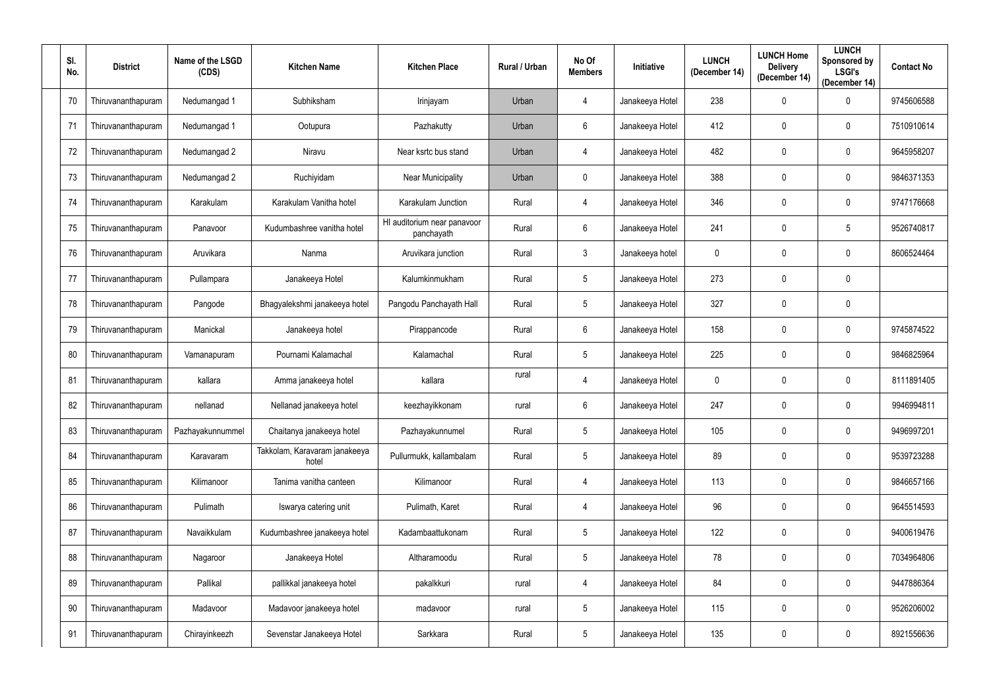| SI.<br>No. | <b>District</b>    | Name of the LSGD<br>(CDS) | <b>Kitchen Name</b>                    | <b>Kitchen Place</b>                      | Rural / Urban | No Of<br><b>Members</b> | Initiative      | <b>LUNCH</b><br>(December 14) | <b>LUNCH Home</b><br><b>Delivery</b><br>(December 14) | <b>LUNCH</b><br>Sponsored by<br><b>LSGI's</b><br>(December 14) | <b>Contact No</b> |
|------------|--------------------|---------------------------|----------------------------------------|-------------------------------------------|---------------|-------------------------|-----------------|-------------------------------|-------------------------------------------------------|----------------------------------------------------------------|-------------------|
| 70         | Thiruvananthapuram | Nedumangad 1              | Subhiksham                             | Irinjayam                                 | Urban         | 4                       | Janakeeya Hotel | 238                           | $\mathbf 0$                                           | $\mathbf 0$                                                    | 9745606588        |
| 71         | Thiruvananthapuram | Nedumangad 1              | Ootupura                               | Pazhakutty                                | Urban         | $6\phantom{.}$          | Janakeeya Hotel | 412                           | 0                                                     | $\mathbf 0$                                                    | 7510910614        |
| 72         | Thiruvananthapuram | Nedumangad 2              | Niravu                                 | Near ksrtc bus stand                      | Urban         | 4                       | Janakeeya Hotel | 482                           | $\mathbf 0$                                           | $\mathbf 0$                                                    | 9645958207        |
| 73         | Thiruvananthapuram | Nedumangad 2              | Ruchiyidam                             | <b>Near Municipality</b>                  | Urban         | $\mathbf 0$             | Janakeeya Hotel | 388                           | $\mathbf 0$                                           | $\mathbf 0$                                                    | 9846371353        |
| 74         | Thiruvananthapuram | Karakulam                 | Karakulam Vanitha hotel                | Karakulam Junction                        | Rural         | $\overline{4}$          | Janakeeya Hotel | 346                           | $\mathbf 0$                                           | $\mathbf 0$                                                    | 9747176668        |
| 75         | Thiruvananthapuram | Panavoor                  | Kudumbashree vanitha hotel             | HI auditorium near panavoor<br>panchayath | Rural         | $6\phantom{.}$          | Janakeeya Hotel | 241                           | $\mathbf 0$                                           | $5\phantom{.0}$                                                | 9526740817        |
| 76         | Thiruvananthapuram | Aruvikara                 | Nanma                                  | Aruvikara junction                        | Rural         | $\mathbf{3}$            | Janakeeya hotel | $\overline{0}$                | $\mathbf 0$                                           | $\mathbf 0$                                                    | 8606524464        |
| 77         | Thiruvananthapuram | Pullampara                | Janakeeya Hotel                        | Kalumkinmukham                            | Rural         | $5\phantom{.0}$         | Janakeeya Hotel | 273                           | 0                                                     | $\mathbf 0$                                                    |                   |
| 78         | Thiruvananthapuram | Pangode                   | Bhagyalekshmi janakeeya hotel          | Pangodu Panchayath Hall                   | Rural         | $5\overline{)}$         | Janakeeya Hotel | 327                           | 0                                                     | $\mathbf 0$                                                    |                   |
| 79         | Thiruvananthapuram | Manickal                  | Janakeeya hotel                        | Pirappancode                              | Rural         | $6^{\circ}$             | Janakeeya Hotel | 158                           | $\mathbf 0$                                           | $\mathbf 0$                                                    | 9745874522        |
| 80         | Thiruvananthapuram | Vamanapuram               | Pournami Kalamachal                    | Kalamachal                                | Rural         | $5\phantom{.0}$         | Janakeeya Hotel | 225                           | $\mathbf 0$                                           | $\mathbf 0$                                                    | 9846825964        |
| 81         | Thiruvananthapuram | kallara                   | Amma janakeeya hotel                   | kallara                                   | rural         | 4                       | Janakeeya Hotel | $\mathbf 0$                   | 0                                                     | $\mathbf 0$                                                    | 8111891405        |
| 82         | Thiruvananthapuram | nellanad                  | Nellanad janakeeya hotel               | keezhayikkonam                            | rural         | $6\phantom{.}$          | Janakeeya Hotel | 247                           | $\mathbf 0$                                           | $\mathbf{0}$                                                   | 9946994811        |
| 83         | Thiruvananthapuram | Pazhayakunnummel          | Chaitanya janakeeya hotel              | Pazhayakunnumel                           | Rural         | $5\phantom{.0}$         | Janakeeya Hotel | 105                           | 0                                                     | $\mathbf 0$                                                    | 9496997201        |
| 84         | Thiruvananthapuram | Karavaram                 | Takkolam, Karavaram janakeeya<br>hotel | Pullurmukk, kallambalam                   | Rural         | $5\overline{)}$         | Janakeeya Hotel | 89                            | 0                                                     | $\mathbf 0$                                                    | 9539723288        |
| 85         | Thiruvananthapuram | Kilimanoor                | Tanima vanitha canteen                 | Kilimanoor                                | Rural         | 4                       | Janakeeya Hotel | 113                           | 0                                                     | $\mathbf 0$                                                    | 9846657166        |
| 86         | Thiruvananthapuram | Pulimath                  | Iswarya catering unit                  | Pulimath, Karet                           | Rural         | $\overline{4}$          | Janakeeya Hotel | 96                            | 0                                                     | $\mathbf 0$                                                    | 9645514593        |
| 87         | Thiruvananthapuram | Navaikkulam               | Kudumbashree janakeeya hotel           | Kadambaattukonam                          | Rural         | $5\phantom{.0}$         | Janakeeya Hotel | 122                           | 0                                                     | $\mathbf 0$                                                    | 9400619476        |
| 88         | Thiruvananthapuram | Nagaroor                  | Janakeeya Hotel                        | Altharamoodu                              | Rural         | $5\overline{)}$         | Janakeeya Hotel | 78                            | 0                                                     | $\mathbf 0$                                                    | 7034964806        |
| 89         | Thiruvananthapuram | Pallikal                  | pallikkal janakeeya hotel              | pakalkkuri                                | rural         | $\overline{4}$          | Janakeeya Hotel | 84                            | 0                                                     | $\mathbf 0$                                                    | 9447886364        |
| 90         | Thiruvananthapuram | Madavoor                  | Madavoor janakeeya hotel               | madavoor                                  | rural         | $5\overline{)}$         | Janakeeya Hotel | 115                           | 0                                                     | $\mathbf 0$                                                    | 9526206002        |
| 91         | Thiruvananthapuram | Chirayinkeezh             | Sevenstar Janakeeya Hotel              | Sarkkara                                  | Rural         | $5\phantom{.0}$         | Janakeeya Hotel | 135                           | 0                                                     | $\boldsymbol{0}$                                               | 8921556636        |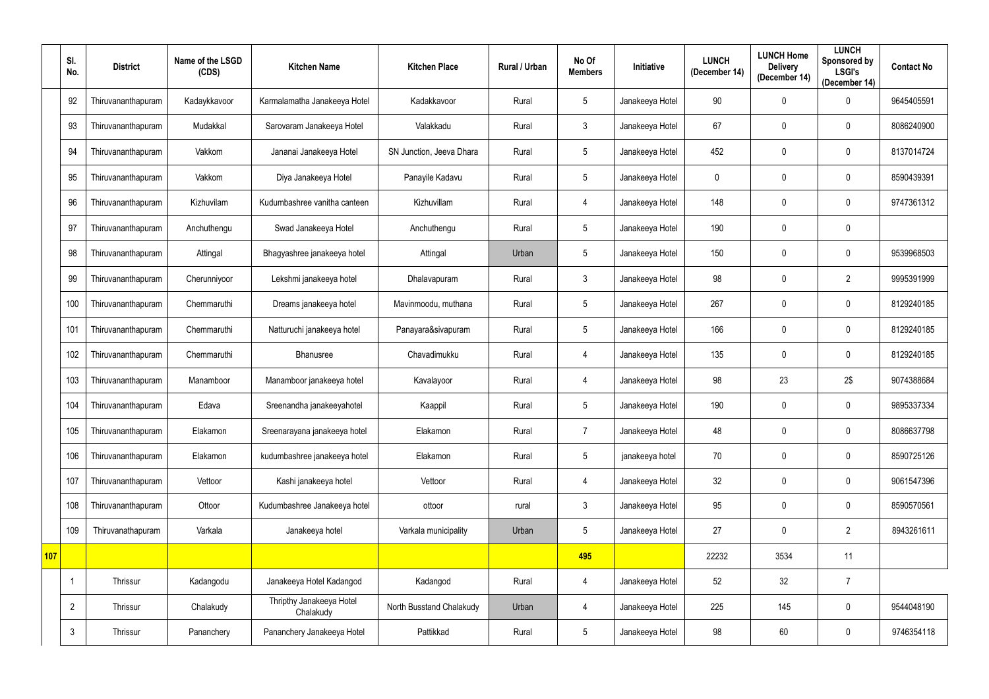|     | SI.<br>No.     | <b>District</b>    | Name of the LSGD<br>(CDS) | <b>Kitchen Name</b>                   | <b>Kitchen Place</b>     | Rural / Urban | No Of<br><b>Members</b> | Initiative      | <b>LUNCH</b><br>(December 14) | <b>LUNCH Home</b><br><b>Delivery</b><br>(December 14) | <b>LUNCH</b><br>Sponsored by<br><b>LSGI's</b><br>(December 14) | <b>Contact No</b> |
|-----|----------------|--------------------|---------------------------|---------------------------------------|--------------------------|---------------|-------------------------|-----------------|-------------------------------|-------------------------------------------------------|----------------------------------------------------------------|-------------------|
|     | 92             | Thiruvananthapuram | Kadaykkavoor              | Karmalamatha Janakeeya Hotel          | Kadakkavoor              | Rural         | $5\phantom{.0}$         | Janakeeya Hotel | 90                            | $\mathbf 0$                                           | $\mathbf 0$                                                    | 9645405591        |
|     | 93             | Thiruvananthapuram | Mudakkal                  | Sarovaram Janakeeya Hotel             | Valakkadu                | Rural         | 3                       | Janakeeya Hotel | 67                            | $\mathbf 0$                                           | $\mathbf 0$                                                    | 8086240900        |
|     | 94             | Thiruvananthapuram | Vakkom                    | Jananai Janakeeya Hotel               | SN Junction, Jeeva Dhara | Rural         | $5\phantom{.0}$         | Janakeeya Hotel | 452                           | 0                                                     | $\mathbf 0$                                                    | 8137014724        |
|     | 95             | Thiruvananthapuram | Vakkom                    | Diya Janakeeya Hotel                  | Panayile Kadavu          | Rural         | $5\phantom{.0}$         | Janakeeya Hotel | $\mathbf 0$                   | 0                                                     | $\mathbf 0$                                                    | 8590439391        |
|     | 96             | Thiruvananthapuram | Kizhuvilam                | Kudumbashree vanitha canteen          | Kizhuvillam              | Rural         | 4                       | Janakeeya Hotel | 148                           | $\mathbf 0$                                           | $\mathbf 0$                                                    | 9747361312        |
|     | 97             | Thiruvananthapuram | Anchuthengu               | Swad Janakeeya Hotel                  | Anchuthengu              | Rural         | $5\phantom{.0}$         | Janakeeya Hotel | 190                           | $\mathbf 0$                                           | $\mathbf 0$                                                    |                   |
|     | 98             | Thiruvananthapuram | Attingal                  | Bhagyashree janakeeya hotel           | Attingal                 | Urban         | $5\overline{)}$         | Janakeeya Hotel | 150                           | 0                                                     | $\mathbf 0$                                                    | 9539968503        |
|     | 99             | Thiruvananthapuram | Cherunniyoor              | Lekshmi janakeeya hotel               | Dhalavapuram             | Rural         | $\mathbf{3}$            | Janakeeya Hotel | 98                            | 0                                                     | $\overline{2}$                                                 | 9995391999        |
|     | 100            | Thiruvananthapuram | Chemmaruthi               | Dreams janakeeya hotel                | Mavinmoodu, muthana      | Rural         | $5\phantom{.0}$         | Janakeeya Hotel | 267                           | 0                                                     | $\mathbf 0$                                                    | 8129240185        |
|     | 101            | Thiruvananthapuram | Chemmaruthi               | Natturuchi janakeeya hotel            | Panayara&sivapuram       | Rural         | $5\phantom{.0}$         | Janakeeya Hotel | 166                           | $\mathbf 0$                                           | $\mathbf 0$                                                    | 8129240185        |
|     | 102            | Thiruvananthapuram | Chemmaruthi               | Bhanusree                             | Chavadimukku             | Rural         | 4                       | Janakeeya Hotel | 135                           | 0                                                     | $\mathbf 0$                                                    | 8129240185        |
|     | 103            | Thiruvananthapuram | Manamboor                 | Manamboor janakeeya hotel             | Kavalayoor               | Rural         | 4                       | Janakeeya Hotel | 98                            | 23                                                    | 2\$                                                            | 9074388684        |
|     | 104            | Thiruvananthapuram | Edava                     | Sreenandha janakeeyahotel             | Kaappil                  | Rural         | 5                       | Janakeeya Hotel | 190                           | 0                                                     | $\mathbf 0$                                                    | 9895337334        |
|     | 105            | Thiruvananthapuram | Elakamon                  | Sreenarayana janakeeya hotel          | Elakamon                 | Rural         | $\overline{7}$          | Janakeeya Hotel | 48                            | $\mathbf 0$                                           | $\pmb{0}$                                                      | 8086637798        |
|     | 106            | Thiruvananthapuram | Elakamon                  | kudumbashree janakeeya hotel          | Elakamon                 | Rural         | $5\phantom{.0}$         | janakeeya hotel | 70                            | $\mathbf 0$                                           | $\pmb{0}$                                                      | 8590725126        |
|     | 107            | Thiruvananthapuram | Vettoor                   | Kashi janakeeya hotel                 | Vettoor                  | Rural         | 4                       | Janakeeya Hotel | 32                            | $\mathbf 0$                                           | $\pmb{0}$                                                      | 9061547396        |
|     | 108            | Thiruvananthapuram | Ottoor                    | Kudumbashree Janakeeya hotel          | ottoor                   | rural         | $\mathbf{3}$            | Janakeeya Hotel | 95                            | $\pmb{0}$                                             | $\pmb{0}$                                                      | 8590570561        |
|     | 109            | Thiruvanathapuram  | Varkala                   | Janakeeya hotel                       | Varkala municipality     | Urban         | $5\phantom{.0}$         | Janakeeya Hotel | 27                            | $\mathbf 0$                                           | $\overline{2}$                                                 | 8943261611        |
| 107 |                |                    |                           |                                       |                          |               | 495                     |                 | 22232                         | 3534                                                  | 11                                                             |                   |
|     | -1             | Thrissur           | Kadangodu                 | Janakeeya Hotel Kadangod              | Kadangod                 | Rural         | 4                       | Janakeeya Hotel | 52                            | 32                                                    | $\overline{7}$                                                 |                   |
|     | $\overline{2}$ | Thrissur           | Chalakudy                 | Thripthy Janakeeya Hotel<br>Chalakudy | North Busstand Chalakudy | Urban         | 4                       | Janakeeya Hotel | 225                           | 145                                                   | $\pmb{0}$                                                      | 9544048190        |
|     | $\mathbf{3}$   | Thrissur           | Pananchery                | Pananchery Janakeeya Hotel            | Pattikkad                | Rural         | $5\phantom{.0}$         | Janakeeya Hotel | 98                            | 60                                                    | $\pmb{0}$                                                      | 9746354118        |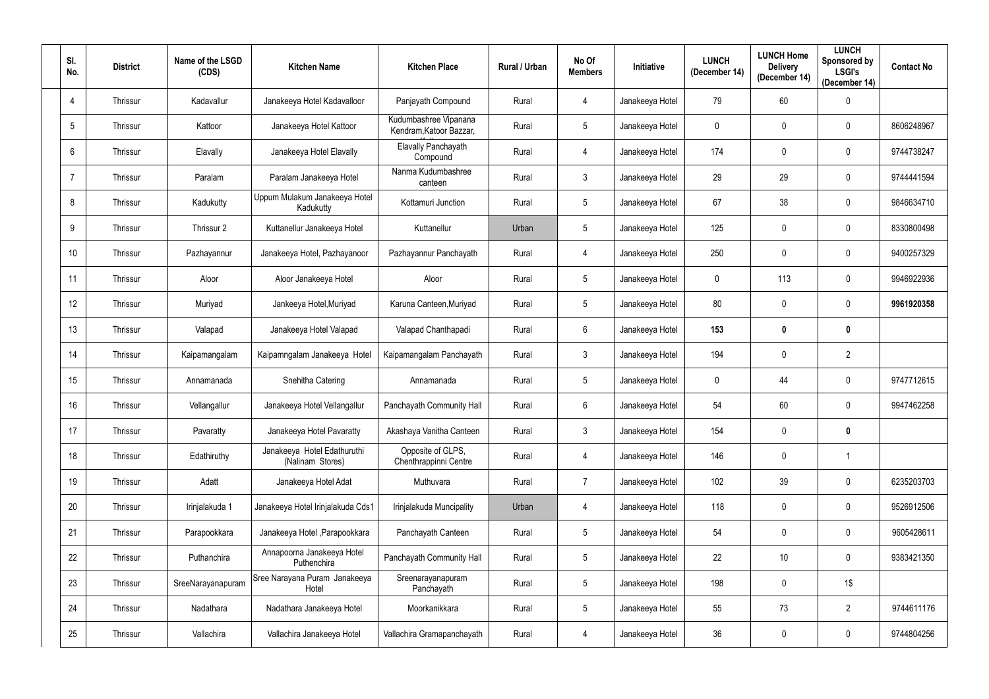| SI.<br>No.     | <b>District</b> | Name of the LSGD<br>(CDS) | <b>Kitchen Name</b>                             | <b>Kitchen Place</b>                             | Rural / Urban | No Of<br><b>Members</b> | Initiative      | <b>LUNCH</b><br>(December 14) | <b>LUNCH Home</b><br><b>Delivery</b><br>(December 14) | <b>LUNCH</b><br>Sponsored by<br><b>LSGI's</b><br>(December 14) | <b>Contact No</b> |
|----------------|-----------------|---------------------------|-------------------------------------------------|--------------------------------------------------|---------------|-------------------------|-----------------|-------------------------------|-------------------------------------------------------|----------------------------------------------------------------|-------------------|
| $\overline{4}$ | Thrissur        | Kadavallur                | Janakeeya Hotel Kadavalloor                     | Panjayath Compound                               | Rural         | $\overline{4}$          | Janakeeya Hotel | 79                            | 60                                                    | $\mathbf 0$                                                    |                   |
| 5              | Thrissur        | Kattoor                   | Janakeeya Hotel Kattoor                         | Kudumbashree Vipanana<br>Kendram, Katoor Bazzar, | Rural         | 5                       | Janakeeya Hotel | $\mathbf 0$                   | $\mathbf 0$                                           | $\mathbf 0$                                                    | 8606248967        |
| 6              | Thrissur        | Elavally                  | Janakeeya Hotel Elavally                        | Elavally Panchayath<br>Compound                  | Rural         | 4                       | Janakeeya Hotel | 174                           | 0                                                     | 0                                                              | 9744738247        |
| $\overline{7}$ | Thrissur        | Paralam                   | Paralam Janakeeya Hotel                         | Nanma Kudumbashree<br>canteen                    | Rural         | $\mathfrak{Z}$          | Janakeeya Hotel | 29                            | 29                                                    | $\mathbf 0$                                                    | 9744441594        |
| 8              | Thrissur        | Kadukutty                 | Uppum Mulakum Janakeeya Hotel<br>Kadukutty      | Kottamuri Junction                               | Rural         | $5\overline{)}$         | Janakeeya Hotel | 67                            | 38                                                    | 0                                                              | 9846634710        |
| 9              | Thrissur        | Thrissur 2                | Kuttanellur Janakeeya Hotel                     | Kuttanellur                                      | Urban         | $5\overline{)}$         | Janakeeya Hotel | 125                           | $\mathbf 0$                                           | $\mathbf 0$                                                    | 8330800498        |
| 10             | Thrissur        | Pazhayannur               | Janakeeya Hotel, Pazhayanoor                    | Pazhayannur Panchayath                           | Rural         | 4                       | Janakeeya Hotel | 250                           | $\mathbf 0$                                           | 0                                                              | 9400257329        |
| 11             | Thrissur        | Aloor                     | Aloor Janakeeya Hotel                           | Aloor                                            | Rural         | 5                       | Janakeeya Hotel | $\mathbf 0$                   | 113                                                   | 0                                                              | 9946922936        |
| 12             | Thrissur        | Muriyad                   | Jankeeya Hotel, Muriyad                         | Karuna Canteen, Muriyad                          | Rural         | $5\overline{)}$         | Janakeeya Hotel | 80                            | 0                                                     | $\mathbf 0$                                                    | 9961920358        |
| 13             | Thrissur        | Valapad                   | Janakeeya Hotel Valapad                         | Valapad Chanthapadi                              | Rural         | $6^{\circ}$             | Janakeeya Hotel | 153                           | $\mathbf 0$                                           | $\boldsymbol{0}$                                               |                   |
| 14             | Thrissur        | Kaipamangalam             | Kaipamngalam Janakeeya Hotel                    | Kaipamangalam Panchayath                         | Rural         | 3                       | Janakeeya Hotel | 194                           | $\mathbf 0$                                           | $\overline{2}$                                                 |                   |
| 15             | Thrissur        | Annamanada                | Snehitha Catering                               | Annamanada                                       | Rural         | 5                       | Janakeeya Hotel | $\mathbf 0$                   | 44                                                    | 0                                                              | 9747712615        |
| 16             | Thrissur        | Vellangallur              | Janakeeya Hotel Vellangallur                    | Panchayath Community Hall                        | Rural         | 6                       | Janakeeya Hotel | 54                            | 60                                                    | $\mathbf 0$                                                    | 9947462258        |
| 17             | Thrissur        | Pavaratty                 | Janakeeya Hotel Pavaratty                       | Akashaya Vanitha Canteen                         | Rural         | $\mathbf{3}$            | Janakeeya Hotel | 154                           | $\mathbf 0$                                           | $\boldsymbol{0}$                                               |                   |
| 18             | Thrissur        | Edathiruthy               | Janakeeya Hotel Edathuruthi<br>(Nalinam Stores) | Opposite of GLPS,<br>Chenthrappinni Centre       | Rural         | $\overline{4}$          | Janakeeya Hotel | 146                           | $\mathbf 0$                                           | $\mathbf{1}$                                                   |                   |
| 19             | Thrissur        | Adatt                     | Janakeeya Hotel Adat                            | Muthuvara                                        | Rural         | $\overline{7}$          | Janakeeya Hotel | 102                           | 39                                                    | $\mathbf 0$                                                    | 6235203703        |
| $20\,$         | Thrissur        | Irinjalakuda 1            | Janakeeya Hotel Irinjalakuda Cds1               | Irinjalakuda Muncipality                         | Urban         | $\overline{4}$          | Janakeeya Hotel | 118                           | $\pmb{0}$                                             | $\mathbf 0$                                                    | 9526912506        |
| 21             | Thrissur        | Parapookkara              | Janakeeya Hotel , Parapookkara                  | Panchayath Canteen                               | Rural         | 5                       | Janakeeya Hotel | 54                            | $\pmb{0}$                                             | $\pmb{0}$                                                      | 9605428611        |
| 22             | Thrissur        | Puthanchira               | Annapoorna Janakeeya Hotel<br>Puthenchira       | Panchayath Community Hall                        | Rural         | $5\phantom{.0}$         | Janakeeya Hotel | 22                            | 10                                                    | $\mathbf 0$                                                    | 9383421350        |
| 23             | Thrissur        | SreeNarayanapuram         | Sree Narayana Puram Janakeeya<br>Hotel          | Sreenarayanapuram<br>Panchayath                  | Rural         | $5\phantom{.0}$         | Janakeeya Hotel | 198                           | $\pmb{0}$                                             | $1\$                                                           |                   |
| 24             | Thrissur        | Nadathara                 | Nadathara Janakeeya Hotel                       | Moorkanikkara                                    | Rural         | 5                       | Janakeeya Hotel | 55                            | 73                                                    | $\overline{2}$                                                 | 9744611176        |
| 25             | Thrissur        | Vallachira                | Vallachira Janakeeya Hotel                      | Vallachira Gramapanchayath                       | Rural         | $\overline{4}$          | Janakeeya Hotel | 36                            | $\pmb{0}$                                             | $\pmb{0}$                                                      | 9744804256        |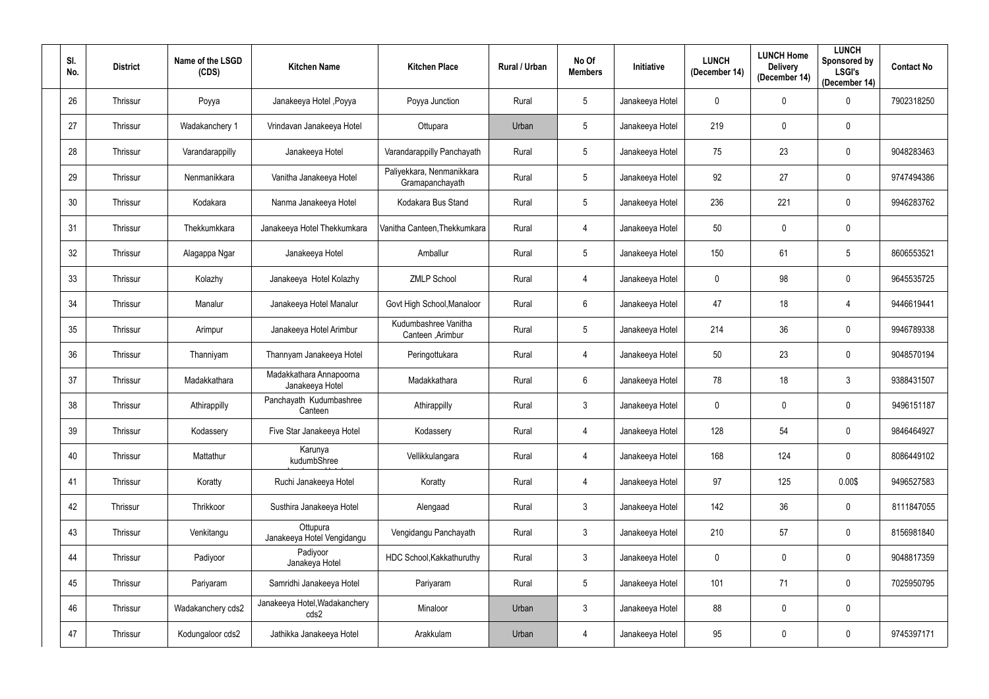| SI.<br>No.      | <b>District</b> | Name of the LSGD<br>(CDS) | <b>Kitchen Name</b>                        | <b>Kitchen Place</b>                         | Rural / Urban | No Of<br><b>Members</b> | Initiative      | <b>LUNCH</b><br>(December 14) | <b>LUNCH Home</b><br><b>Delivery</b><br>(December 14) | <b>LUNCH</b><br>Sponsored by<br><b>LSGI's</b><br>(December 14) | <b>Contact No</b> |
|-----------------|-----------------|---------------------------|--------------------------------------------|----------------------------------------------|---------------|-------------------------|-----------------|-------------------------------|-------------------------------------------------------|----------------------------------------------------------------|-------------------|
| 26              | Thrissur        | Poyya                     | Janakeeya Hotel , Poyya                    | Poyya Junction                               | Rural         | $5\phantom{.0}$         | Janakeeya Hotel | $\overline{0}$                | $\mathbf 0$                                           | $\mathbf 0$                                                    | 7902318250        |
| 27              | Thrissur        | Wadakanchery 1            | Vrindavan Janakeeya Hotel                  | Ottupara                                     | Urban         | 5                       | Janakeeya Hotel | 219                           | 0                                                     | $\mathbf 0$                                                    |                   |
| 28              | Thrissur        | Varandarappilly           | Janakeeya Hotel                            | Varandarappilly Panchayath                   | Rural         | 5                       | Janakeeya Hotel | 75                            | 23                                                    | $\mathbf 0$                                                    | 9048283463        |
| 29              | Thrissur        | Nenmanikkara              | Vanitha Janakeeya Hotel                    | Paliyekkara, Nenmanikkara<br>Gramapanchayath | Rural         | 5                       | Janakeeya Hotel | 92                            | 27                                                    | $\mathbf 0$                                                    | 9747494386        |
| 30 <sup>°</sup> | Thrissur        | Kodakara                  | Nanma Janakeeya Hotel                      | Kodakara Bus Stand                           | Rural         | $5\phantom{.0}$         | Janakeeya Hotel | 236                           | 221                                                   | $\mathbf 0$                                                    | 9946283762        |
| 31              | Thrissur        | Thekkumkkara              | Janakeeya Hotel Thekkumkara                | Vanitha Canteen, Thekkumkara                 | Rural         | 4                       | Janakeeya Hotel | 50                            | 0                                                     | $\pmb{0}$                                                      |                   |
| 32              | Thrissur        | Alagappa Ngar             | Janakeeya Hotel                            | Amballur                                     | Rural         | 5                       | Janakeeya Hotel | 150                           | 61                                                    | $\overline{5}$                                                 | 8606553521        |
| 33              | Thrissur        | Kolazhy                   | Janakeeya Hotel Kolazhy                    | <b>ZMLP School</b>                           | Rural         | 4                       | Janakeeya Hotel | $\mathbf 0$                   | 98                                                    | $\mathbf 0$                                                    | 9645535725        |
| 34              | Thrissur        | Manalur                   | Janakeeya Hotel Manalur                    | Govt High School, Manaloor                   | Rural         | 6                       | Janakeeya Hotel | 47                            | 18                                                    | 4                                                              | 9446619441        |
| 35              | Thrissur        | Arimpur                   | Janakeeya Hotel Arimbur                    | Kudumbashree Vanitha<br>Canteen , Arimbur    | Rural         | $5\phantom{.0}$         | Janakeeya Hotel | 214                           | 36                                                    | $\boldsymbol{0}$                                               | 9946789338        |
| 36              | Thrissur        | Thanniyam                 | Thannyam Janakeeya Hotel                   | Peringottukara                               | Rural         | 4                       | Janakeeya Hotel | 50                            | 23                                                    | $\mathbf 0$                                                    | 9048570194        |
| 37              | Thrissur        | Madakkathara              | Madakkathara Annapoorna<br>Janakeeya Hotel | Madakkathara                                 | Rural         | 6                       | Janakeeya Hotel | 78                            | 18                                                    | $\mathbf{3}$                                                   | 9388431507        |
| 38              | Thrissur        | Athirappilly              | Panchayath Kudumbashree<br>Canteen         | Athirappilly                                 | Rural         | $\mathfrak{Z}$          | Janakeeya Hotel | $\mathbf 0$                   | $\mathbf 0$                                           | $\mathbf 0$                                                    | 9496151187        |
| 39              | Thrissur        | Kodassery                 | Five Star Janakeeya Hotel                  | Kodassery                                    | Rural         | $\overline{4}$          | Janakeeya Hotel | 128                           | 54                                                    | $\pmb{0}$                                                      | 9846464927        |
| 40              | Thrissur        | Mattathur                 | Karunya<br>kudumbShree                     | Vellikkulangara                              | Rural         | $\overline{4}$          | Janakeeya Hotel | 168                           | 124                                                   | $\mathbf 0$                                                    | 8086449102        |
| 41              | Thrissur        | Koratty                   | Ruchi Janakeeya Hotel                      | Koratty                                      | Rural         | $\overline{4}$          | Janakeeya Hotel | 97                            | 125                                                   | 0.00\$                                                         | 9496527583        |
| 42              | Thrissur        | Thrikkoor                 | Susthira Janakeeya Hotel                   | Alengaad                                     | Rural         | 3 <sup>1</sup>          | Janakeeya Hotel | 142                           | 36                                                    | $\mathbf 0$                                                    | 8111847055        |
| 43              | Thrissur        | Venkitangu                | Ottupura<br>Janakeeya Hotel Vengidangu     | Vengidangu Panchayath                        | Rural         | 3 <sup>1</sup>          | Janakeeya Hotel | 210                           | 57                                                    | $\mathbf 0$                                                    | 8156981840        |
| 44              | Thrissur        | Padiyoor                  | Padiyoor<br>Janakeya Hotel                 | HDC School, Kakkathuruthy                    | Rural         | $\mathfrak{Z}$          | Janakeeya Hotel | $\overline{0}$                | $\pmb{0}$                                             | $\mathbf 0$                                                    | 9048817359        |
| 45              | Thrissur        | Pariyaram                 | Samridhi Janakeeya Hotel                   | Pariyaram                                    | Rural         | $5\phantom{.0}$         | Janakeeya Hotel | 101                           | 71                                                    | $\mathbf 0$                                                    | 7025950795        |
| 46              | Thrissur        | Wadakanchery cds2         | Janakeeya Hotel, Wadakanchery<br>cds2      | Minaloor                                     | Urban         | 3 <sup>1</sup>          | Janakeeya Hotel | 88                            | 0                                                     | $\pmb{0}$                                                      |                   |
| 47              | Thrissur        | Kodungaloor cds2          | Jathikka Janakeeya Hotel                   | Arakkulam                                    | Urban         | $\overline{4}$          | Janakeeya Hotel | 95                            | 0                                                     | $\pmb{0}$                                                      | 9745397171        |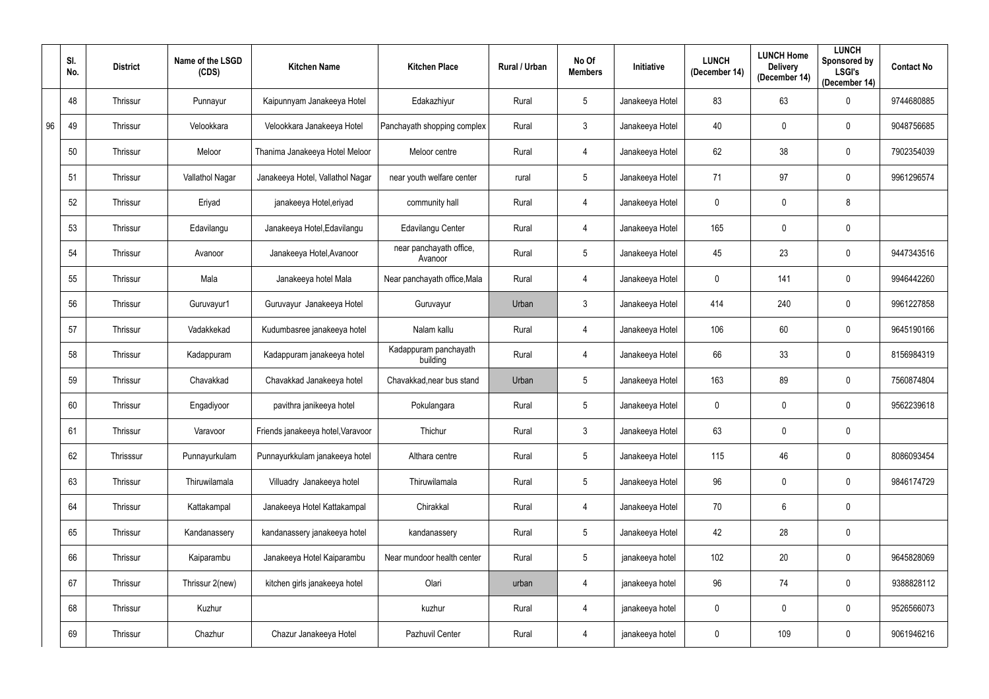|    | SI.<br>No. | <b>District</b> | Name of the LSGD<br>(CDS) | <b>Kitchen Name</b>               | <b>Kitchen Place</b>               | Rural / Urban | No Of<br><b>Members</b> | Initiative      | <b>LUNCH</b><br>(December 14) | <b>LUNCH Home</b><br><b>Delivery</b><br>(December 14) | <b>LUNCH</b><br>Sponsored by<br><b>LSGI's</b><br>(December 14) | <b>Contact No</b> |
|----|------------|-----------------|---------------------------|-----------------------------------|------------------------------------|---------------|-------------------------|-----------------|-------------------------------|-------------------------------------------------------|----------------------------------------------------------------|-------------------|
|    | 48         | Thrissur        | Punnayur                  | Kaipunnyam Janakeeya Hotel        | Edakazhiyur                        | Rural         | $5\phantom{.0}$         | Janakeeya Hotel | 83                            | 63                                                    | $\mathbf 0$                                                    | 9744680885        |
| 96 | 49         | Thrissur        | Velookkara                | Velookkara Janakeeya Hotel        | Panchayath shopping complex        | Rural         | $\mathbf{3}$            | Janakeeya Hotel | 40                            | $\mathbf 0$                                           | $\mathbf 0$                                                    | 9048756685        |
|    | 50         | Thrissur        | Meloor                    | Thanima Janakeeya Hotel Meloor    | Meloor centre                      | Rural         | 4                       | Janakeeya Hotel | 62                            | 38                                                    | $\mathbf 0$                                                    | 7902354039        |
|    | 51         | Thrissur        | Vallathol Nagar           | Janakeeya Hotel, Vallathol Nagar  | near youth welfare center          | rural         | $5\phantom{.0}$         | Janakeeya Hotel | 71                            | 97                                                    | $\mathbf 0$                                                    | 9961296574        |
|    | 52         | Thrissur        | Eriyad                    | janakeeya Hotel, eriyad           | community hall                     | Rural         | 4                       | Janakeeya Hotel | $\mathbf 0$                   | $\mathbf 0$                                           | 8                                                              |                   |
|    | 53         | Thrissur        | Edavilangu                | Janakeeya Hotel, Edavilangu       | <b>Edavilangu Center</b>           | Rural         | 4                       | Janakeeya Hotel | 165                           | $\mathbf 0$                                           | $\mathbf 0$                                                    |                   |
|    | 54         | Thrissur        | Avanoor                   | Janakeeya Hotel, Avanoor          | near panchayath office,<br>Avanoor | Rural         | $5\phantom{.0}$         | Janakeeya Hotel | 45                            | 23                                                    | $\mathbf 0$                                                    | 9447343516        |
|    | 55         | Thrissur        | Mala                      | Janakeeya hotel Mala              | Near panchayath office, Mala       | Rural         | 4                       | Janakeeya Hotel | $\mathbf 0$                   | 141                                                   | $\mathbf 0$                                                    | 9946442260        |
|    | 56         | Thrissur        | Guruvayur1                | Guruvayur Janakeeya Hotel         | Guruvayur                          | Urban         | $\mathbf{3}$            | Janakeeya Hotel | 414                           | 240                                                   | $\mathbf 0$                                                    | 9961227858        |
|    | 57         | Thrissur        | Vadakkekad                | Kudumbasree janakeeya hotel       | Nalam kallu                        | Rural         | 4                       | Janakeeya Hotel | 106                           | 60                                                    | $\mathbf 0$                                                    | 9645190166        |
|    | 58         | Thrissur        | Kadappuram                | Kadappuram janakeeya hotel        | Kadappuram panchayath<br>building  | Rural         | 4                       | Janakeeya Hotel | 66                            | 33                                                    | $\mathbf 0$                                                    | 8156984319        |
|    | 59         | Thrissur        | Chavakkad                 | Chavakkad Janakeeya hotel         | Chavakkad, near bus stand          | Urban         | $5\phantom{.0}$         | Janakeeya Hotel | 163                           | 89                                                    | $\mathbf 0$                                                    | 7560874804        |
|    | 60         | Thrissur        | Engadiyoor                | pavithra janikeeya hotel          | Pokulangara                        | Rural         | 5                       | Janakeeya Hotel | $\mathbf{0}$                  | $\mathbf 0$                                           | $\mathbf 0$                                                    | 9562239618        |
|    | 61         | Thrissur        | Varavoor                  | Friends janakeeya hotel, Varavoor | Thichur                            | Rural         | $\mathfrak{Z}$          | Janakeeya Hotel | 63                            | $\mathbf 0$                                           | $\mathbf 0$                                                    |                   |
|    | 62         | Thrisssur       | Punnayurkulam             | Punnayurkkulam janakeeya hotel    | Althara centre                     | Rural         | 5 <sup>5</sup>          | Janakeeya Hotel | 115                           | 46                                                    | $\mathbf 0$                                                    | 8086093454        |
|    | 63         | Thrissur        | Thiruwilamala             | Villuadry Janakeeya hotel         | Thiruwilamala                      | Rural         | $5\phantom{.0}$         | Janakeeya Hotel | 96                            | $\mathbf 0$                                           | $\pmb{0}$                                                      | 9846174729        |
|    | 64         | Thrissur        | Kattakampal               | Janakeeya Hotel Kattakampal       | Chirakkal                          | Rural         | $\overline{4}$          | Janakeeya Hotel | 70                            | 6                                                     | $\pmb{0}$                                                      |                   |
|    | 65         | Thrissur        | Kandanassery              | kandanassery janakeeya hotel      | kandanassery                       | Rural         | 5 <sub>5</sub>          | Janakeeya Hotel | 42                            | 28                                                    | $\mathbf 0$                                                    |                   |
|    | 66         | Thrissur        | Kaiparambu                | Janakeeya Hotel Kaiparambu        | Near mundoor health center         | Rural         | $5\phantom{.0}$         | janakeeya hotel | 102                           | 20                                                    | $\pmb{0}$                                                      | 9645828069        |
|    | 67         | Thrissur        | Thrissur 2(new)           | kitchen girls janakeeya hotel     | Olari                              | urban         | 4                       | janakeeya hotel | 96                            | 74                                                    | $\pmb{0}$                                                      | 9388828112        |
|    | 68         | Thrissur        | Kuzhur                    |                                   | kuzhur                             | Rural         | 4                       | janakeeya hotel | $\mathbf 0$                   | $\mathbf 0$                                           | $\pmb{0}$                                                      | 9526566073        |
|    | 69         | Thrissur        | Chazhur                   | Chazur Janakeeya Hotel            | Pazhuvil Center                    | Rural         | 4                       | janakeeya hotel | $\overline{0}$                | 109                                                   | $\pmb{0}$                                                      | 9061946216        |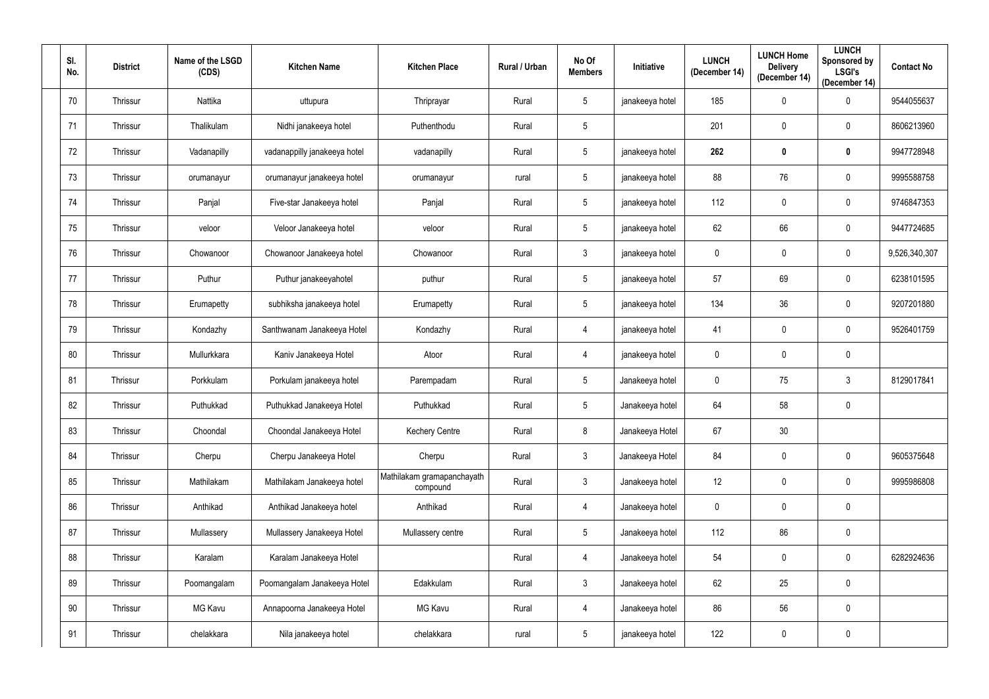| SI.<br>No. | <b>District</b> | Name of the LSGD<br>(CDS) | <b>Kitchen Name</b>          | <b>Kitchen Place</b>                   | Rural / Urban | No Of<br><b>Members</b> | Initiative      | <b>LUNCH</b><br>(December 14) | <b>LUNCH Home</b><br><b>Delivery</b><br>(December 14) | <b>LUNCH</b><br>Sponsored by<br><b>LSGI's</b><br>(December 14) | <b>Contact No</b> |
|------------|-----------------|---------------------------|------------------------------|----------------------------------------|---------------|-------------------------|-----------------|-------------------------------|-------------------------------------------------------|----------------------------------------------------------------|-------------------|
| 70         | Thrissur        | Nattika                   | uttupura                     | Thriprayar                             | Rural         | 5                       | janakeeya hotel | 185                           | $\mathbf 0$                                           | 0                                                              | 9544055637        |
| 71         | Thrissur        | Thalikulam                | Nidhi janakeeya hotel        | Puthenthodu                            | Rural         | 5                       |                 | 201                           | $\mathbf 0$                                           | $\mathbf 0$                                                    | 8606213960        |
| 72         | Thrissur        | Vadanapilly               | vadanappilly janakeeya hotel | vadanapilly                            | Rural         | $5\phantom{.0}$         | janakeeya hotel | 262                           | $\mathbf 0$                                           | $\boldsymbol{0}$                                               | 9947728948        |
| 73         | Thrissur        | orumanayur                | orumanayur janakeeya hotel   | orumanayur                             | rural         | $5\overline{)}$         | janakeeya hotel | 88                            | 76                                                    | 0                                                              | 9995588758        |
| 74         | Thrissur        | Panjal                    | Five-star Janakeeya hotel    | Panjal                                 | Rural         | $5\phantom{.0}$         | janakeeya hotel | 112                           | $\mathbf 0$                                           | $\mathbf 0$                                                    | 9746847353        |
| 75         | Thrissur        | veloor                    | Veloor Janakeeya hotel       | veloor                                 | Rural         | 5                       | janakeeya hotel | 62                            | 66                                                    | $\mathbf 0$                                                    | 9447724685        |
| 76         | Thrissur        | Chowanoor                 | Chowanoor Janakeeya hotel    | Chowanoor                              | Rural         | $\mathfrak{Z}$          | janakeeya hotel | $\pmb{0}$                     | $\mathbf 0$                                           | $\mathbf 0$                                                    | 9,526,340,307     |
| 77         | Thrissur        | Puthur                    | Puthur janakeeyahotel        | puthur                                 | Rural         | 5                       | janakeeya hotel | 57                            | 69                                                    | 0                                                              | 6238101595        |
| 78         | Thrissur        | Erumapetty                | subhiksha janakeeya hotel    | Erumapetty                             | Rural         | $5\overline{)}$         | janakeeya hotel | 134                           | 36                                                    | $\mathbf 0$                                                    | 9207201880        |
| 79         | Thrissur        | Kondazhy                  | Santhwanam Janakeeya Hotel   | Kondazhy                               | Rural         | 4                       | janakeeya hotel | 41                            | $\mathbf 0$                                           | $\mathbf 0$                                                    | 9526401759        |
| 80         | Thrissur        | Mullurkkara               | Kaniv Janakeeya Hotel        | Atoor                                  | Rural         | 4                       | janakeeya hotel | $\mathbf 0$                   | $\mathbf 0$                                           | $\mathbf 0$                                                    |                   |
| 81         | Thrissur        | Porkkulam                 | Porkulam janakeeya hotel     | Parempadam                             | Rural         | 5                       | Janakeeya hotel | $\mathbf 0$                   | 75                                                    | $\mathfrak{Z}$                                                 | 8129017841        |
| 82         | Thrissur        | Puthukkad                 | Puthukkad Janakeeya Hotel    | Puthukkad                              | Rural         | $5\overline{)}$         | Janakeeya hotel | 64                            | 58                                                    | $\mathbf 0$                                                    |                   |
| 83         | Thrissur        | Choondal                  | Choondal Janakeeya Hotel     | <b>Kechery Centre</b>                  | Rural         | 8                       | Janakeeya Hotel | 67                            | 30 <sup>°</sup>                                       |                                                                |                   |
| 84         | Thrissur        | Cherpu                    | Cherpu Janakeeya Hotel       | Cherpu                                 | Rural         | 3 <sup>7</sup>          | Janakeeya Hotel | 84                            | $\mathbf 0$                                           | $\mathbf 0$                                                    | 9605375648        |
| 85         | Thrissur        | Mathilakam                | Mathilakam Janakeeya hotel   | Mathilakam gramapanchayath<br>compound | Rural         | 3 <sup>7</sup>          | Janakeeya hotel | 12                            | $\mathbf 0$                                           | $\mathbf 0$                                                    | 9995986808        |
| 86         | Thrissur        | Anthikad                  | Anthikad Janakeeya hotel     | Anthikad                               | Rural         | $\overline{4}$          | Janakeeya hotel | $\overline{0}$                | $\mathbf 0$                                           | $\mathbf 0$                                                    |                   |
| 87         | Thrissur        | Mullassery                | Mullassery Janakeeya Hotel   | Mullassery centre                      | Rural         | $5\overline{)}$         | Janakeeya hotel | 112                           | 86                                                    | $\mathbf 0$                                                    |                   |
| 88         | Thrissur        | Karalam                   | Karalam Janakeeya Hotel      |                                        | Rural         | $\overline{4}$          | Janakeeya hotel | 54                            | $\pmb{0}$                                             | $\mathbf 0$                                                    | 6282924636        |
| 89         | Thrissur        | Poomangalam               | Poomangalam Janakeeya Hotel  | Edakkulam                              | Rural         | 3 <sup>7</sup>          | Janakeeya hotel | 62                            | 25                                                    | $\mathbf 0$                                                    |                   |
| 90         | Thrissur        | MG Kavu                   | Annapoorna Janakeeya Hotel   | MG Kavu                                | Rural         | $\overline{4}$          | Janakeeya hotel | 86                            | 56                                                    | $\mathbf 0$                                                    |                   |
| 91         | Thrissur        | chelakkara                | Nila janakeeya hotel         | chelakkara                             | rural         | $5\phantom{.0}$         | janakeeya hotel | 122                           | $\pmb{0}$                                             | $\pmb{0}$                                                      |                   |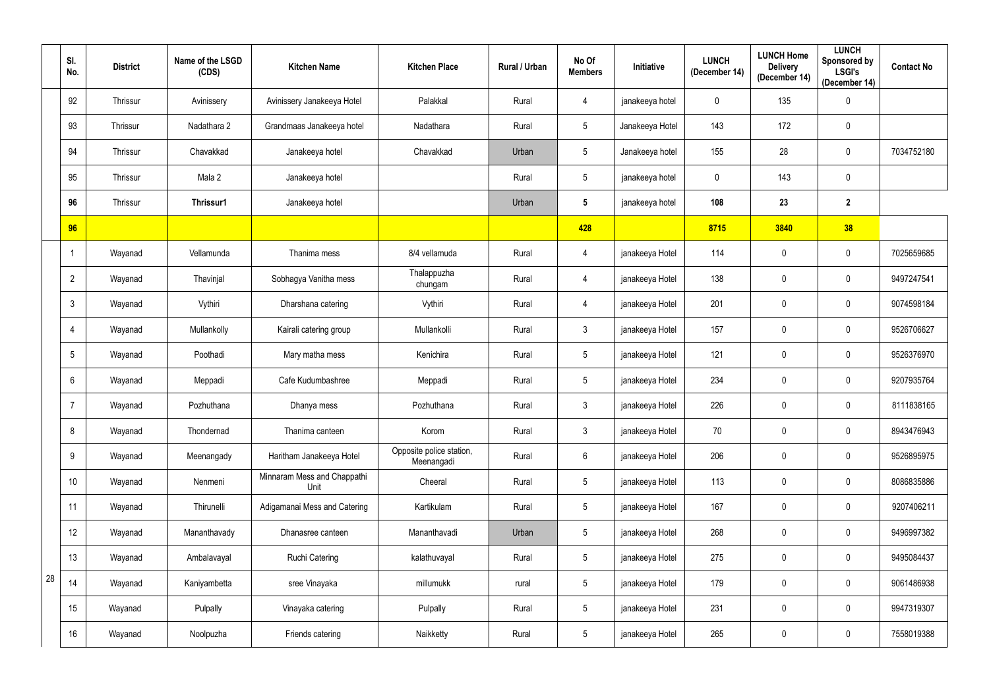|    | SI.<br>No.   | <b>District</b> | Name of the LSGD<br>(CDS) | <b>Kitchen Name</b>                 | <b>Kitchen Place</b>                   | Rural / Urban | No Of<br><b>Members</b> | Initiative      | <b>LUNCH</b><br>(December 14) | <b>LUNCH Home</b><br><b>Delivery</b><br>(December 14) | <b>LUNCH</b><br>Sponsored by<br><b>LSGI's</b><br>(December 14) | <b>Contact No</b> |
|----|--------------|-----------------|---------------------------|-------------------------------------|----------------------------------------|---------------|-------------------------|-----------------|-------------------------------|-------------------------------------------------------|----------------------------------------------------------------|-------------------|
|    | 92           | Thrissur        | Avinissery                | Avinissery Janakeeya Hotel          | Palakkal                               | Rural         | 4                       | janakeeya hotel | $\mathbf 0$                   | 135                                                   | $\pmb{0}$                                                      |                   |
|    | 93           | Thrissur        | Nadathara 2               | Grandmaas Janakeeya hotel           | Nadathara                              | Rural         | $5\phantom{.0}$         | Janakeeya Hotel | 143                           | 172                                                   | $\boldsymbol{0}$                                               |                   |
|    | 94           | Thrissur        | Chavakkad                 | Janakeeya hotel                     | Chavakkad                              | Urban         | $5\phantom{.0}$         | Janakeeya hotel | 155                           | 28                                                    | $\boldsymbol{0}$                                               | 7034752180        |
|    | 95           | Thrissur        | Mala 2                    | Janakeeya hotel                     |                                        | Rural         | $5\phantom{.0}$         | janakeeya hotel | 0                             | 143                                                   | $\boldsymbol{0}$                                               |                   |
|    | 96           | Thrissur        | Thrissur1                 | Janakeeya hotel                     |                                        | Urban         | $5\phantom{.0}$         | janakeeya hotel | 108                           | 23                                                    | $\overline{2}$                                                 |                   |
|    | 96           |                 |                           |                                     |                                        |               | 428                     |                 | 8715                          | 3840                                                  | 38                                                             |                   |
|    |              | Wayanad         | Vellamunda                | Thanima mess                        | 8/4 vellamuda                          | Rural         | 4                       | janakeeya Hotel | 114                           | $\mathbf 0$                                           | $\mathbf 0$                                                    | 7025659685        |
|    | $\mathbf{2}$ | Wayanad         | Thavinjal                 | Sobhagya Vanitha mess               | Thalappuzha<br>chungam                 | Rural         | 4                       | janakeeya Hotel | 138                           | $\mathbf 0$                                           | $\boldsymbol{0}$                                               | 9497247541        |
|    | 3            | Wayanad         | Vythiri                   | Dharshana catering                  | Vythiri                                | Rural         | 4                       | janakeeya Hotel | 201                           | $\mathbf 0$                                           | $\boldsymbol{0}$                                               | 9074598184        |
|    | 4            | Wayanad         | Mullankolly               | Kairali catering group              | Mullankolli                            | Rural         | $\mathbf{3}$            | janakeeya Hotel | 157                           | $\mathbf 0$                                           | $\mathbf 0$                                                    | 9526706627        |
|    | 5            | Wayanad         | Poothadi                  | Mary matha mess                     | Kenichira                              | Rural         | $5\phantom{.0}$         | janakeeya Hotel | 121                           | $\mathbf 0$                                           | $\mathbf 0$                                                    | 9526376970        |
|    | 6            | Wayanad         | Meppadi                   | Cafe Kudumbashree                   | Meppadi                                | Rural         | $5\phantom{.0}$         | janakeeya Hotel | 234                           | $\mathbf 0$                                           | $\mathbf 0$                                                    | 9207935764        |
|    | 7            | Wayanad         | Pozhuthana                | Dhanya mess                         | Pozhuthana                             | Rural         | 3                       | janakeeya Hotel | 226                           | $\mathbf 0$                                           | $\boldsymbol{0}$                                               | 8111838165        |
|    | 8            | Wayanad         | Thondernad                | Thanima canteen                     | Korom                                  | Rural         | $\mathfrak{Z}$          | janakeeya Hotel | $70\,$                        | $\mathbf 0$                                           | $\mathbf 0$                                                    | 8943476943        |
|    | 9            | Wayanad         | Meenangady                | Haritham Janakeeya Hotel            | Opposite police station,<br>Meenangadi | Rural         | $6^{\circ}$             | janakeeya Hotel | 206                           | $\mathbf 0$                                           | $\mathbf 0$                                                    | 9526895975        |
|    | 10           | Wayanad         | Nenmeni                   | Minnaram Mess and Chappathi<br>Unit | Cheeral                                | Rural         | $5\phantom{.0}$         | janakeeya Hotel | 113                           | $\mathbf 0$                                           | $\mathbf 0$                                                    | 8086835886        |
|    | 11           | Wayanad         | Thirunelli                | Adigamanai Mess and Catering        | Kartikulam                             | Rural         | $5\phantom{.0}$         | janakeeya Hotel | 167                           | $\mathbf 0$                                           | $\mathbf 0$                                                    | 9207406211        |
|    | 12           | Wayanad         | Mananthavady              | Dhanasree canteen                   | Mananthavadi                           | Urban         | $5\phantom{.0}$         | janakeeya Hotel | 268                           | $\mathbf 0$                                           | $\mathbf 0$                                                    | 9496997382        |
|    | 13           | Wayanad         | Ambalavayal               | Ruchi Catering                      | kalathuvayal                           | Rural         | $5\phantom{.0}$         | janakeeya Hotel | 275                           | $\mathbf 0$                                           | $\mathbf 0$                                                    | 9495084437        |
| 28 | 14           | Wayanad         | Kaniyambetta              | sree Vinayaka                       | millumukk                              | rural         | 5 <sup>5</sup>          | janakeeya Hotel | 179                           | $\pmb{0}$                                             | $\mathbf 0$                                                    | 9061486938        |
|    | 15           | Wayanad         | Pulpally                  | Vinayaka catering                   | Pulpally                               | Rural         | $5\phantom{.0}$         | janakeeya Hotel | 231                           | $\boldsymbol{0}$                                      | $\mathbf 0$                                                    | 9947319307        |
|    | 16           | Wayanad         | Noolpuzha                 | Friends catering                    | Naikketty                              | Rural         | $\sqrt{5}$              | janakeeya Hotel | 265                           | $\pmb{0}$                                             | $\pmb{0}$                                                      | 7558019388        |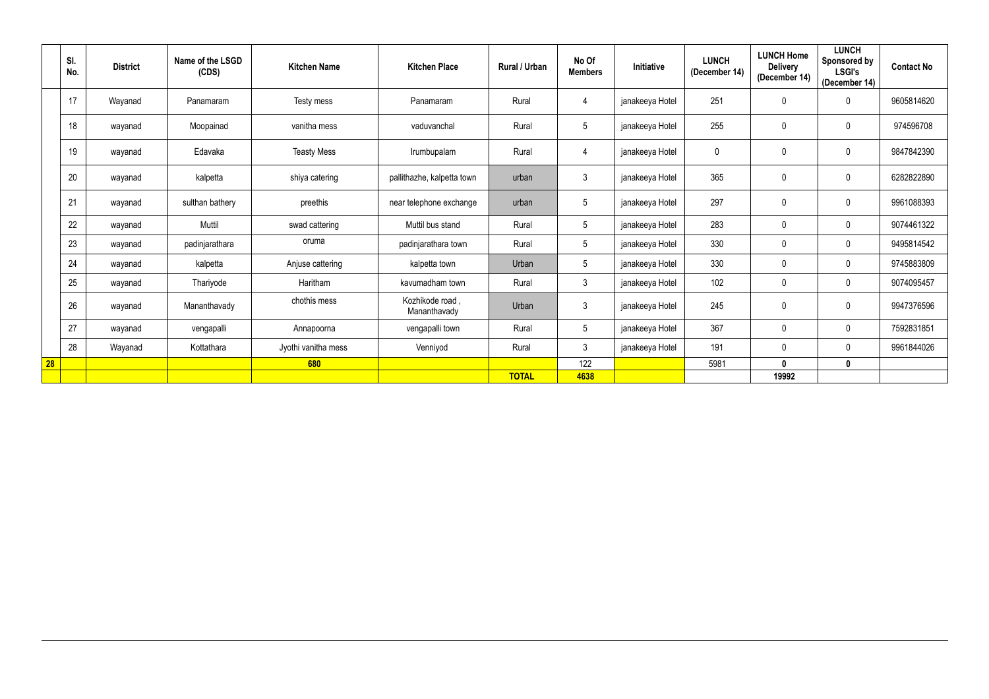|           | SI.<br>No. | <b>District</b> | Name of the LSGD<br>(CDS) | <b>Kitchen Name</b> | <b>Kitchen Place</b>           | <b>Rural / Urban</b> | No Of<br><b>Members</b> | <b>Initiative</b> | <b>LUNCH</b><br>(December 14) | <b>LUNCH Home</b><br><b>Delivery</b><br>(December 14) | <b>LUNCH</b><br>Sponsored by<br><b>LSGI's</b><br>(December 14) | <b>Contact No</b> |
|-----------|------------|-----------------|---------------------------|---------------------|--------------------------------|----------------------|-------------------------|-------------------|-------------------------------|-------------------------------------------------------|----------------------------------------------------------------|-------------------|
|           | 17         | Wayanad         | Panamaram                 | Testy mess          | Panamaram                      | Rural                | 4                       | janakeeya Hotel   | 251                           | 0                                                     | $\mathbf 0$                                                    | 9605814620        |
|           | 18         | wayanad         | Moopainad                 | vanitha mess        | vaduvanchal                    | Rural                | 5                       | janakeeya Hotel   | 255                           | 0                                                     | $\mathbf 0$                                                    | 974596708         |
|           | 19         | wayanad         | Edavaka                   | <b>Teasty Mess</b>  | Irumbupalam                    | Rural                | 4                       | janakeeya Hotel   | $\mathbf 0$                   | 0                                                     | $\pmb{0}$                                                      | 9847842390        |
|           | 20         | wayanad         | kalpetta                  | shiya catering      | pallithazhe, kalpetta town     | urban                | $\mathbf{3}$            | janakeeya Hotel   | 365                           | 0                                                     | $\mathbf 0$                                                    | 6282822890        |
|           | 21         | wayanad         | sulthan bathery           | preethis            | near telephone exchange        | urban                | $5\phantom{.0}$         | janakeeya Hotel   | 297                           | 0                                                     | $\mathbf 0$                                                    | 9961088393        |
|           | 22         | wayanad         | Muttil                    | swad cattering      | Muttil bus stand               | Rural                | $5\overline{)}$         | janakeeya Hotel   | 283                           | $\pmb{0}$                                             | $\mathbf 0$                                                    | 9074461322        |
|           | 23         | wayanad         | padinjarathara            | oruma               | padinjarathara town            | Rural                | $5\overline{)}$         | janakeeya Hotel   | 330                           | 0                                                     | $\mathbf 0$                                                    | 9495814542        |
|           | 24         | wayanad         | kalpetta                  | Anjuse cattering    | kalpetta town                  | Urban                | 5                       | janakeeya Hotel   | 330                           | 0                                                     | $\mathbf 0$                                                    | 9745883809        |
|           | 25         | wayanad         | Thariyode                 | Haritham            | kavumadham town                | Rural                | 3 <sup>5</sup>          | janakeeya Hotel   | 102                           | 0                                                     | $\mathbf 0$                                                    | 9074095457        |
|           | 26         | wayanad         | Mananthavady              | chothis mess        | Kozhikode road<br>Mananthavady | Urban                | $\mathbf{3}$            | janakeeya Hotel   | 245                           | 0                                                     | $\mathbf 0$                                                    | 9947376596        |
|           | 27         | wayanad         | vengapalli                | Annapoorna          | vengapalli town                | Rural                | $5\overline{)}$         | janakeeya Hotel   | 367                           | 0                                                     | $\mathbf 0$                                                    | 7592831851        |
|           | 28         | Wayanad         | Kottathara                | Jyothi vanitha mess | Venniyod                       | Rural                | $\mathbf{3}$            | janakeeya Hotel   | 191                           | 0                                                     | $\mathbf 0$                                                    | 9961844026        |
| <b>28</b> |            |                 |                           | 680                 |                                |                      | 122                     |                   | 5981                          | $\mathbf 0$                                           | $\mathbf 0$                                                    |                   |
|           |            |                 |                           |                     |                                | <b>TOTAL</b>         | 4638                    |                   |                               | 19992                                                 |                                                                |                   |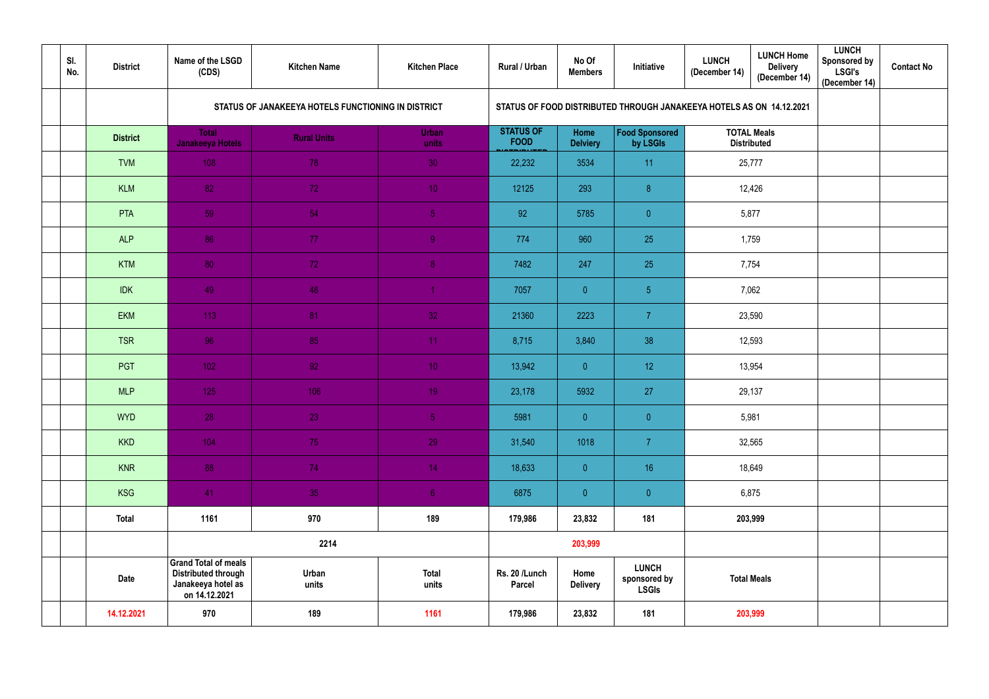| SI.<br>No. | <b>District</b> | Name of the LSGD<br>(CDS)                                                                        | <b>Kitchen Name</b>                                | <b>Kitchen Place</b>  | Rural / Urban                   | No Of<br><b>Members</b> | Initiative                                                           | <b>LUNCH</b><br>(December 14)            | <b>LUNCH Home</b><br><b>Delivery</b><br>(December 14) | <b>LUNCH</b><br><b>Sponsored by</b><br><b>LSGI's</b><br>(December 14) | <b>Contact No</b> |
|------------|-----------------|--------------------------------------------------------------------------------------------------|----------------------------------------------------|-----------------------|---------------------------------|-------------------------|----------------------------------------------------------------------|------------------------------------------|-------------------------------------------------------|-----------------------------------------------------------------------|-------------------|
|            |                 |                                                                                                  | STATUS OF JANAKEEYA HOTELS FUNCTIONING IN DISTRICT |                       |                                 |                         | STATUS OF FOOD DISTRIBUTED THROUGH JANAKEEYA HOTELS AS ON 14.12.2021 |                                          |                                                       |                                                                       |                   |
|            | <b>District</b> | <b>Total</b><br><b>Janakeeya Hotels</b>                                                          | <b>Rural Units</b>                                 | <b>Urban</b><br>units | <b>STATUS OF</b><br><b>FOOD</b> | Home<br><b>Delviery</b> | <b>Food Sponsored</b><br>by LSGIs                                    | <b>TOTAL Meals</b><br><b>Distributed</b> |                                                       |                                                                       |                   |
|            | <b>TVM</b>      | 108                                                                                              | 78                                                 | 30                    | 22,232                          | 3534                    | 11                                                                   |                                          | 25,777                                                |                                                                       |                   |
|            | <b>KLM</b>      | 82                                                                                               | 72                                                 | 10 <sup>°</sup>       | 12125                           | 293                     | 8                                                                    |                                          | 12,426                                                |                                                                       |                   |
|            | PTA             | 59                                                                                               | 54                                                 | 5 <sub>5</sub>        | 92                              | 5785                    | $\overline{0}$                                                       | 5,877                                    |                                                       |                                                                       |                   |
|            | <b>ALP</b>      | 86                                                                                               | 77                                                 | 9                     | 774                             | 960                     | 25                                                                   |                                          | 1,759                                                 |                                                                       |                   |
|            | <b>KTM</b>      | 80                                                                                               | 72                                                 | 8                     | 7482                            | 247                     | 25                                                                   | 7,754                                    |                                                       |                                                                       |                   |
|            | <b>IDK</b>      | 49                                                                                               | 48                                                 |                       | 7057                            | $\overline{0}$          | 5 <sub>5</sub>                                                       | 7,062                                    |                                                       |                                                                       |                   |
|            | <b>EKM</b>      | 113                                                                                              | 81                                                 | 32                    | 21360                           | 2223                    | $\overline{7}$                                                       | 23,590                                   |                                                       |                                                                       |                   |
|            | <b>TSR</b>      | 96                                                                                               | 85                                                 | 11                    | 8,715                           | 3,840                   | 38                                                                   | 12,593                                   |                                                       |                                                                       |                   |
|            | PGT             | 102                                                                                              | 92                                                 | 10 <sub>1</sub>       | 13,942                          | $\overline{0}$          | 12                                                                   |                                          | 13,954                                                |                                                                       |                   |
|            | <b>MLP</b>      | 125                                                                                              | 106                                                | 19 <sup>°</sup>       | 23,178                          | 5932                    | 27                                                                   |                                          | 29,137                                                |                                                                       |                   |
|            | <b>WYD</b>      | 28                                                                                               | 23                                                 | 5 <sub>1</sub>        | 5981                            | $\mathbf{0}$            | $\overline{0}$                                                       | 5,981                                    |                                                       |                                                                       |                   |
|            | <b>KKD</b>      | 104                                                                                              | 75                                                 | 29                    | 31,540                          | 1018                    | $\overline{7}$                                                       |                                          | 32,565                                                |                                                                       |                   |
|            | <b>KNR</b>      | 88                                                                                               | 74                                                 | 14 <sub>1</sub>       | 18,633                          | $\overline{0}$          | 16                                                                   |                                          | 18,649                                                |                                                                       |                   |
|            | <b>KSG</b>      | 41                                                                                               | 35                                                 | 6 <sub>1</sub>        | 6875                            | $\overline{0}$          | $\overline{0}$                                                       | 6,875                                    |                                                       |                                                                       |                   |
|            | <b>Total</b>    | 1161                                                                                             | 970                                                | 189                   | 179,986                         | 23,832                  | 181                                                                  | 203,999                                  |                                                       |                                                                       |                   |
|            |                 |                                                                                                  | 2214                                               |                       |                                 | 203,999                 |                                                                      |                                          |                                                       |                                                                       |                   |
|            | <b>Date</b>     | <b>Grand Total of meals</b><br><b>Distributed through</b><br>Janakeeya hotel as<br>on 14.12.2021 | Urban<br>units                                     | <b>Total</b><br>units | Rs. 20 /Lunch<br><b>Parcel</b>  | Home<br><b>Delivery</b> | <b>LUNCH</b><br>sponsored by<br><b>LSGIs</b>                         | <b>Total Meals</b>                       |                                                       |                                                                       |                   |
|            | 14.12.2021      | 970                                                                                              | 189                                                | 1161                  | 179,986                         | 23,832                  | 181                                                                  | 203,999                                  |                                                       |                                                                       |                   |